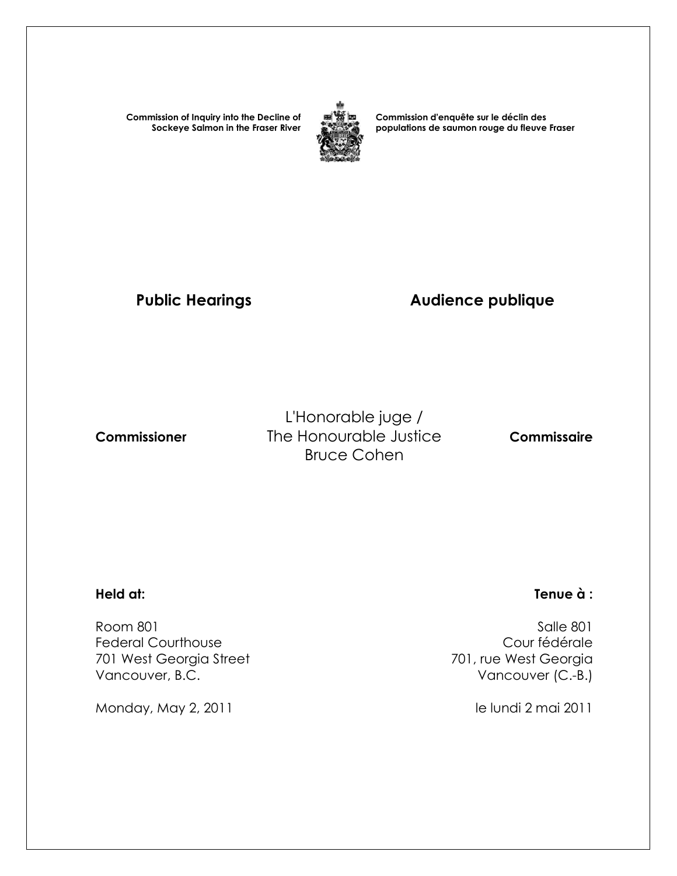**Commission of Inquiry into the Decline of Sockeye Salmon in the Fraser River**



**Commission d'enquête sur le déclin des populations de saumon rouge du fleuve Fraser** 

# Public Hearings **Audience publique**

L'Honorable juge /  **Commissioner** The Honourable Justice **Commissaire** Bruce Cohen

 Room 801 Salle 801 Federal Courthouse<br>
701 west Georgia Street<br>
701 west Georgia Street<br>
201 west Georgia 701 West Georgia Street Vancouver, B.C. **Vancouver (C.-B.)** 

Monday, May 2, 2011 and the lundi 2 mai 2011

### **Held at: Tenue à :**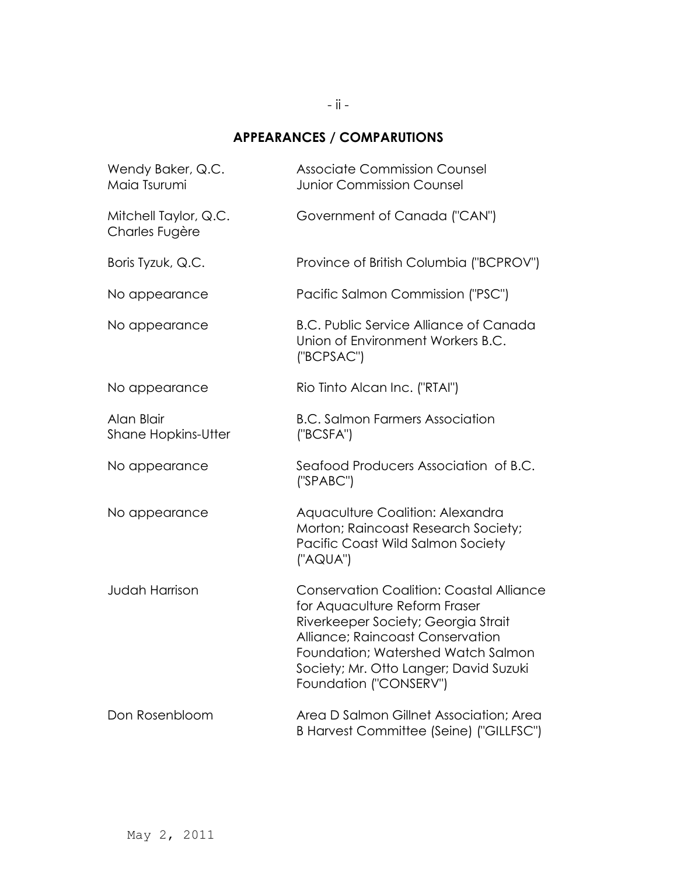# **APPEARANCES / COMPARUTIONS**

| Wendy Baker, Q.C.<br>Maia Tsurumi        | <b>Associate Commission Counsel</b><br><b>Junior Commission Counsel</b>                                                                                                                                                                                               |
|------------------------------------------|-----------------------------------------------------------------------------------------------------------------------------------------------------------------------------------------------------------------------------------------------------------------------|
| Mitchell Taylor, Q.C.<br>Charles Fugère  | Government of Canada ("CAN")                                                                                                                                                                                                                                          |
| Boris Tyzuk, Q.C.                        | Province of British Columbia ("BCPROV")                                                                                                                                                                                                                               |
| No appearance                            | Pacific Salmon Commission ("PSC")                                                                                                                                                                                                                                     |
| No appearance                            | <b>B.C. Public Service Alliance of Canada</b><br>Union of Environment Workers B.C.<br>("BCPSAC")                                                                                                                                                                      |
| No appearance                            | Rio Tinto Alcan Inc. ("RTAI")                                                                                                                                                                                                                                         |
| Alan Blair<br><b>Shane Hopkins-Utter</b> | <b>B.C. Salmon Farmers Association</b><br>("BCSFA")                                                                                                                                                                                                                   |
| No appearance                            | Seafood Producers Association of B.C.<br>('SPABC")                                                                                                                                                                                                                    |
| No appearance                            | Aquaculture Coalition: Alexandra<br>Morton; Raincoast Research Society;<br>Pacific Coast Wild Salmon Society<br>("AQUA")                                                                                                                                              |
| <b>Judah Harrison</b>                    | <b>Conservation Coalition: Coastal Alliance</b><br>for Aquaculture Reform Fraser<br>Riverkeeper Society; Georgia Strait<br>Alliance; Raincoast Conservation<br>Foundation; Watershed Watch Salmon<br>Society; Mr. Otto Langer; David Suzuki<br>Foundation ("CONSERV") |
| Don Rosenbloom                           | Area D Salmon Gillnet Association; Area<br>B Harvest Committee (Seine) ("GILLFSC")                                                                                                                                                                                    |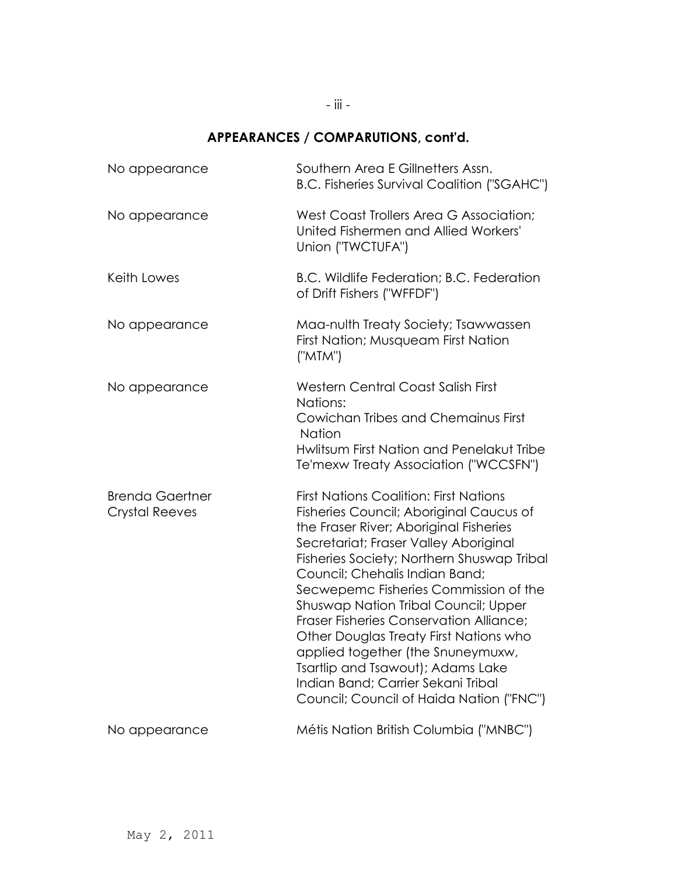# **APPEARANCES / COMPARUTIONS, cont'd.**

- iii -

| No appearance                                   | Southern Area E Gillnetters Assn.<br>B.C. Fisheries Survival Coalition ("SGAHC")                                                                                                                                                                                                                                                                                                                                                                                                                                                                                                                     |
|-------------------------------------------------|------------------------------------------------------------------------------------------------------------------------------------------------------------------------------------------------------------------------------------------------------------------------------------------------------------------------------------------------------------------------------------------------------------------------------------------------------------------------------------------------------------------------------------------------------------------------------------------------------|
| No appearance                                   | West Coast Trollers Area G Association;<br>United Fishermen and Allied Workers'<br>Union ("TWCTUFA")                                                                                                                                                                                                                                                                                                                                                                                                                                                                                                 |
| Keith Lowes                                     | B.C. Wildlife Federation; B.C. Federation<br>of Drift Fishers ("WFFDF")                                                                                                                                                                                                                                                                                                                                                                                                                                                                                                                              |
| No appearance                                   | Maa-nulth Treaty Society; Tsawwassen<br>First Nation; Musqueam First Nation<br>("MTM")                                                                                                                                                                                                                                                                                                                                                                                                                                                                                                               |
| No appearance                                   | Western Central Coast Salish First<br>Nations:<br>Cowichan Tribes and Chemainus First<br><b>Nation</b><br>Hwlitsum First Nation and Penelakut Tribe<br>Te'mexw Treaty Association ("WCCSFN")                                                                                                                                                                                                                                                                                                                                                                                                         |
| <b>Brenda Gaertner</b><br><b>Crystal Reeves</b> | <b>First Nations Coalition: First Nations</b><br>Fisheries Council; Aboriginal Caucus of<br>the Fraser River; Aboriginal Fisheries<br>Secretariat; Fraser Valley Aboriginal<br>Fisheries Society; Northern Shuswap Tribal<br>Council; Chehalis Indian Band;<br>Secwepemc Fisheries Commission of the<br><b>Shuswap Nation Tribal Council; Upper</b><br>Fraser Fisheries Conservation Alliance;<br>Other Douglas Treaty First Nations who<br>applied together (the Snuneymuxw,<br>Tsartlip and Tsawout); Adams Lake<br>Indian Band; Carrier Sekani Tribal<br>Council; Council of Haida Nation ("FNC") |
| No appearance                                   | Métis Nation British Columbia ("MNBC")                                                                                                                                                                                                                                                                                                                                                                                                                                                                                                                                                               |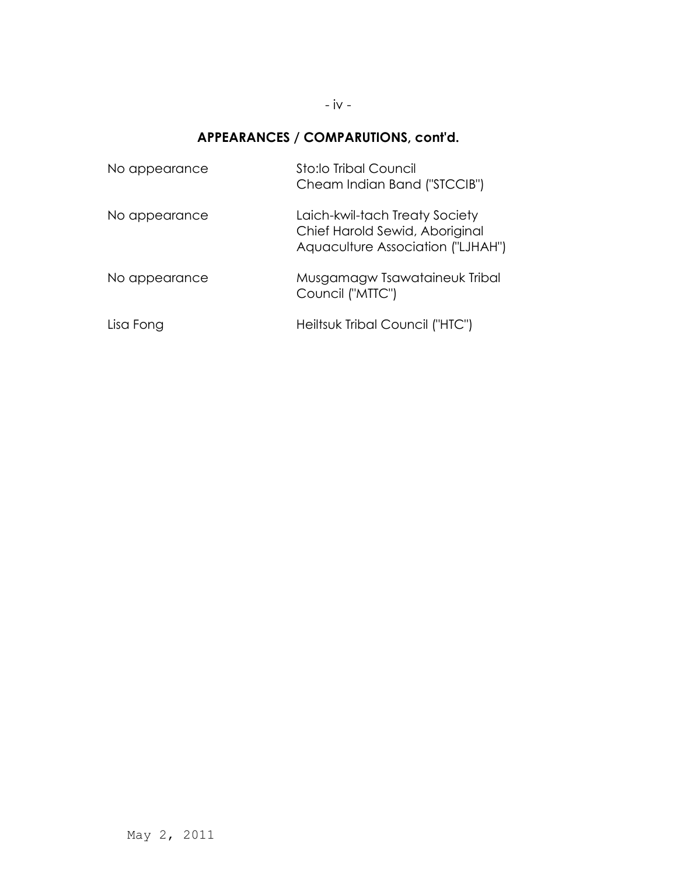#### - iv -

# **APPEARANCES / COMPARUTIONS, cont'd.**

| No appearance | Sto:lo Tribal Council<br>Cheam Indian Band ("STCCIB")                                                 |
|---------------|-------------------------------------------------------------------------------------------------------|
| No appearance | Laich-kwil-tach Treaty Society<br>Chief Harold Sewid, Aboriginal<br>Aquaculture Association ("LJHAH") |
| No appearance | Musgamagw Tsawataineuk Tribal<br>Council ("MTTC")                                                     |
| Lisa Fong     | Heiltsuk Tribal Council ("HTC")                                                                       |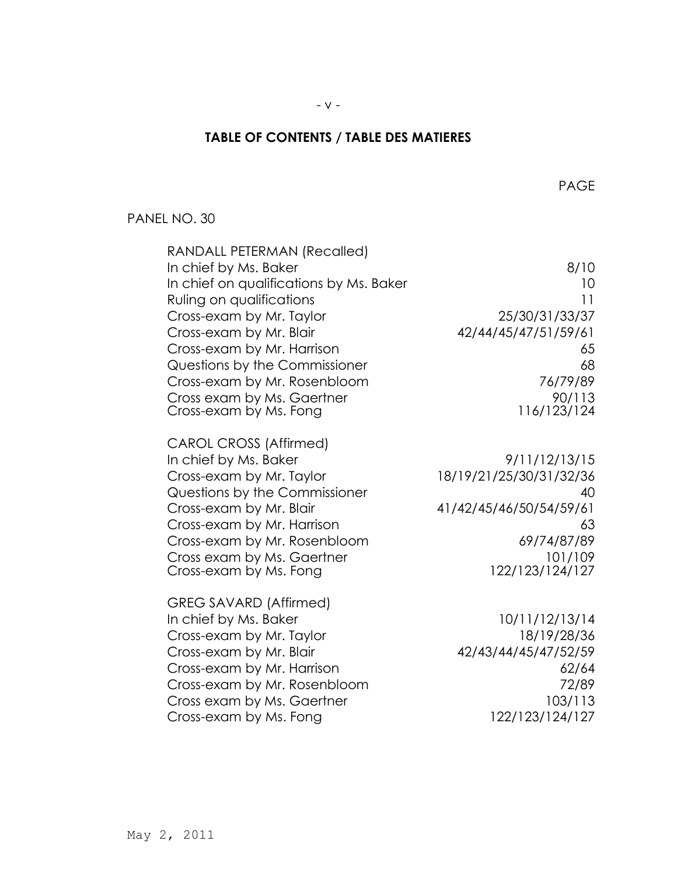#### $-V -$

#### **TABLE OF CONTENTS / TABLE DES MATIERES**

en de la provincia de la provincia de la provincia de la provincia de la provincia de la provincia de la provi

#### PANEL NO. 30

| <b>RANDALL PETERMAN (Recalled)</b>                        |                               |
|-----------------------------------------------------------|-------------------------------|
| In chief by Ms. Baker                                     | 8/10                          |
| In chief on qualifications by Ms. Baker                   | 10 <sup>°</sup>               |
| Ruling on qualifications                                  | 11                            |
| Cross-exam by Mr. Taylor                                  | 25/30/31/33/37                |
| Cross-exam by Mr. Blair                                   | 42/44/45/47/51/59/61          |
| Cross-exam by Mr. Harrison                                | 65                            |
| Questions by the Commissioner                             | 68                            |
| Cross-exam by Mr. Rosenbloom                              | 76/79/89                      |
| Cross exam by Ms. Gaertner                                | 90/113                        |
| Cross-exam by Ms. Fong                                    | 116/123/124                   |
|                                                           |                               |
| <b>CAROL CROSS (Affirmed)</b>                             |                               |
| In chief by Ms. Baker                                     | 9/11/12/13/15                 |
| Cross-exam by Mr. Taylor<br>Questions by the Commissioner | 18/19/21/25/30/31/32/36<br>40 |
| Cross-exam by Mr. Blair                                   | 41/42/45/46/50/54/59/61       |
| Cross-exam by Mr. Harrison                                | 63                            |
| Cross-exam by Mr. Rosenbloom                              | 69/74/87/89                   |
| Cross exam by Ms. Gaertner                                | 101/109                       |
| Cross-exam by Ms. Fong                                    | 122/123/124/127               |
|                                                           |                               |
| GREG SAVARD (Affirmed)                                    |                               |
| In chief by Ms. Baker                                     | 10/11/12/13/14                |
| Cross-exam by Mr. Taylor                                  | 18/19/28/36                   |
| Cross-exam by Mr. Blair                                   | 42/43/44/45/47/52/59          |
| Cross-exam by Mr. Harrison                                | 62/64                         |
| Cross-exam by Mr. Rosenbloom                              | 72/89                         |
| Cross exam by Ms. Gaertner                                | 103/113                       |
| Cross-exam by Ms. Fong                                    | 122/123/124/127               |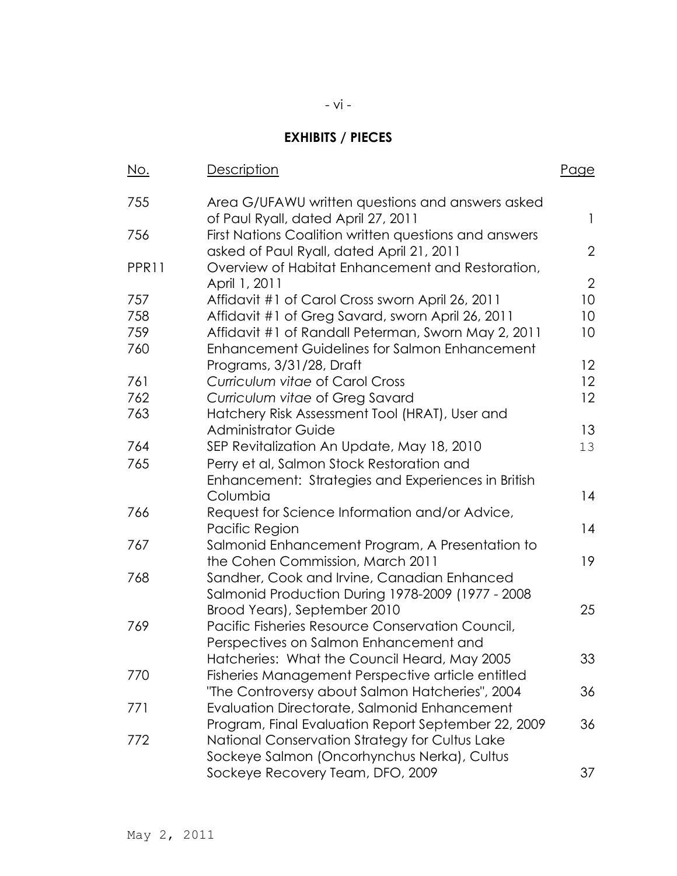# **EXHIBITS / PIECES**

| <u>No.</u>        | Description                                                                                        | <u>Page</u>     |
|-------------------|----------------------------------------------------------------------------------------------------|-----------------|
| 755               | Area G/UFAWU written questions and answers asked<br>of Paul Ryall, dated April 27, 2011            | $\mathbf{1}$    |
| 756               | First Nations Coalition written questions and answers<br>asked of Paul Ryall, dated April 21, 2011 | $\overline{2}$  |
| PPR <sub>11</sub> | Overview of Habitat Enhancement and Restoration,                                                   | $\overline{2}$  |
| 757               | April 1, 2011<br>Affidavit #1 of Carol Cross sworn April 26, 2011                                  | 10 <sup>°</sup> |
| 758               | Affidavit #1 of Greg Savard, sworn April 26, 2011                                                  | 10 <sup>°</sup> |
| 759               | Affidavit #1 of Randall Peterman, Sworn May 2, 2011                                                | 10 <sup>°</sup> |
| 760               | <b>Enhancement Guidelines for Salmon Enhancement</b>                                               |                 |
|                   | Programs, 3/31/28, Draft                                                                           | 12              |
| 761               | Curriculum vitae of Carol Cross                                                                    | 12              |
| 762               | Curriculum vitae of Greg Savard                                                                    | 12 <sup>2</sup> |
| 763               | Hatchery Risk Assessment Tool (HRAT), User and                                                     |                 |
|                   | <b>Administrator Guide</b>                                                                         | 13              |
| 764               | SEP Revitalization An Update, May 18, 2010                                                         | 13              |
| 765               | Perry et al, Salmon Stock Restoration and                                                          |                 |
|                   | Enhancement: Strategies and Experiences in British                                                 |                 |
|                   | Columbia                                                                                           | 14              |
| 766               | Request for Science Information and/or Advice,                                                     |                 |
|                   | Pacific Region                                                                                     | 14              |
| 767               | Salmonid Enhancement Program, A Presentation to                                                    |                 |
|                   | the Cohen Commission, March 2011                                                                   | 19              |
| 768               | Sandher, Cook and Irvine, Canadian Enhanced<br>Salmonid Production During 1978-2009 (1977 - 2008)  |                 |
|                   | Brood Years), September 2010                                                                       | 25              |
| 769               | Pacific Fisheries Resource Conservation Council,                                                   |                 |
|                   | Perspectives on Salmon Enhancement and                                                             |                 |
|                   | Hatcheries: What the Council Heard, May 2005                                                       | 33              |
| 770               | Fisheries Management Perspective article entitled                                                  |                 |
|                   | "The Controversy about Salmon Hatcheries", 2004                                                    | 36              |
| 771               | Evaluation Directorate, Salmonid Enhancement                                                       |                 |
|                   | Program, Final Evaluation Report September 22, 2009                                                | 36              |
| 772               | National Conservation Strategy for Cultus Lake                                                     |                 |
|                   | Sockeye Salmon (Oncorhynchus Nerka), Cultus                                                        |                 |
|                   | Sockeye Recovery Team, DFO, 2009                                                                   | 37              |
|                   |                                                                                                    |                 |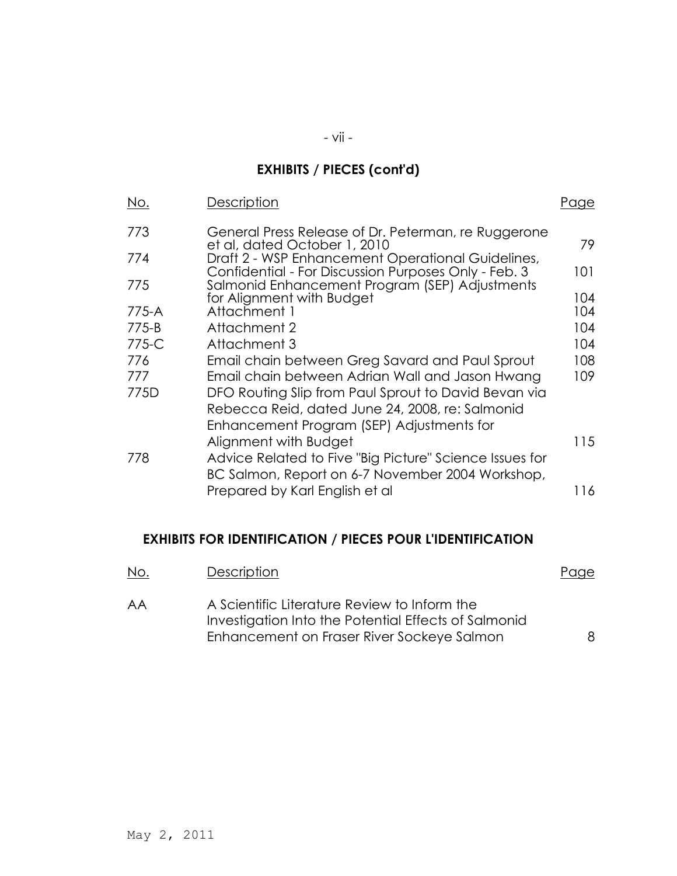# **EXHIBITS / PIECES (cont'd)**

| No.       | Description                                                                                                 | Page |
|-----------|-------------------------------------------------------------------------------------------------------------|------|
| 773       | General Press Release of Dr. Peterman, re Ruggerone<br>et al, dated October 1, 2010                         | 79.  |
| 774       | Draft 2 - WSP Enhancement Operational Guidelines,<br>Confidential - For Discussion Purposes Only - Feb. 3   | 101  |
| 775       | Salmonid Enhancement Program (SEP) Adjustments<br>for Alignment with Budget                                 | 104  |
| 775-A     | Attachment 1                                                                                                | 104  |
| $775 - B$ | Attachment 2                                                                                                | 104  |
| $775-C$   | Attachment 3                                                                                                | 104  |
| 776       | Email chain between Greg Savard and Paul Sprout                                                             | 108  |
| 777       | Email chain between Adrian Wall and Jason Hwang                                                             | 109  |
| 775D      | DFO Routing Slip from Paul Sprout to David Bevan via                                                        |      |
|           | Rebecca Reid, dated June 24, 2008, re: Salmonid                                                             |      |
|           | Enhancement Program (SEP) Adjustments for                                                                   |      |
|           | Alignment with Budget                                                                                       | 115  |
| 778       | Advice Related to Five "Big Picture" Science Issues for<br>BC Salmon, Report on 6-7 November 2004 Workshop, |      |
|           | Prepared by Karl English et al                                                                              | 116  |
|           |                                                                                                             |      |

#### **EXHIBITS FOR IDENTIFICATION / PIECES POUR L'IDENTIFICATION**

| No. | Description                                                                                                                                        | Page |
|-----|----------------------------------------------------------------------------------------------------------------------------------------------------|------|
| AA  | A Scientific Literature Review to Inform the<br>Investigation Into the Potential Effects of Salmonid<br>Enhancement on Fraser River Sockeye Salmon | 8.   |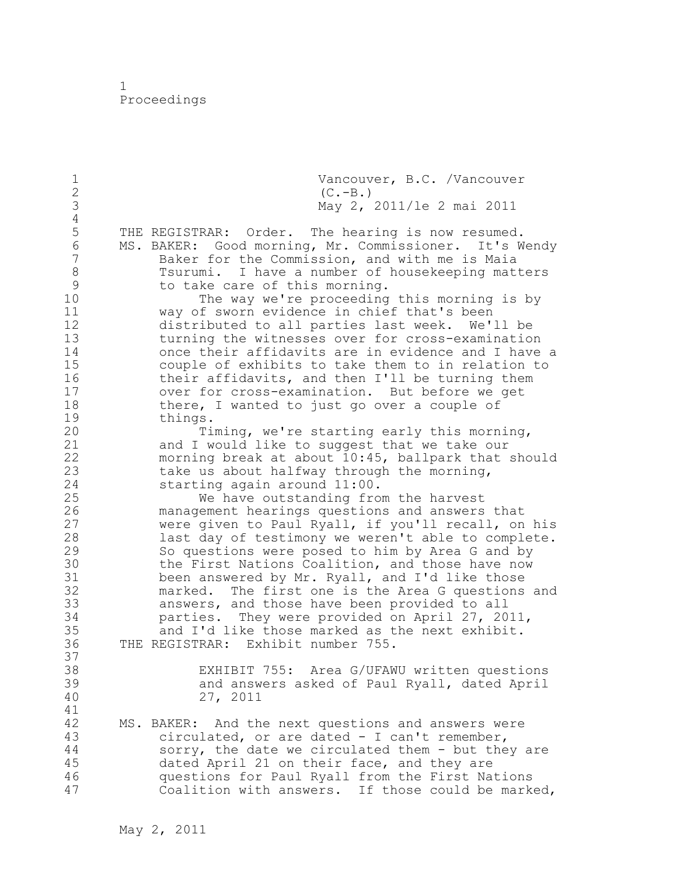1 Proceedings

1 Vancouver, B.C. /Vancouver<br>2 (C.-B.) 2  $(C.-B.)$ <br>3 May 2, 3 May 2, 2011/le 2 mai 2011  $\frac{4}{5}$ 5 THE REGISTRAR: Order. The hearing is now resumed. 6 MS. BAKER: Good morning, Mr. Commissioner. It's Wendy<br>7 Baker for the Commission, and with me is Maia Baker for the Commission, and with me is Maia 8 Tsurumi. I have a number of housekeeping matters<br>9 to take care of this morning. 9 to take care of this morning.<br>10 The way we're proceeding The way we're proceeding this morning is by 11 way of sworn evidence in chief that's been 12 distributed to all parties last week. We'll be 13 turning the witnesses over for cross-examination 14 once their affidavits are in evidence and I have a<br>15 couple of exhibits to take them to in relation to couple of exhibits to take them to in relation to 16 their affidavits, and then I'll be turning them<br>17 over for cross-examination. But before we get over for cross-examination. But before we get 18 there, I wanted to just go over a couple of 19 things.<br>20 Ti Timing, we're starting early this morning, 21 and I would like to suggest that we take our 22 morning break at about 10:45, ballpark that should 23 take us about halfway through the morning, 24 starting again around 11:00. 25 We have outstanding from the harvest 26 management hearings questions and answers that<br>27 were given to Paul Ryall, if you'll recall, on were given to Paul Ryall, if you'll recall, on his 28 last day of testimony we weren't able to complete. 29 So questions were posed to him by Area G and by 30 the First Nations Coalition, and those have now<br>31 been answered by Mr. Ryall, and I'd like those been answered by Mr. Ryall, and I'd like those 32 marked. The first one is the Area G questions and 33 answers, and those have been provided to all 34 parties. They were provided on April 27, 2011, 35 and I'd like those marked as the next exhibit. 36 THE REGISTRAR: Exhibit number 755. 37<br>38 EXHIBIT 755: Area G/UFAWU written questions 39 and answers asked of Paul Ryall, dated April 40 27, 2011 41<br>42 MS. BAKER: And the next questions and answers were 43 circulated, or are dated - I can't remember, 44 sorry, the date we circulated them - but they are 45 dated April 21 on their face, and they are 46 questions for Paul Ryall from the First Nations 47 Coalition with answers. If those could be marked,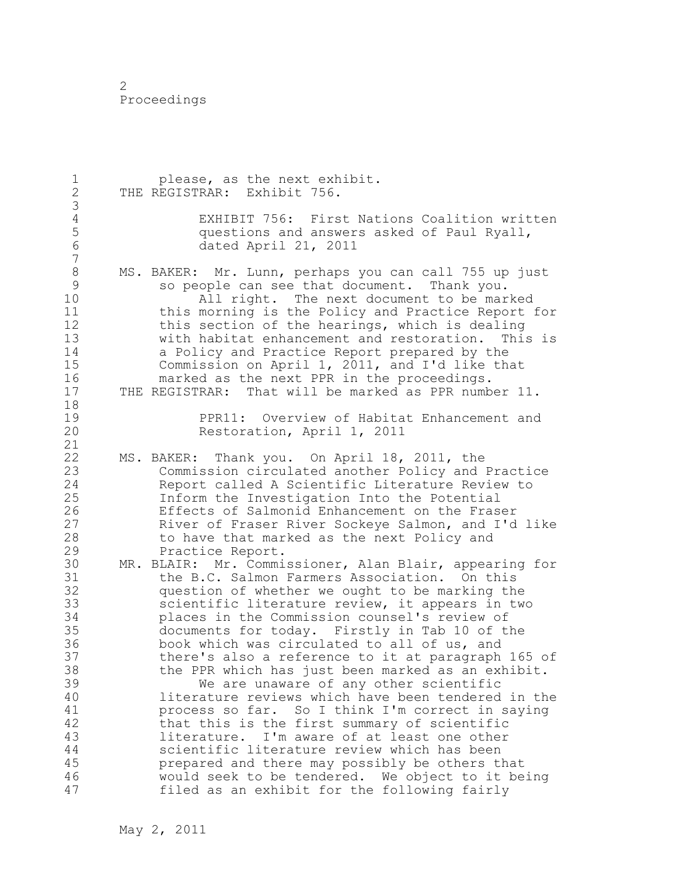2 Proceedings

1 please, as the next exhibit. 2 THE REGISTRAR: Exhibit 756. 3 4 EXHIBIT 756: First Nations Coalition written<br>5 General State of Paul Ryall, 5 questions and answers asked of Paul Ryall,<br>6 dated April 21, 2011 dated April 21, 2011 7 8 MS. BAKER: Mr. Lunn, perhaps you can call 755 up just<br>9 So people can see that document. Thank you. 9 so people can see that document. Thank you. All right. The next document to be marked 11 this morning is the Policy and Practice Report for 12 this section of the hearings, which is dealing 13 with habitat enhancement and restoration. This is 14 a Policy and Practice Report prepared by the 15 Commission on April 1, 2011, and I'd like that 16 marked as the next PPR in the proceedings.<br>17 THE REGISTRAR: That will be marked as PPR numb THE REGISTRAR: That will be marked as PPR number 11. 18 19 PPR11: Overview of Habitat Enhancement and<br>20 Restoration, April 1, 2011 20 Restoration, April 1, 2011 21 22 MS. BAKER: Thank you. On April 18, 2011, the 23 Commission circulated another Policy and Practice 24 Report called A Scientific Literature Review to 25 Inform the Investigation Into the Potential 26 Effects of Salmonid Enhancement on the Fraser<br>27 River of Fraser River Sockeye Salmon, and I'd River of Fraser River Sockeye Salmon, and I'd like 28 to have that marked as the next Policy and 29 Practice Report. 30 MR. BLAIR: Mr. Commissioner, Alan Blair, appearing for 31 the B.C. Salmon Farmers Association. On this<br>32 question of whether we ought to be marking the question of whether we ought to be marking the 33 scientific literature review, it appears in two 34 places in the Commission counsel's review of 35 documents for today. Firstly in Tab 10 of the 36 book which was circulated to all of us, and 37 there's also a reference to it at paragraph 165 of 38 the PPR which has just been marked as an exhibit. 39 We are unaware of any other scientific 40 literature reviews which have been tendered in the 41 process so far. So I think I'm correct in saying<br>42 that this is the first summary of scientific that this is the first summary of scientific 43 literature. I'm aware of at least one other 44 scientific literature review which has been 45 prepared and there may possibly be others that 46 would seek to be tendered. We object to it being 47 filed as an exhibit for the following fairly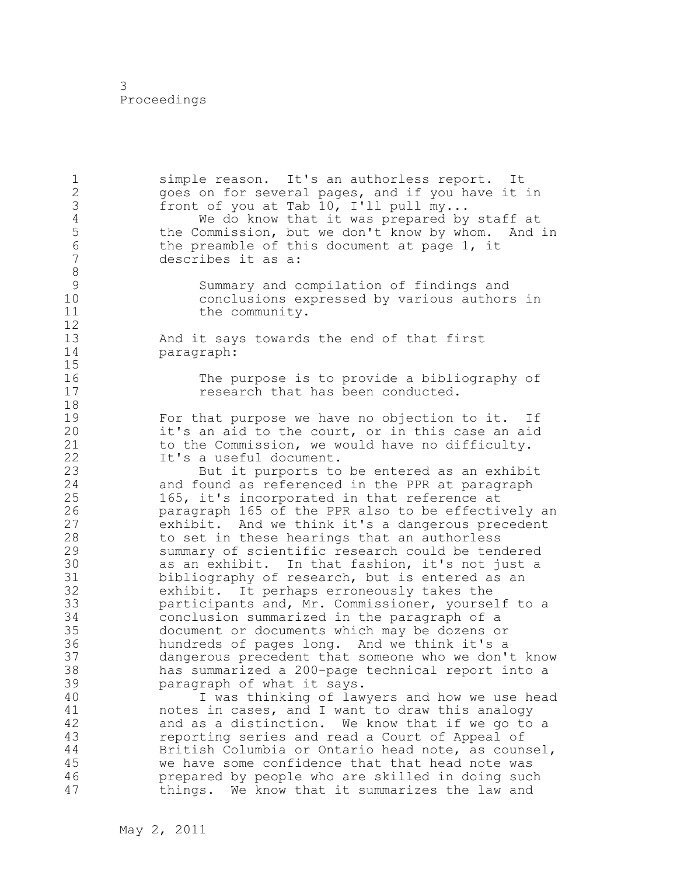| $\frac{1}{2}$<br>3<br>$\overline{4}$             | simple reason. It's an authorless report. It<br>goes on for several pages, and if you have it in<br>front of you at Tab 10, I'll pull my<br>We do know that it was prepared by staff at |
|--------------------------------------------------|-----------------------------------------------------------------------------------------------------------------------------------------------------------------------------------------|
| 5<br>$\overline{6}$<br>$\overline{7}$<br>$\,8\,$ | the Commission, but we don't know by whom. And in<br>the preamble of this document at page 1, it<br>describes it as a:                                                                  |
| 9<br>10<br>11<br>12                              | Summary and compilation of findings and<br>conclusions expressed by various authors in<br>the community.                                                                                |
| 13<br>14<br>15                                   | And it says towards the end of that first<br>paragraph:                                                                                                                                 |
| 16<br>17<br>18                                   | The purpose is to provide a bibliography of<br>research that has been conducted.                                                                                                        |
| 19                                               | For that purpose we have no objection to it. If                                                                                                                                         |
| 20                                               | it's an aid to the court, or in this case an aid                                                                                                                                        |
| 21                                               | to the Commission, we would have no difficulty.                                                                                                                                         |
| 22                                               | It's a useful document.                                                                                                                                                                 |
| 23                                               | But it purports to be entered as an exhibit                                                                                                                                             |
| 24                                               | and found as referenced in the PPR at paragraph                                                                                                                                         |
| 25                                               | 165, it's incorporated in that reference at                                                                                                                                             |
| 26                                               | paragraph 165 of the PPR also to be effectively an                                                                                                                                      |
| 27                                               | exhibit. And we think it's a dangerous precedent                                                                                                                                        |
| 28                                               | to set in these hearings that an authorless                                                                                                                                             |
| 29                                               | summary of scientific research could be tendered                                                                                                                                        |
| 30                                               | as an exhibit. In that fashion, it's not just a                                                                                                                                         |
| 31                                               | bibliography of research, but is entered as an                                                                                                                                          |
| 32                                               | exhibit. It perhaps erroneously takes the                                                                                                                                               |
| 33                                               | participants and, Mr. Commissioner, yourself to a                                                                                                                                       |
| 34                                               | conclusion summarized in the paragraph of a                                                                                                                                             |
| 35                                               | document or documents which may be dozens or                                                                                                                                            |
| 36                                               | hundreds of pages long. And we think it's a                                                                                                                                             |
| 37                                               | dangerous precedent that someone who we don't know                                                                                                                                      |
| 38                                               | has summarized a 200-page technical report into a                                                                                                                                       |
| 39                                               | paragraph of what it says.                                                                                                                                                              |
| 40                                               | I was thinking of lawyers and how we use head                                                                                                                                           |
| 41                                               | notes in cases, and I want to draw this analogy                                                                                                                                         |
| 42                                               | and as a distinction. We know that if we go to a                                                                                                                                        |
| 43                                               | reporting series and read a Court of Appeal of                                                                                                                                          |
| 44                                               | British Columbia or Ontario head note, as counsel,                                                                                                                                      |
| 45                                               | we have some confidence that that head note was                                                                                                                                         |
| 46<br>47                                         | prepared by people who are skilled in doing such<br>things.<br>We know that it summarizes the law and                                                                                   |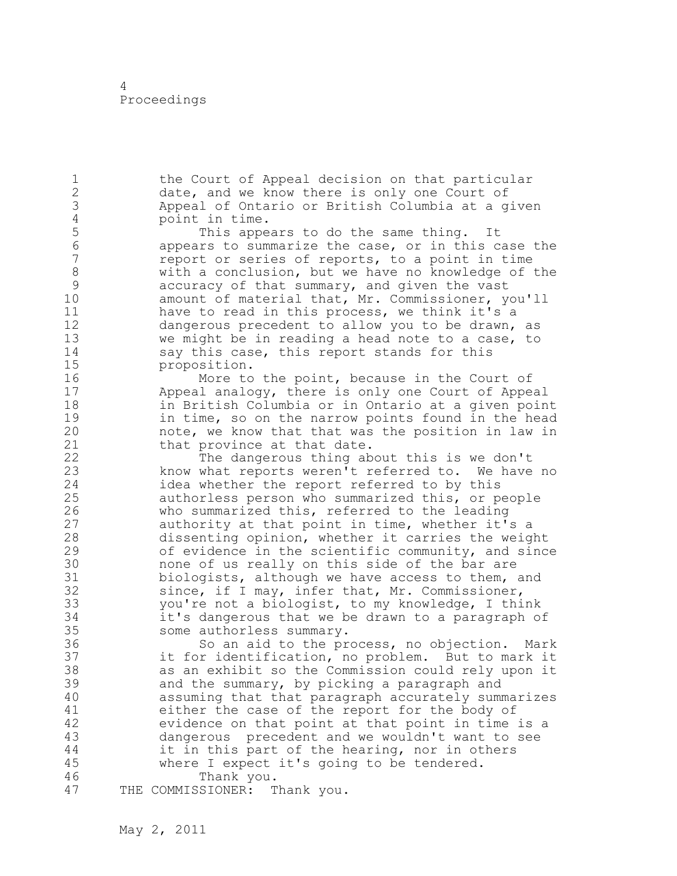1 the Court of Appeal decision on that particular 2 date, and we know there is only one Court of 3 Appeal of Ontario or British Columbia at a given 4 point in time.<br>5 This appe 5 This appears to do the same thing. It<br>6 This appears to summarize the case, or in this c 6 appears to summarize the case, or in this case the report or series of reports, to a point in time 8 with a conclusion, but we have no knowledge of the<br>9 accuracy of that summary, and given the vast 9 accuracy of that summary, and given the vast<br>10 amount of material that, Mr. Commissioner, v amount of material that, Mr. Commissioner, you'll 11 have to read in this process, we think it's a 12 dangerous precedent to allow you to be drawn, as 13 we might be in reading a head note to a case, to 14 say this case, this report stands for this 15 proposition. 16 More to the point, because in the Court of 17 Appeal analogy, there is only one Court of Appeal 18 in British Columbia or in Ontario at a given point 19 in time, so on the narrow points found in the head<br>20 hote, we know that that was the position in law in note, we know that that was the position in law in 21 that province at that date. 22 The dangerous thing about this is we don't 23 know what reports weren't referred to. We have no 24 idea whether the report referred to by this 25 authorless person who summarized this, or people 26 who summarized this, referred to the leading<br>27 authority at that point in time, whether it's authority at that point in time, whether it's a 28 dissenting opinion, whether it carries the weight 29 of evidence in the scientific community, and since 30 none of us really on this side of the bar are<br>31 biologists, although we have access to them, biologists, although we have access to them, and 32 since, if I may, infer that, Mr. Commissioner, 33 you're not a biologist, to my knowledge, I think 34 it's dangerous that we be drawn to a paragraph of 35 some authorless summary. 36 So an aid to the process, no objection. Mark 37 it for identification, no problem. But to mark it 38 as an exhibit so the Commission could rely upon it 39 and the summary, by picking a paragraph and 40 assuming that that paragraph accurately summarizes 41 either the case of the report for the body of<br>42 evidence on that point at that point in time evidence on that point at that point in time is a 43 dangerous precedent and we wouldn't want to see 44 it in this part of the hearing, nor in others 45 where I expect it's going to be tendered. 46 Thank you. 47 THE COMMISSIONER: Thank you.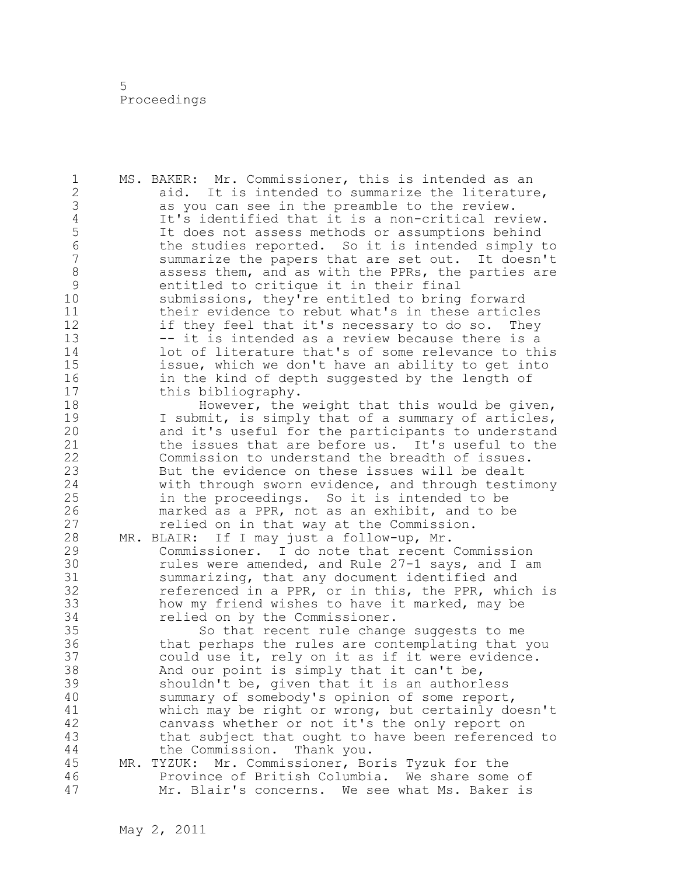5 Proceedings

1 MS. BAKER: Mr. Commissioner, this is intended as an 2 aid. It is intended to summarize the literature, 3 as you can see in the preamble to the review.<br>4 1t's identified that it is a non-critical rev 4 It's identified that it is a non-critical review.<br>5 It does not assess methods or assumptions behind 5 It does not assess methods or assumptions behind 6 the studies reported. So it is intended simply to summarize the papers that are set out. It doesn't 8 assess them, and as with the PPRs, the parties are<br>9 entitled to critique it in their final 9 entitled to critique it in their final<br>10 submissions, they're entitled to bring submissions, they're entitled to bring forward 11 their evidence to rebut what's in these articles 12 if they feel that it's necessary to do so. They 13 -- it is intended as a review because there is a 14 lot of literature that's of some relevance to this 15 issue, which we don't have an ability to get into 16 in the kind of depth suggested by the length of 17 this bibliography. 18 However, the weight that this would be given, 19 I submit, is simply that of a summary of articles,<br>20 and it's useful for the participants to understand and it's useful for the participants to understand 21 the issues that are before us. It's useful to the 22 Commission to understand the breadth of issues. 23 But the evidence on these issues will be dealt 24 with through sworn evidence, and through testimony 25 in the proceedings. So it is intended to be 26 marked as a PPR, not as an exhibit, and to be<br>27 elied on in that way at the Commission. relied on in that way at the Commission. 28 MR. BLAIR: If I may just a follow-up, Mr. 29 Commissioner. I do note that recent Commission 30 rules were amended, and Rule 27-1 says, and I am<br>31 summarizing, that any document identified and summarizing, that any document identified and 32 referenced in a PPR, or in this, the PPR, which is 33 how my friend wishes to have it marked, may be 34 relied on by the Commissioner. 35 So that recent rule change suggests to me 36 that perhaps the rules are contemplating that you 37 could use it, rely on it as if it were evidence. 38 And our point is simply that it can't be, 39 shouldn't be, given that it is an authorless 40 summary of somebody's opinion of some report, 41 which may be right or wrong, but certainly doesn't<br>42 canvass whether or not it's the only report on canvass whether or not it's the only report on 43 that subject that ought to have been referenced to 44 the Commission. Thank you. 45 MR. TYZUK: Mr. Commissioner, Boris Tyzuk for the 46 Province of British Columbia. We share some of 47 Mr. Blair's concerns. We see what Ms. Baker is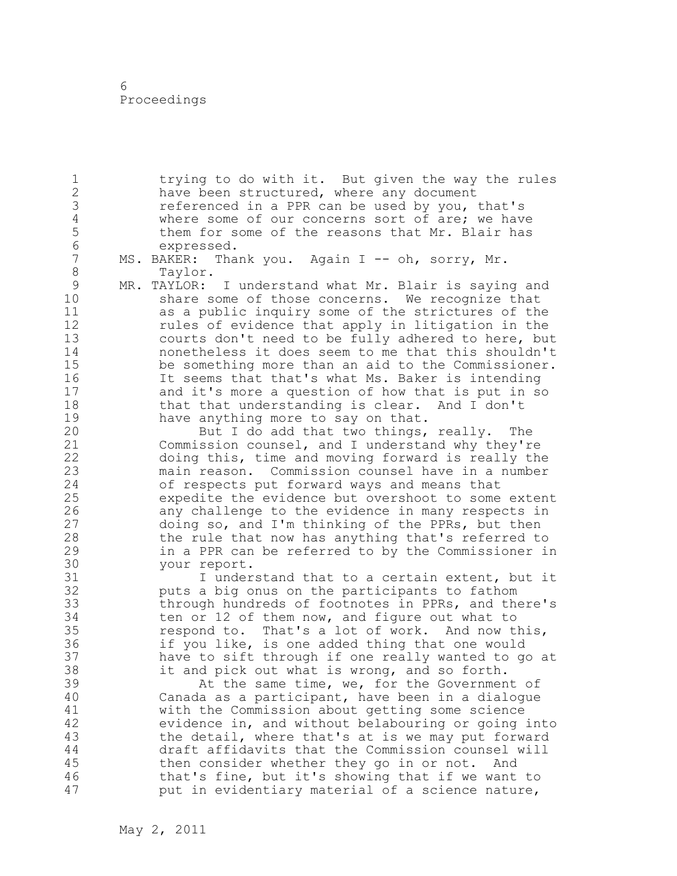1 trying to do with it. But given the way the rules 2 have been structured, where any document 3 referenced in a PPR can be used by you, that's<br>4 where some of our concerns sort of are; we have 4 where some of our concerns sort of are; we have<br>5 them for some of the reasons that Mr. Blair has 5 them for some of the reasons that Mr. Blair has<br>6 expressed. 6 expressed.<br>7 MS. BAKER: Tha MS. BAKER: Thank you. Again I -- oh, sorry, Mr. 8 Taylor. 9 MR. TAYLOR: I understand what Mr. Blair is saying and<br>10 Share some of those concerns. We recognize that share some of those concerns. We recognize that 11 as a public inquiry some of the strictures of the 12 rules of evidence that apply in litigation in the 13 courts don't need to be fully adhered to here, but 14 nonetheless it does seem to me that this shouldn't 15 be something more than an aid to the Commissioner. 16 It seems that that's what Ms. Baker is intending 17 and it's more a question of how that is put in so 18 that that understanding is clear. And I don't 19 have anything more to say on that.<br>20 **have anything more to say on things,** But I do add that two things, really. The 21 Commission counsel, and I understand why they're 22 doing this, time and moving forward is really the 23 main reason. Commission counsel have in a number 24 of respects put forward ways and means that 25 expedite the evidence but overshoot to some extent 26 any challenge to the evidence in many respects in<br>27 doing so, and I'm thinking of the PPRs, but then doing so, and I'm thinking of the PPRs, but then 28 the rule that now has anything that's referred to 29 in a PPR can be referred to by the Commissioner in 30 your report.<br>31 I under 31 I understand that to a certain extent, but it<br>32 buts a big onus on the participants to fathom puts a big onus on the participants to fathom 33 through hundreds of footnotes in PPRs, and there's 34 ten or 12 of them now, and figure out what to 35 respond to. That's a lot of work. And now this, 36 if you like, is one added thing that one would 37 have to sift through if one really wanted to go at 38 it and pick out what is wrong, and so forth. 39 At the same time, we, for the Government of 40 Canada as a participant, have been in a dialogue 41 with the Commission about getting some science<br>42 evidence in, and without belabouring or going evidence in, and without belabouring or going into 43 the detail, where that's at is we may put forward 44 draft affidavits that the Commission counsel will 45 then consider whether they go in or not. And 46 that's fine, but it's showing that if we want to 47 put in evidentiary material of a science nature,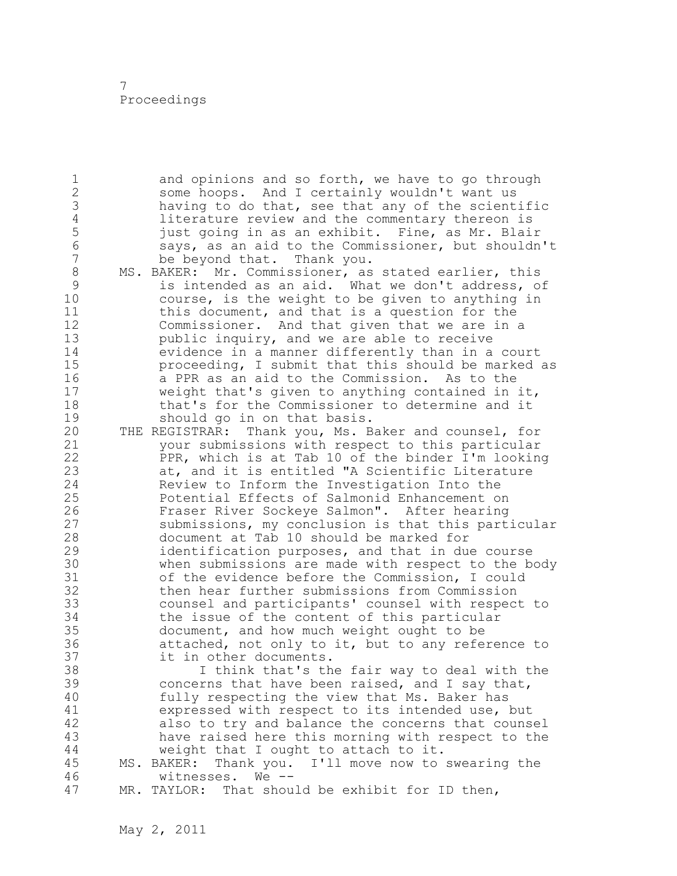1 and opinions and so forth, we have to go through 2 some hoops. And I certainly wouldn't want us 3 having to do that, see that any of the scientific<br>4 literature review and the commentary thereon is 4 literature review and the commentary thereon is<br>5 iust going in as an exhibit. Fine, as Mr. Blai: 5 just going in as an exhibit. Fine, as Mr. Blair<br>6 savs, as an aid to the Commissioner, but shouldn 6 says, as an aid to the Commissioner, but shouldn't be beyond that. Thank you. 8 MS. BAKER: Mr. Commissioner, as stated earlier, this<br>9 is intended as an aid. What we don't address, o 9 is intended as an aid. What we don't address, of course, is the weight to be given to anything in 11 this document, and that is a question for the 12 Commissioner. And that given that we are in a 13 public inquiry, and we are able to receive 14 evidence in a manner differently than in a court 15 proceeding, I submit that this should be marked as 16 a PPR as an aid to the Commission. As to the 17 weight that's given to anything contained in it, 18 that's for the Commissioner to determine and it 19 should go in on that basis.<br>20 THE REGISTRAR: Thank you, Ms. B THE REGISTRAR: Thank you, Ms. Baker and counsel, for 21 your submissions with respect to this particular 22 PPR, which is at Tab 10 of the binder I'm looking 23 at, and it is entitled "A Scientific Literature 24 Review to Inform the Investigation Into the 25 Potential Effects of Salmonid Enhancement on 26 Fraser River Sockeye Salmon". After hearing<br>27 submissions, my conclusion is that this part submissions, my conclusion is that this particular 28 document at Tab 10 should be marked for 29 identification purposes, and that in due course 30 when submissions are made with respect to the body<br>31 of the evidence before the Commission, I could 31 of the evidence before the Commission, I could<br>32 then hear further submissions from Commission then hear further submissions from Commission 33 counsel and participants' counsel with respect to 34 the issue of the content of this particular 35 document, and how much weight ought to be 36 attached, not only to it, but to any reference to 37 it in other documents. 38 I think that's the fair way to deal with the 39 concerns that have been raised, and I say that, 40 fully respecting the view that Ms. Baker has 41 expressed with respect to its intended use, but<br>42 also to try and balance the concerns that couns also to try and balance the concerns that counsel 43 have raised here this morning with respect to the 44 weight that I ought to attach to it.<br>45 MS. BAKER: Thank you. I'll move now to 45 MS. BAKER: Thank you. I'll move now to swearing the 46 witnesses. We -- 47 MR. TAYLOR: That should be exhibit for ID then,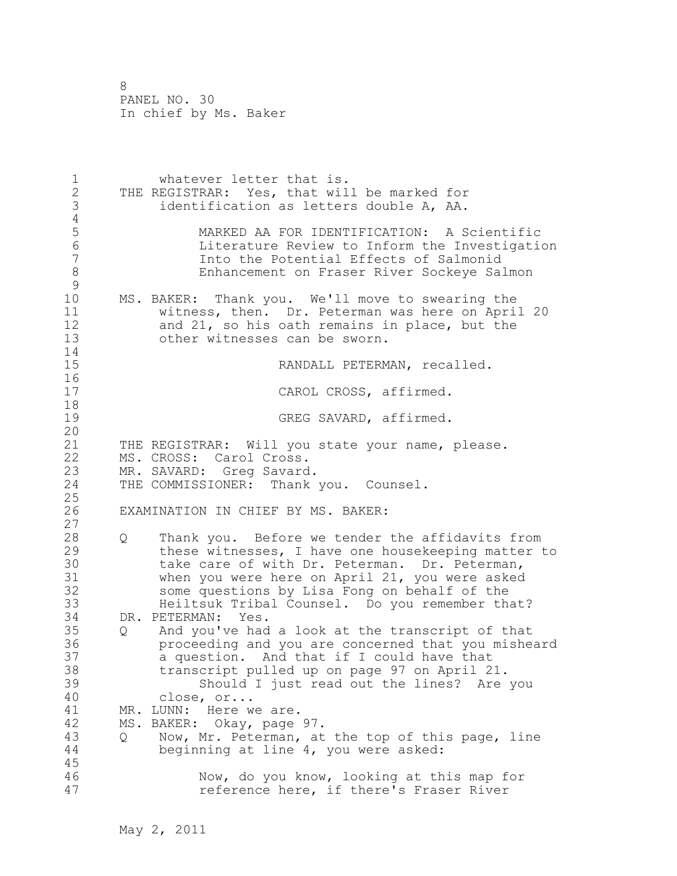1 whatever letter that is. 2 THE REGISTRAR: Yes, that will be marked for 3 identification as letters double A, AA. 4<br>5 5 MARKED AA FOR IDENTIFICATION: A Scientific 6 Literature Review to Inform the Investigation Into the Potential Effects of Salmonid 8 Enhancement on Fraser River Sockeye Salmon  $\begin{array}{c} 9 \\ 10 \end{array}$ MS. BAKER: Thank you. We'll move to swearing the 11 witness, then. Dr. Peterman was here on April 20 12 and 21, so his oath remains in place, but the 13 other witnesses can be sworn. 14 15 RANDALL PETERMAN, recalled.  $16$ <br> $17$ CAROL CROSS, affirmed. 18 19 GREG SAVARD, affirmed. 20 21 THE REGISTRAR: Will you state your name, please. 22 MS. CROSS: Carol Cross. 23 MR. SAVARD: Greg Savard.<br>24 THE COMMISSIONER: Thank THE COMMISSIONER: Thank you. Counsel. 25 26 EXAMINATION IN CHIEF BY MS. BAKER: 27 28 Q Thank you. Before we tender the affidavits from 29 these witnesses, I have one housekeeping matter to 30 take care of with Dr. Peterman. Dr. Peterman,<br>31 when you were here on April 21, you were asked when you were here on April 21, you were asked 32 some questions by Lisa Fong on behalf of the 33 Heiltsuk Tribal Counsel. Do you remember that? 34 DR. PETERMAN: Yes. 35 Q And you've had a look at the transcript of that 36 proceeding and you are concerned that you misheard 37 a question. And that if I could have that 38 transcript pulled up on page 97 on April 21. 39 Should I just read out the lines? Are you 40 close, or... 41 MR. LUNN: Here we are. 42 MS. BAKER: Okay, page 97. 43 Q Now, Mr. Peterman, at the top of this page, line 44 beginning at line 4, you were asked: 45 46 Now, do you know, looking at this map for 47 reference here, if there's Fraser River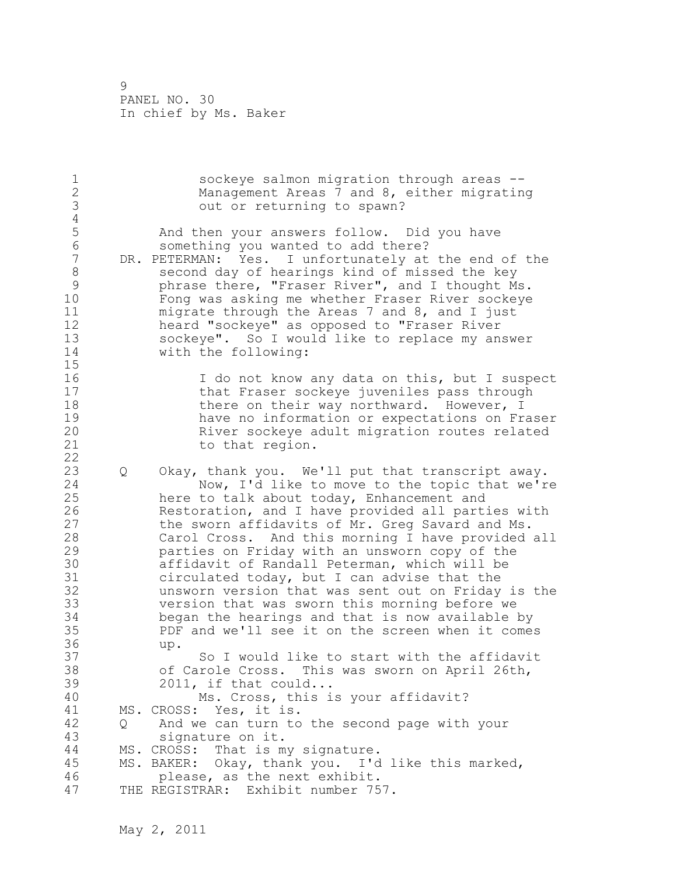| $\mathbf 1$<br>$\frac{2}{3}$<br>$\sqrt{4}$                                                              | sockeye salmon migration through areas --<br>Management Areas 7 and 8, either migrating<br>out or returning to spawn?                                                                                                                                                                                                                                                                                                                                                                                                                                                                                                                                                                                                                                                                                       |
|---------------------------------------------------------------------------------------------------------|-------------------------------------------------------------------------------------------------------------------------------------------------------------------------------------------------------------------------------------------------------------------------------------------------------------------------------------------------------------------------------------------------------------------------------------------------------------------------------------------------------------------------------------------------------------------------------------------------------------------------------------------------------------------------------------------------------------------------------------------------------------------------------------------------------------|
| 5<br>$\sqrt{6}$<br>$\boldsymbol{7}$<br>$\,8\,$<br>$\mathsf 9$<br>10<br>11<br>12<br>13<br>14<br>15       | And then your answers follow. Did you have<br>something you wanted to add there?<br>DR. PETERMAN: Yes. I unfortunately at the end of the<br>second day of hearings kind of missed the key<br>phrase there, "Fraser River", and I thought Ms.<br>Fong was asking me whether Fraser River sockeye<br>migrate through the Areas 7 and 8, and I just<br>heard "sockeye" as opposed to "Fraser River<br>sockeye". So I would like to replace my answer<br>with the following:                                                                                                                                                                                                                                                                                                                                    |
| 16<br>17<br>18<br>19<br>20<br>21<br>22                                                                  | I do not know any data on this, but I suspect<br>that Fraser sockeye juveniles pass through<br>there on their way northward. However, I<br>have no information or expectations on Fraser<br>River sockeye adult migration routes related<br>to that region.                                                                                                                                                                                                                                                                                                                                                                                                                                                                                                                                                 |
| 23<br>Q<br>24<br>25<br>26<br>27<br>28<br>29<br>30<br>31<br>32<br>33<br>34<br>35<br>36<br>37<br>38<br>39 | Okay, thank you. We'll put that transcript away.<br>Now, I'd like to move to the topic that we're<br>here to talk about today, Enhancement and<br>Restoration, and I have provided all parties with<br>the sworn affidavits of Mr. Greg Savard and Ms.<br>Carol Cross. And this morning I have provided all<br>parties on Friday with an unsworn copy of the<br>affidavit of Randall Peterman, which will be<br>circulated today, but I can advise that the<br>unsworn version that was sent out on Friday is the<br>version that was sworn this morning before we<br>began the hearings and that is now available by<br>PDF and we'll see it on the screen when it comes<br>up.<br>So I would like to start with the affidavit<br>of Carole Cross. This was sworn on April 26th,<br>$2011$ , if that could |
| 40<br>41<br>42<br>Q                                                                                     | Ms. Cross, this is your affidavit?<br>MS. CROSS: Yes, it is.<br>And we can turn to the second page with your                                                                                                                                                                                                                                                                                                                                                                                                                                                                                                                                                                                                                                                                                                |
| 43<br>44<br>45<br>46                                                                                    | signature on it.<br>That is my signature.<br>MS. CROSS:<br>MS. BAKER: Okay, thank you. I'd like this marked,<br>please, as the next exhibit.                                                                                                                                                                                                                                                                                                                                                                                                                                                                                                                                                                                                                                                                |
| 47                                                                                                      | THE REGISTRAR: Exhibit number 757.                                                                                                                                                                                                                                                                                                                                                                                                                                                                                                                                                                                                                                                                                                                                                                          |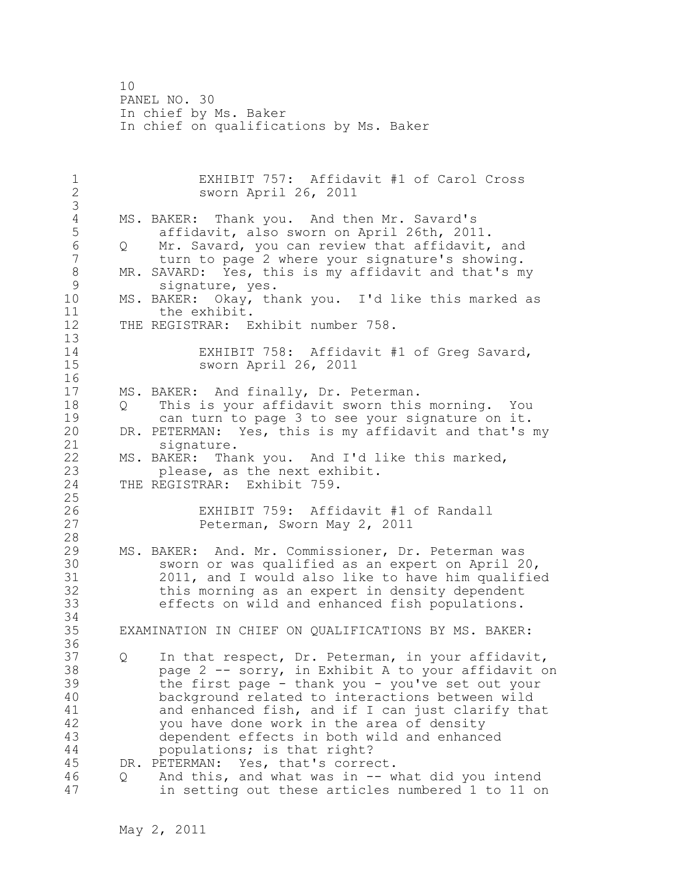10 PANEL NO. 30 In chief by Ms. Baker In chief on qualifications by Ms. Baker

1 EXHIBIT 757: Affidavit #1 of Carol Cross sworn April 26, 2011 3 4 MS. BAKER: Thank you. And then Mr. Savard's<br>5 affidavit, also sworn on April 26th, 201 5 affidavit, also sworn on April 26th, 2011.<br>6 0 Mr. Savard, you can review that affidavit, 6 Q Mr. Savard, you can review that affidavit, and turn to page 2 where your signature's showing. 8 MR. SAVARD: Yes, this is my affidavit and that's my<br>9 signature, ves. 9 signature, yes.<br>10 MS. BAKER: Okav, th MS. BAKER: Okay, thank you. I'd like this marked as 11 the exhibit. 12 THE REGISTRAR: Exhibit number 758. 13 14 EXHIBIT 758: Affidavit #1 of Greg Savard, 15 sworn April 26, 2011 16 17 MS. BAKER: And finally, Dr. Peterman. 18 Q This is your affidavit sworn this morning. You 19 can turn to page 3 to see your signature on it.<br>20 DR. PETERMAN: Yes, this is my affidavit and that's DR. PETERMAN: Yes, this is my affidavit and that's my 21 signature. 22 MS. BAKER: Thank you. And I'd like this marked, 23 please, as the next exhibit. 24 THE REGISTRAR: Exhibit 759. 25 26 EXHIBIT 759: Affidavit #1 of Randall<br>27 Feterman, Sworn May 2, 2011 Peterman, Sworn May 2, 2011 28 29 MS. BAKER: And. Mr. Commissioner, Dr. Peterman was 30 sworn or was qualified as an expert on April 20,<br>31 2011, and I would also like to have him qualifie 2011, and I would also like to have him qualified 32 this morning as an expert in density dependent 33 effects on wild and enhanced fish populations. 34 35 EXAMINATION IN CHIEF ON QUALIFICATIONS BY MS. BAKER: 36 37 Q In that respect, Dr. Peterman, in your affidavit, 38 page 2 -- sorry, in Exhibit A to your affidavit on 39 the first page - thank you - you've set out your 40 background related to interactions between wild 41 and enhanced fish, and if I can just clarify that<br>42 vou have done work in the area of density you have done work in the area of density 43 dependent effects in both wild and enhanced 44 populations; is that right? 45 DR. PETERMAN: Yes, that's correct. 46 Q And this, and what was in -- what did you intend 47 in setting out these articles numbered 1 to 11 on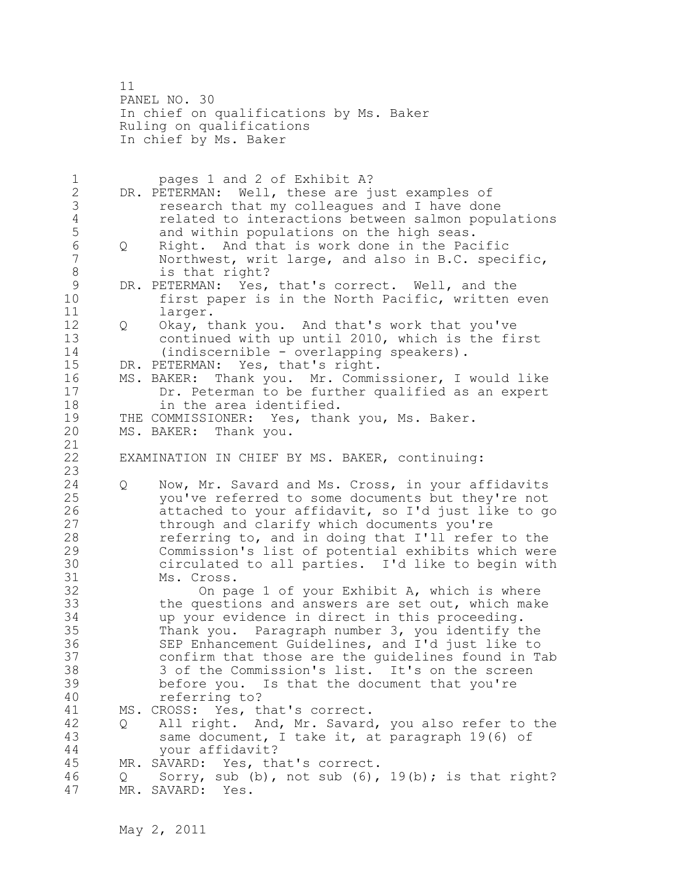11 PANEL NO. 30 In chief on qualifications by Ms. Baker Ruling on qualifications In chief by Ms. Baker

1 pages 1 and 2 of Exhibit A? 2 DR. PETERMAN: Well, these are just examples of 3 research that my colleagues and I have done<br>4 related to interactions between salmon popu 4 related to interactions between salmon populations<br>5 and within populations on the high seas. 5 and within populations on the high seas.<br>6 0 Right. And that is work done in the Pac 6 Q Right. And that is work done in the Pacific Northwest, writ large, and also in B.C. specific, 8 is that right? 9 DR. PETERMAN: Yes, that's correct. Well, and the<br>10 first paper is in the North Pacific, written first paper is in the North Pacific, written even 11 larger. 12 Q Okay, thank you. And that's work that you've 13 continued with up until 2010, which is the first 14 (indiscernible - overlapping speakers). 15 DR. PETERMAN: Yes, that's right. 16 MS. BAKER: Thank you. Mr. Commissioner, I would like 17 Dr. Peterman to be further qualified as an expert 18 in the area identified. 19 THE COMMISSIONER: Yes, thank you, Ms. Baker.<br>20 MS. BAKER: Thank you. MS. BAKER: Thank you. 21 22 EXAMINATION IN CHIEF BY MS. BAKER, continuing: 23 24 Q Now, Mr. Savard and Ms. Cross, in your affidavits 25 you've referred to some documents but they're not 26 attached to your affidavit, so I'd just like to go<br>27 through and clarify which documents you're through and clarify which documents you're 28 referring to, and in doing that I'll refer to the 29 Commission's list of potential exhibits which were 30 circulated to all parties. I'd like to begin with 31 Ms. Cross.<br>32 On pa On page 1 of your Exhibit A, which is where 33 the questions and answers are set out, which make 34 up your evidence in direct in this proceeding. 35 Thank you. Paragraph number 3, you identify the 36 SEP Enhancement Guidelines, and I'd just like to 37 confirm that those are the guidelines found in Tab 38 3 of the Commission's list. It's on the screen 39 before you. Is that the document that you're 40 referring to? 41 MS. CROSS: Yes, that's correct.<br>42 0 All right. And. Mr. Savard Q All right. And, Mr. Savard, you also refer to the 43 same document, I take it, at paragraph 19(6) of 44 your affidavit? 45 MR. SAVARD: Yes, that's correct. 46 Q Sorry, sub (b), not sub (6), 19(b); is that right? 47 MR. SAVARD: Yes.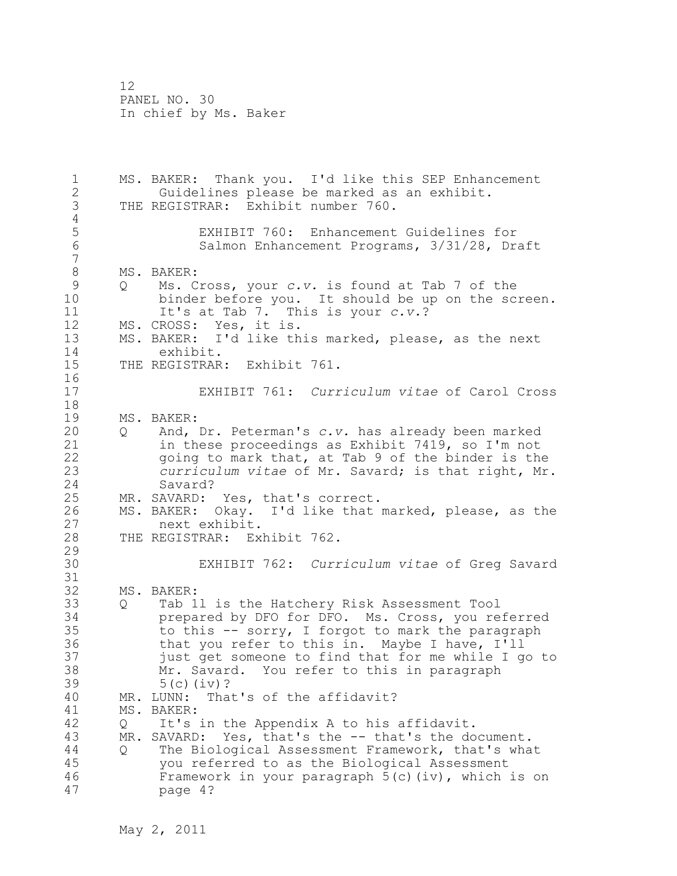1 MS. BAKER: Thank you. I'd like this SEP Enhancement 2 Guidelines please be marked as an exhibit. 3 THE REGISTRAR: Exhibit number 760. 4<br>5 5 EXHIBIT 760: Enhancement Guidelines for Salmon Enhancement Programs, 3/31/28, Draft 7 8 MS. BAKER:<br>9 0 Ms. C 9 Q Ms. Cross, your *c.v.* is found at Tab 7 of the binder before you. It should be up on the screen. 11 It's at Tab 7. This is your *c.v.*? 12 MS. CROSS: Yes, it is. 13 MS. BAKER: I'd like this marked, please, as the next 14 exhibit. 15 THE REGISTRAR: Exhibit 761. 16 17 EXHIBIT 761: *Curriculum vitae* of Carol Cross 18 19 MS. BAKER: 20 Q And, Dr. Peterman's *c.v.* has already been marked 21 in these proceedings as Exhibit 7419, so I'm not 22 going to mark that, at Tab 9 of the binder is the 23 *curriculum vitae* of Mr. Savard; is that right, Mr. 24 Savard? 25 MR. SAVARD: Yes, that's correct. 26 MS. BAKER: Okay. I'd like that marked, please, as the next exhibit. next exhibit. 28 THE REGISTRAR: Exhibit 762. 29 30 EXHIBIT 762: *Curriculum vitae* of Greg Savard 31 32 MS. BAKER: 33 Q Tab 1l is the Hatchery Risk Assessment Tool 34 prepared by DFO for DFO. Ms. Cross, you referred 35 to this -- sorry, I forgot to mark the paragraph 36 that you refer to this in. Maybe I have, I'll 37 just get someone to find that for me while I go to 38 Mr. Savard. You refer to this in paragraph 39 5(c)(iv)? 40 MR. LUNN: That's of the affidavit? 41 MS. BAKER:<br>42 0 It's 42 Q It's in the Appendix A to his affidavit. 43 MR. SAVARD: Yes, that's the -- that's the document. 44 Q The Biological Assessment Framework, that's what 45 you referred to as the Biological Assessment 46 Framework in your paragraph 5(c)(iv), which is on 47 page 4?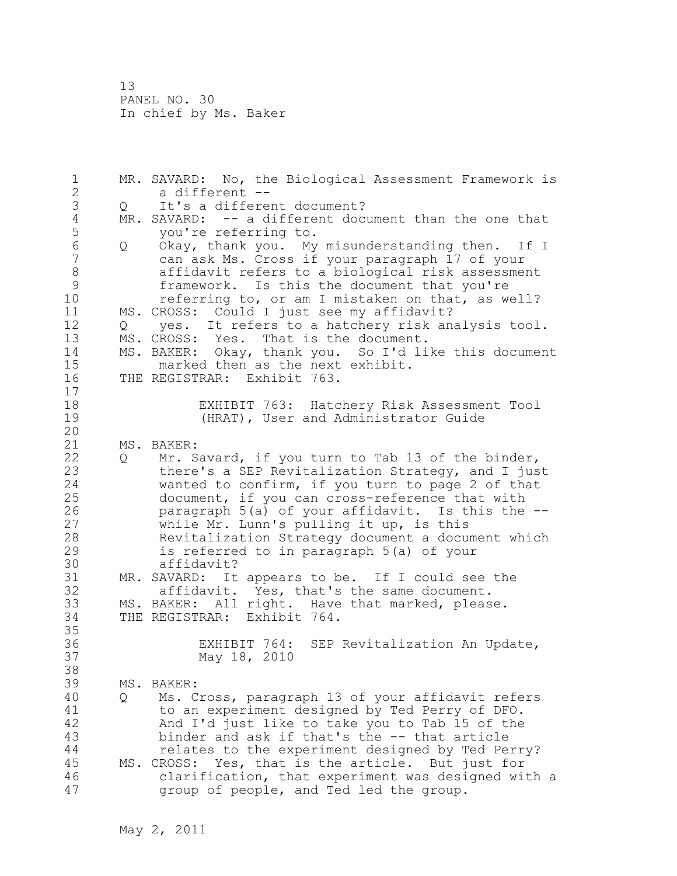1 MR. SAVARD: No, the Biological Assessment Framework is 2 a different -- 3 Q It's a different document?<br>4 MR. SAVARD: -- a different doc 4 MR. SAVARD: -- a different document than the one that<br>5 vou're referring to. 5 you're referring to.<br>6 0 Okav, thank you. My 6 Q Okay, thank you. My misunderstanding then. If I can ask Ms. Cross if your paragraph 17 of your 8 affidavit refers to a biological risk assessment<br>9 framework. Is this the document that you're 9 framework. Is this the document that you're<br>10 feferring to, or am I mistaken on that, as we referring to, or am I mistaken on that, as well? 11 MS. CROSS: Could I just see my affidavit? 12 Q yes. It refers to a hatchery risk analysis tool. 13 MS. CROSS: Yes. That is the document. 14 MS. BAKER: Okay, thank you. So I'd like this document 15 marked then as the next exhibit. 16 THE REGISTRAR: Exhibit 763. 17 18 EXHIBIT 763: Hatchery Risk Assessment Tool 19 (HRAT), User and Administrator Guide 20 21 MS. BAKER: 22 Q Mr. Savard, if you turn to Tab 13 of the binder, 23 there's a SEP Revitalization Strategy, and I just 24 wanted to confirm, if you turn to page 2 of that 25 document, if you can cross-reference that with 26 paragraph 5(a) of your affidavit. Is this the --<br>27 while Mr. Lunn's pulling it up, is this while Mr. Lunn's pulling it up, is this 28 Revitalization Strategy document a document which 29 is referred to in paragraph 5(a) of your 30 affidavit?<br>31 MR. SAVARD: It MR. SAVARD: It appears to be. If I could see the 32 affidavit. Yes, that's the same document. 33 MS. BAKER: All right. Have that marked, please. 34 THE REGISTRAR: Exhibit 764. 35<br>36 EXHIBIT 764: SEP Revitalization An Update, 37 May 18, 2010 38 39 MS. BAKER: 40 Q Ms. Cross, paragraph 13 of your affidavit refers 41 to an experiment designed by Ted Perry of DFO.<br>42 And I'd just like to take you to Tab 15 of the And I'd just like to take you to Tab 15 of the 43 binder and ask if that's the -- that article 44 relates to the experiment designed by Ted Perry? 45 MS. CROSS: Yes, that is the article. But just for 46 clarification, that experiment was designed with a 47 group of people, and Ted led the group.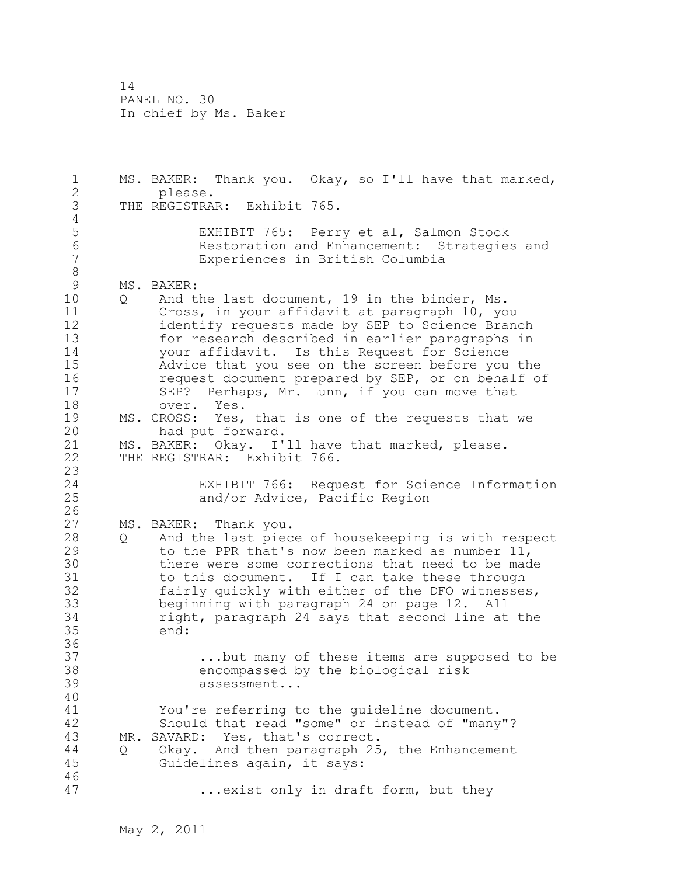1 MS. BAKER: Thank you. Okay, so I'll have that marked, 2 please. 3 THE REGISTRAR: Exhibit 765. 4<br>5 5 EXHIBIT 765: Perry et al, Salmon Stock 6 Restoration and Enhancement: Strategies and Experiences in British Columbia 8<br>9 9 MS. BAKER:<br>10 0 And t Q And the last document, 19 in the binder, Ms. 11 Cross, in your affidavit at paragraph 10, you 12 identify requests made by SEP to Science Branch 13 for research described in earlier paragraphs in 14 your affidavit. Is this Request for Science 15 Advice that you see on the screen before you the 16 request document prepared by SEP, or on behalf of 17 SEP? Perhaps, Mr. Lunn, if you can move that 18 over. Yes. 19 MS. CROSS: Yes, that is one of the requests that we<br>20 had put forward. had put forward. 21 MS. BAKER: Okay. I'll have that marked, please. 22 THE REGISTRAR: Exhibit 766. 23 EXHIBIT 766: Request for Science Information 25 and/or Advice, Pacific Region  $\frac{26}{27}$ MS. BAKER: Thank you. 28 Q And the last piece of housekeeping is with respect 29 to the PPR that's now been marked as number 11, 30 there were some corrections that need to be made<br>31 to this document. If I can take these through to this document. If I can take these through 32 fairly quickly with either of the DFO witnesses, 33 beginning with paragraph 24 on page 12. All 34 right, paragraph 24 says that second line at the 35 end: 36 37 ...but many of these items are supposed to be 38 encompassed by the biological risk 39 assessment... 40 41 You're referring to the guideline document.<br>42 Should that read "some" or instead of "many Should that read "some" or instead of "many"? 43 MR. SAVARD: Yes, that's correct. 44 Q Okay. And then paragraph 25, the Enhancement 45 Guidelines again, it says: 46 47 ...exist only in draft form, but they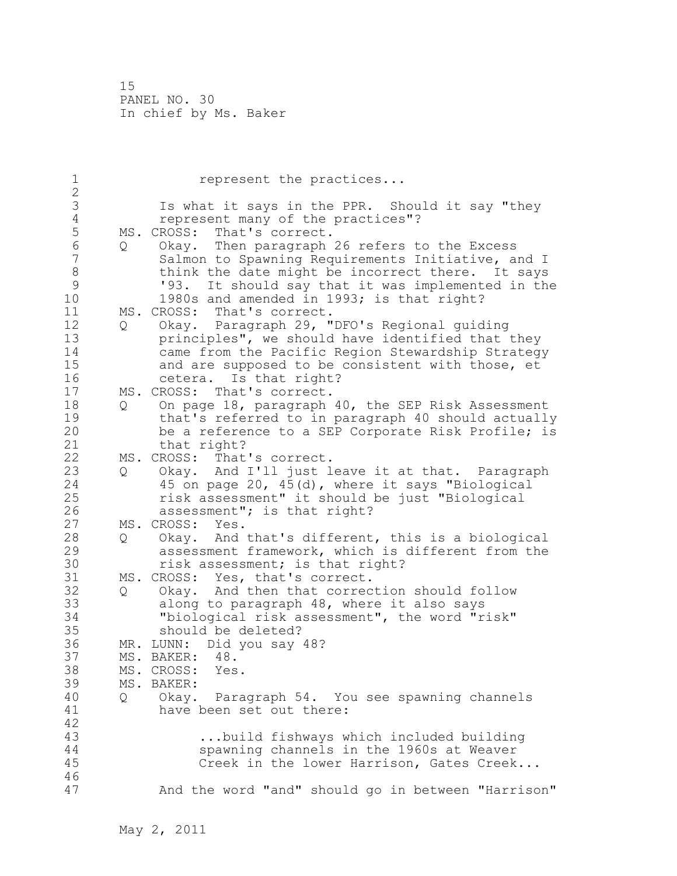| $\mathbf 1$                        |                   | represent the practices                                                                                                                                                                                                            |
|------------------------------------|-------------------|------------------------------------------------------------------------------------------------------------------------------------------------------------------------------------------------------------------------------------|
| $\frac{2}{3}$<br>$\overline{4}$    |                   | Is what it says in the PPR. Should it say "they<br>represent many of the practices"?                                                                                                                                               |
| 5<br>$\sqrt{6}$                    | $Q \qquad \qquad$ | MS. CROSS:<br>That's correct.<br>Okay. Then paragraph 26 refers to the Excess                                                                                                                                                      |
| 7<br>$\,8\,$<br>$\mathsf{S}$<br>10 |                   | Salmon to Spawning Requirements Initiative, and I<br>think the date might be incorrect there. It says<br>It should say that it was implemented in the<br>193.<br>1980s and amended in 1993; is that right?                         |
| 11                                 |                   | MS. CROSS: That's correct.                                                                                                                                                                                                         |
| 12<br>13<br>14<br>15<br>16         | $Q \qquad \qquad$ | Okay. Paragraph 29, "DFO's Regional guiding<br>principles", we should have identified that they<br>came from the Pacific Region Stewardship Strategy<br>and are supposed to be consistent with those, et<br>cetera. Is that right? |
| 17                                 |                   | MS. CROSS: That's correct.                                                                                                                                                                                                         |
| 18                                 | $Q \qquad \qquad$ | On page 18, paragraph 40, the SEP Risk Assessment                                                                                                                                                                                  |
| 19<br>20<br>21                     |                   | that's referred to in paragraph 40 should actually<br>be a reference to a SEP Corporate Risk Profile; is<br>that right?                                                                                                            |
| 22                                 |                   | MS. CROSS: That's correct.                                                                                                                                                                                                         |
| 23<br>24<br>25<br>26               |                   | Q Okay. And I'll just leave it at that. Paragraph<br>45 on page 20, 45(d), where it says "Biological<br>risk assessment" it should be just "Biological<br>assessment"; is that right?                                              |
| 27                                 |                   | MS. CROSS: Yes.                                                                                                                                                                                                                    |
| 28<br>29<br>30                     | $Q \qquad \qquad$ | Okay. And that's different, this is a biological<br>assessment framework, which is different from the<br>risk assessment; is that right?                                                                                           |
| 31                                 |                   | MS. CROSS: Yes, that's correct.                                                                                                                                                                                                    |
| 32<br>33<br>34<br>35               | $Q \qquad \qquad$ | Okay. And then that correction should follow<br>along to paragraph 48, where it also says<br>"biological risk assessment", the word "risk"<br>should be deleted?                                                                   |
| 36                                 |                   | MR. LUNN: Did you say 48?                                                                                                                                                                                                          |
| 37                                 |                   | MS. BAKER: 48.                                                                                                                                                                                                                     |
| 38<br>39                           |                   | MS. CROSS:<br>Yes.<br>MS. BAKER:                                                                                                                                                                                                   |
| 40                                 | Q                 | Okay. Paragraph 54. You see spawning channels                                                                                                                                                                                      |
| 41<br>42                           |                   | have been set out there:                                                                                                                                                                                                           |
| 43                                 |                   | build fishways which included building                                                                                                                                                                                             |
| 44<br>45<br>46                     |                   | spawning channels in the 1960s at Weaver<br>Creek in the lower Harrison, Gates Creek                                                                                                                                               |
| 47                                 |                   | And the word "and" should go in between "Harrison"                                                                                                                                                                                 |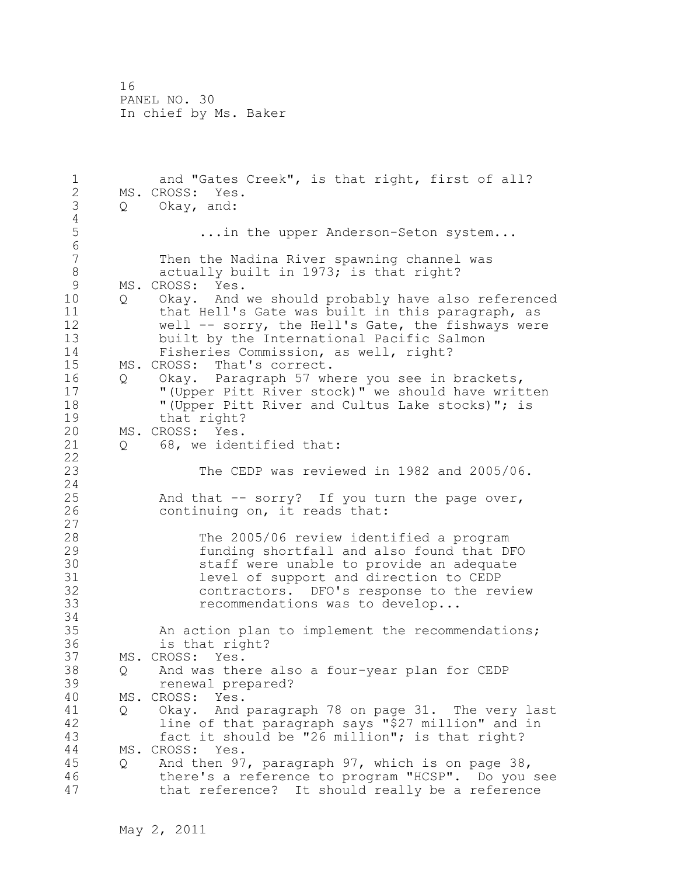1 and "Gates Creek", is that right, first of all? 2 MS. CROSS: Yes. 3 Q Okay, and: 4<br>5 ...in the upper Anderson-Seton system... 6 Then the Nadina River spawning channel was 8 actually built in 1973; is that right? 9 MS. CROSS: Yes.<br>10 0 Okav. And 10 Q Okay. And we should probably have also referenced 11 that Hell's Gate was built in this paragraph, as 12 well -- sorry, the Hell's Gate, the fishways were 13 built by the International Pacific Salmon 14 Fisheries Commission, as well, right? 15 MS. CROSS: That's correct. 16 Q Okay. Paragraph 57 where you see in brackets, 17 "(Upper Pitt River stock)" we should have written 18 "(Upper Pitt River and Cultus Lake stocks)"; is 19 that right?<br>20 MS. CROSS: Yes. MS. CROSS: Yes. 21 Q 68, we identified that: 22 23 The CEDP was reviewed in 1982 and 2005/06. 24 25 And that -- sorry? If you turn the page over, 26 continuing on, it reads that: 27 28 The 2005/06 review identified a program 29 funding shortfall and also found that DFO 30 30 staff were unable to provide an adequate<br>31 31 state of support and direction to CEDP 31 level of support and direction to CEDP<br>32 contractors. DFO's response to the re contractors. DFO's response to the review 33 recommendations was to develop... 34 35 An action plan to implement the recommendations; 36 is that right? 37 MS. CROSS: Yes. 38 Q And was there also a four-year plan for CEDP 39 renewal prepared? 40 MS. CROSS: Yes. 41 Q Okay. And paragraph 78 on page 31. The very last<br>42 line of that paragraph savs "\$27 million" and in line of that paragraph says "\$27 million" and in 43 fact it should be "26 million"; is that right? 44 MS. CROSS: Yes. 45 Q And then 97, paragraph 97, which is on page 38, 46 there's a reference to program "HCSP". Do you see 47 that reference? It should really be a reference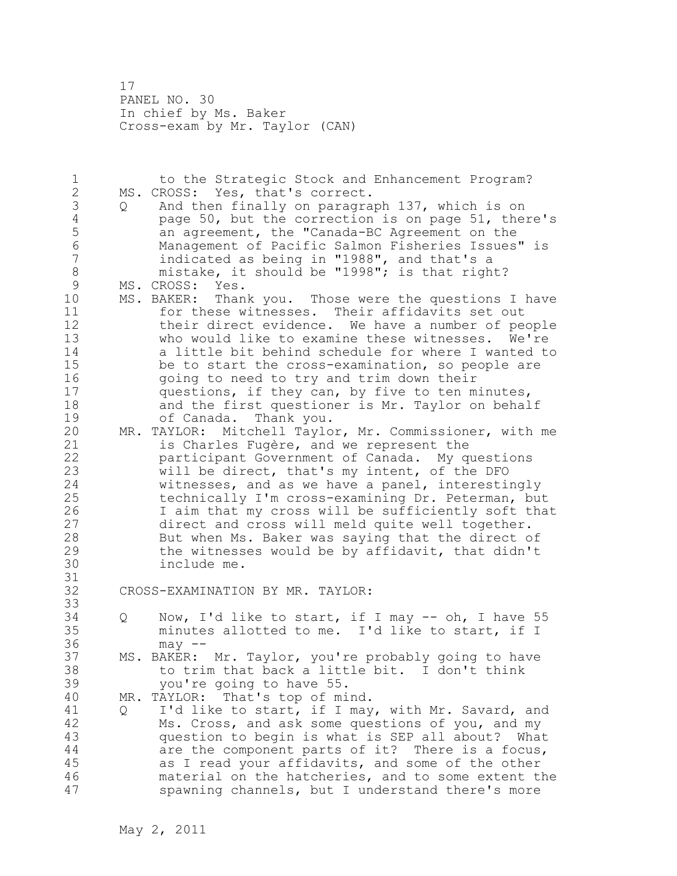17 PANEL NO. 30 In chief by Ms. Baker Cross-exam by Mr. Taylor (CAN)

1 to the Strategic Stock and Enhancement Program? 2 MS. CROSS: Yes, that's correct. 3 Q And then finally on paragraph 137, which is on<br>4 page 50, but the correction is on page 51, the 4 page 50, but the correction is on page 51, there's<br>5 an agreement, the "Canada-BC Agreement on the 5 an agreement, the "Canada-BC Agreement on the<br>6 Management of Pacific Salmon Fisheries Issues 6 Management of Pacific Salmon Fisheries Issues" is indicated as being in "1988", and that's a 8 mistake, it should be "1998"; is that right?<br>9 MS. CROSS: Yes. 9 MS. CROSS: Yes.<br>10 MS. BAKER: Than MS. BAKER: Thank you. Those were the questions I have 11 for these witnesses. Their affidavits set out 12 their direct evidence. We have a number of people 13 who would like to examine these witnesses. We're 14 a little bit behind schedule for where I wanted to 15 be to start the cross-examination, so people are 16 going to need to try and trim down their 17 questions, if they can, by five to ten minutes, 18 and the first questioner is Mr. Taylor on behalf 19 of Canada. Thank you.<br>20 MR. TAYLOR: Mitchell Taylo MR. TAYLOR: Mitchell Taylor, Mr. Commissioner, with me 21 is Charles Fugère, and we represent the 22 participant Government of Canada. My questions 23 will be direct, that's my intent, of the DFO 24 witnesses, and as we have a panel, interestingly 25 technically I'm cross-examining Dr. Peterman, but 26 I aim that my cross will be sufficiently soft that<br>27 direct and cross will meld quite well together. direct and cross will meld quite well together. 28 But when Ms. Baker was saying that the direct of 29 the witnesses would be by affidavit, that didn't 30 include me. 31<br>32 CROSS-EXAMINATION BY MR. TAYLOR: 33 34 Q Now, I'd like to start, if I may -- oh, I have 55 35 minutes allotted to me. I'd like to start, if I 36 may -- 37 MS. BAKER: Mr. Taylor, you're probably going to have 38 to trim that back a little bit. I don't think 39 you're going to have 55. 40 MR. TAYLOR: That's top of mind. 41 Q I'd like to start, if I may, with Mr. Savard, and<br>42 Ms. Cross, and ask some questions of you, and my Ms. Cross, and ask some questions of you, and my 43 question to begin is what is SEP all about? What 44 are the component parts of it? There is a focus, 45 as I read your affidavits, and some of the other 46 material on the hatcheries, and to some extent the 47 spawning channels, but I understand there's more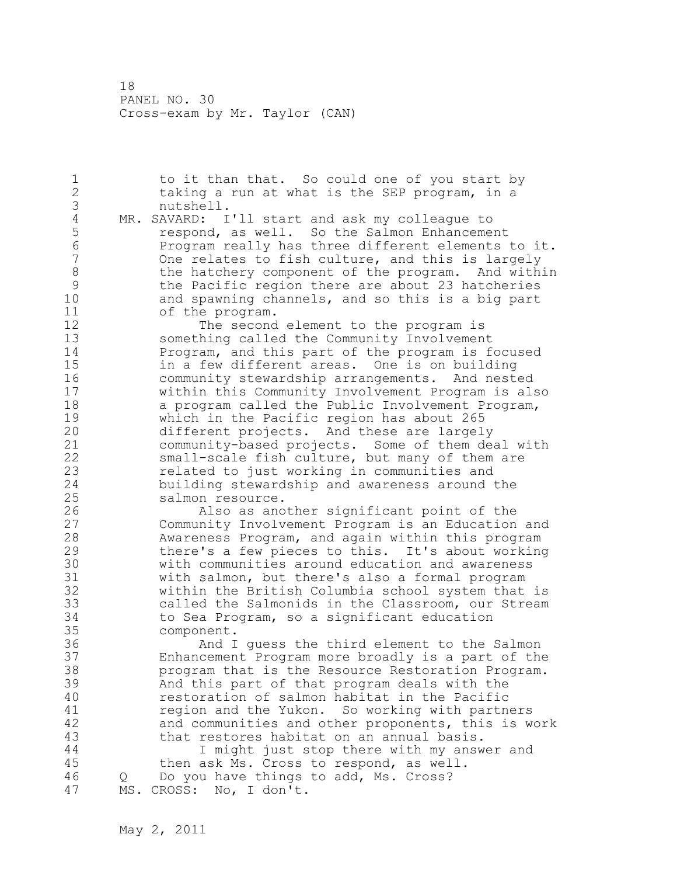1 to it than that. So could one of you start by 2 taking a run at what is the SEP program, in a 3 nutshell.<br>4 MR. SAVARD: I 4 MR. SAVARD: I'll start and ask my colleague to<br>5 sespond, as well. So the Salmon Enhanceme 5 respond, as well. So the Salmon Enhancement 6 Program really has three different elements to it. One relates to fish culture, and this is largely 8 the hatchery component of the program. And within 9 the Pacific region there are about 23 hatcheries and spawning channels, and so this is a big part 11 of the program. 12 The second element to the program is 13 something called the Community Involvement 14 Program, and this part of the program is focused 15 in a few different areas. One is on building 16 community stewardship arrangements. And nested 17 within this Community Involvement Program is also 18 a program called the Public Involvement Program, 19 which in the Pacific region has about 265<br>20 different projects. And these are largel different projects. And these are largely 21 community-based projects. Some of them deal with 22 small-scale fish culture, but many of them are 23 related to just working in communities and 24 building stewardship and awareness around the 25 salmon resource. 26 Also as another significant point of the<br>27 Community Involvement Program is an Education Community Involvement Program is an Education and 28 Awareness Program, and again within this program 29 there's a few pieces to this. It's about working 30 with communities around education and awareness<br>31 with salmon, but there's also a formal program 31 with salmon, but there's also a formal program<br>32 within the British Columbia school system that within the British Columbia school system that is 33 called the Salmonids in the Classroom, our Stream 34 to Sea Program, so a significant education 35 component. 36 And I guess the third element to the Salmon 37 Enhancement Program more broadly is a part of the 38 program that is the Resource Restoration Program. 39 And this part of that program deals with the 40 restoration of salmon habitat in the Pacific 41 region and the Yukon. So working with partners<br>42 and communities and other proponents, this is w and communities and other proponents, this is work 43 that restores habitat on an annual basis. 44 I might just stop there with my answer and 45 then ask Ms. Cross to respond, as well. 46 Q Do you have things to add, Ms. Cross? 47 MS. CROSS: No, I don't.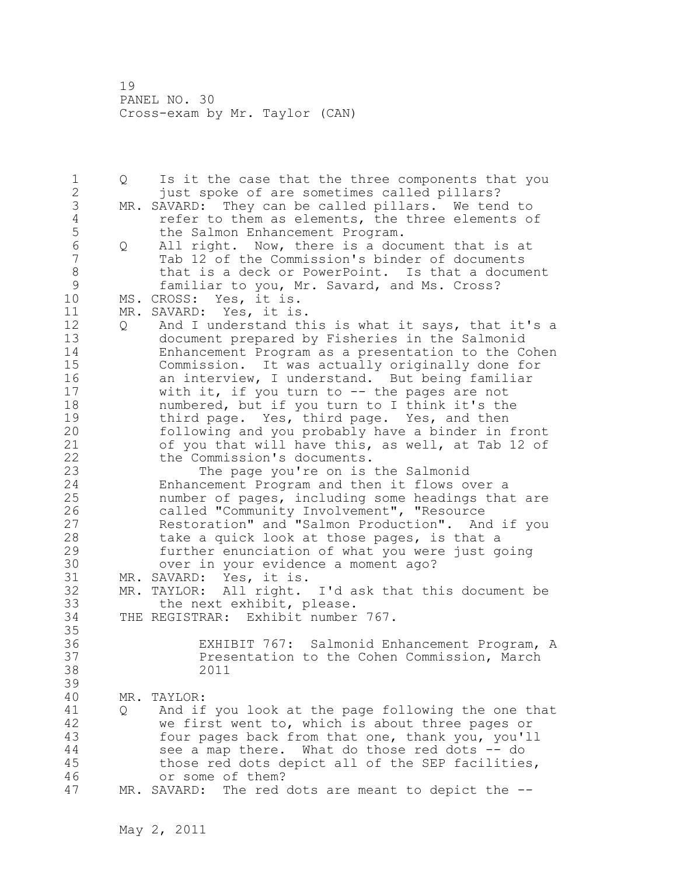1 Q Is it the case that the three components that you 2 **just spoke of are sometimes called pillars?** 3 MR. SAVARD: They can be called pillars. We tend to<br>4 fefer to them as elements, the three elements of 4 refer to them as elements, the three elements of<br>5 the Salmon Enhancement Program. 5 the Salmon Enhancement Program.<br>6 0 All right. Now, there is a doc 6 Q All right. Now, there is a document that is at Tab 12 of the Commission's binder of documents 8 that is a deck or PowerPoint. Is that a document<br>9 familiar to you, Mr. Savard, and Ms. Cross? 9 familiar to you, Mr. Savard, and Ms. Cross?<br>10 MS. CROSS: Yes, it is. MS. CROSS: Yes, it is. 11 MR. SAVARD: Yes, it is. 12 Q And I understand this is what it says, that it's a 13 document prepared by Fisheries in the Salmonid 14 Enhancement Program as a presentation to the Cohen 15 Commission. It was actually originally done for 16 an interview, I understand. But being familiar 17 with it, if you turn to -- the pages are not 18 numbered, but if you turn to I think it's the 19 third page. Yes, third page. Yes, and then<br>20 following and you probably have a binder in: following and you probably have a binder in front 21 of you that will have this, as well, at Tab 12 of 22 the Commission's documents. 23 The page you're on is the Salmonid 24 Enhancement Program and then it flows over a 25 number of pages, including some headings that are 26 called "Community Involvement", "Resource<br>27 Restoration" and "Salmon Production". And Restoration" and "Salmon Production". And if you 28 take a quick look at those pages, is that a 29 further enunciation of what you were just going 30 over in your evidence a moment ago?<br>31 MR. SAVARD: Yes, it is. MR. SAVARD: Yes, it is. 32 MR. TAYLOR: All right. I'd ask that this document be 33 the next exhibit, please. 34 THE REGISTRAR: Exhibit number 767. 35 36 EXHIBIT 767: Salmonid Enhancement Program, A 37 Presentation to the Cohen Commission, March 38 2011 39 40 MR. TAYLOR: 41 Q And if you look at the page following the one that<br>42 we first went to, which is about three pages or we first went to, which is about three pages or 43 four pages back from that one, thank you, you'll 44 see a map there. What do those red dots -- do 45 those red dots depict all of the SEP facilities, 46 or some of them? 47 MR. SAVARD: The red dots are meant to depict the --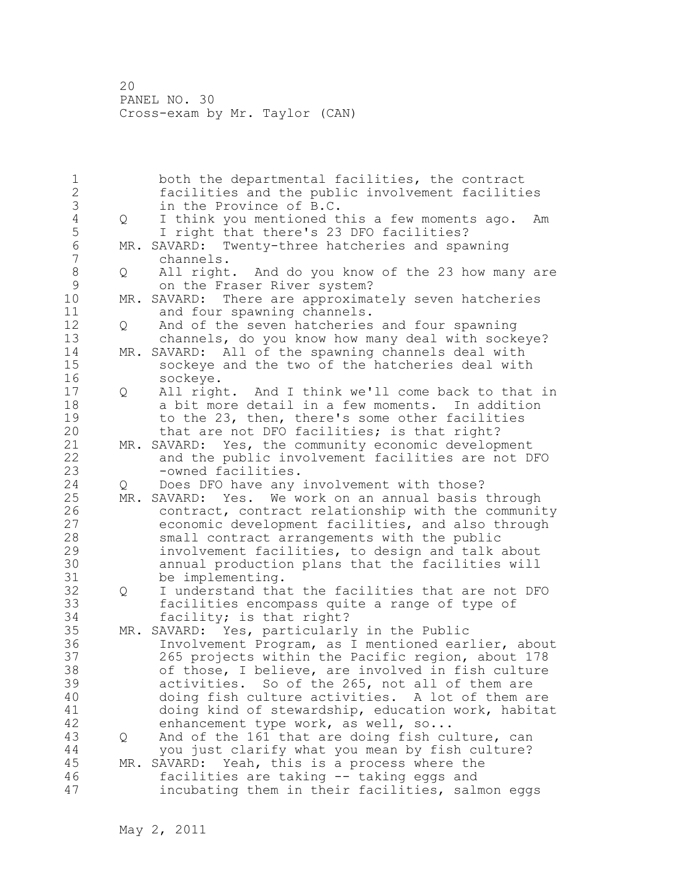1 both the departmental facilities, the contract 2 facilities and the public involvement facilities 3 in the Province of B.C.<br>4 Q I think you mentioned t 4 Q I think you mentioned this a few moments ago. Am<br>5 I right that there's 23 DFO facilities? 5 I right that there's 23 DFO facilities?<br>6 MR. SAVARD: Twenty-three hatcheries and spa 6 MR. SAVARD: Twenty-three hatcheries and spawning channels. 8 Q All right. And do you know of the 23 how many are 9 on the Fraser River system?<br>10 MR. SAVARD: There are approxima MR. SAVARD: There are approximately seven hatcheries 11 and four spawning channels. 12 Q And of the seven hatcheries and four spawning 13 channels, do you know how many deal with sockeye? 14 MR. SAVARD: All of the spawning channels deal with 15 sockeye and the two of the hatcheries deal with 16 sockeye. 17 Q All right. And I think we'll come back to that in 18 a bit more detail in a few moments. In addition 19 to the 23, then, there's some other facilities<br>20 that are not DFO facilities; is that right? that are not DFO facilities; is that right? 21 MR. SAVARD: Yes, the community economic development 22 and the public involvement facilities are not DFO 23 -owned facilities. 24 Q Does DFO have any involvement with those? 25 MR. SAVARD: Yes. We work on an annual basis through 26 contract, contract relationship with the community<br>27 economic development facilities, and also through economic development facilities, and also through 28 small contract arrangements with the public 29 involvement facilities, to design and talk about 30 annual production plans that the facilities will be implementing. 32 Q I understand that the facilities that are not DFO 33 facilities encompass quite a range of type of 34 facility; is that right? 35 MR. SAVARD: Yes, particularly in the Public 36 Involvement Program, as I mentioned earlier, about 37 265 projects within the Pacific region, about 178 38 of those, I believe, are involved in fish culture 39 activities. So of the 265, not all of them are 40 doing fish culture activities. A lot of them are 41 doing kind of stewardship, education work, habitat<br>42 enhancement type work, as well, so... enhancement type work, as well, so... 43 Q And of the 161 that are doing fish culture, can 44 you just clarify what you mean by fish culture? 45 MR. SAVARD: Yeah, this is a process where the 46 facilities are taking -- taking eggs and 47 incubating them in their facilities, salmon eggs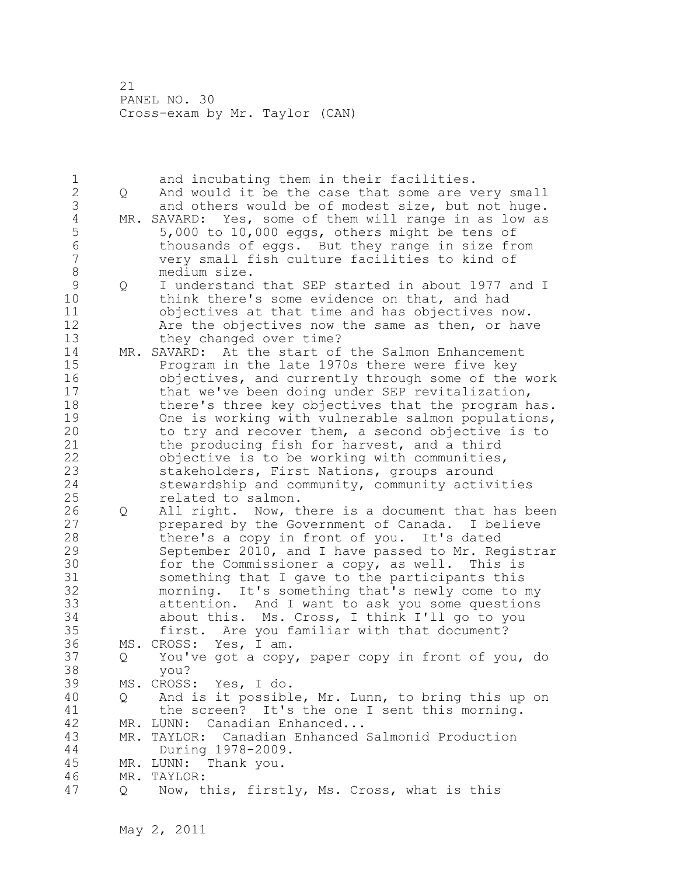1 and incubating them in their facilities.<br>2 0 And would it be the case that some are v 2 Q And would it be the case that some are very small 3 and others would be of modest size, but not huge.<br>4 MR. SAVARD: Yes, some of them will range in as low as 4 MR. SAVARD: Yes, some of them will range in as low as<br>5 5,000 to 10,000 eqgs, others might be tens of 5 5,000 to 10,000 eggs, others might be tens of 6 thousands of eggs. But they range in size from 7 very small fish culture facilities to kind of 8 medium size. 9 Q I understand that SEP started in about 1977 and I<br>10 think there's some evidence on that, and had think there's some evidence on that, and had 11 objectives at that time and has objectives now. 12 Are the objectives now the same as then, or have 13 they changed over time? 14 MR. SAVARD: At the start of the Salmon Enhancement 15 Program in the late 1970s there were five key 16 objectives, and currently through some of the work 17 that we've been doing under SEP revitalization, 18 there's three key objectives that the program has. 19 One is working with vulnerable salmon populations,<br>20 to try and recover them, a second objective is to to try and recover them, a second objective is to 21 the producing fish for harvest, and a third 22 objective is to be working with communities, 23 stakeholders, First Nations, groups around 24 stewardship and community, community activities 25 related to salmon. 26 Q All right. Now, there is a document that has been<br>27 prepared by the Government of Canada. I believe prepared by the Government of Canada. I believe 28 there's a copy in front of you. It's dated 29 September 2010, and I have passed to Mr. Registrar 30 for the Commissioner a copy, as well. This is<br>31 something that I gave to the participants this something that I gave to the participants this 32 morning. It's something that's newly come to my 33 attention. And I want to ask you some questions 34 about this. Ms. Cross, I think I'll go to you 35 first. Are you familiar with that document? 36 MS. CROSS: Yes, I am. 37 Q You've got a copy, paper copy in front of you, do 38 you? 39 MS. CROSS: Yes, I do. 40 Q And is it possible, Mr. Lunn, to bring this up on 41 the screen? It's the one I sent this morning.<br>42 MR. LUNN: Canadian Enhanced... MR. LUNN: Canadian Enhanced... 43 MR. TAYLOR: Canadian Enhanced Salmonid Production 44 During 1978-2009. 45 MR. LUNN: Thank you. 46 MR. TAYLOR: 47 Q Now, this, firstly, Ms. Cross, what is this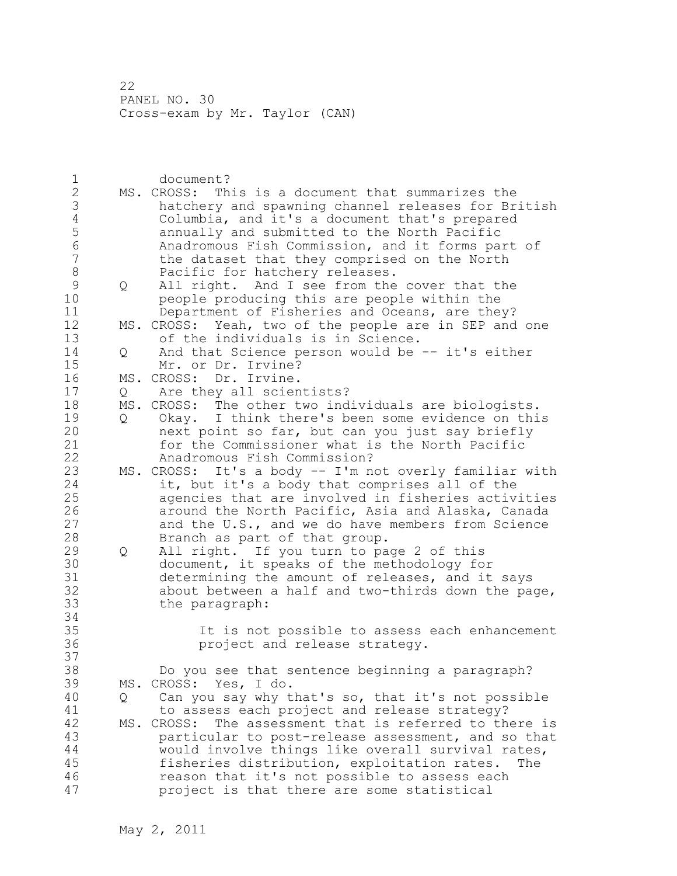1 document? 2 MS. CROSS: This is a document that summarizes the 3 hatchery and spawning channel releases for British 4 Columbia, and it's a document that's prepared 5 annually and submitted to the North Pacific 6 Anadromous Fish Commission, and it forms part of the dataset that they comprised on the North 8 Pacific for hatchery releases.<br>9 0 All right. And I see from the 9 Q All right. And I see from the cover that the<br>10 beople producing this are people within the people producing this are people within the 11 Department of Fisheries and Oceans, are they? 12 MS. CROSS: Yeah, two of the people are in SEP and one 13 of the individuals is in Science. 14 Q And that Science person would be -- it's either<br>15 Mr. or Dr. Irvine? Mr. or Dr. Irvine? 16 MS. CROSS: Dr. Irvine. 17 Q Are they all scientists? 18 MS. CROSS: The other two individuals are biologists. 19 Q Okay. I think there's been some evidence on this<br>20 mext point so far, but can you just say briefly next point so far, but can you just say briefly 21 for the Commissioner what is the North Pacific 22 Anadromous Fish Commission? 23 MS. CROSS: It's a body -- I'm not overly familiar with 24 it, but it's a body that comprises all of the 25 agencies that are involved in fisheries activities 26 around the North Pacific, Asia and Alaska, Canada<br>27 and the U.S., and we do have members from Science and the U.S., and we do have members from Science 28 Branch as part of that group. 29 Q All right. If you turn to page 2 of this 30 document, it speaks of the methodology for<br>31 determining the amount of releases, and it determining the amount of releases, and it says 32 about between a half and two-thirds down the page, 33 the paragraph: 34 35 It is not possible to assess each enhancement project and release strategy. 37 38 Do you see that sentence beginning a paragraph? 39 MS. CROSS: Yes, I do. 40 Q Can you say why that's so, that it's not possible 41 to assess each project and release strategy?<br>42 MS. CROSS: The assessment that is referred to the MS. CROSS: The assessment that is referred to there is 43 particular to post-release assessment, and so that 44 would involve things like overall survival rates, 45 fisheries distribution, exploitation rates. The 46 reason that it's not possible to assess each 47 project is that there are some statistical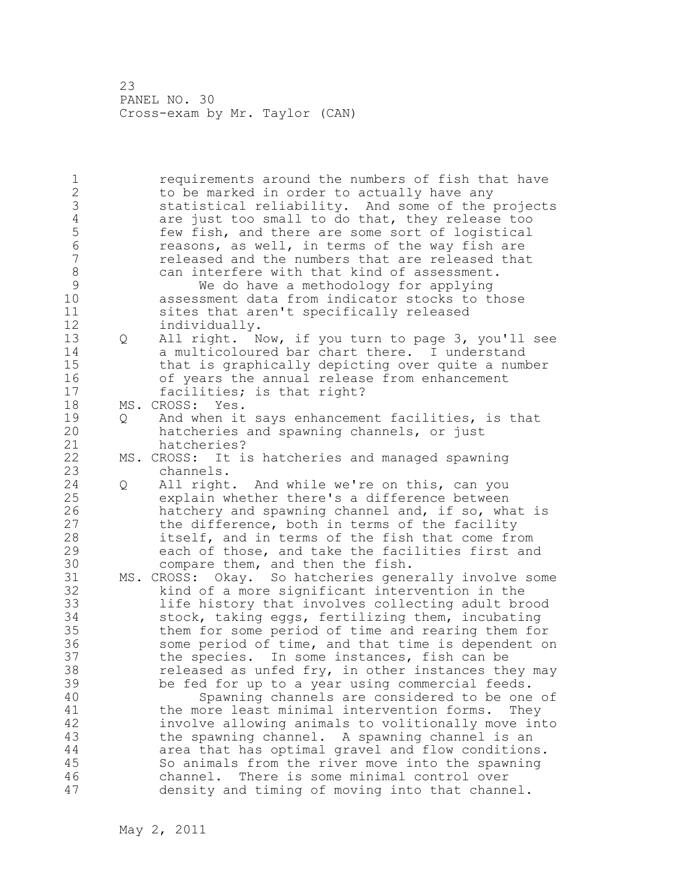1 requirements around the numbers of fish that have 2 to be marked in order to actually have any 3 statistical reliability. And some of the projects<br>4 are just too small to do that, they release too 4 are just too small to do that, they release too<br>5 few fish, and there are some sort of logistical 5 few fish, and there are some sort of logistical<br>6 feasons, as well, in terms of the way fish are 6 6 reasons, as well, in terms of the way fish are<br>7 celeased and the numbers that are released that 7 released and the numbers that are released that 8 can interfere with that kind of assessment.<br>9 We do have a methodology for applying 9 We do have a methodology for applying<br>10 assessment data from indicator stocks to t assessment data from indicator stocks to those 11 sites that aren't specifically released 12 individually. 13 Q All right. Now, if you turn to page 3, you'll see 14 a multicoloured bar chart there. I understand 15 that is graphically depicting over quite a number 16 of years the annual release from enhancement 17 facilities; is that right? 18 MS. CROSS: Yes. 19 Q And when it says enhancement facilities, is that<br>20 hatcheries and spawning channels, or just hatcheries and spawning channels, or just 21 hatcheries? 22 MS. CROSS: It is hatcheries and managed spawning 23 channels. 24 Q All right. And while we're on this, can you 25 explain whether there's a difference between 26 hatchery and spawning channel and, if so, what is<br>27 the difference, both in terms of the facility the difference, both in terms of the facility 28 itself, and in terms of the fish that come from 29 each of those, and take the facilities first and 30 compare them, and then the fish.<br>31 MS. CROSS: Okav. So hatcheries gene MS. CROSS: Okay. So hatcheries generally involve some 32 kind of a more significant intervention in the 33 life history that involves collecting adult brood 34 stock, taking eggs, fertilizing them, incubating 35 them for some period of time and rearing them for 36 some period of time, and that time is dependent on 37 the species. In some instances, fish can be 38 released as unfed fry, in other instances they may 39 be fed for up to a year using commercial feeds. 40 Spawning channels are considered to be one of 41 the more least minimal intervention forms. They<br>42 involve allowing animals to volitionally move in involve allowing animals to volitionally move into 43 the spawning channel. A spawning channel is an 44 area that has optimal gravel and flow conditions. 45 So animals from the river move into the spawning 46 channel. There is some minimal control over 47 density and timing of moving into that channel.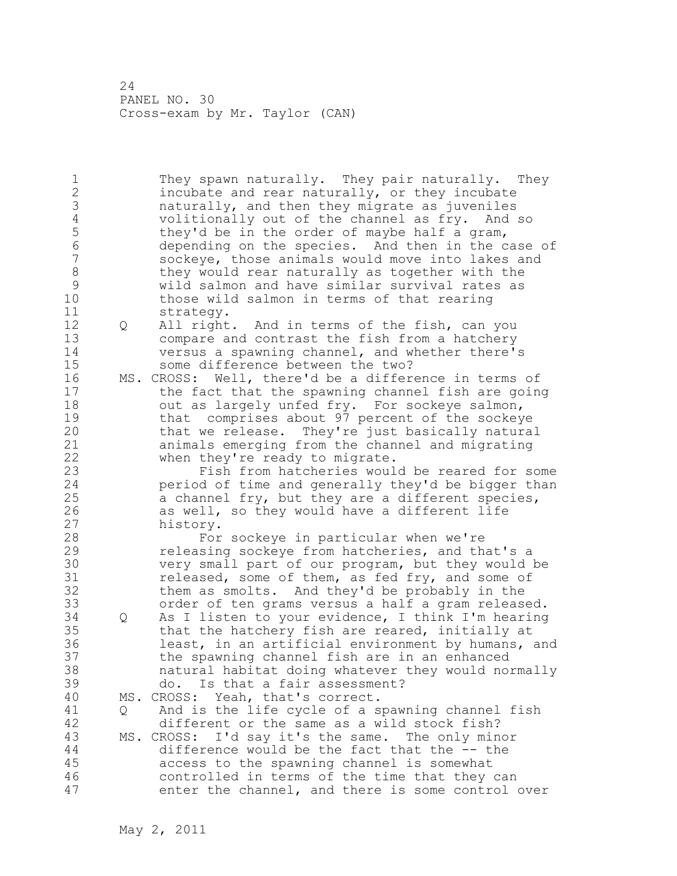1 They spawn naturally. They pair naturally. They 2 incubate and rear naturally, or they incubate 3 naturally, and then they migrate as juveniles<br>4 volitionally out of the channel as fry. And 4 volitionally out of the channel as fry. And so<br>5 they'd be in the order of maybe half a gram, 5 they'd be in the order of maybe half a gram,<br>6 depending on the species. And then in the c 6 depending on the species. And then in the case of sockeye, those animals would move into lakes and 8 they would rear naturally as together with the<br>9 wild salmon and have similar survival rates as 9 wild salmon and have similar survival rates as those wild salmon in terms of that rearing 11 strategy. 12 Q All right. And in terms of the fish, can you 13 compare and contrast the fish from a hatchery 14 versus a spawning channel, and whether there's 15 some difference between the two? 16 MS. CROSS: Well, there'd be a difference in terms of 17 the fact that the spawning channel fish are going 18 out as largely unfed fry. For sockeye salmon, 19 that comprises about 97 percent of the sockeye<br>20 that we release. They're just basically natura that we release. They're just basically natural 21 animals emerging from the channel and migrating 22 when they're ready to migrate. 23 Fish from hatcheries would be reared for some 24 period of time and generally they'd be bigger than 25 a channel fry, but they are a different species, 26 as well, so they would have a different life<br>27 history. 27 history.<br>28 For For sockeye in particular when we're 29 releasing sockeye from hatcheries, and that's a 30 very small part of our program, but they would be<br>31 released, some of them, as fed fry, and some of 31 released, some of them, as fed fry, and some of 32 them as smolts. And they'd be probably in the 33 order of ten grams versus a half a gram released. 34 Q As I listen to your evidence, I think I'm hearing 35 that the hatchery fish are reared, initially at 36 least, in an artificial environment by humans, and 37 the spawning channel fish are in an enhanced 38 natural habitat doing whatever they would normally 39 do. Is that a fair assessment? 40 MS. CROSS: Yeah, that's correct. 41 Q And is the life cycle of a spawning channel fish<br>42 different or the same as a wild stock fish? different or the same as a wild stock fish? 43 MS. CROSS: I'd say it's the same. The only minor 44 difference would be the fact that the -- the 45 access to the spawning channel is somewhat 46 controlled in terms of the time that they can 47 enter the channel, and there is some control over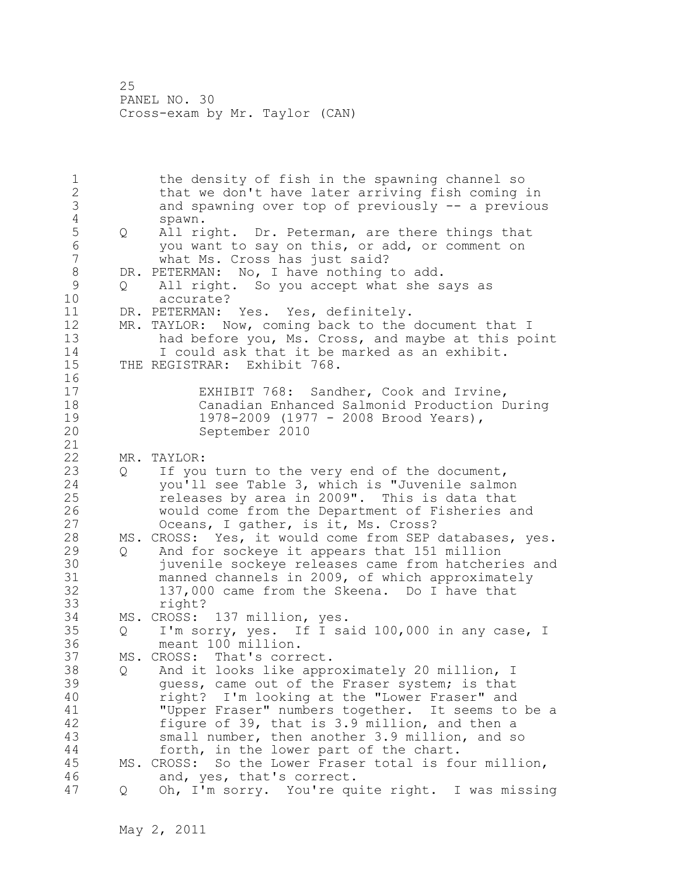1 the density of fish in the spawning channel so 2 that we don't have later arriving fish coming in 3 and spawning over top of previously -- a previous 4 spawn.<br>5 Q All ri 5 Q All right. Dr. Peterman, are there things that<br>6 vou want to sav on this, or add, or comment on 6 you want to say on this, or add, or comment on what Ms. Cross has just said? 8 DR. PETERMAN: No, I have nothing to add.<br>9 0 All right. So you accept what she s 9 Q All right. So you accept what she says as accurate? 11 DR. PETERMAN: Yes. Yes, definitely. 12 MR. TAYLOR: Now, coming back to the document that I 13 had before you, Ms. Cross, and maybe at this point 14 I could ask that it be marked as an exhibit. 15 THE REGISTRAR: Exhibit 768. 16 17 EXHIBIT 768: Sandher, Cook and Irvine, 18 Canadian Enhanced Salmonid Production During 19 1978-2009 (1977 - 2008 Brood Years),<br>20 September 2010 20 September 2010 21 22 MR. TAYLOR: 23 Q If you turn to the very end of the document, 24 you'll see Table 3, which is "Juvenile salmon 25 releases by area in 2009". This is data that 26 would come from the Department of Fisheries and<br>27 Oceans, I gather, is it, Ms. Cross? Oceans, I gather, is it, Ms. Cross? 28 MS. CROSS: Yes, it would come from SEP databases, yes. 29 Q And for sockeye it appears that 151 million 30 juvenile sockeye releases came from hatcheries and manned channels in 2009, of which approximately 32 137,000 came from the Skeena. Do I have that 33 right? 34 MS. CROSS: 137 million, yes. 35 Q I'm sorry, yes. If I said 100,000 in any case, I 36 meant 100 million. 37 MS. CROSS: That's correct. 38 Q And it looks like approximately 20 million, I 39 guess, came out of the Fraser system; is that 40 right? I'm looking at the "Lower Fraser" and 41 "Upper Fraser" numbers together. It seems to be a<br>42 figure of 39, that is 3.9 million, and then a figure of 39, that is 3.9 million, and then a 43 small number, then another 3.9 million, and so 44 forth, in the lower part of the chart. 45 MS. CROSS: So the Lower Fraser total is four million, 46 and, yes, that's correct. 47 Q Oh, I'm sorry. You're quite right. I was missing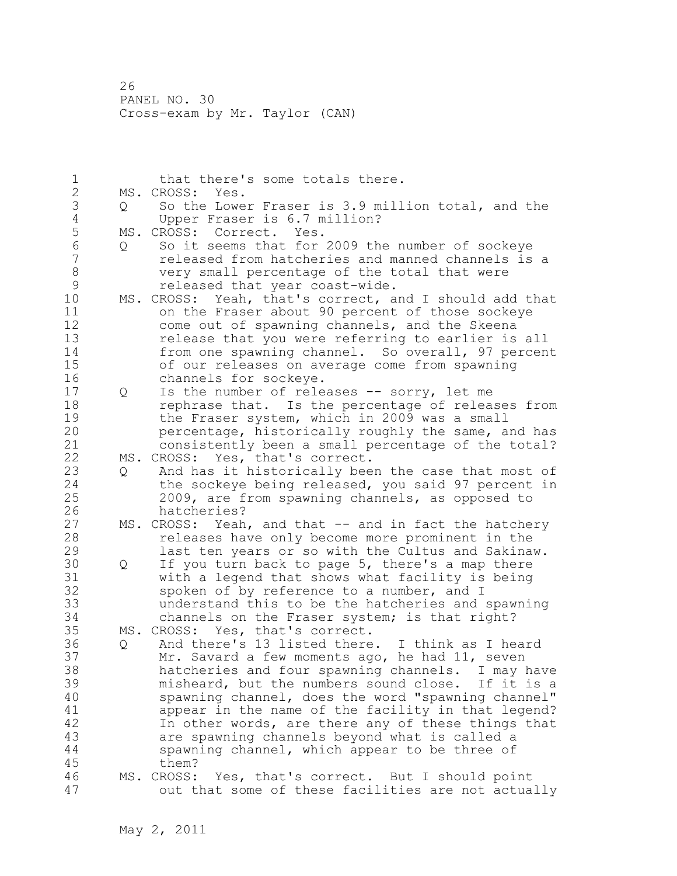1 that there's some totals there. 2 MS. CROSS: Yes. 3 Q So the Lower Fraser is 3.9 million total, and the 4 Upper Fraser is 6.7 million?<br>5 MS. CROSS: Correct. Yes. 5 MS. CROSS: Correct. Yes.<br>6 0 So it seems that for 6 Q So it seems that for 2009 the number of sockeye 7 released from hatcheries and manned channels is a 8 very small percentage of the total that were<br>9 released that year coast-wide. 9 released that year coast-wide.<br>10 MS. CROSS: Yeah, that's correct, a MS. CROSS: Yeah, that's correct, and I should add that 11 on the Fraser about 90 percent of those sockeye 12 come out of spawning channels, and the Skeena 13 release that you were referring to earlier is all 14 from one spawning channel. So overall, 97 percent 15 of our releases on average come from spawning 16 channels for sockeye. 17 Q Is the number of releases -- sorry, let me 18 rephrase that. Is the percentage of releases from 19 the Fraser system, which in 2009 was a small<br>20 percentage, historically roughly the same, a percentage, historically roughly the same, and has 21 consistently been a small percentage of the total? 22 MS. CROSS: Yes, that's correct. 23 Q And has it historically been the case that most of 24 the sockeye being released, you said 97 percent in 25 2009, are from spawning channels, as opposed to 26 hatcheries?<br>27 MS. CROSS: Yeah MS. CROSS: Yeah, and that -- and in fact the hatchery 28 releases have only become more prominent in the 29 last ten years or so with the Cultus and Sakinaw. 30 Q If you turn back to page 5, there's a map there<br>31 with a legend that shows what facility is being 31 with a legend that shows what facility is being<br>32 spoken of by reference to a number, and I spoken of by reference to a number, and I 33 understand this to be the hatcheries and spawning 34 channels on the Fraser system; is that right? 35 MS. CROSS: Yes, that's correct. 36 Q And there's 13 listed there. I think as I heard 37 Mr. Savard a few moments ago, he had 11, seven 38 hatcheries and four spawning channels. I may have 39 misheard, but the numbers sound close. If it is a 40 spawning channel, does the word "spawning channel" 41 appear in the name of the facility in that legend?<br>42 In other words, are there any of these things that In other words, are there any of these things that 43 are spawning channels beyond what is called a 44 spawning channel, which appear to be three of 45 them? 46 MS. CROSS: Yes, that's correct. But I should point 47 out that some of these facilities are not actually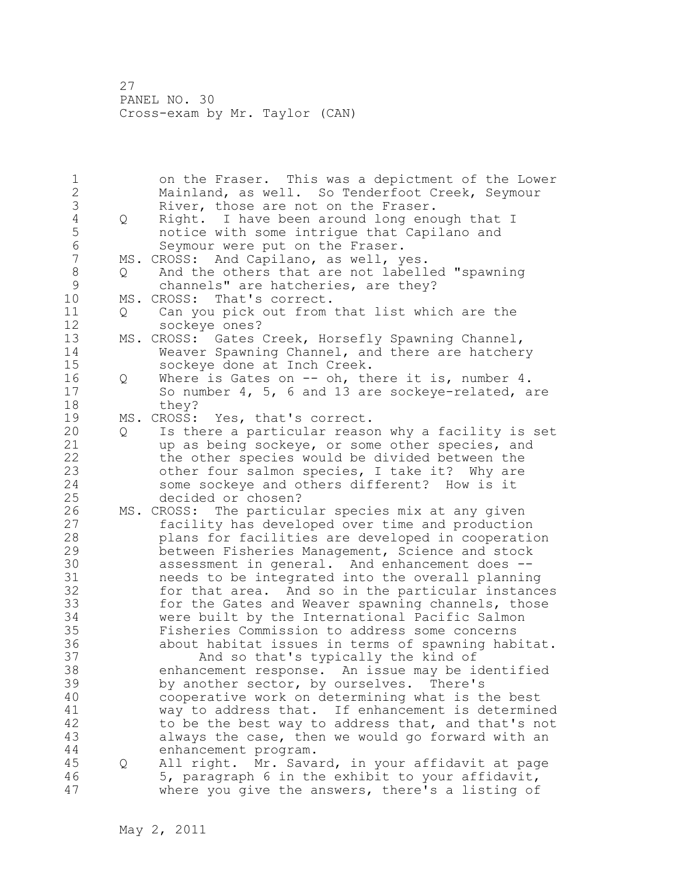1 on the Fraser. This was a depictment of the Lower 2 Mainland, as well. So Tenderfoot Creek, Seymour 3 River, those are not on the Fraser.<br>4 Q Right. I have been around long eno 4 Q Right. I have been around long enough that I<br>5 motice with some intrique that Capilano and 5 5 motice with some intrigue that Capilano and<br>6 Sevmour were put on the Fraser. 6 Seymour were put on the Fraser.<br>7 MS. CROSS: And Capilano, as well, v MS. CROSS: And Capilano, as well, yes. 8 Q And the others that are not labelled "spawning 9 channels" are hatcheries, are they?<br>10 MS. CROSS: That's correct. MS. CROSS: That's correct. 11 Q Can you pick out from that list which are the 12 sockeye ones? 13 MS. CROSS: Gates Creek, Horsefly Spawning Channel, 14 Weaver Spawning Channel, and there are hatchery 15 sockeye done at Inch Creek. 16 Q Where is Gates on -- oh, there it is, number 4. 17 So number 4, 5, 6 and 13 are sockeye-related, are 18 they? 19 MS. CROSS: Yes, that's correct.<br>20 0 Is there a particular reaso 20 Q Is there a particular reason why a facility is set 21 up as being sockeye, or some other species, and 22 the other species would be divided between the 23 other four salmon species, I take it? Why are 24 some sockeye and others different? How is it 25 decided or chosen? 26 MS. CROSS: The particular species mix at any given<br>27 facility has developed over time and production facility has developed over time and production 28 plans for facilities are developed in cooperation 29 between Fisheries Management, Science and stock 30 assessment in general. And enhancement does --<br>31 meeds to be integrated into the overall plannin 31 needs to be integrated into the overall planning<br>32 for that area. And so in the particular instance for that area. And so in the particular instances 33 for the Gates and Weaver spawning channels, those 34 were built by the International Pacific Salmon 35 Fisheries Commission to address some concerns 36 about habitat issues in terms of spawning habitat. 37 And so that's typically the kind of 38 enhancement response. An issue may be identified 39 by another sector, by ourselves. There's 40 cooperative work on determining what is the best 41 way to address that. If enhancement is determined<br>42 to be the best way to address that, and that's not to be the best way to address that, and that's not 43 always the case, then we would go forward with an 44 enhancement program. 45 Q All right. Mr. Savard, in your affidavit at page 46 5, paragraph 6 in the exhibit to your affidavit, 47 where you give the answers, there's a listing of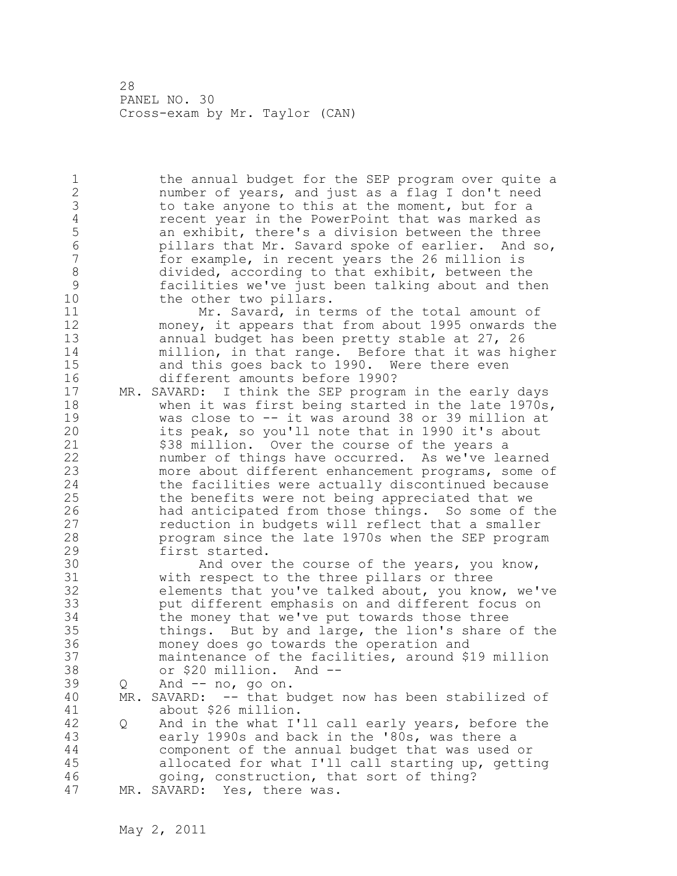1 the annual budget for the SEP program over quite a 2 number of years, and just as a flag I don't need 3 to take anyone to this at the moment, but for a<br>4 secent year in the PowerPoint that was marked as 4 recent year in the PowerPoint that was marked as<br>5 an exhibit, there's a division between the three 5 an exhibit, there's a division between the three 6 pillars that Mr. Savard spoke of earlier. And so, for example, in recent years the 26 million is 8 divided, according to that exhibit, between the<br>9 facilities we've just been talking about and th 9 facilities we've just been talking about and then the other two pillars.

11 Mr. Savard, in terms of the total amount of 12 money, it appears that from about 1995 onwards the 13 annual budget has been pretty stable at 27, 26 14 million, in that range. Before that it was higher 15 and this goes back to 1990. Were there even 16 different amounts before 1990?

17 MR. SAVARD: I think the SEP program in the early days 18 when it was first being started in the late 1970s, 19 was close to -- it was around 38 or 39 million at<br>20 its peak, so you'll note that in 1990 it's about its peak, so you'll note that in 1990 it's about 21 \$38 million. Over the course of the years a 22 number of things have occurred. As we've learned 23 more about different enhancement programs, some of 24 the facilities were actually discontinued because 25 the benefits were not being appreciated that we 26 had anticipated from those things. So some of the<br>27 seduction in budgets will reflect that a smaller reduction in budgets will reflect that a smaller 28 program since the late 1970s when the SEP program 29 first started.

30 And over the course of the years, you know,<br>31 with respect to the three pillars or three with respect to the three pillars or three 32 elements that you've talked about, you know, we've 33 put different emphasis on and different focus on 34 the money that we've put towards those three 35 things. But by and large, the lion's share of the 36 money does go towards the operation and 37 maintenance of the facilities, around \$19 million 38 or \$20 million. And --

 $39$  Q And  $-$  no, go on.

40 MR. SAVARD: -- that budget now has been stabilized of 41 about \$26 million.<br>42 Q And in the what I'

42 Q And in the what I'll call early years, before the 43 early 1990s and back in the '80s, was there a 44 component of the annual budget that was used or 45 allocated for what I'll call starting up, getting 46 going, construction, that sort of thing? 47 MR. SAVARD: Yes, there was.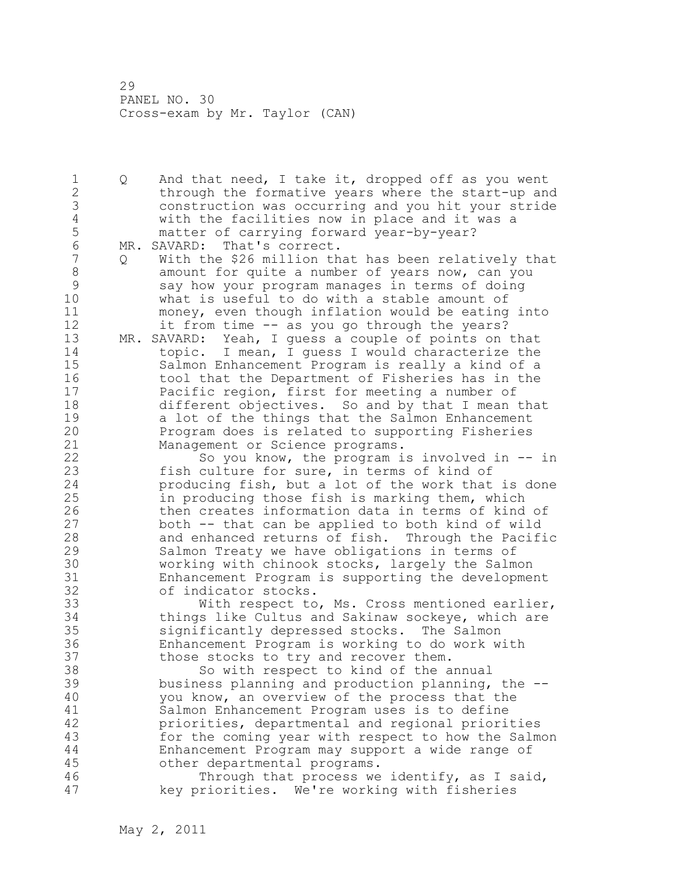1 Q And that need, I take it, dropped off as you went 2 through the formative years where the start-up and 3 construction was occurring and you hit your stride 4 with the facilities now in place and it was a<br>5 matter of carrying forward year-by-year? 5 matter of carrying forward year-by-year?<br>6 MR. SAVARD: That's correct. 6 MR. SAVARD: That's correct. With the \$26 million that has been relatively that 8 amount for quite a number of years now, can you<br>9 3 aay how your program manages in terms of doing 9 say how your program manages in terms of doing what is useful to do with a stable amount of 11 money, even though inflation would be eating into 12 it from time -- as you go through the years? 13 MR. SAVARD: Yeah, I guess a couple of points on that 14 topic. I mean, I guess I would characterize the 15 Salmon Enhancement Program is really a kind of a 16 tool that the Department of Fisheries has in the 17 Pacific region, first for meeting a number of 18 different objectives. So and by that I mean that 19 a lot of the things that the Salmon Enhancement<br>20 Program does is related to supporting Fisheries Program does is related to supporting Fisheries 21 Management or Science programs. 22 So you know, the program is involved in -- in 23 fish culture for sure, in terms of kind of 24 producing fish, but a lot of the work that is done 25 in producing those fish is marking them, which 26 then creates information data in terms of kind of<br>27 both -- that can be applied to both kind of wild both -- that can be applied to both kind of wild 28 and enhanced returns of fish. Through the Pacific 29 Salmon Treaty we have obligations in terms of 30 working with chinook stocks, largely the Salmon 31 Enhancement Program is supporting the development of indicator stocks. 33 With respect to, Ms. Cross mentioned earlier, 34 things like Cultus and Sakinaw sockeye, which are 35 significantly depressed stocks. The Salmon 36 Enhancement Program is working to do work with 37 those stocks to try and recover them. 38 So with respect to kind of the annual 39 business planning and production planning, the -- 40 you know, an overview of the process that the 41 Salmon Enhancement Program uses is to define<br>42 priorities, departmental and regional priori priorities, departmental and regional priorities 43 for the coming year with respect to how the Salmon 44 Enhancement Program may support a wide range of 45 other departmental programs. 46 Through that process we identify, as I said, 47 key priorities. We're working with fisheries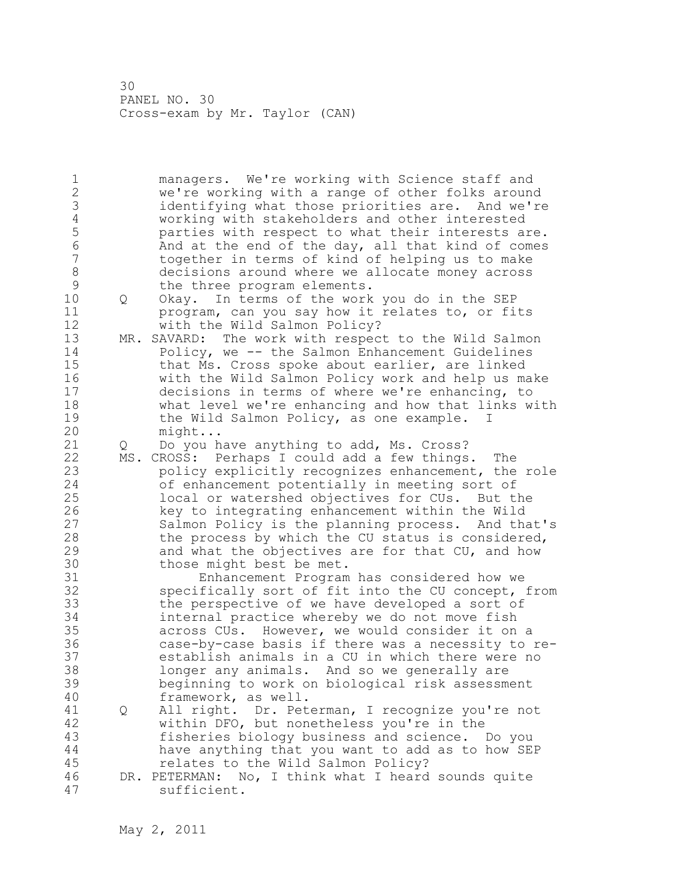1 managers. We're working with Science staff and 2 we're working with a range of other folks around 3 identifying what those priorities are. And we're 4 working with stakeholders and other interested 5 parties with respect to what their interests are.<br>6 and at the end of the dav, all that kind of comes 6 And at the end of the day, all that kind of comes<br>7 together in terms of kind of helping us to make together in terms of kind of helping us to make 8 decisions around where we allocate money across<br>9 the three program elements. 9 the three program elements.<br>10 0 Okav. In terms of the work 10 Q Okay. In terms of the work you do in the SEP 11 program, can you say how it relates to, or fits 12 with the Wild Salmon Policy? 13 MR. SAVARD: The work with respect to the Wild Salmon 14 Policy, we -- the Salmon Enhancement Guidelines 15 that Ms. Cross spoke about earlier, are linked 16 with the Wild Salmon Policy work and help us make 17 decisions in terms of where we're enhancing, to 18 what level we're enhancing and how that links with 19 the Wild Salmon Policy, as one example.<br>20 might... might... 21 Q Do you have anything to add, Ms. Cross? 22 MS. CROSS: Perhaps I could add a few things. The 23 policy explicitly recognizes enhancement, the role 24 of enhancement potentially in meeting sort of 25 local or watershed objectives for CUs. But the 26 key to integrating enhancement within the Wild<br>27 Salmon Policy is the planning process. And th Salmon Policy is the planning process. And that's 28 the process by which the CU status is considered, 29 and what the objectives are for that CU, and how 30 those might best be met.<br>31 Enhancement Program 31 Enhancement Program has considered how we<br>32 specifically sort of fit into the CU concept. specifically sort of fit into the CU concept, from 33 the perspective of we have developed a sort of 34 internal practice whereby we do not move fish 35 across CUs. However, we would consider it on a 36 case-by-case basis if there was a necessity to re-37 establish animals in a CU in which there were no 38 longer any animals. And so we generally are 39 beginning to work on biological risk assessment 40 framework, as well. 41 Q All right. Dr. Peterman, I recognize you're not<br>42 within DFO, but nonetheless you're in the within DFO, but nonetheless you're in the 43 fisheries biology business and science. Do you 44 have anything that you want to add as to how SEP 45 relates to the Wild Salmon Policy? 46 DR. PETERMAN: No, I think what I heard sounds quite 47 sufficient.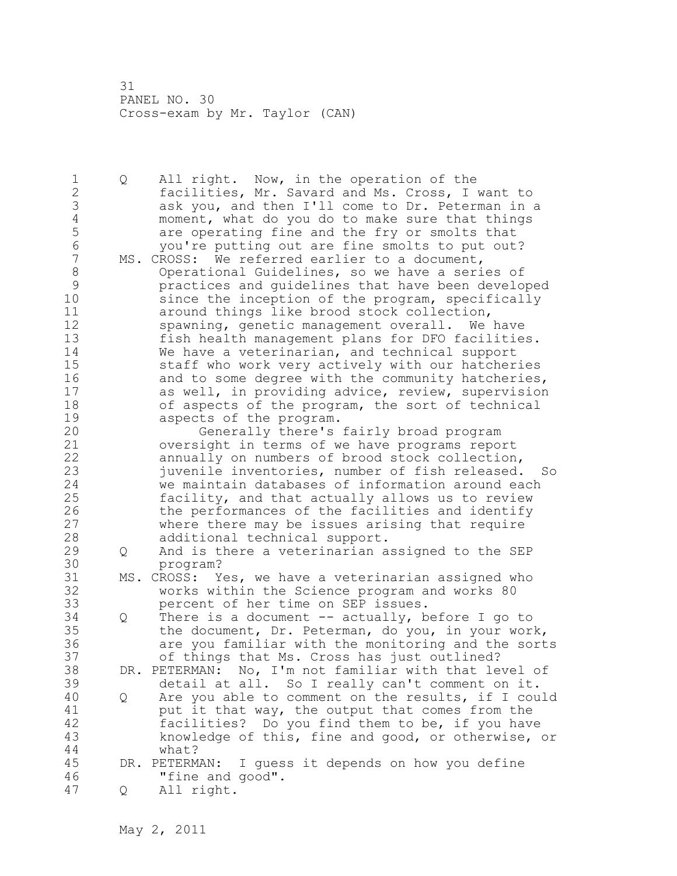1 Q All right. Now, in the operation of the 2 facilities, Mr. Savard and Ms. Cross, I want to 3 ask you, and then I'll come to Dr. Peterman in a 4 moment, what do you do to make sure that things<br>5 are operating fine and the fry or smolts that 5 are operating fine and the fry or smolts that<br>6 vou're putting out are fine smolts to put out 6 you're putting out are fine smolts to put out?<br>7 MS. CROSS: We referred earlier to a document. MS. CROSS: We referred earlier to a document, 8 Operational Guidelines, so we have a series of 9 practices and guidelines that have been developed since the inception of the program, specifically 11 around things like brood stock collection, 12 spawning, genetic management overall. We have 13 fish health management plans for DFO facilities. 14 We have a veterinarian, and technical support 15 staff who work very actively with our hatcheries 16 and to some degree with the community hatcheries, 17 as well, in providing advice, review, supervision 18 of aspects of the program, the sort of technical 19 aspects of the program.<br>20 Generally there's Generally there's fairly broad program 21 oversight in terms of we have programs report 22 annually on numbers of brood stock collection, 23 juvenile inventories, number of fish released. So 24 we maintain databases of information around each 25 facility, and that actually allows us to review 26 the performances of the facilities and identify<br>27 where there may be issues arising that require where there may be issues arising that require 28 additional technical support. 29 Q And is there a veterinarian assigned to the SEP 30 program?<br>31 MS. CROSS: Y MS. CROSS: Yes, we have a veterinarian assigned who 32 works within the Science program and works 80 33 percent of her time on SEP issues. 34 Q There is a document -- actually, before I go to 35 the document, Dr. Peterman, do you, in your work, 36 are you familiar with the monitoring and the sorts 37 of things that Ms. Cross has just outlined? 38 DR. PETERMAN: No, I'm not familiar with that level of 39 detail at all. So I really can't comment on it. 40 Q Are you able to comment on the results, if I could 41 put it that way, the output that comes from the<br>42 facilities? Do you find them to be, if you have facilities? Do you find them to be, if you have 43 knowledge of this, fine and good, or otherwise, or 44 what? 45 DR. PETERMAN: I guess it depends on how you define 46 "fine and good". 47 Q All right.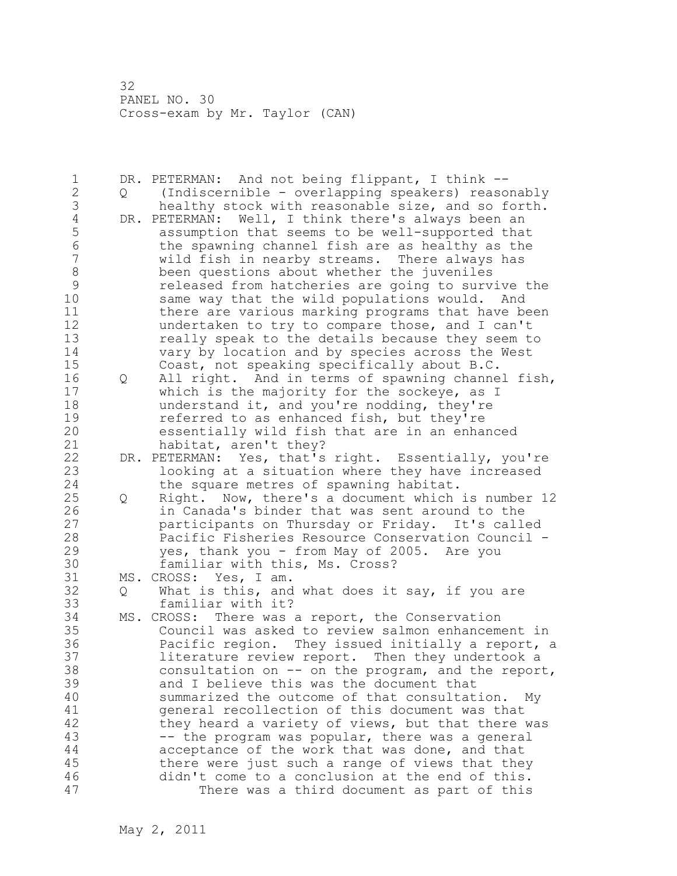1 DR. PETERMAN: And not being flippant, I think -- 2 Q (Indiscernible - overlapping speakers) reasonably 3 healthy stock with reasonable size, and so forth.<br>4 DR. PETERMAN: Well, I think there's always been an 4 DR. PETERMAN: Well, I think there's always been an<br>5 assumption that seems to be well-supported tha 5 assumption that seems to be well-supported that 6 the spawning channel fish are as healthy as the wild fish in nearby streams. There always has 8 been questions about whether the juveniles<br>9 secrew beleased from hatcheries are going to surv. 9 released from hatcheries are going to survive the<br>10 same way that the wild populations would. And same way that the wild populations would. And 11 there are various marking programs that have been 12 undertaken to try to compare those, and I can't 13 really speak to the details because they seem to 14 vary by location and by species across the West 15 Coast, not speaking specifically about B.C. 16 Q All right. And in terms of spawning channel fish, 17 which is the majority for the sockeye, as I 18 understand it, and you're nodding, they're 19 19 referred to as enhanced fish, but they're<br>20 sesentially wild fish that are in an enhar essentially wild fish that are in an enhanced 21 habitat, aren't they? 22 DR. PETERMAN: Yes, that's right. Essentially, you're 23 looking at a situation where they have increased 24 the square metres of spawning habitat. 25 Q Right. Now, there's a document which is number 12 26 10 20 in Canada's binder that was sent around to the<br>27 3 20 participants on Thursday or Friday. It's call participants on Thursday or Friday. It's called 28 Pacific Fisheries Resource Conservation Council - 29 yes, thank you - from May of 2005. Are you 30 familiar with this, Ms. Cross?<br>31 MS. CROSS: Yes, I am. MS. CROSS: Yes, I am. 32 Q What is this, and what does it say, if you are 33 familiar with it? 34 MS. CROSS: There was a report, the Conservation 35 Council was asked to review salmon enhancement in 36 Pacific region. They issued initially a report, a 37 literature review report. Then they undertook a 38 consultation on -- on the program, and the report, 39 and I believe this was the document that 40 summarized the outcome of that consultation. My 41 general recollection of this document was that<br>42 they heard a variety of views, but that there they heard a variety of views, but that there was 43 -- the program was popular, there was a general 44 acceptance of the work that was done, and that 45 there were just such a range of views that they 46 didn't come to a conclusion at the end of this. 47 There was a third document as part of this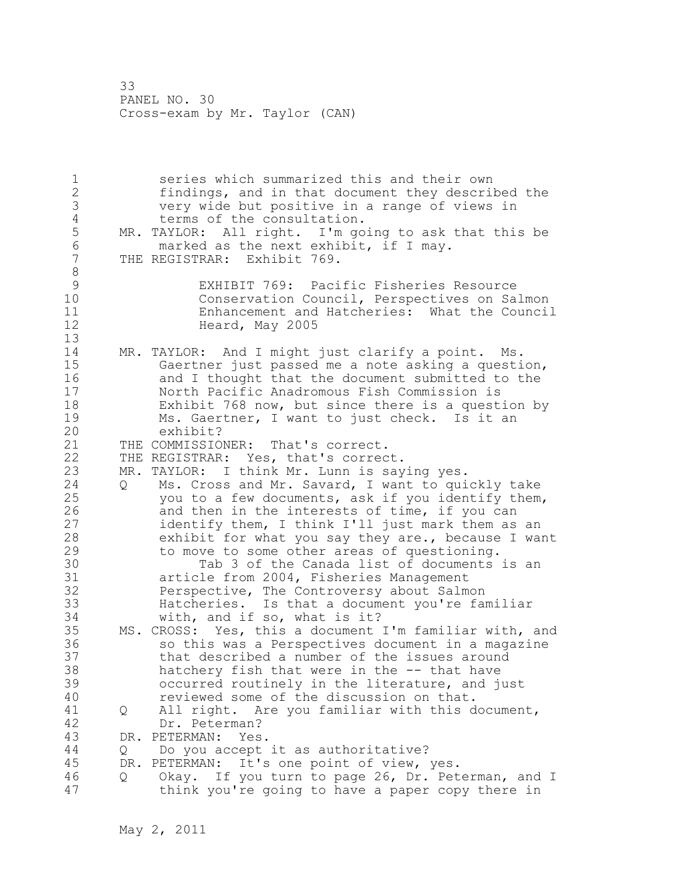1 series which summarized this and their own 2 findings, and in that document they described the 3 very wide but positive in a range of views in 4 terms of the consultation.<br>5 MR. TAYLOR: All right. I'm go 5 MR. TAYLOR: All right. I'm going to ask that this be<br>6 marked as the next exhibit, if I may. 6 marked as the next exhibit, if I may.<br>7 THE REGISTRAR: Exhibit 769. THE REGISTRAR: Exhibit 769. 8<br>9 9 EXHIBIT 769: Pacific Fisheries Resource Conservation Council, Perspectives on Salmon 11 Enhancement and Hatcheries: What the Council 12 Heard, May 2005 13 14 MR. TAYLOR: And I might just clarify a point. Ms. 15 Gaertner just passed me a note asking a question, 16 and I thought that the document submitted to the 17 North Pacific Anadromous Fish Commission is 18 Exhibit 768 now, but since there is a question by 19 Ms. Gaertner, I want to just check. Is it an <br>20 exhibit? exhibit? 21 THE COMMISSIONER: That's correct. 22 THE REGISTRAR: Yes, that's correct. 23 MR. TAYLOR: I think Mr. Lunn is saying yes. 24 Q Ms. Cross and Mr. Savard, I want to quickly take 25 you to a few documents, ask if you identify them, 26 and then in the interests of time, if you can<br>27 identify them, I think I'll just mark them as identify them, I think I'll just mark them as an 28 exhibit for what you say they are., because I want 29 to move to some other areas of questioning. 30 Tab 3 of the Canada list of documents is an<br>31 article from 2004. Fisheries Management 31 article from 2004, Fisheries Management<br>32 Perspective, The Controversy about Salm Perspective, The Controversy about Salmon 33 Hatcheries. Is that a document you're familiar 34 with, and if so, what is it? 35 MS. CROSS: Yes, this a document I'm familiar with, and 36 so this was a Perspectives document in a magazine 37 that described a number of the issues around 38 hatchery fish that were in the -- that have 39 occurred routinely in the literature, and just 40 reviewed some of the discussion on that. 41 Q All right. Are you familiar with this document,<br>42 Dr. Peterman? Dr. Peterman? 43 DR. PETERMAN: Yes. 44 Q Do you accept it as authoritative? 45 DR. PETERMAN: It's one point of view, yes. 46 Q Okay. If you turn to page 26, Dr. Peterman, and I 47 think you're going to have a paper copy there in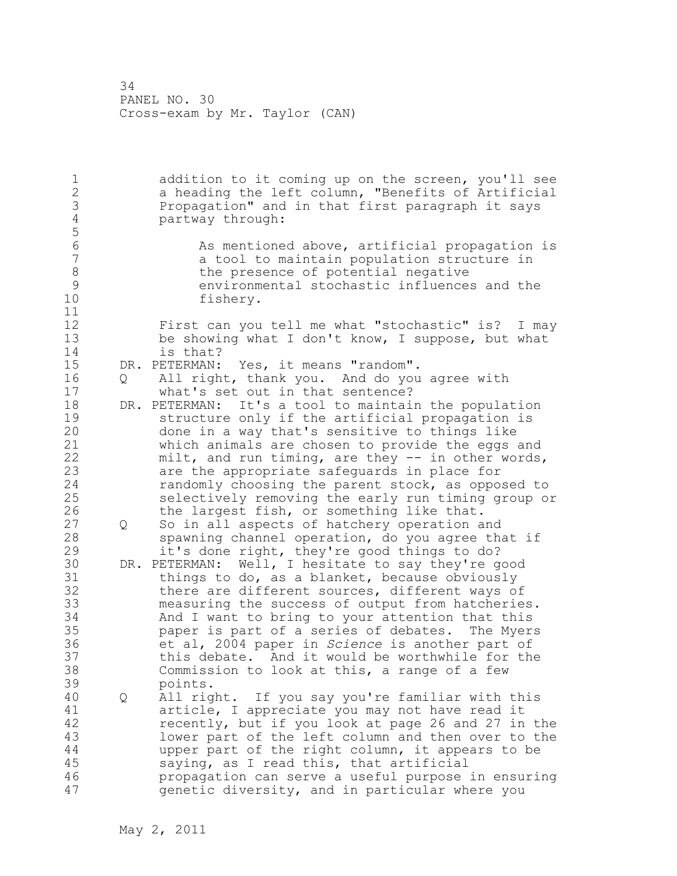1 addition to it coming up on the screen, you'll see 2 a heading the left column, "Benefits of Artificial 3 Propagation" and in that first paragraph it says partway through: 5 6 As mentioned above, artificial propagation is a tool to maintain population structure in 8 the presence of potential negative<br>9 environmental stochastic influences 9 environmental stochastic influences and the<br>10 fisherv. fishery. 11 12 First can you tell me what "stochastic" is? I may 13 be showing what I don't know, I suppose, but what 14 is that? 15 DR. PETERMAN: Yes, it means "random". 16 Q All right, thank you. And do you agree with 17 what's set out in that sentence? 18 DR. PETERMAN: It's a tool to maintain the population 19 structure only if the artificial propagation is<br>20 done in a way that's sensitive to things like done in a way that's sensitive to things like 21 which animals are chosen to provide the eggs and 22 milt, and run timing, are they -- in other words, 23 are the appropriate safeguards in place for 24 randomly choosing the parent stock, as opposed to 25 selectively removing the early run timing group or 26 the largest fish, or something like that.<br>27 0 So in all aspects of hatchery operation a Q So in all aspects of hatchery operation and 28 spawning channel operation, do you agree that if 29 it's done right, they're good things to do? 30 DR. PETERMAN: Well, I hesitate to say they're good 31 things to do, as a blanket, because obviously<br>32 there are different sources, different wavs o: there are different sources, different ways of 33 measuring the success of output from hatcheries. 34 And I want to bring to your attention that this 35 paper is part of a series of debates. The Myers 36 et al, 2004 paper in *Science* is another part of 37 this debate. And it would be worthwhile for the 38 Commission to look at this, a range of a few 39 points. 40 Q All right. If you say you're familiar with this 41 article, I appreciate you may not have read it<br>42 ecently, but if you look at page 26 and 27 in recently, but if you look at page 26 and 27 in the 43 lower part of the left column and then over to the 44 upper part of the right column, it appears to be 45 saying, as I read this, that artificial 46 propagation can serve a useful purpose in ensuring 47 genetic diversity, and in particular where you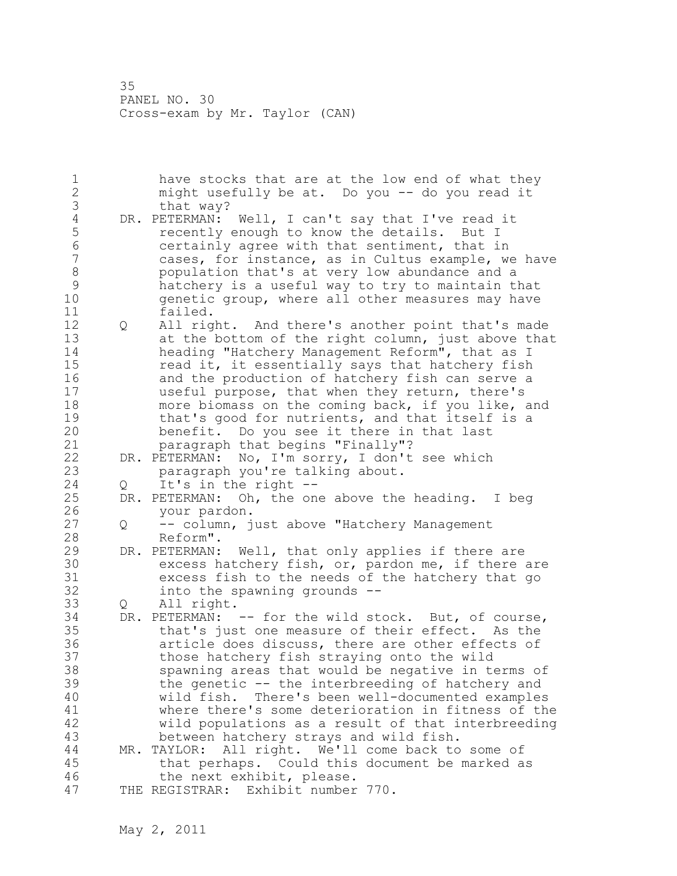1 have stocks that are at the low end of what they 2 might usefully be at. Do you -- do you read it 3 that way?<br>4 DR. PETERMAN: 4 DR. PETERMAN: Well, I can't say that I've read it<br>5 cecently enough to know the details. But I 5 5 recently enough to know the details. But I<br>6 6 certainly agree with that sentiment, that i 6 certainly agree with that sentiment, that in cases, for instance, as in Cultus example, we have 8 population that's at very low abundance and a 9 hatchery is a useful way to try to maintain that<br>10 oenetic group, where all other measures may have genetic group, where all other measures may have 11 failed. 12 Q All right. And there's another point that's made 13 at the bottom of the right column, just above that 14 heading "Hatchery Management Reform", that as I 15 read it, it essentially says that hatchery fish 16 and the production of hatchery fish can serve a 17 useful purpose, that when they return, there's 18 more biomass on the coming back, if you like, and 19 that's good for nutrients, and that itself is a<br>20 benefit. Do you see it there in that last benefit. Do you see it there in that last 21 paragraph that begins "Finally"? 22 DR. PETERMAN: No, I'm sorry, I don't see which 23 paragraph you're talking about. 24 Q It's in the right -- 25 DR. PETERMAN: Oh, the one above the heading. I beg 26 your pardon.<br>27 0 -- column, j Q -- column, just above "Hatchery Management 28 Reform". 29 DR. PETERMAN: Well, that only applies if there are 30 excess hatchery fish, or, pardon me, if there are<br>31 excess fish to the needs of the hatchery that go 31 excess fish to the needs of the hatchery that go<br>32 into the spawning grounds -into the spawning grounds --33 Q All right. 34 DR. PETERMAN: -- for the wild stock. But, of course, 35 that's just one measure of their effect. As the 36 article does discuss, there are other effects of 37 those hatchery fish straying onto the wild 38 spawning areas that would be negative in terms of 39 the genetic -- the interbreeding of hatchery and 40 wild fish. There's been well-documented examples 41 where there's some deterioration in fitness of the<br>42 wild populations as a result of that interbreeding wild populations as a result of that interbreeding 43 between hatchery strays and wild fish. 44 MR. TAYLOR: All right. We'll come back to some of 45 that perhaps. Could this document be marked as 46 the next exhibit, please. 47 THE REGISTRAR: Exhibit number 770.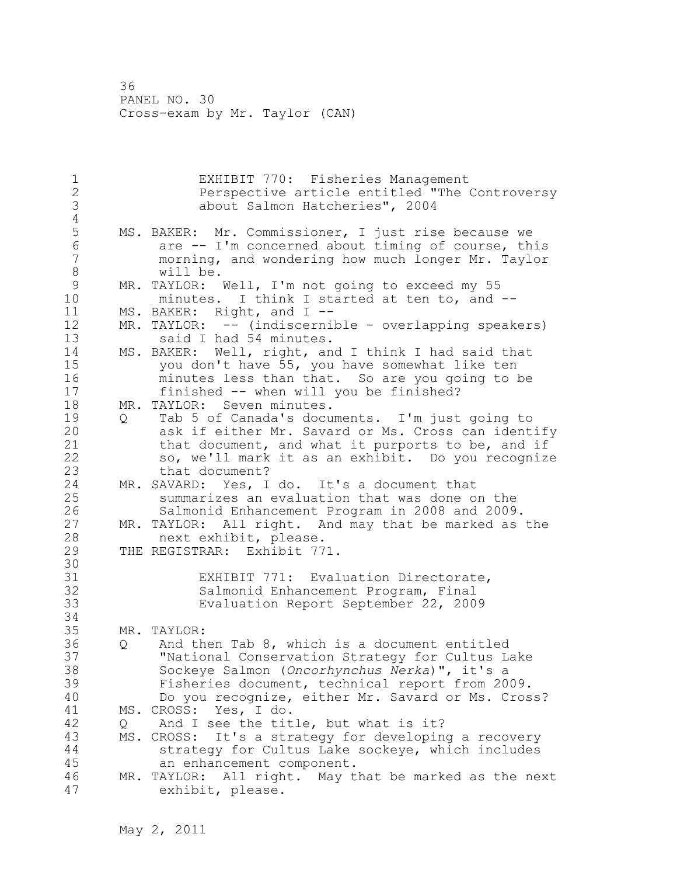| $\mathbf 1$                       |                   | EXHIBIT 770: Fisheries Management                                                                                                                                                                                                                       |
|-----------------------------------|-------------------|---------------------------------------------------------------------------------------------------------------------------------------------------------------------------------------------------------------------------------------------------------|
| $\overline{2}$                    |                   | Perspective article entitled "The Controversy                                                                                                                                                                                                           |
| $\overline{3}$                    |                   | about Salmon Hatcheries", 2004                                                                                                                                                                                                                          |
| $\overline{4}$<br>5<br>$6\,$<br>7 |                   | MS. BAKER: Mr. Commissioner, I just rise because we<br>are $-$ I'm concerned about timing of course, this<br>morning, and wondering how much longer Mr. Taylor                                                                                          |
| $\,8\,$                           |                   | will be.                                                                                                                                                                                                                                                |
| $\mathcal{G}$<br>10               |                   | MR. TAYLOR: Well, I'm not going to exceed my 55<br>minutes. I think I started at ten to, and --                                                                                                                                                         |
| 11                                |                   | MS. BAKER: Right, and I --                                                                                                                                                                                                                              |
| 12                                |                   | MR. TAYLOR: -- (indiscernible - overlapping speakers)                                                                                                                                                                                                   |
| 13                                |                   | said I had 54 minutes.                                                                                                                                                                                                                                  |
| 14<br>15<br>16<br>17              |                   | MS. BAKER: Well, right, and I think I had said that<br>you don't have 55, you have somewhat like ten<br>minutes less than that. So are you going to be<br>finished -- when will you be finished?                                                        |
| 18                                |                   | MR. TAYLOR: Seven minutes.                                                                                                                                                                                                                              |
| 19<br>20<br>21<br>22              | $Q \qquad \qquad$ | Tab 5 of Canada's documents. I'm just going to<br>ask if either Mr. Savard or Ms. Cross can identify<br>that document, and what it purports to be, and if<br>so, we'll mark it as an exhibit. Do you recognize                                          |
| 23<br>24<br>25                    |                   | that document?<br>MR. SAVARD: Yes, I do. It's a document that<br>summarizes an evaluation that was done on the                                                                                                                                          |
| 26<br>27<br>28                    |                   | Salmonid Enhancement Program in 2008 and 2009.<br>MR. TAYLOR: All right. And may that be marked as the<br>next exhibit, please.                                                                                                                         |
| 29<br>30                          |                   | THE REGISTRAR: Exhibit 771.                                                                                                                                                                                                                             |
| 31<br>32<br>33<br>34              |                   | EXHIBIT 771: Evaluation Directorate,<br>Salmonid Enhancement Program, Final<br>Evaluation Report September 22, 2009                                                                                                                                     |
| 35                                |                   | MR. TAYLOR:                                                                                                                                                                                                                                             |
| 36<br>37<br>38<br>39<br>40        | Q                 | And then Tab 8, which is a document entitled<br>"National Conservation Strategy for Cultus Lake<br>Sockeye Salmon (Oncorhynchus Nerka)", it's a<br>Fisheries document, technical report from 2009.<br>Do you recognize, either Mr. Savard or Ms. Cross? |
| 41                                |                   | MS. CROSS:<br>Yes, I do.                                                                                                                                                                                                                                |
| 42                                | Q                 | And I see the title, but what is it?                                                                                                                                                                                                                    |
| 43                                |                   | MS. CROSS:<br>It's a strategy for developing a recovery                                                                                                                                                                                                 |
| 44                                |                   | strategy for Cultus Lake sockeye, which includes                                                                                                                                                                                                        |
| 45                                |                   | an enhancement component.                                                                                                                                                                                                                               |
| 46<br>47                          |                   | All right. May that be marked as the next<br>MR. TAYLOR:<br>exhibit, please.                                                                                                                                                                            |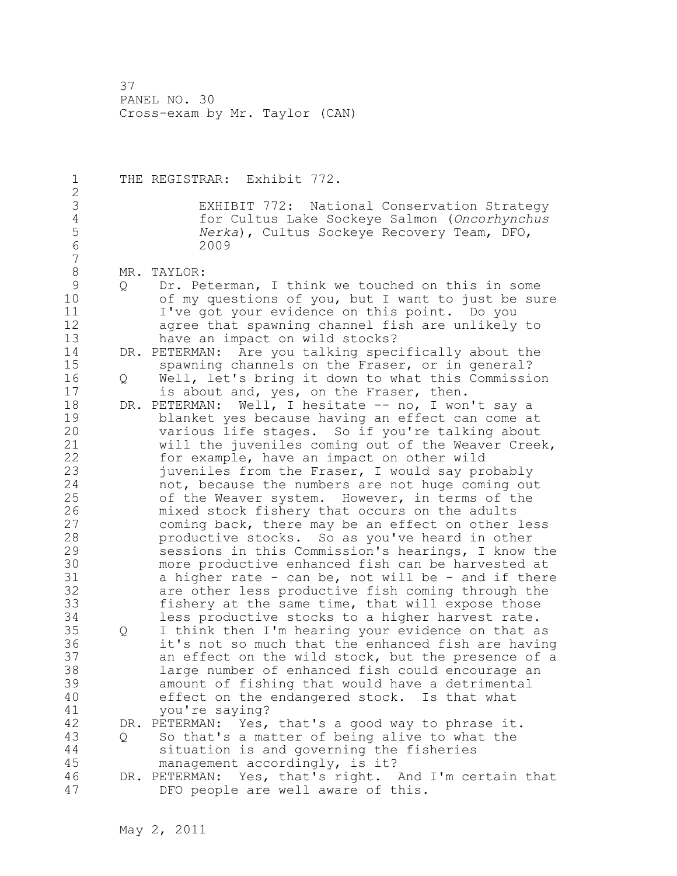1 THE REGISTRAR: Exhibit 772. 2 3 EXHIBIT 772: National Conservation Strategy<br>4 6 for Cultus Lake Sockeye Salmon (Oncorhynchus 4 for Cultus Lake Sockeye Salmon (*Oncorhynchus* 5 *Nerka*), Cultus Sockeye Recovery Team, DFO, 6 2009 7 8 MR. TAYLOR:<br>9 Q Dr. Pe 9 Q Dr. Peterman, I think we touched on this in some<br>10 of my questions of you, but I want to just be su of my questions of you, but I want to just be sure 11 I've got your evidence on this point. Do you 12 agree that spawning channel fish are unlikely to 13 have an impact on wild stocks? 14 DR. PETERMAN: Are you talking specifically about the 15 spawning channels on the Fraser, or in general? 16 Q Well, let's bring it down to what this Commission 17 is about and, yes, on the Fraser, then. 18 DR. PETERMAN: Well, I hesitate -- no, I won't say a 19 blanket yes because having an effect can come at<br>20 various life stages. So if you're talking about various life stages. So if you're talking about 21 will the juveniles coming out of the Weaver Creek, 22 for example, have an impact on other wild 23 juveniles from the Fraser, I would say probably 24 not, because the numbers are not huge coming out 25 of the Weaver system. However, in terms of the 26 mixed stock fishery that occurs on the adults<br>27 coming back, there may be an effect on other coming back, there may be an effect on other less 28 productive stocks. So as you've heard in other 29 sessions in this Commission's hearings, I know the 30 more productive enhanced fish can be harvested at<br>31 a higher rate - can be, not will be - and if there a higher rate - can be, not will be - and if there 32 are other less productive fish coming through the 33 fishery at the same time, that will expose those 34 less productive stocks to a higher harvest rate. 35 Q I think then I'm hearing your evidence on that as 36 it's not so much that the enhanced fish are having 37 an effect on the wild stock, but the presence of a 38 large number of enhanced fish could encourage an 39 amount of fishing that would have a detrimental 40 effect on the endangered stock. Is that what 41 you're saying?<br>42 DR. PETERMAN: Yes, DR. PETERMAN: Yes, that's a good way to phrase it. 43 Q So that's a matter of being alive to what the 44 situation is and governing the fisheries 45 management accordingly, is it? 46 DR. PETERMAN: Yes, that's right. And I'm certain that 47 DFO people are well aware of this.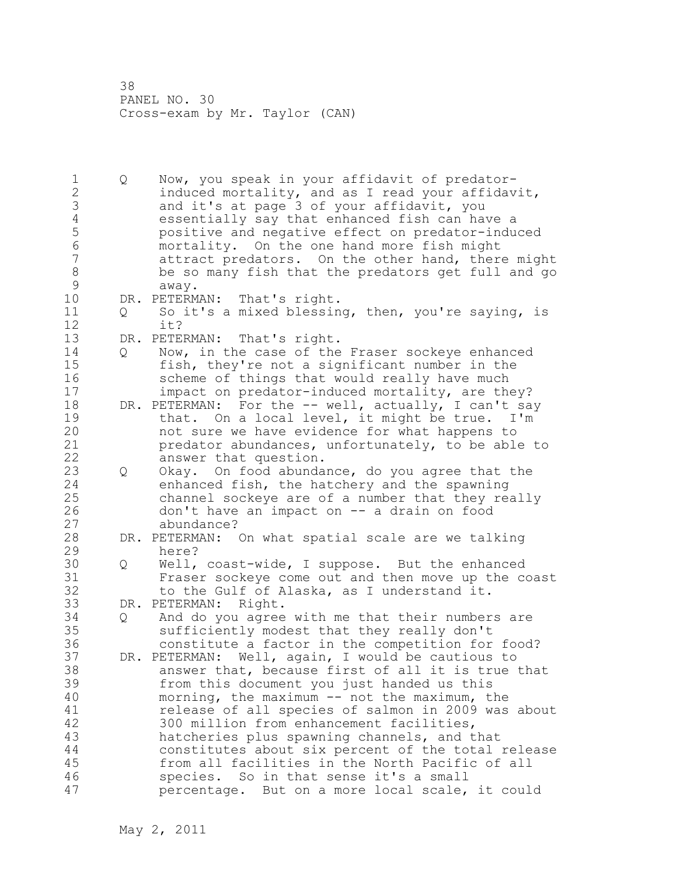1 Q Now, you speak in your affidavit of predator-2 induced mortality, and as I read your affidavit, 3 and it's at page 3 of your affidavit, you<br>4 essentially say that enhanced fish can ha 4 essentially say that enhanced fish can have a<br>5 bositive and negative effect on predator-indu 5 positive and negative effect on predator-induced 6 mortality. On the one hand more fish might attract predators. On the other hand, there might 8 be so many fish that the predators get full and go 9 away.<br>10 DR. PETERM DR. PETERMAN: That's right. 11 Q So it's a mixed blessing, then, you're saying, is 12 it? 13 DR. PETERMAN: That's right. 14 Q Now, in the case of the Fraser sockeye enhanced 15 fish, they're not a significant number in the 16 scheme of things that would really have much 17 impact on predator-induced mortality, are they? 18 DR. PETERMAN: For the -- well, actually, I can't say 19 that. On a local level, it might be true. I'm<br>20 not sure we have evidence for what happens to not sure we have evidence for what happens to 21 predator abundances, unfortunately, to be able to 22 answer that question. 23 Q Okay. On food abundance, do you agree that the 24 enhanced fish, the hatchery and the spawning 25 channel sockeye are of a number that they really 26 don't have an impact on -- a drain on food abundance? 28 DR. PETERMAN: On what spatial scale are we talking 29 here? 30 Q Well, coast-wide, I suppose. But the enhanced 31 Fraser sockeye come out and then move up the coast<br>32 to the Gulf of Alaska, as I understand it. to the Gulf of Alaska, as I understand it. 33 DR. PETERMAN: Right. 34 Q And do you agree with me that their numbers are 35 sufficiently modest that they really don't 36 constitute a factor in the competition for food? 37 DR. PETERMAN: Well, again, I would be cautious to 38 answer that, because first of all it is true that 39 from this document you just handed us this 40 morning, the maximum -- not the maximum, the 41 release of all species of salmon in 2009 was about<br>42 300 million from enhancement facilities, 300 million from enhancement facilities, 43 hatcheries plus spawning channels, and that 44 constitutes about six percent of the total release 45 from all facilities in the North Pacific of all 46 species. So in that sense it's a small 47 percentage. But on a more local scale, it could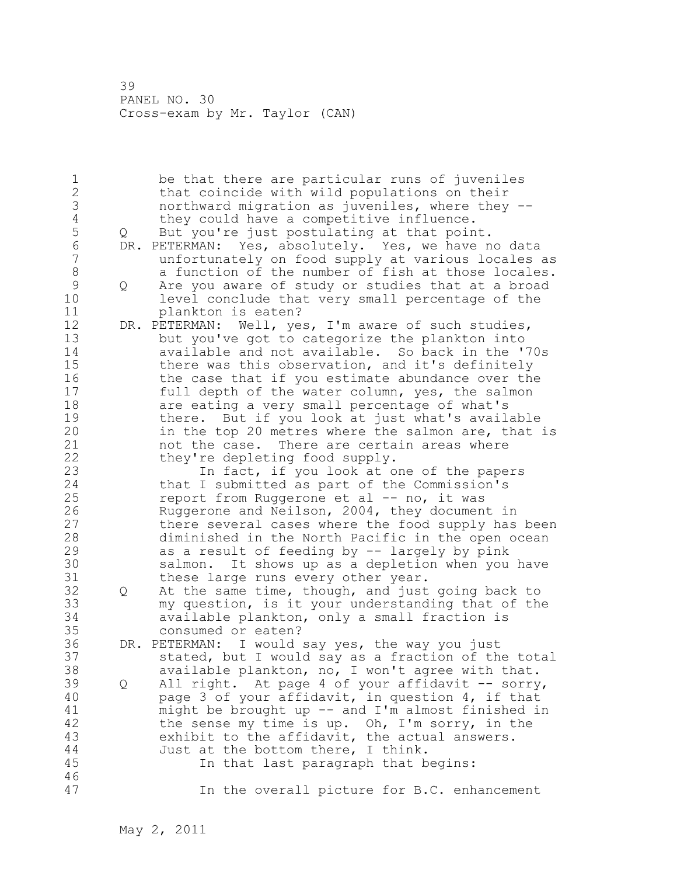1 be that there are particular runs of juveniles 2 that coincide with wild populations on their 3 northward migration as juveniles, where they --<br>4 they could have a competitive influence. 4 they could have a competitive influence.<br>5 0 But you're just postulating at that poin 5 Q But you're just postulating at that point.<br>6 DR. PETERMAN: Yes, absolutely. Yes, we have n 6 DR. PETERMAN: Yes, absolutely. Yes, we have no data unfortunately on food supply at various locales as 8 a function of the number of fish at those locales.<br>9 0 Are you aware of study or studies that at a broad 9 Q Are you aware of study or studies that at a broad<br>10 level conclude that very small percentage of the level conclude that very small percentage of the 11 plankton is eaten? 12 DR. PETERMAN: Well, yes, I'm aware of such studies, 13 but you've got to categorize the plankton into 14 available and not available. So back in the '70s 15 there was this observation, and it's definitely 16 the case that if you estimate abundance over the 17 full depth of the water column, yes, the salmon 18 are eating a very small percentage of what's 19 there. But if you look at just what's available<br>20 in the top 20 metres where the salmon are, that in the top 20 metres where the salmon are, that is 21 not the case. There are certain areas where 22 they're depleting food supply. 23 In fact, if you look at one of the papers 24 that I submitted as part of the Commission's 25 report from Ruggerone et al -- no, it was 26 Ruggerone and Neilson, 2004, they document in<br>27 there several cases where the food supply has there several cases where the food supply has been 28 diminished in the North Pacific in the open ocean 29 as a result of feeding by -- largely by pink 30 salmon. It shows up as a depletion when you have<br>31 these large runs every other year. these large runs every other year. 32 Q At the same time, though, and just going back to 33 my question, is it your understanding that of the 34 available plankton, only a small fraction is 35 consumed or eaten? 36 DR. PETERMAN: I would say yes, the way you just 37 stated, but I would say as a fraction of the total 38 available plankton, no, I won't agree with that. 39 Q All right. At page 4 of your affidavit -- sorry, 40 page 3 of your affidavit, in question 4, if that 41 might be brought up -- and I'm almost finished in<br>42 the sense my time is up. Oh, I'm sorry, in the the sense my time is up. Oh, I'm sorry, in the 43 exhibit to the affidavit, the actual answers. 44 Just at the bottom there, I think. 45 In that last paragraph that begins: 46 47 In the overall picture for B.C. enhancement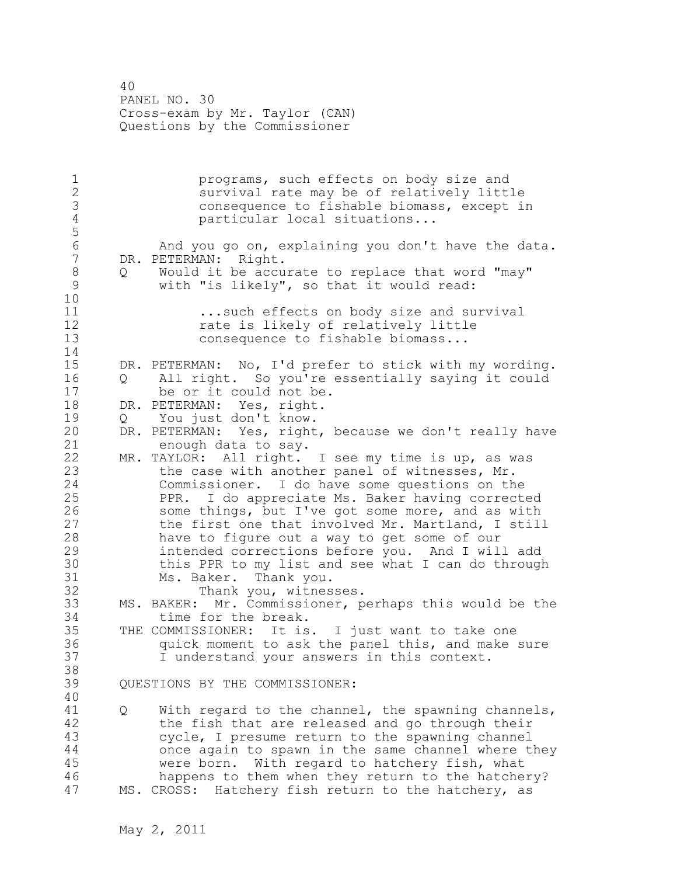40 PANEL NO. 30 Cross-exam by Mr. Taylor (CAN) Questions by the Commissioner

1 **1** programs, such effects on body size and<br>2 **programs** survival rate may be of relatively litt 2 3 Survival rate may be of relatively little<br>3 3 Consequence to fishable biomass, except i 3 consequence to fishable biomass, except in particular local situations... 5 6 And you go on, explaining you don't have the data. DR. PETERMAN: Right. 8 Q Would it be accurate to replace that word "may"<br>9 with "is likelv", so that it would read: with "is likely", so that it would read: 10 11 ...such effects on body size and survival 12 **12** rate is likely of relatively little<br>13 consequence to fishable biomass... consequence to fishable biomass... 14 15 DR. PETERMAN: No, I'd prefer to stick with my wording. 16 Q All right. So you're essentially saying it could 17 be or it could not be. 18 DR. PETERMAN: Yes, right. 19 Q You just don't know.<br>20 DR. PETERMAN: Yes, right DR. PETERMAN: Yes, right, because we don't really have 21 enough data to say. 22 MR. TAYLOR: All right. I see my time is up, as was 23 the case with another panel of witnesses, Mr. 24 Commissioner. I do have some questions on the 25 PPR. I do appreciate Ms. Baker having corrected 26 some things, but I've got some more, and as with<br>27 the first one that involved Mr. Martland, I still the first one that involved Mr. Martland, I still 28 have to figure out a way to get some of our 29 intended corrections before you. And I will add 30 this PPR to my list and see what I can do through<br>31 Ms. Baker. Thank you. 31 Ms. Baker. Thank you.<br>32 Thank you, witnes Thank you, witnesses. 33 MS. BAKER: Mr. Commissioner, perhaps this would be the 34 time for the break. 35 THE COMMISSIONER: It is. I just want to take one 36 quick moment to ask the panel this, and make sure 37 I understand your answers in this context. 38 39 QUESTIONS BY THE COMMISSIONER: 40 41 Q With regard to the channel, the spawning channels,<br>42 the fish that are released and go through their the fish that are released and go through their 43 cycle, I presume return to the spawning channel 44 once again to spawn in the same channel where they 45 were born. With regard to hatchery fish, what 46 happens to them when they return to the hatchery? 47 MS. CROSS: Hatchery fish return to the hatchery, as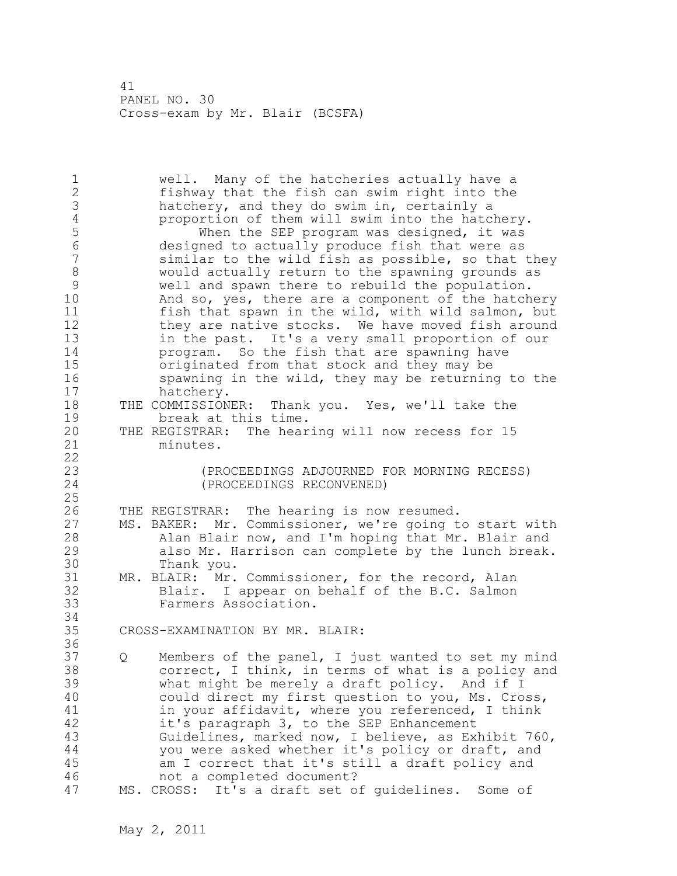1 well. Many of the hatcheries actually have a 2 fishway that the fish can swim right into the 3 hatchery, and they do swim in, certainly a<br>4 proportion of them will swim into the hatch 4 proportion of them will swim into the hatchery.<br>5 When the SEP program was designed, it was 5 6 6 When the SEP program was designed, it was<br>6 6 6 designed to actually produce fish that were as 6 designed to actually produce fish that were as similar to the wild fish as possible, so that they 8 would actually return to the spawning grounds as<br>9 well and spawn there to rebuild the population. 9 well and spawn there to rebuild the population.<br>10 Mand so, ves, there are a component of the hatch And so, yes, there are a component of the hatchery 11 fish that spawn in the wild, with wild salmon, but 12 they are native stocks. We have moved fish around 13 in the past. It's a very small proportion of our 14 program. So the fish that are spawning have 15 originated from that stock and they may be 16 spawning in the wild, they may be returning to the 17 hatchery. 18 THE COMMISSIONER: Thank you. Yes, we'll take the 19 break at this time.<br>20 THE REGISTRAR: The hear THE REGISTRAR: The hearing will now recess for 15 21 minutes. 22 23 (PROCEEDINGS ADJOURNED FOR MORNING RECESS) 24 (PROCEEDINGS RECONVENED) 25 26 THE REGISTRAR: The hearing is now resumed.<br>27 MS. BAKER: Mr. Commissioner, we're going t 27 MS. BAKER: Mr. Commissioner, we're going to start with<br>28 Alan Blair now, and I'm hoping that Mr. Blair and Alan Blair now, and I'm hoping that Mr. Blair and 29 also Mr. Harrison can complete by the lunch break. 30 Thank you.<br>31 MR. BLAIR: Mr. 31 MR. BLAIR: Mr. Commissioner, for the record, Alan<br>32 Blair. I appear on behalf of the B.C. Salmon Blair. I appear on behalf of the B.C. Salmon 33 Farmers Association. 34 35 CROSS-EXAMINATION BY MR. BLAIR: 36 37 Q Members of the panel, I just wanted to set my mind 38 correct, I think, in terms of what is a policy and 39 what might be merely a draft policy. And if I 40 could direct my first question to you, Ms. Cross, 41 in your affidavit, where you referenced, I think<br>42 it's paragraph 3, to the SEP Enhancement it's paragraph 3, to the SEP Enhancement 43 Guidelines, marked now, I believe, as Exhibit 760, 44 you were asked whether it's policy or draft, and 45 am I correct that it's still a draft policy and 46 not a completed document? 47 MS. CROSS: It's a draft set of guidelines. Some of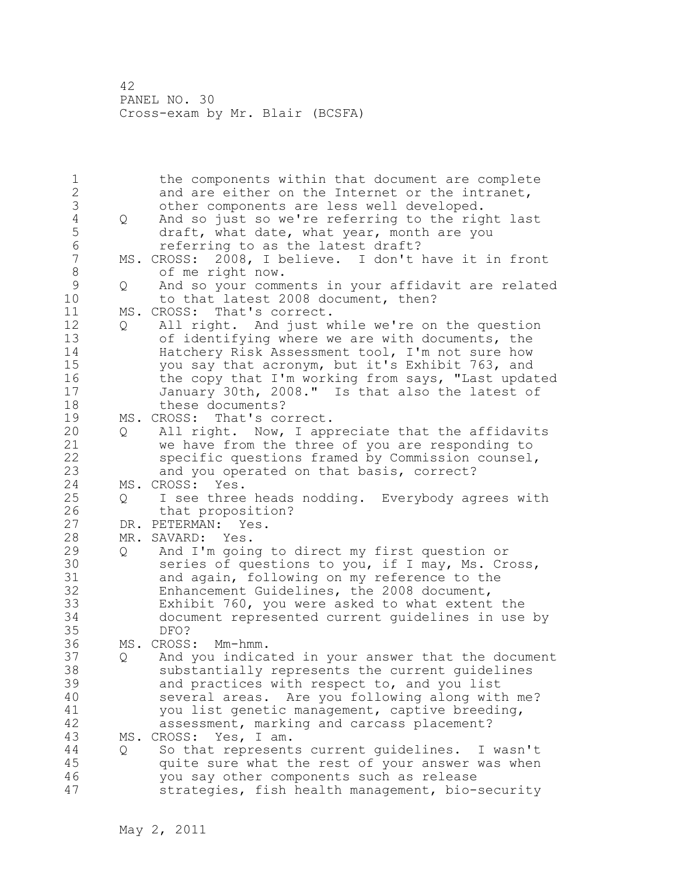1 the components within that document are complete 2 and are either on the Internet or the intranet, 3 other components are less well developed.<br>4 0 And so just so we're referring to the rig 4 Q And so just so we're referring to the right last<br>5 draft, what date, what year, month are you 5 draft, what date, what year, month are you<br>6 feferring to as the latest draft? 6 **6** referring to as the latest draft?<br>7 MS. CROSS: 2008, I believe. I don't MS. CROSS: 2008, I believe. I don't have it in front 8 of me right now. 9 Q And so your comments in your affidavit are related<br>10 to that latest 2008 document. then? to that latest 2008 document, then? 11 MS. CROSS: That's correct. 12 Q All right. And just while we're on the question 13 of identifying where we are with documents, the<br>14 Hatcherv Risk Assessment tool, I'm not sure how Hatchery Risk Assessment tool, I'm not sure how 15 you say that acronym, but it's Exhibit 763, and 16 the copy that I'm working from says, "Last updated 17 January 30th, 2008." Is that also the latest of 18 these documents? 19 MS. CROSS: That's correct.<br>20 0 All right. Now, I app 20 Q All right. Now, I appreciate that the affidavits 21 we have from the three of you are responding to 22 specific questions framed by Commission counsel, 23 and you operated on that basis, correct? 24 MS. CROSS: Yes. 25 Q I see three heads nodding. Everybody agrees with 26 that proposition?<br>27 DR. PETERMAN: Yes. DR. PETERMAN: Yes. 28 MR. SAVARD: Yes. 29 Q And I'm going to direct my first question or 30 series of questions to you, if I may, Ms. Cross,<br>31 and again, following on my reference to the and again, following on my reference to the 32 Enhancement Guidelines, the 2008 document, 33 Exhibit 760, you were asked to what extent the 34 document represented current guidelines in use by 35 DFO? 36 MS. CROSS: Mm-hmm. 37 Q And you indicated in your answer that the document 38 substantially represents the current guidelines 39 and practices with respect to, and you list 40 several areas. Are you following along with me? 41 you list genetic management, captive breeding,<br>42 assessment, marking and carcass placement? assessment, marking and carcass placement? 43 MS. CROSS: Yes, I am. 44 Q So that represents current guidelines. I wasn't 45 quite sure what the rest of your answer was when 46 you say other components such as release 47 strategies, fish health management, bio-security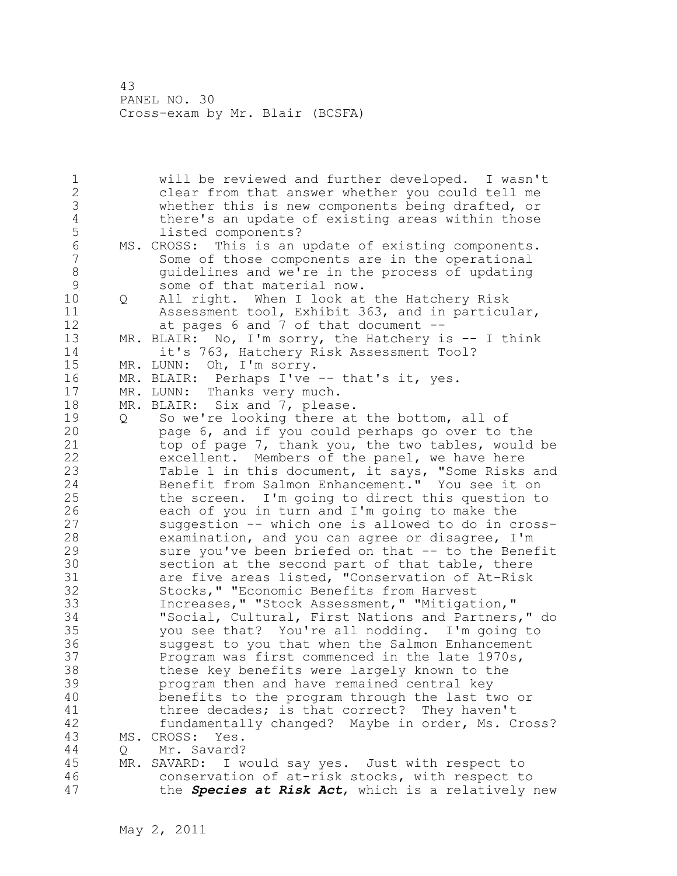1 will be reviewed and further developed. I wasn't 2 clear from that answer whether you could tell me 3 whether this is new components being drafted, or 4 there's an update of existing areas within those<br>5 1isted components? 5 listed components?<br>6 MS. CROSS: This is an m 6 MS. CROSS: This is an update of existing components.<br>7 Some of those components are in the operational Some of those components are in the operational 8 guidelines and we're in the process of updating<br>9 some of that material now. 9 some of that material now.<br>10 0 All right. When I look at 10 Q All right. When I look at the Hatchery Risk 11 Assessment tool, Exhibit 363, and in particular, 12 at pages 6 and 7 of that document -- 13 MR. BLAIR: No, I'm sorry, the Hatchery is -- I think 14 it's 763, Hatchery Risk Assessment Tool? 15 MR. LUNN: Oh, I'm sorry. 16 MR. BLAIR: Perhaps I've -- that's it, yes. 17 MR. LUNN: Thanks very much. 18 MR. BLAIR: Six and 7, please. 19 Q So we're looking there at the bottom, all of<br>20 page 6, and if you could perhaps go over to page 6, and if you could perhaps go over to the 21 top of page 7, thank you, the two tables, would be 22 excellent. Members of the panel, we have here 23 Table 1 in this document, it says, "Some Risks and 24 Benefit from Salmon Enhancement." You see it on 25 the screen. I'm going to direct this question to 26 each of you in turn and I'm going to make the<br>27 suggestion -- which one is allowed to do in c suggestion -- which one is allowed to do in cross-28 examination, and you can agree or disagree, I'm 29 sure you've been briefed on that -- to the Benefit 30 section at the second part of that table, there<br>31 are five areas listed, "Conservation of At-Risk 31 are five areas listed, "Conservation of At-Risk<br>32 Stocks," "Economic Benefits from Harvest Stocks," "Economic Benefits from Harvest 33 Increases," "Stock Assessment," "Mitigation," 34 "Social, Cultural, First Nations and Partners," do 35 you see that? You're all nodding. I'm going to 36 suggest to you that when the Salmon Enhancement 37 Program was first commenced in the late 1970s, 38 these key benefits were largely known to the 39 program then and have remained central key 40 benefits to the program through the last two or 41 three decades; is that correct? They haven't<br>42 fundamentally changed? Maybe in order, Ms. C. fundamentally changed? Maybe in order, Ms. Cross? 43 MS. CROSS: Yes. 44 Q Mr. Savard? 45 MR. SAVARD: I would say yes. Just with respect to 46 conservation of at-risk stocks, with respect to 47 the *Species at Risk Act*, which is a relatively new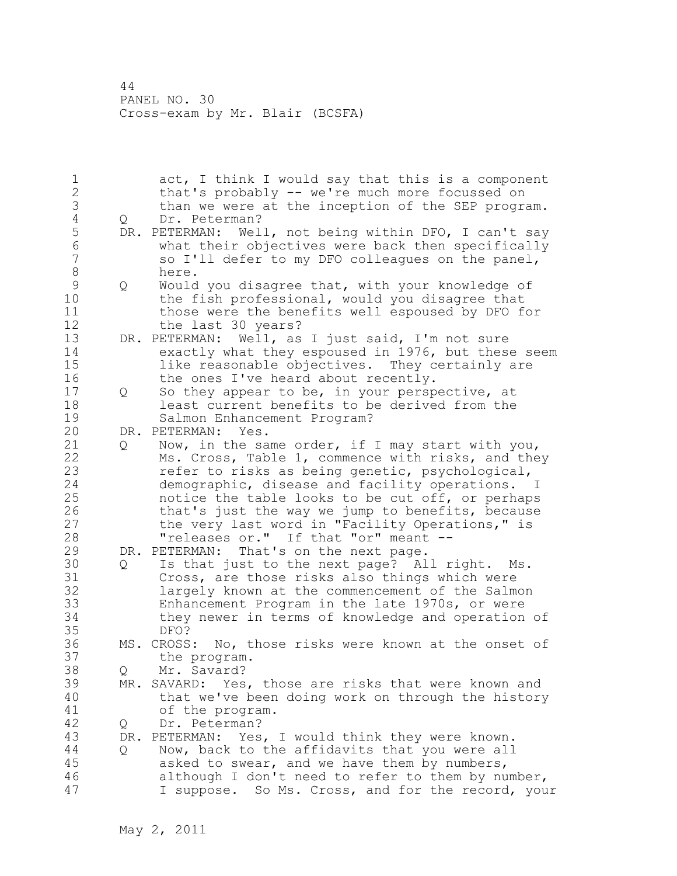1 act, I think I would say that this is a component 2 that's probably -- we're much more focussed on 3 than we were at the inception of the SEP program.<br>4 0 Dr. Peterman? 4 Q Dr. Peterman?<br>5 DR. PETERMAN: Wel 5 DR. PETERMAN: Well, not being within DFO, I can't say 6 what their objectives were back then specifically so I'll defer to my DFO colleagues on the panel, 8 here. 9 Q Would you disagree that, with your knowledge of<br>10 the fish professional, would you disagree that the fish professional, would you disagree that 11 those were the benefits well espoused by DFO for 12 the last 30 years? 13 DR. PETERMAN: Well, as I just said, I'm not sure 14 exactly what they espoused in 1976, but these seem 15 like reasonable objectives. They certainly are 16 the ones I've heard about recently. 17 Q So they appear to be, in your perspective, at 18 least current benefits to be derived from the 19 Salmon Enhancement Program?<br>20 DR. PETERMAN: Yes. DR. PETERMAN: Yes. 21 Q Now, in the same order, if I may start with you, 22 Ms. Cross, Table 1, commence with risks, and they 23 refer to risks as being genetic, psychological, 24 demographic, disease and facility operations. I 25 notice the table looks to be cut off, or perhaps 26 that's just the way we jump to benefits, because<br>27 the very last word in "Facility Operations," is the very last word in "Facility Operations," is 28 "releases or." If that "or" meant -- 29 DR. PETERMAN: That's on the next page. 30 Q Is that just to the next page? All right. Ms.<br>31 Cross, are those risks also things which were Cross, are those risks also things which were 32 largely known at the commencement of the Salmon 33 Enhancement Program in the late 1970s, or were 34 they newer in terms of knowledge and operation of 35 DFO? 36 MS. CROSS: No, those risks were known at the onset of 37 the program. 38 Q Mr. Savard? 39 MR. SAVARD: Yes, those are risks that were known and 40 that we've been doing work on through the history 41 of the program.<br>42 O Dr. Peterman? Q Dr. Peterman? 43 DR. PETERMAN: Yes, I would think they were known. 44 Q Now, back to the affidavits that you were all 45 asked to swear, and we have them by numbers, 46 although I don't need to refer to them by number, 47 I suppose. So Ms. Cross, and for the record, your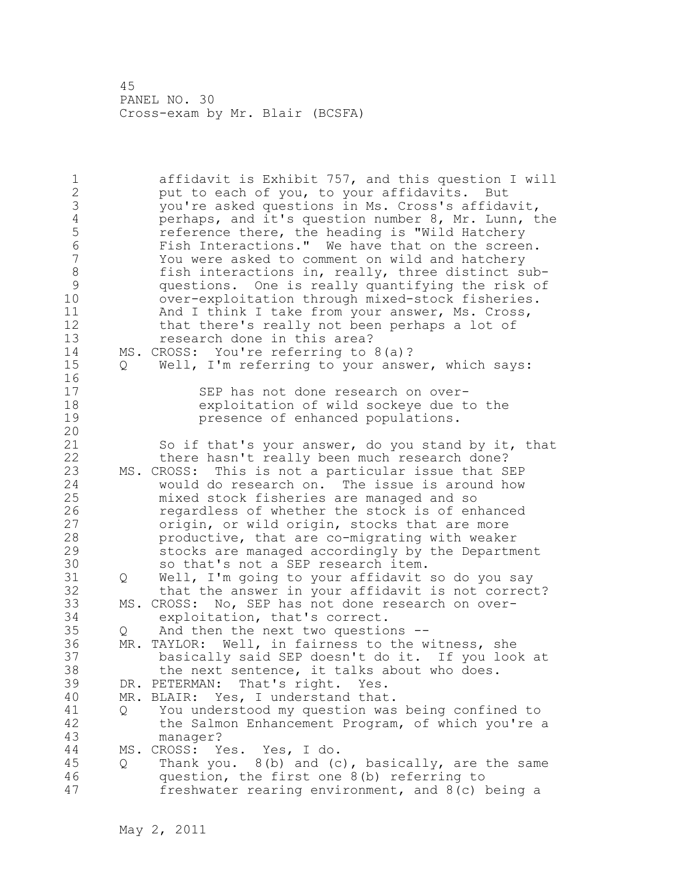1 affidavit is Exhibit 757, and this question I will 2 put to each of you, to your affidavits. But 3 you're asked questions in Ms. Cross's affidavit,<br>4 perhaps, and it's question number 8, Mr. Lunn, t 4 perhaps, and it's question number 8, Mr. Lunn, the<br>5 sefference there, the heading is "Wild Hatchery 5 **19 Feature 12 reference there, the heading is "Wild Hatchery**<br>6 **19 Fish Interactions."** We have that on the scree 6 Fish Interactions." We have that on the screen.<br>7 The You were asked to comment on wild and hatchery 7 You were asked to comment on wild and hatchery 8 fish interactions in, really, three distinct sub-<br>9 questions. One is really quantifying the risk of 9 questions. One is really quantifying the risk of over-exploitation through mixed-stock fisheries. 11 And I think I take from your answer, Ms. Cross, 12 that there's really not been perhaps a lot of 13 research done in this area? 14 MS. CROSS: You're referring to 8(a)? 15 Q Well, I'm referring to your answer, which says: 16 17 SEP has not done research on over-18 exploitation of wild sockeye due to the 19 presence of enhanced populations. 20 21 So if that's your answer, do you stand by it, that 22 there hasn't really been much research done? 23 MS. CROSS: This is not a particular issue that SEP 24 would do research on. The issue is around how 25 mixed stock fisheries are managed and so 26 regardless of whether the stock is of enhanced<br>27 origin, or wild origin, stocks that are more origin, or wild origin, stocks that are more 28 productive, that are co-migrating with weaker 29 stocks are managed accordingly by the Department 30 so that's not a SEP research item.<br>31 0 Well, I'm going to your affidavit 31 Q Well, I'm going to your affidavit so do you say that the answer in your affidavit is not correct? 33 MS. CROSS: No, SEP has not done research on over-34 exploitation, that's correct. 35 Q And then the next two questions -- 36 MR. TAYLOR: Well, in fairness to the witness, she 37 basically said SEP doesn't do it. If you look at 38 the next sentence, it talks about who does. 39 DR. PETERMAN: That's right. Yes. 40 MR. BLAIR: Yes, I understand that. 41 Q You understood my question was being confined to the Salmon Enhancement Program, of which you're a 43 manager? 44 MS. CROSS: Yes. Yes, I do. 45 Q Thank you. 8(b) and (c), basically, are the same 46 question, the first one 8(b) referring to 47 freshwater rearing environment, and 8(c) being a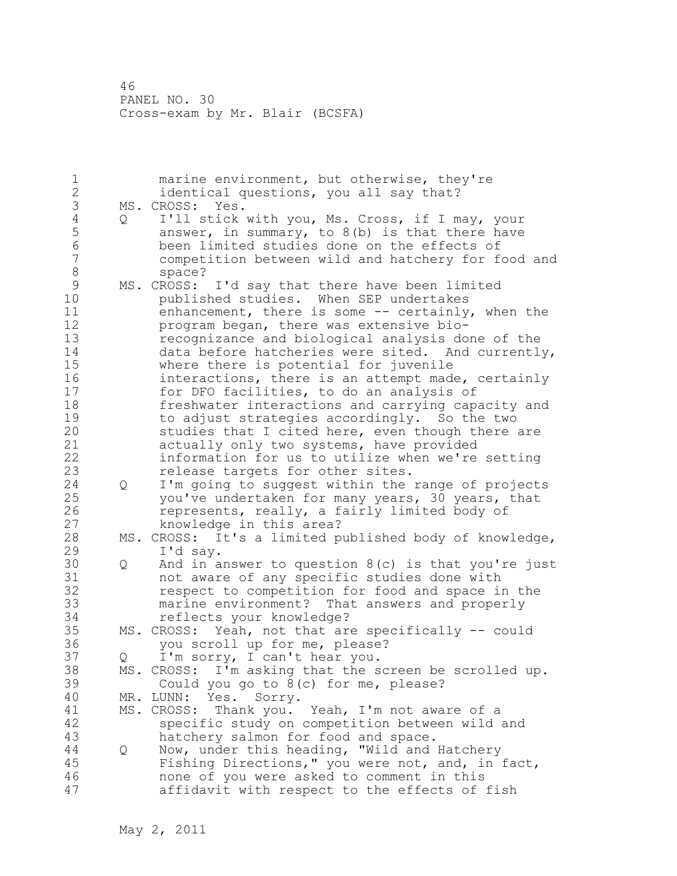1 marine environment, but otherwise, they're 2 identical questions, you all say that? 3 MS. CROSS: Yes.<br>4 0 I'll stick 4 Q I'll stick with you, Ms. Cross, if I may, your<br>5 answer, in summary, to 8(b) is that there have 5 answer, in summary, to 8(b) is that there have<br>6 been limited studies done on the effects of 6 been limited studies done on the effects of competition between wild and hatchery for food and 8 space? 9 MS. CROSS: I'd say that there have been limited<br>10 bublished studies. When SEP undertakes published studies. When SEP undertakes 11 enhancement, there is some -- certainly, when the 12 program began, there was extensive bio-13 recognizance and biological analysis done of the 14 data before hatcheries were sited. And currently, 15 where there is potential for juvenile 16 interactions, there is an attempt made, certainly 17 for DFO facilities, to do an analysis of 18 freshwater interactions and carrying capacity and 19 to adjust strategies accordingly. So the two<br>20 studies that I cited here, even though there studies that I cited here, even though there are 21 actually only two systems, have provided 22 information for us to utilize when we're setting 23 release targets for other sites. 24 Q I'm going to suggest within the range of projects 25 you've undertaken for many years, 30 years, that 26 represents, really, a fairly limited body of<br>27 knowledge in this area? knowledge in this area? 28 MS. CROSS: It's a limited published body of knowledge, 29 I'd say. 30 Q And in answer to question 8(c) is that you're just 31 not aware of any specific studies done with<br>32 sespect to competition for food and space in respect to competition for food and space in the 33 marine environment? That answers and properly 34 reflects your knowledge? 35 MS. CROSS: Yeah, not that are specifically -- could 36 you scroll up for me, please? 37 Q I'm sorry, I can't hear you.<br>38 MS. CROSS: I'm asking that the s MS. CROSS: I'm asking that the screen be scrolled up. 39 Could you go to 8(c) for me, please? 40 MR. LUNN: Yes. Sorry. 41 MS. CROSS: Thank you. Yeah, I'm not aware of a<br>42 Specific study on competition between wild specific study on competition between wild and 43 hatchery salmon for food and space. 44 Q Now, under this heading, "Wild and Hatchery 45 Fishing Directions," you were not, and, in fact, 46 none of you were asked to comment in this 47 affidavit with respect to the effects of fish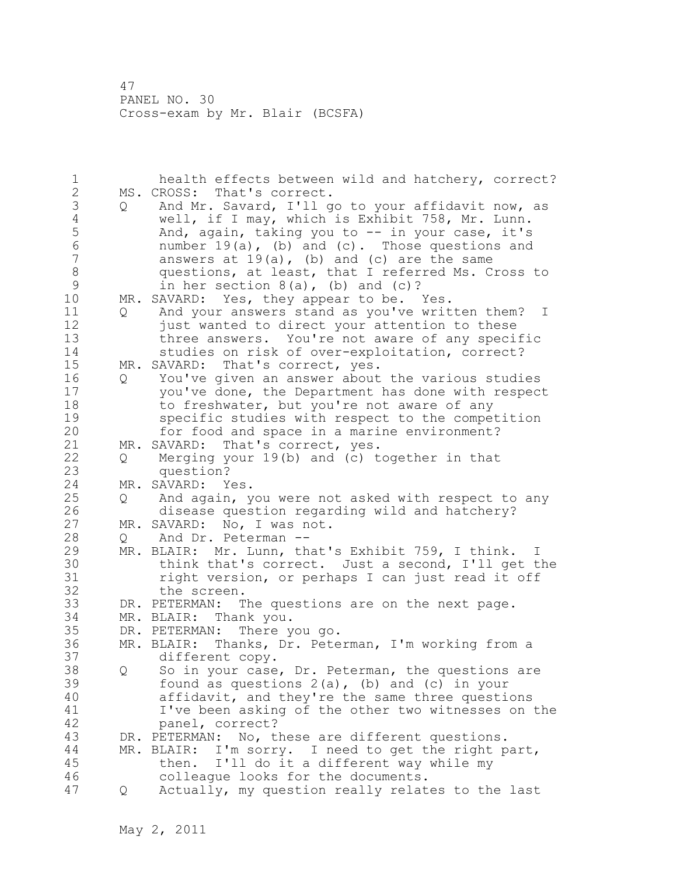1 health effects between wild and hatchery, correct? 2 MS. CROSS: That's correct. 3 Q And Mr. Savard, I'll go to your affidavit now, as<br>4 well, if I may, which is Exhibit 758, Mr. Lunn. 4 well, if I may, which is Exhibit 758, Mr. Lunn.<br>5 And, again, taking you to -- in your case, it's 5 And, again, taking you to -- in your case, it's 6 number 19(a), (b) and (c). Those questions and 7 answers at 19(a), (b) and (c) are the same 8 questions, at least, that I referred Ms. Cross to 9 in her section 8(a), (b) and (c)?<br>10 MR. SAVARD: Yes, they appear to be. MR. SAVARD: Yes, they appear to be. Yes. 11 Q And your answers stand as you've written them? I 12 **just wanted to direct your attention to these** 13 three answers. You're not aware of any specific 14 studies on risk of over-exploitation, correct? 15 MR. SAVARD: That's correct, yes. 16 Q You've given an answer about the various studies 17 you've done, the Department has done with respect 18 to freshwater, but you're not aware of any 19 specific studies with respect to the competition<br>20 for food and space in a marine environment? for food and space in a marine environment? 21 MR. SAVARD: That's correct, yes. 22 Q Merging your 19(b) and (c) together in that 23 question? 24 MR. SAVARD: Yes. 25 Q And again, you were not asked with respect to any 26 disease question regarding wild and hatchery?<br>27 MR. SAVARD: No, I was not. MR. SAVARD: No, I was not. 28 Q And Dr. Peterman -- 29 MR. BLAIR: Mr. Lunn, that's Exhibit 759, I think. I 30 think that's correct. Just a second, I'll get the<br>31 fight version, or perhaps I can just read it off 31 right version, or perhaps I can just read it off<br>32 the screen. the screen. 33 DR. PETERMAN: The questions are on the next page. 34 MR. BLAIR: Thank you. 35 DR. PETERMAN: There you go. 36 MR. BLAIR: Thanks, Dr. Peterman, I'm working from a 37 different copy. 38 Q So in your case, Dr. Peterman, the questions are 39 found as questions 2(a), (b) and (c) in your 40 affidavit, and they're the same three questions 41 I've been asking of the other two witnesses on the<br>42 manel, correct? panel, correct? 43 DR. PETERMAN: No, these are different questions. 44 MR. BLAIR: I'm sorry. I need to get the right part, 45 then. I'll do it a different way while my 46 colleague looks for the documents. 47 Q Actually, my question really relates to the last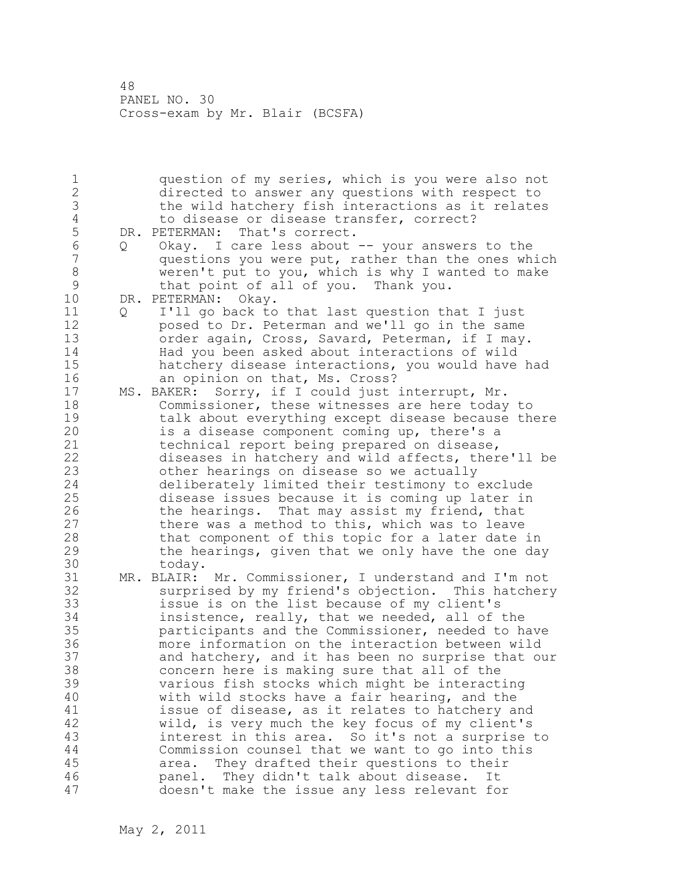1 question of my series, which is you were also not 2 directed to answer any questions with respect to 3 the wild hatchery fish interactions as it relates 4 to disease or disease transfer, correct?<br>5 DR. PETERMAN: That's correct. 5 DR. PETERMAN: That's correct.<br>6 0 Okav. I care less about 6 Q Okay. I care less about -- your answers to the questions you were put, rather than the ones which 8 weren't put to you, which is why I wanted to make<br>9 that point of all of you. Thank you. 9 that point of all of you. Thank you.<br>10 DR. PETERMAN: Okav. DR. PETERMAN: Okay. 11 Q I'll go back to that last question that I just 12 posed to Dr. Peterman and we'll go in the same 13 order again, Cross, Savard, Peterman, if I may. 14 Had you been asked about interactions of wild 15 hatchery disease interactions, you would have had 16 an opinion on that, Ms. Cross? 17 MS. BAKER: Sorry, if I could just interrupt, Mr. 18 Commissioner, these witnesses are here today to 19 talk about everything except disease because there<br>20 is a disease component coming up, there's a is a disease component coming up, there's a 21 technical report being prepared on disease, 22 diseases in hatchery and wild affects, there'll be 23 other hearings on disease so we actually 24 deliberately limited their testimony to exclude 25 disease issues because it is coming up later in 26 the hearings. That may assist my friend, that<br>27 there was a method to this, which was to leave there was a method to this, which was to leave 28 that component of this topic for a later date in 29 the hearings, given that we only have the one day 30 today.<br>31 MR. BLAIR: MR. BLAIR: Mr. Commissioner, I understand and I'm not 32 surprised by my friend's objection. This hatchery 33 issue is on the list because of my client's 34 insistence, really, that we needed, all of the 35 participants and the Commissioner, needed to have 36 more information on the interaction between wild 37 and hatchery, and it has been no surprise that our 38 concern here is making sure that all of the 39 various fish stocks which might be interacting 40 with wild stocks have a fair hearing, and the 41 issue of disease, as it relates to hatchery and 42 wild, is very much the key focus of my client's 43 interest in this area. So it's not a surprise to 44 Commission counsel that we want to go into this 45 area. They drafted their questions to their 46 panel. They didn't talk about disease. It 47 doesn't make the issue any less relevant for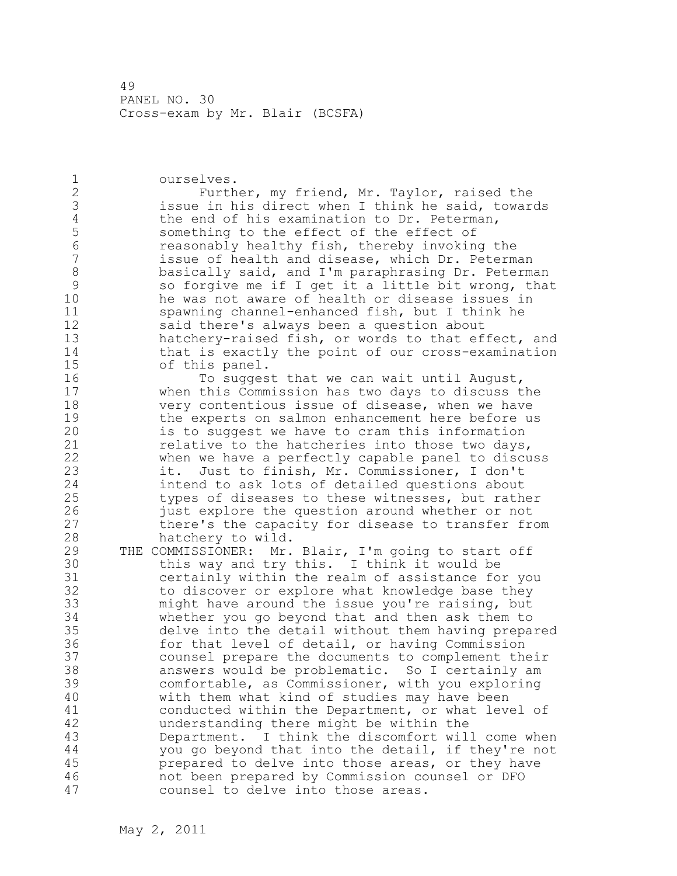1 ourselves. 2 Further, my friend, Mr. Taylor, raised the 3 issue in his direct when I think he said, towards<br>4 the end of his examination to Dr. Peterman, 4 the end of his examination to Dr. Peterman,<br>5 something to the effect of the effect of 5 something to the effect of the effect of<br>6 section the reasonably healthy fish, thereby invoking 6 reasonably healthy fish, thereby invoking the issue of health and disease, which Dr. Peterman 8 basically said, and I'm paraphrasing Dr. Peterman<br>9 so forgive me if I get it a little bit wrong, that 9 so forgive me if I get it a little bit wrong, that<br>10 be was not aware of health or disease issues in he was not aware of health or disease issues in 11 spawning channel-enhanced fish, but I think he 12 said there's always been a question about 13 hatchery-raised fish, or words to that effect, and 14 that is exactly the point of our cross-examination 15 of this panel. 16 To suggest that we can wait until August, 17 when this Commission has two days to discuss the 18 very contentious issue of disease, when we have 19 the experts on salmon enhancement here before us<br>20 is to suggest we have to cram this information is to suggest we have to cram this information 21 relative to the hatcheries into those two days, 22 when we have a perfectly capable panel to discuss 23 it. Just to finish, Mr. Commissioner, I don't 24 intend to ask lots of detailed questions about 25 types of diseases to these witnesses, but rather 26 iust explore the question around whether or not<br>27 there's the capacity for disease to transfer fr there's the capacity for disease to transfer from 28 hatchery to wild. 29 THE COMMISSIONER: Mr. Blair, I'm going to start off 30 this way and try this. I think it would be<br>31 certainly within the realm of assistance fo certainly within the realm of assistance for you 32 to discover or explore what knowledge base they 33 might have around the issue you're raising, but 34 whether you go beyond that and then ask them to 35 delve into the detail without them having prepared 36 for that level of detail, or having Commission 37 counsel prepare the documents to complement their 38 answers would be problematic. So I certainly am 39 comfortable, as Commissioner, with you exploring 40 with them what kind of studies may have been 41 conducted within the Department, or what level of<br>42 understanding there might be within the understanding there might be within the 43 Department. I think the discomfort will come when 44 you go beyond that into the detail, if they're not 45 prepared to delve into those areas, or they have 46 not been prepared by Commission counsel or DFO 47 counsel to delve into those areas.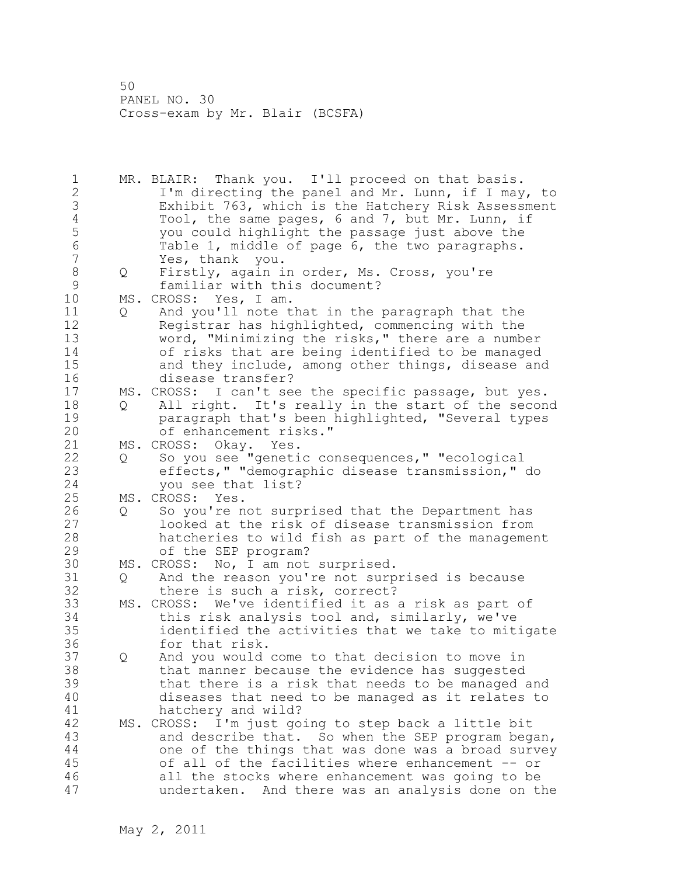1 MR. BLAIR: Thank you. I'll proceed on that basis. 2 I'm directing the panel and Mr. Lunn, if I may, to 3 Exhibit 763, which is the Hatchery Risk Assessment<br>4 Tool, the same pages, 6 and 7, but Mr. Lunn, if 4 Tool, the same pages, 6 and 7, but Mr. Lunn, if<br>5 you could highlight the passage just above the 5 you could highlight the passage just above the 6 Table 1, middle of page 6, the two paragraphs.<br>7 The Yes, thank you. 7 Yes, thank you. 8 Q Firstly, again in order, Ms. Cross, you're 9 familiar with this document?<br>10 MS. CROSS: Yes, I am. MS. CROSS: Yes, I am. 11 Q And you'll note that in the paragraph that the 12 Registrar has highlighted, commencing with the 13 word, "Minimizing the risks," there are a number 14 of risks that are being identified to be managed 15 and they include, among other things, disease and 16 disease transfer? 17 MS. CROSS: I can't see the specific passage, but yes. 18 Q All right. It's really in the start of the second 19 **paragraph that's been highlighted, "Several types**<br>20 of enhancement risks." of enhancement risks." 21 MS. CROSS: Okay. Yes. 22 Q So you see "genetic consequences," "ecological 23 effects," "demographic disease transmission," do 24 you see that list? 25 MS. CROSS: Yes. 26 Q So you're not surprised that the Department has<br>27 1ooked at the risk of disease transmission from looked at the risk of disease transmission from 28 hatcheries to wild fish as part of the management 29 of the SEP program? 30 MS. CROSS: No, I am not surprised.<br>31 0 And the reason you're not surp 31 Q And the reason you're not surprised is because there is such a risk, correct? 33 MS. CROSS: We've identified it as a risk as part of 34 this risk analysis tool and, similarly, we've 35 identified the activities that we take to mitigate 36 for that risk. 37 Q And you would come to that decision to move in 38 that manner because the evidence has suggested 39 that there is a risk that needs to be managed and 40 diseases that need to be managed as it relates to 41 hatchery and wild?<br>42 MS. CROSS: I'm just qo MS. CROSS: I'm just going to step back a little bit 43 and describe that. So when the SEP program began, 44 one of the things that was done was a broad survey 45 of all of the facilities where enhancement -- or 46 all the stocks where enhancement was going to be 47 undertaken. And there was an analysis done on the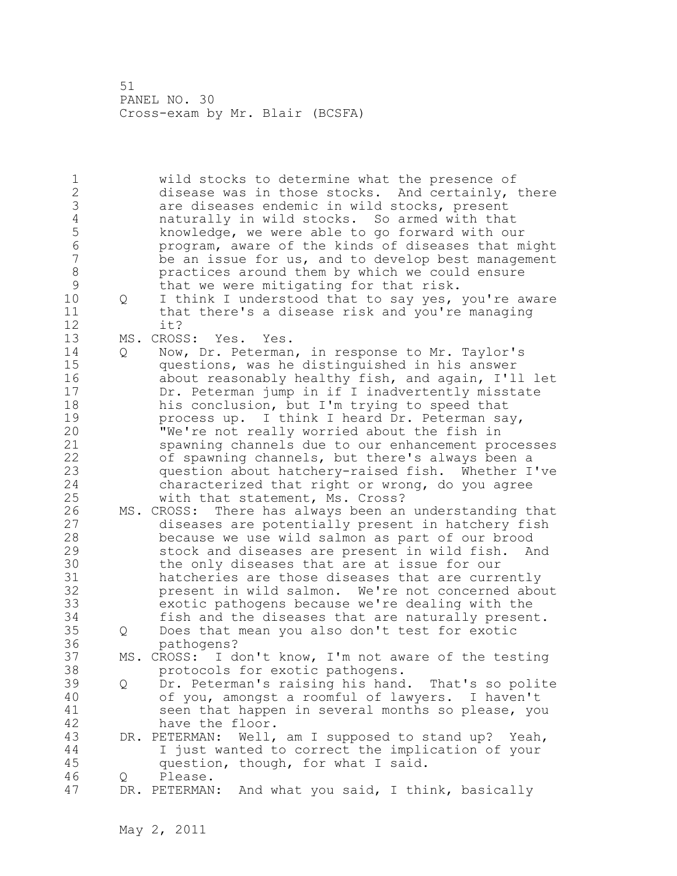1 wild stocks to determine what the presence of 2 disease was in those stocks. And certainly, there 3 are diseases endemic in wild stocks, present<br>4 and analy in wild stocks. So armed with that 4 maturally in wild stocks. So armed with that<br>5 knowledge, we were able to go forward with ou 5 knowledge, we were able to go forward with our<br>6 **being the standard of the kinds** of diseases that m 6 program, aware of the kinds of diseases that might be an issue for us, and to develop best management 8 practices around them by which we could ensure 9 that we were mitigating for that risk.<br>10 0 I think I understood that to sav ves. 10 Q I think I understood that to say yes, you're aware 11 that there's a disease risk and you're managing 12 it? 13 MS. CROSS: Yes. Yes. 14 Q Now, Dr. Peterman, in response to Mr. Taylor's 15 questions, was he distinguished in his answer 16 about reasonably healthy fish, and again, I'll let 17 Dr. Peterman jump in if I inadvertently misstate 18 his conclusion, but I'm trying to speed that 19 **process up.** I think I heard Dr. Peterman say,<br>20 **We're not really worried about the fish in** "We're not really worried about the fish in 21 spawning channels due to our enhancement processes 22 of spawning channels, but there's always been a 23 question about hatchery-raised fish. Whether I've 24 characterized that right or wrong, do you agree 25 with that statement, Ms. Cross? 26 MS. CROSS: There has always been an understanding that<br>27 diseases are potentially present in hatchery fish diseases are potentially present in hatchery fish 28 because we use wild salmon as part of our brood 29 stock and diseases are present in wild fish. And 30 the only diseases that are at issue for our<br>31 hatcheries are those diseases that are curre 31 hatcheries are those diseases that are currently<br>32 http://wild.salmon. We're not concerned abor present in wild salmon. We're not concerned about 33 exotic pathogens because we're dealing with the 34 fish and the diseases that are naturally present. 35 Q Does that mean you also don't test for exotic 36 pathogens? 37 MS. CROSS: I don't know, I'm not aware of the testing 38 protocols for exotic pathogens. 39 Q Dr. Peterman's raising his hand. That's so polite 40 of you, amongst a roomful of lawyers. I haven't 41 seen that happen in several months so please, you<br>42 have the floor. have the floor. 43 DR. PETERMAN: Well, am I supposed to stand up? Yeah, 44 I just wanted to correct the implication of your 45 question, though, for what I said. 46 Q Please. 47 DR. PETERMAN: And what you said, I think, basically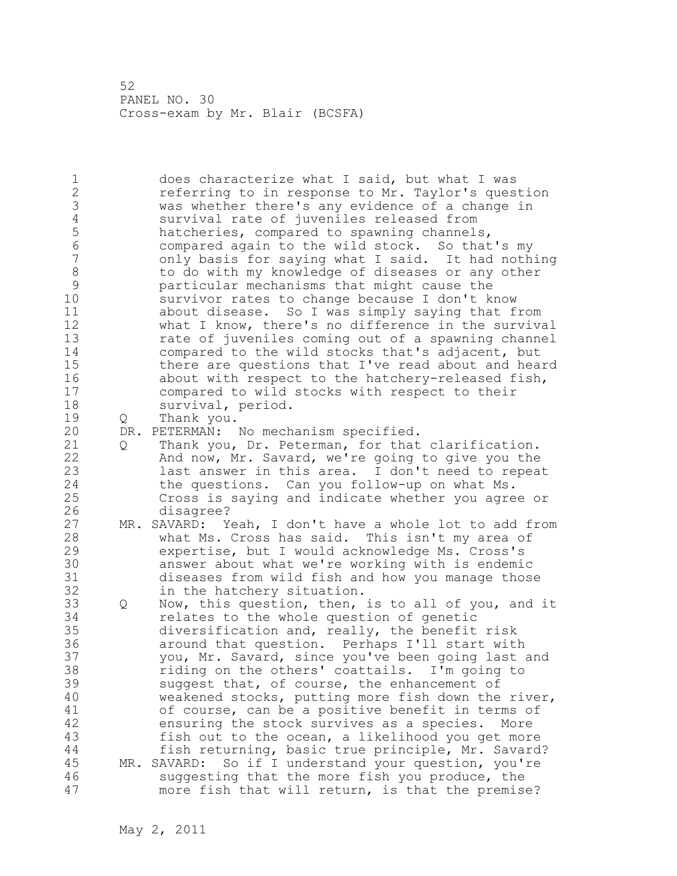1 does characterize what I said, but what I was 2 referring to in response to Mr. Taylor's question 3 was whether there's any evidence of a change in 4 survival rate of juveniles released from<br>5 hatcheries, compared to spawning channel 5 hatcheries, compared to spawning channels,<br>6 6 compared again to the wild stock. So that 6 compared again to the wild stock. So that's my only basis for saying what I said. It had nothing 8 to do with my knowledge of diseases or any other<br>9 senticular mechanisms that might cause the 9 **particular mechanisms that might cause the**<br>10 **buryiver rates to change because I don't k** survivor rates to change because I don't know 11 about disease. So I was simply saying that from 12 what I know, there's no difference in the survival 13 rate of juveniles coming out of a spawning channel 14 compared to the wild stocks that's adjacent, but 15 there are questions that I've read about and heard 16 about with respect to the hatchery-released fish, 17 compared to wild stocks with respect to their 18 survival, period. 19 Q Thank you.<br>20 DR. PETERMAN: DR. PETERMAN: No mechanism specified. 21 Q Thank you, Dr. Peterman, for that clarification. 22 And now, Mr. Savard, we're going to give you the 23 last answer in this area. I don't need to repeat 24 the questions. Can you follow-up on what Ms. 25 Cross is saying and indicate whether you agree or 26 disagree?<br>27 MR. SAVARD: Y MR. SAVARD: Yeah, I don't have a whole lot to add from 28 what Ms. Cross has said. This isn't my area of 29 expertise, but I would acknowledge Ms. Cross's 30 answer about what we're working with is endemic diseases from wild fish and how you manage those 32 in the hatchery situation. 33 Q Now, this question, then, is to all of you, and it 34 relates to the whole question of genetic 35 diversification and, really, the benefit risk 36 around that question. Perhaps I'll start with 37 you, Mr. Savard, since you've been going last and 38 riding on the others' coattails. I'm going to 39 suggest that, of course, the enhancement of 40 weakened stocks, putting more fish down the river, 41 of course, can be a positive benefit in terms of<br>42 ensuring the stock survives as a species. More ensuring the stock survives as a species. More 43 fish out to the ocean, a likelihood you get more 44 fish returning, basic true principle, Mr. Savard? 45 MR. SAVARD: So if I understand your question, you're 46 suggesting that the more fish you produce, the 47 more fish that will return, is that the premise?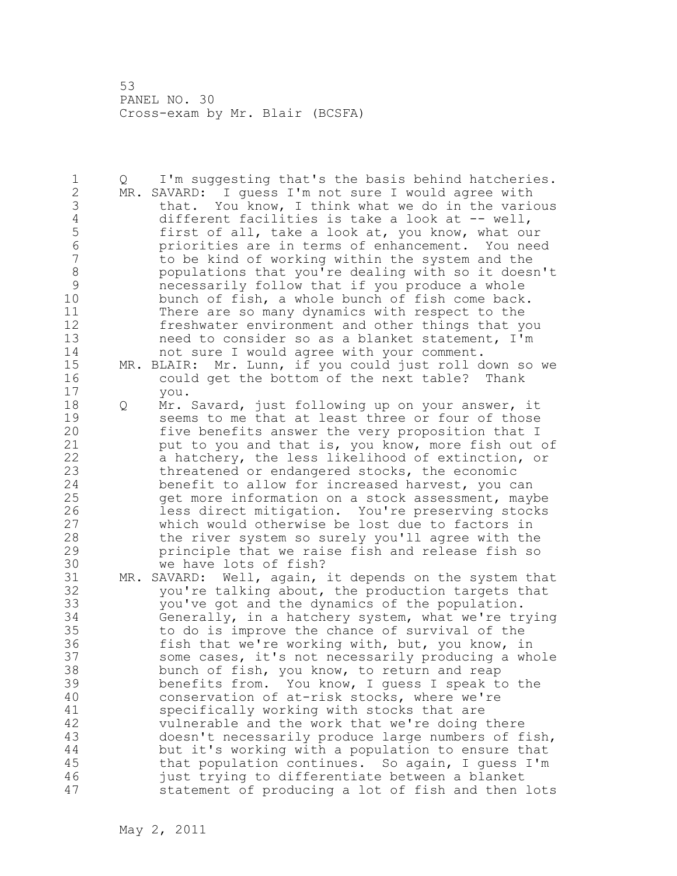1 Q I'm suggesting that's the basis behind hatcheries. 2 MR. SAVARD: I guess I'm not sure I would agree with 3 that. You know, I think what we do in the various<br>4 different facilities is take a look at -- well, 4 different facilities is take a look at -- well,<br>5 first of all, take a look at, you know, what ou 5 first of all, take a look at, you know, what our<br>6 briorities are in terms of enhancement. You nee 6 priorities are in terms of enhancement. You need to be kind of working within the system and the 8 populations that you're dealing with so it doesn't<br>9 mecessarily follow that if you produce a whole 9 mecessarily follow that if you produce a whole<br>10 bunch of fish, a whole bunch of fish come back bunch of fish, a whole bunch of fish come back. 11 There are so many dynamics with respect to the 12 freshwater environment and other things that you 13 need to consider so as a blanket statement, I'm 14 not sure I would agree with your comment. 15 MR. BLAIR: Mr. Lunn, if you could just roll down so we 16 could get the bottom of the next table? Thank 17 you. 18 Q Mr. Savard, just following up on your answer, it 19 seems to me that at least three or four of those<br>20 five benefits answer the very proposition that I five benefits answer the very proposition that I 21 put to you and that is, you know, more fish out of 22 a hatchery, the less likelihood of extinction, or 23 threatened or endangered stocks, the economic 24 benefit to allow for increased harvest, you can 25 get more information on a stock assessment, maybe 26 less direct mitigation. You're preserving stocks<br>27 which would otherwise be lost due to factors in which would otherwise be lost due to factors in 28 the river system so surely you'll agree with the 29 principle that we raise fish and release fish so 30 we have lots of fish?<br>31 MR. SAVARD: Well, again, MR. SAVARD: Well, again, it depends on the system that 32 you're talking about, the production targets that 33 you've got and the dynamics of the population. 34 Generally, in a hatchery system, what we're trying 35 to do is improve the chance of survival of the 36 fish that we're working with, but, you know, in 37 some cases, it's not necessarily producing a whole 38 bunch of fish, you know, to return and reap 39 benefits from. You know, I guess I speak to the 40 conservation of at-risk stocks, where we're 41 specifically working with stocks that are<br>42 vulnerable and the work that we're doing vulnerable and the work that we're doing there 43 doesn't necessarily produce large numbers of fish, 44 but it's working with a population to ensure that 45 that population continues. So again, I guess I'm 46 just trying to differentiate between a blanket 47 statement of producing a lot of fish and then lots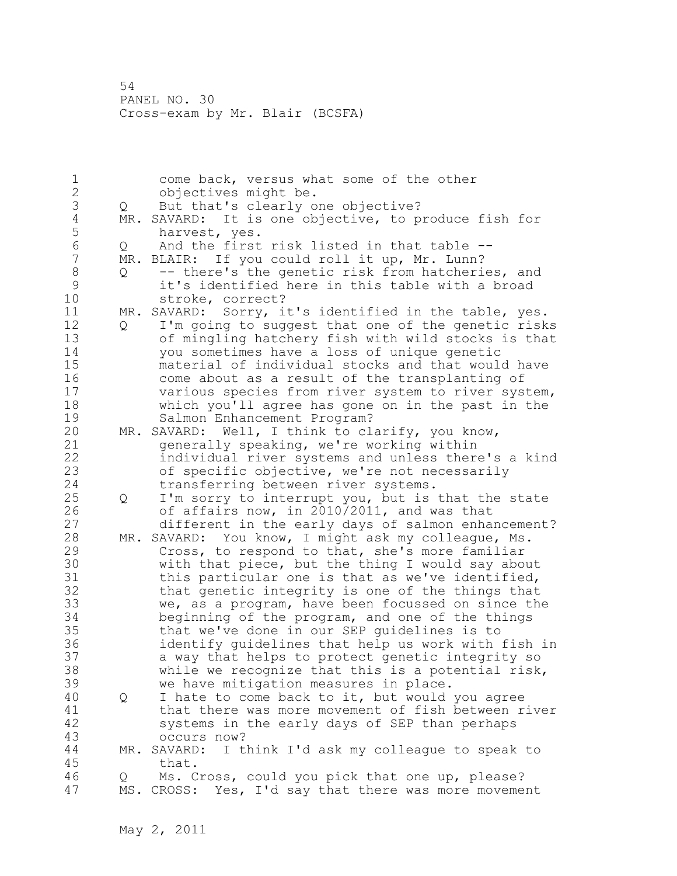1 come back, versus what some of the other 2 objectives might be. 3 Q But that's clearly one objective?<br>4 MR. SAVARD: It is one objective, to p 4 MR. SAVARD: It is one objective, to produce fish for<br>5 harvest, yes. 5 harvest, yes.<br>6 0 And the first 6 Q And the first risk listed in that table --<br>7 MR. BLAIR: If you could roll it up. Mr. Lunn? MR. BLAIR: If you could roll it up, Mr. Lunn? 8 Q -- there's the genetic risk from hatcheries, and<br>9 it's identified here in this table with a broad 9 it's identified here in this table with a broad stroke, correct? 11 MR. SAVARD: Sorry, it's identified in the table, yes. 12 Q I'm going to suggest that one of the genetic risks 13 of mingling hatchery fish with wild stocks is that 14 you sometimes have a loss of unique genetic 15 material of individual stocks and that would have 16 come about as a result of the transplanting of 17 various species from river system to river system, 18 which you'll agree has gone on in the past in the 19 Salmon Enhancement Program?<br>20 MR. SAVARD: Well, I think to cl MR. SAVARD: Well, I think to clarify, you know, 21 generally speaking, we're working within 22 individual river systems and unless there's a kind 23 of specific objective, we're not necessarily 24 transferring between river systems. 25 Q I'm sorry to interrupt you, but is that the state 26 of affairs now, in 2010/2011, and was that<br>27 different in the early days of salmon enham different in the early days of salmon enhancement? 28 MR. SAVARD: You know, I might ask my colleague, Ms. 29 Cross, to respond to that, she's more familiar 30 with that piece, but the thing I would say about<br>31 this particular one is that as we've identified, this particular one is that as we've identified, 32 that genetic integrity is one of the things that 33 we, as a program, have been focussed on since the 34 beginning of the program, and one of the things 35 that we've done in our SEP guidelines is to 36 identify guidelines that help us work with fish in 37 a way that helps to protect genetic integrity so 38 while we recognize that this is a potential risk, 39 we have mitigation measures in place. 40 Q I hate to come back to it, but would you agree 41 that there was more movement of fish between river<br>42 systems in the early days of SEP than perhaps systems in the early days of SEP than perhaps 43 occurs now? 44 MR. SAVARD: I think I'd ask my colleague to speak to 45 that. 46 Q Ms. Cross, could you pick that one up, please? 47 MS. CROSS: Yes, I'd say that there was more movement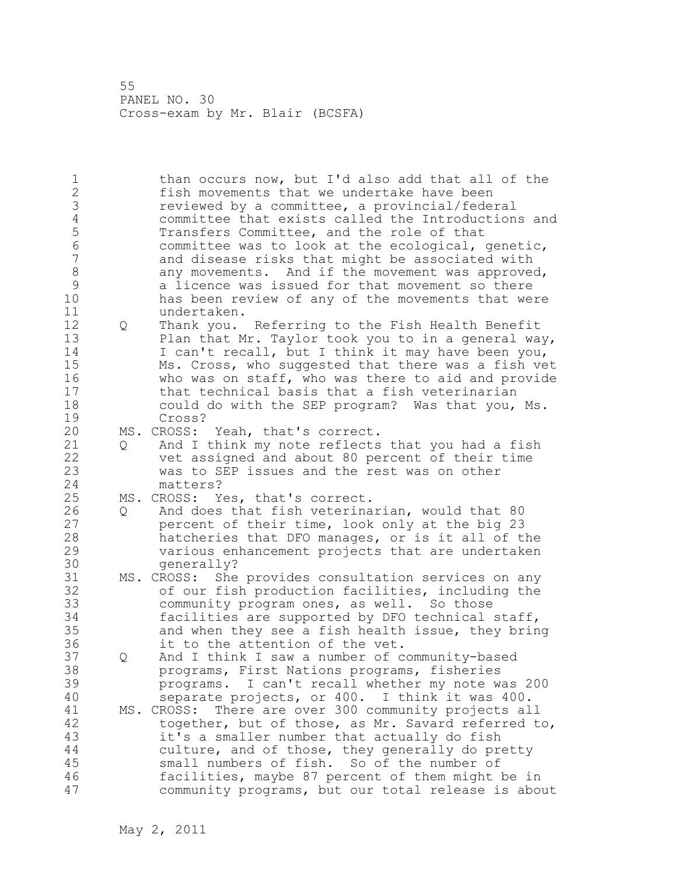1 than occurs now, but I'd also add that all of the 2 fish movements that we undertake have been 3 reviewed by a committee, a provincial/federal 4 committee that exists called the Introductions and<br>5 Transfers Committee, and the role of that 5 Transfers Committee, and the role of that<br>6 Committee was to look at the ecological, 6 committee was to look at the ecological, genetic, and disease risks that might be associated with 8 any movements. And if the movement was approved,<br>9 a licence was issued for that movement so there 9 a licence was issued for that movement so there<br>10 has been review of any of the movements that we has been review of any of the movements that were 11 undertaken. 12 Q Thank you. Referring to the Fish Health Benefit 13 Plan that Mr. Taylor took you to in a general way, 14 I can't recall, but I think it may have been you, 15 Ms. Cross, who suggested that there was a fish vet 16 who was on staff, who was there to aid and provide 17 that technical basis that a fish veterinarian 18 could do with the SEP program? Was that you, Ms. 19 Cross?<br>20 MS. CROSS: MS. CROSS: Yeah, that's correct. 21 Q And I think my note reflects that you had a fish 22 vet assigned and about 80 percent of their time 23 was to SEP issues and the rest was on other 24 matters? 25 MS. CROSS: Yes, that's correct. 26 Q And does that fish veterinarian, would that 80<br>27 bercent of their time, look only at the big 23 percent of their time, look only at the big 23 28 hatcheries that DFO manages, or is it all of the 29 various enhancement projects that are undertaken 30 generally?<br>31 MS. CROSS: She MS. CROSS: She provides consultation services on any 32 of our fish production facilities, including the 33 community program ones, as well. So those 34 facilities are supported by DFO technical staff, 35 and when they see a fish health issue, they bring 36 it to the attention of the vet. 37 Q And I think I saw a number of community-based 38 programs, First Nations programs, fisheries 39 programs. I can't recall whether my note was 200 40 separate projects, or 400. I think it was 400. 41 MS. CROSS: There are over 300 community projects all<br>42 together, but of those, as Mr. Savard referred t together, but of those, as Mr. Savard referred to, 43 it's a smaller number that actually do fish 44 culture, and of those, they generally do pretty 45 small numbers of fish. So of the number of 46 facilities, maybe 87 percent of them might be in 47 community programs, but our total release is about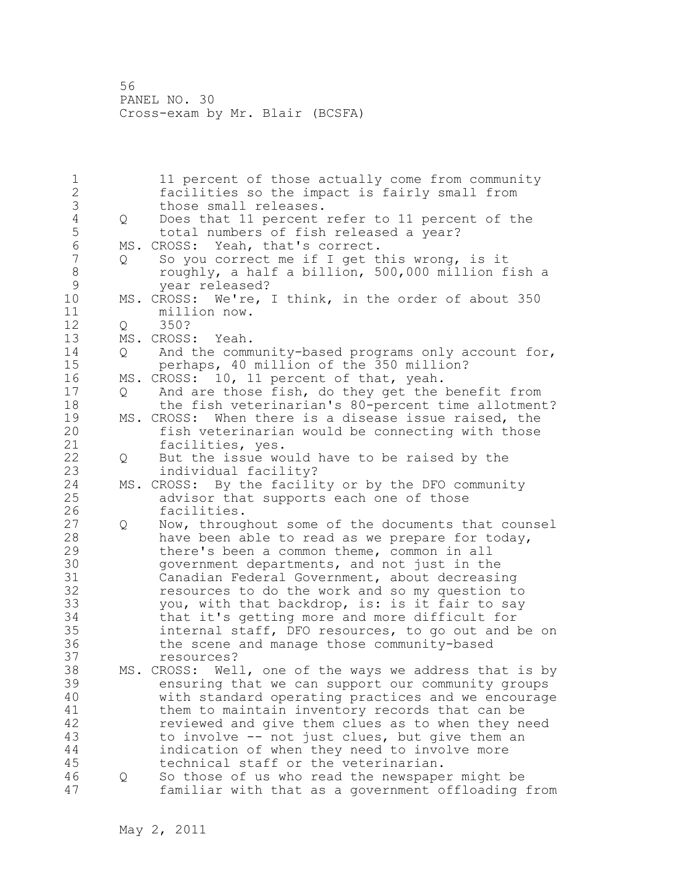1 11 percent of those actually come from community 2 facilities so the impact is fairly small from 3 those small releases.<br>4 Q Does that 11 percent 4 Q Does that 11 percent refer to 11 percent of the<br>5 total numbers of fish released a year? 5 total numbers of fish released a year?<br>6 MS. CROSS: Yeah, that's correct. 6 MS. CROSS: Yeah, that's correct. So you correct me if I get this wrong, is it 8 roughly, a half a billion, 500,000 million fish a<br>9 vear released? 9 year released?<br>10 MS. CROSS: We're, MS. CROSS: We're, I think, in the order of about 350 11 million now. 12 Q 350? 13 MS. CROSS: Yeah. 14 Q And the community-based programs only account for, 15 perhaps, 40 million of the 350 million?<br>16 MS. CROSS: 10, 11 percent of that, yeah. 16 MS. CROSS: 10, 11 percent of that, yeah.<br>17 0 And are those fish, do they get the 17 Q And are those fish, do they get the benefit from 18 the fish veterinarian's 80-percent time allotment? 19 MS. CROSS: When there is a disease issue raised, the<br>20 fish veterinarian would be connecting with those fish veterinarian would be connecting with those 21 facilities, yes. 22 Q But the issue would have to be raised by the 23 individual facility? 24 MS. CROSS: By the facility or by the DFO community 25 advisor that supports each one of those 26 facilities.<br>27 O Now, throug 27 Q Now, throughout some of the documents that counsel 28 have been able to read as we prepare for today, 29 there's been a common theme, common in all 30 government departments, and not just in the 31 Canadian Federal Government, about decreasing<br>32 mesources to do the work and so my question t resources to do the work and so my question to 33 you, with that backdrop, is: is it fair to say 34 that it's getting more and more difficult for 35 internal staff, DFO resources, to go out and be on 36 the scene and manage those community-based 37 resources? 38 MS. CROSS: Well, one of the ways we address that is by 39 ensuring that we can support our community groups 40 with standard operating practices and we encourage 41 them to maintain inventory records that can be<br>42 feviewed and give them clues as to when they no reviewed and give them clues as to when they need 43 to involve -- not just clues, but give them an 44 indication of when they need to involve more 45 technical staff or the veterinarian. 46 Q So those of us who read the newspaper might be 47 familiar with that as a government offloading from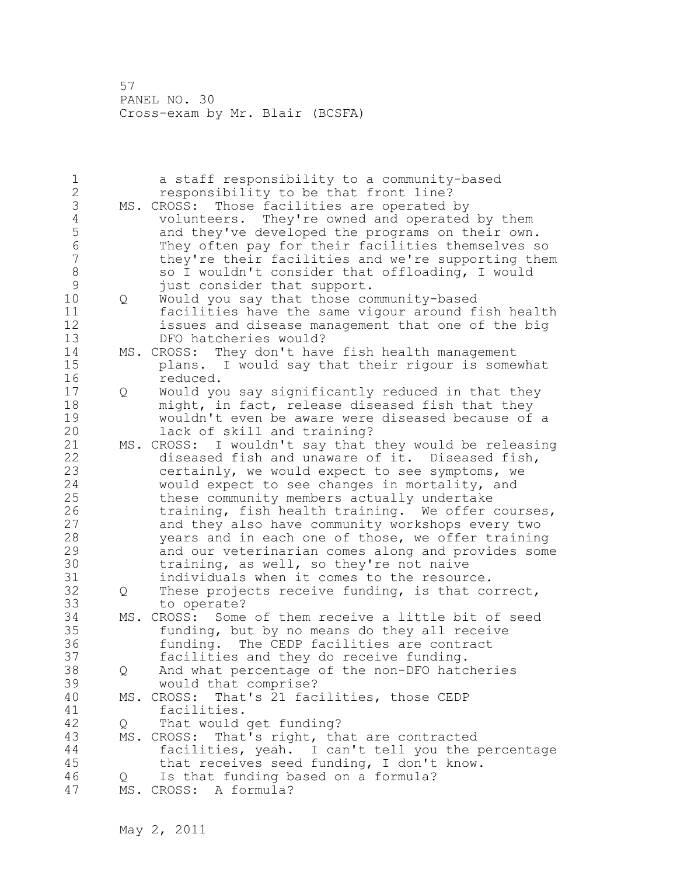| 1<br>$\overline{2}$<br>3<br>$\sqrt{4}$<br>5<br>$\overline{6}$<br>$\overline{7}$<br>$\,8\,$<br>9 |     | a staff responsibility to a community-based<br>responsibility to be that front line?<br>MS. CROSS: Those facilities are operated by<br>volunteers. They're owned and operated by them<br>and they've developed the programs on their own.<br>They often pay for their facilities themselves so<br>they're their facilities and we're supporting them<br>so I wouldn't consider that offloading, I would<br>just consider that support.                                                                                                                                  |
|-------------------------------------------------------------------------------------------------|-----|-------------------------------------------------------------------------------------------------------------------------------------------------------------------------------------------------------------------------------------------------------------------------------------------------------------------------------------------------------------------------------------------------------------------------------------------------------------------------------------------------------------------------------------------------------------------------|
| 10<br>11<br>12<br>13                                                                            | Q   | Would you say that those community-based<br>facilities have the same vigour around fish health<br>issues and disease management that one of the big<br>DFO hatcheries would?                                                                                                                                                                                                                                                                                                                                                                                            |
| 14<br>15<br>16                                                                                  |     | MS. CROSS: They don't have fish health management<br>plans. I would say that their rigour is somewhat<br>reduced.                                                                                                                                                                                                                                                                                                                                                                                                                                                       |
| 17<br>18<br>19<br>20                                                                            | Q   | Would you say significantly reduced in that they<br>might, in fact, release diseased fish that they<br>wouldn't even be aware were diseased because of a<br>lack of skill and training?                                                                                                                                                                                                                                                                                                                                                                                 |
| 21<br>22<br>23<br>24<br>25<br>26<br>27<br>28<br>29<br>30<br>31                                  |     | MS. CROSS: I wouldn't say that they would be releasing<br>diseased fish and unaware of it. Diseased fish,<br>certainly, we would expect to see symptoms, we<br>would expect to see changes in mortality, and<br>these community members actually undertake<br>training, fish health training. We offer courses,<br>and they also have community workshops every two<br>years and in each one of those, we offer training<br>and our veterinarian comes along and provides some<br>training, as well, so they're not naive<br>individuals when it comes to the resource. |
| 32<br>33                                                                                        | Q   | These projects receive funding, is that correct,<br>to operate?                                                                                                                                                                                                                                                                                                                                                                                                                                                                                                         |
| 34<br>35<br>36<br>37                                                                            | MS. | CROSS: Some of them receive a little bit of seed<br>funding, but by no means do they all receive<br>funding. The CEDP facilities are contract<br>facilities and they do receive funding.                                                                                                                                                                                                                                                                                                                                                                                |
| 38<br>39                                                                                        | Q   | And what percentage of the non-DFO hatcheries<br>would that comprise?                                                                                                                                                                                                                                                                                                                                                                                                                                                                                                   |
| 40<br>41                                                                                        |     | That's 21 facilities, those CEDP<br>MS. CROSS:<br>facilities.                                                                                                                                                                                                                                                                                                                                                                                                                                                                                                           |
| 42<br>43<br>44<br>45                                                                            | Q   | That would get funding?<br>MS. CROSS:<br>That's right, that are contracted<br>facilities, yeah. I can't tell you the percentage<br>that receives seed funding, I don't know.                                                                                                                                                                                                                                                                                                                                                                                            |
| 46<br>47                                                                                        | Q   | Is that funding based on a formula?<br>MS. CROSS: A formula?                                                                                                                                                                                                                                                                                                                                                                                                                                                                                                            |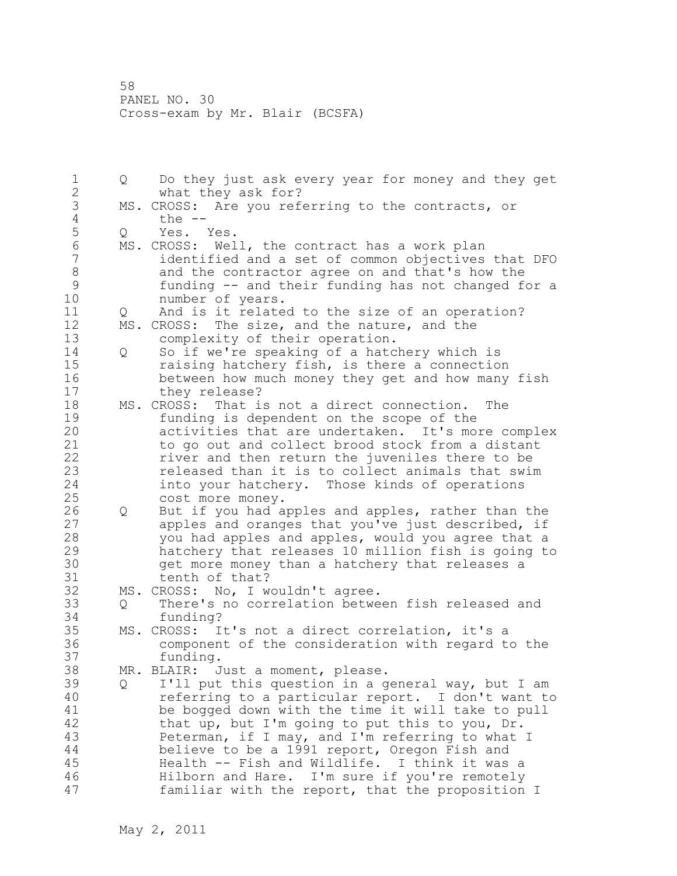1 Q Do they just ask every year for money and they get 2 what they ask for? 3 MS. CROSS: Are you referring to the contracts, or 4 the --<br>5 Q Yes. 5 Q Yes. Yes.<br>6 MS.CROSS: Wel 6 MS. CROSS: Well, the contract has a work plan identified and a set of common objectives that DFO 8 and the contractor agree on and that's how the 9 funding -- and their funding has not changed for a number of years. 11 Q And is it related to the size of an operation? 12 MS. CROSS: The size, and the nature, and the 13 complexity of their operation. 14 Q So if we're speaking of a hatchery which is 15 raising hatchery fish, is there a connection 16 between how much money they get and how many fish 17 they release? 18 MS. CROSS: That is not a direct connection. The 19 funding is dependent on the scope of the<br>20 activities that are undertaken. It's mo: activities that are undertaken. It's more complex 21 to go out and collect brood stock from a distant 22 river and then return the juveniles there to be 23 released than it is to collect animals that swim 24 into your hatchery. Those kinds of operations 25 cost more money. 26 Q But if you had apples and apples, rather than the<br>27 apples and oranges that you've just described, if apples and oranges that you've just described, if 28 you had apples and apples, would you agree that a 29 hatchery that releases 10 million fish is going to 30 get more money than a hatchery that releases a tenth of that? 32 MS. CROSS: No, I wouldn't agree. 33 Q There's no correlation between fish released and 34 funding? 35 MS. CROSS: It's not a direct correlation, it's a 36 component of the consideration with regard to the 37 funding. 38 MR. BLAIR: Just a moment, please. 39 Q I'll put this question in a general way, but I am 40 referring to a particular report. I don't want to 41 be bogged down with the time it will take to pull 42 that up, but I'm going to put this to you, Dr. 43 Peterman, if I may, and I'm referring to what I 44 believe to be a 1991 report, Oregon Fish and 45 Health -- Fish and Wildlife. I think it was a 46 Hilborn and Hare. I'm sure if you're remotely 47 familiar with the report, that the proposition I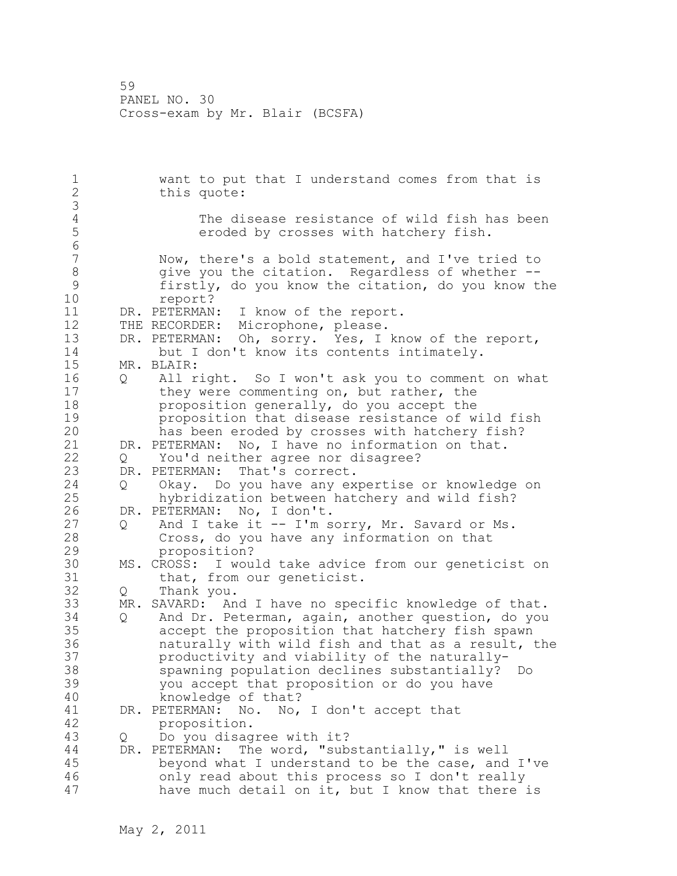1 want to put that I understand comes from that is 2 this quote: 3 4 The disease resistance of wild fish has been<br>5 eroded by crosses with hatchery fish. eroded by crosses with hatchery fish. 6 Now, there's a bold statement, and I've tried to 8 give you the citation. Regardless of whether --<br>9 firstly, do you know the citation, do you know the 9 firstly, do you know the citation, do you know the report? 11 DR. PETERMAN: I know of the report. 12 THE RECORDER: Microphone, please. 13 DR. PETERMAN: Oh, sorry. Yes, I know of the report, 14 but I don't know its contents intimately. 15 MR. BLAIR: 16 Q All right. So I won't ask you to comment on what 17 they were commenting on, but rather, the 18 proposition generally, do you accept the 19 19 proposition that disease resistance of wild fish<br>20 1 bas been eroded by crosses with hatchery fish? has been eroded by crosses with hatchery fish? 21 DR. PETERMAN: No, I have no information on that. 22 Q You'd neither agree nor disagree? 23 DR. PETERMAN: That's correct.<br>24 0 Okay. Do you have any ex 24 Q Okay. Do you have any expertise or knowledge on 25 hybridization between hatchery and wild fish? 26 DR. PETERMAN: No, I don't.<br>27 0 And I take it -- I'm s 27 Q And I take it -- I'm sorry, Mr. Savard or Ms.<br>28 Cross, do you have any information on that Cross, do you have any information on that 29 proposition? 30 MS. CROSS: I would take advice from our geneticist on 31 that, from our geneticist.<br>32 0 Thank you. Q Thank you. 33 MR. SAVARD: And I have no specific knowledge of that. 34 Q And Dr. Peterman, again, another question, do you 35 accept the proposition that hatchery fish spawn 36 naturally with wild fish and that as a result, the 37 productivity and viability of the naturally-38 spawning population declines substantially? Do 39 you accept that proposition or do you have 40 knowledge of that? 41 DR. PETERMAN: No. No, I don't accept that<br>42 **proposition**. proposition. 43 Q Do you disagree with it? 44 DR. PETERMAN: The word, "substantially," is well 45 beyond what I understand to be the case, and I've 46 only read about this process so I don't really 47 have much detail on it, but I know that there is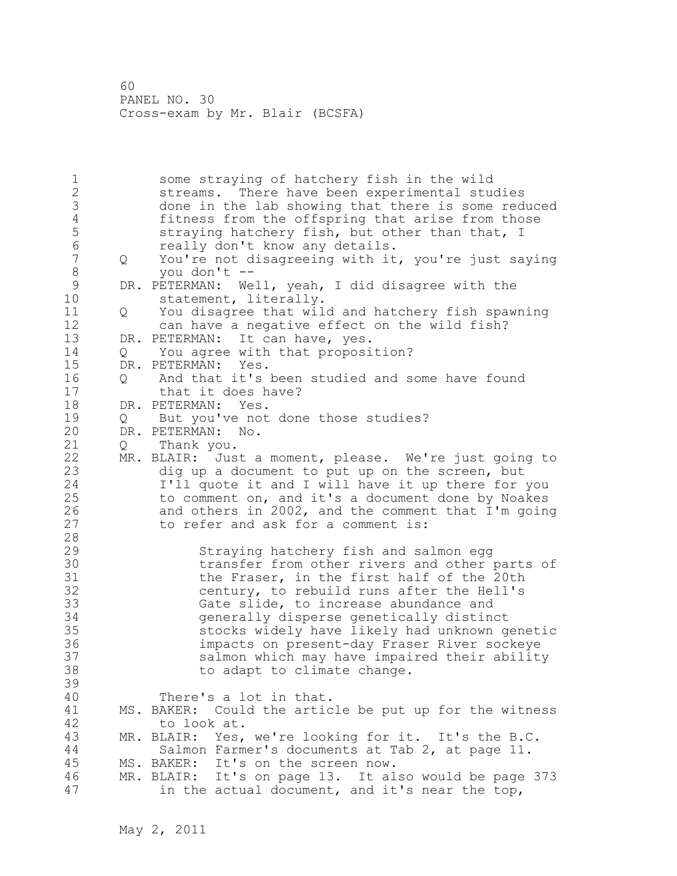1 some straying of hatchery fish in the wild 2 streams. There have been experimental studies 3 done in the lab showing that there is some reduced<br>4 fitness from the offspring that arise from those 4 fitness from the offspring that arise from those<br>5 straying hatchery fish, but other than that, I 5 straying hatchery fish, but other than that, I<br>6 straily don't know any details. 6 composity don't know any details.<br>7 0 You're not disagreeing with it? Q You're not disagreeing with it, you're just saying 8 you don't -- 9 DR. PETERMAN: Well, yeah, I did disagree with the<br>10 statement, literally. statement, literally. 11 Q You disagree that wild and hatchery fish spawning 12 can have a negative effect on the wild fish? 13 DR. PETERMAN: It can have, yes. 14 Q You agree with that proposition? 15 DR. PETERMAN: Yes. 16 Q And that it's been studied and some have found 17 that it does have? 18 DR. PETERMAN: Yes. 19 Q But you've not done those studies?<br>20 DR. PETERMAN: No. DR. PETERMAN: No. 21 Q Thank you. 22 MR. BLAIR: Just a moment, please. We're just going to 23 dig up a document to put up on the screen, but 24 I'll quote it and I will have it up there for you 25 to comment on, and it's a document done by Noakes 26 and others in 2002, and the comment that I'm going<br>27 to refer and ask for a comment is: to refer and ask for a comment is: 28 29 Straying hatchery fish and salmon egg 30 transfer from other rivers and other parts of<br>31 the Fraser, in the first half of the 20th 31 the Fraser, in the first half of the 20th<br>32 century, to rebuild runs after the Hell's century, to rebuild runs after the Hell's 33 Gate slide, to increase abundance and 34 generally disperse genetically distinct 35 stocks widely have likely had unknown genetic 36 impacts on present-day Fraser River sockeye 37 salmon which may have impaired their ability 38 to adapt to climate change. 39 40 There's a lot in that. 41 MS. BAKER: Could the article be put up for the witness<br>42 to look at. to look at. 43 MR. BLAIR: Yes, we're looking for it. It's the B.C. 44 Salmon Farmer's documents at Tab 2, at page 11. 45 MS. BAKER: It's on the screen now. 46 MR. BLAIR: It's on page 13. It also would be page 373 47 in the actual document, and it's near the top,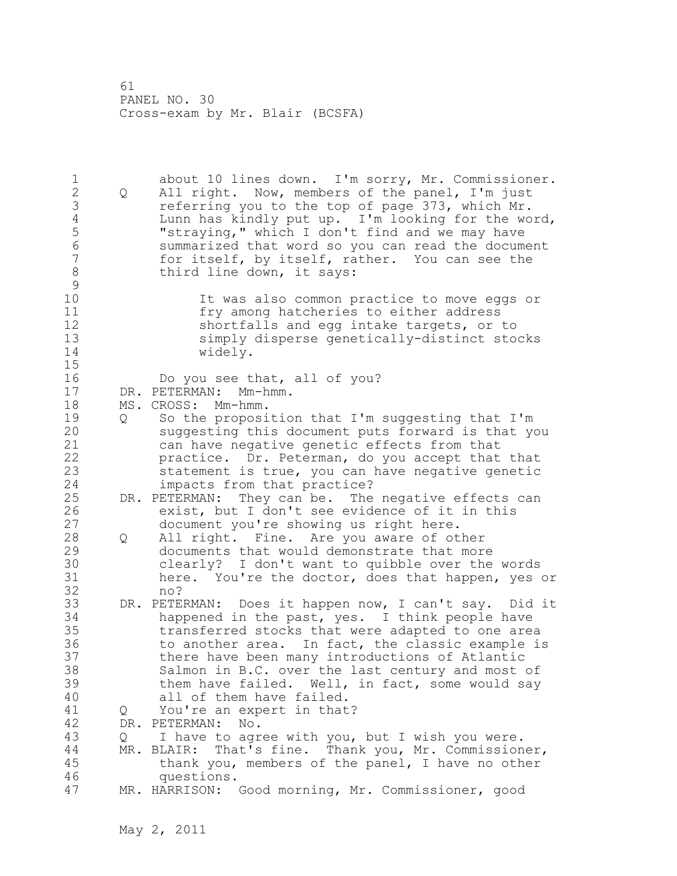1 about 10 lines down. I'm sorry, Mr. Commissioner. 2 Q All right. Now, members of the panel, I'm just 3 referring you to the top of page 373, which Mr.<br>4 Lunn has kindly put up. I'm looking for the wo 4 Lunn has kindly put up. I'm looking for the word,<br>5 "straying," which I don't find and we may have 5 "straying," which I don't find and we may have<br>6 summarized that word so vou can read the docum 6 summarized that word so you can read the document for itself, by itself, rather. You can see the 8 third line down, it says:  $\begin{array}{c} 9 \\ 10 \end{array}$ It was also common practice to move eggs or 11 fry among hatcheries to either address 12 shortfalls and egg intake targets, or to 13 simply disperse genetically-distinct stocks 14 widely. 15 16 Do you see that, all of you? 17 DR. PETERMAN: Mm-hmm. 18 MS. CROSS: Mm-hmm. 19 Q So the proposition that I'm suggesting that I'm<br>20 suggesting this document puts forward is that you suggesting this document puts forward is that you 21 can have negative genetic effects from that 22 practice. Dr. Peterman, do you accept that that 23 statement is true, you can have negative genetic 24 impacts from that practice? 25 DR. PETERMAN: They can be. The negative effects can 26 exist, but I don't see evidence of it in this<br>27 document you're showing us right here. document you're showing us right here. 28 Q All right. Fine. Are you aware of other 29 documents that would demonstrate that more 30 clearly? I don't want to quibble over the words<br>31 here. You're the doctor, does that happen, yes 31 here. You're the doctor, does that happen, yes or no? 33 DR. PETERMAN: Does it happen now, I can't say. Did it 34 happened in the past, yes. I think people have 35 transferred stocks that were adapted to one area 36 to another area. In fact, the classic example is 37 there have been many introductions of Atlantic 38 Salmon in B.C. over the last century and most of 39 them have failed. Well, in fact, some would say 40 all of them have failed. 41 Q You're an expert in that?<br>42 DR. PETERMAN: No. DR. PETERMAN: No. 43 Q I have to agree with you, but I wish you were. 44 MR. BLAIR: That's fine. Thank you, Mr. Commissioner, 45 thank you, members of the panel, I have no other 46 questions. 47 MR. HARRISON: Good morning, Mr. Commissioner, good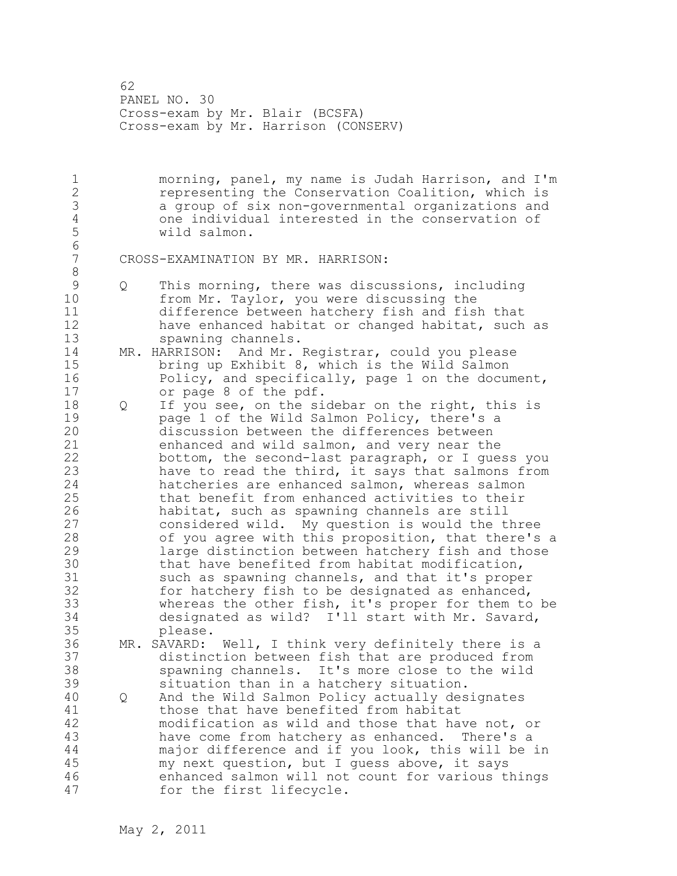62 PANEL NO. 30 Cross-exam by Mr. Blair (BCSFA) Cross-exam by Mr. Harrison (CONSERV)

1 morning, panel, my name is Judah Harrison, and I'm 2 representing the Conservation Coalition, which is 3 a group of six non-governmental organizations and 4 one individual interested in the conservation of wild salmon. 6<br>7 CROSS-EXAMINATION BY MR. HARRISON: 8 9 Q This morning, there was discussions, including<br>10 from Mr. Tavlor, you were discussing the from Mr. Taylor, you were discussing the 11 difference between hatchery fish and fish that 12 have enhanced habitat or changed habitat, such as 13 spawning channels. 14 MR. HARRISON: And Mr. Registrar, could you please 15 bring up Exhibit 8, which is the Wild Salmon 16 Policy, and specifically, page 1 on the document, 17 or page 8 of the pdf. 18 Q If you see, on the sidebar on the right, this is 19 19 page 1 of the Wild Salmon Policy, there's a<br>20 discussion between the differences between discussion between the differences between 21 enhanced and wild salmon, and very near the 22 bottom, the second-last paragraph, or I guess you 23 have to read the third, it says that salmons from 23 have be low the theory of the whereas salmon<br>24 hatcheries are enhanced salmon, whereas salmon 25 that benefit from enhanced activities to their 26 habitat, such as spawning channels are still<br>27 considered wild. My question is would the t considered wild. My question is would the three 28 of you agree with this proposition, that there's a 29 large distinction between hatchery fish and those 30 that have benefited from habitat modification,<br>31 such as spawning channels, and that it's prope such as spawning channels, and that it's proper 32 for hatchery fish to be designated as enhanced, 33 whereas the other fish, it's proper for them to be 34 designated as wild? I'll start with Mr. Savard, 35 please. 36 MR. SAVARD: Well, I think very definitely there is a 37 distinction between fish that are produced from 38 spawning channels. It's more close to the wild 39 situation than in a hatchery situation. 40 Q And the Wild Salmon Policy actually designates 41 those that have benefited from habitat<br>42 modification as wild and those that ha modification as wild and those that have not, or

43 have come from hatchery as enhanced. There's a 44 major difference and if you look, this will be in 45 my next question, but I guess above, it says 46 enhanced salmon will not count for various things 47 for the first lifecycle.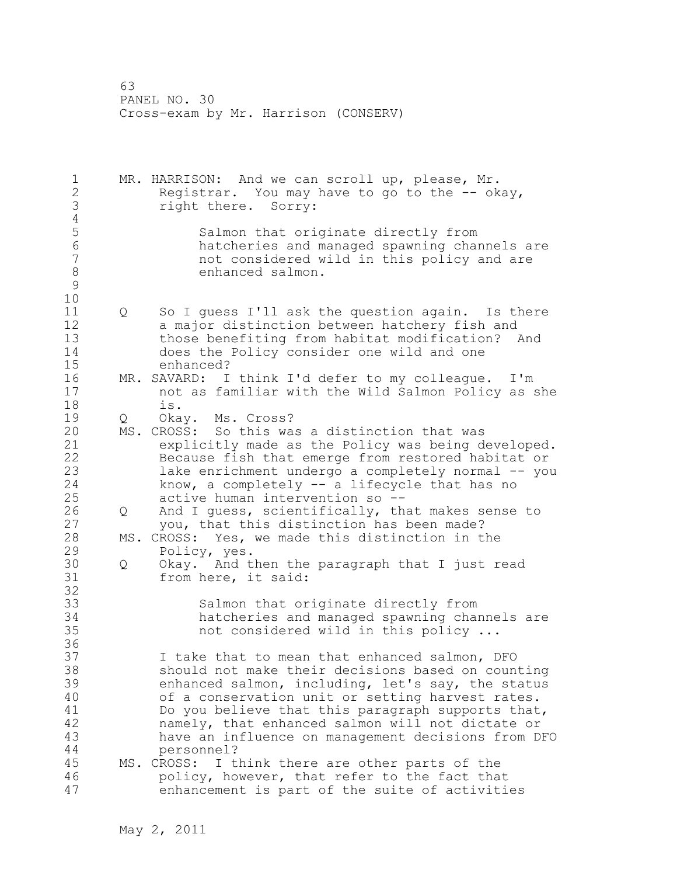63 PANEL NO. 30 Cross-exam by Mr. Harrison (CONSERV)

1 MR. HARRISON: And we can scroll up, please, Mr. 2 Registrar. You may have to go to the -- okay, 3 right there. Sorry: 4<br>5 5 Salmon that originate directly from<br>6 6 Shatcheries and managed spawning chai 6 hatcheries and managed spawning channels are not considered wild in this policy and are 8 enhanced salmon. 9 10 11 Q So I guess I'll ask the question again. Is there 12 a major distinction between hatchery fish and 13 those benefiting from habitat modification? And 14 does the Policy consider one wild and one 15 enhanced? 16 MR. SAVARD: I think I'd defer to my colleague. I'm 17 not as familiar with the Wild Salmon Policy as she 18 is. 19 Q Okay. Ms. Cross?<br>20 MS. CROSS: So this wa. MS. CROSS: So this was a distinction that was 21 explicitly made as the Policy was being developed. 22 Because fish that emerge from restored habitat or 23 lake enrichment undergo a completely normal -- you 24 know, a completely -- a lifecycle that has no 25 active human intervention so -- 26 Q And I guess, scientifically, that makes sense to<br>27 vou, that this distinction has been made? you, that this distinction has been made? 28 MS. CROSS: Yes, we made this distinction in the 29 Policy, yes. 30 Q Okay. And then the paragraph that I just read from here, it said: 32 33 Salmon that originate directly from 34 hatcheries and managed spawning channels are 35 not considered wild in this policy ... 36 37 I take that to mean that enhanced salmon, DFO 38 should not make their decisions based on counting 39 enhanced salmon, including, let's say, the status 40 of a conservation unit or setting harvest rates. 41 Do you believe that this paragraph supports that,<br>42 mamely, that enhanced salmon will not dictate or namely, that enhanced salmon will not dictate or 43 have an influence on management decisions from DFO 44 personnel? 45 MS. CROSS: I think there are other parts of the 46 policy, however, that refer to the fact that 47 enhancement is part of the suite of activities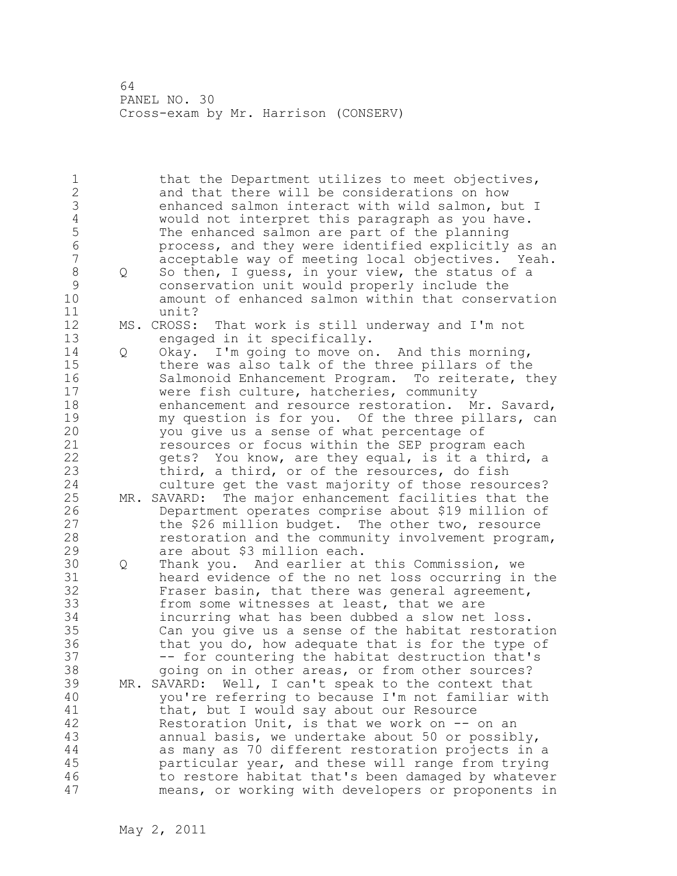64 PANEL NO. 30 Cross-exam by Mr. Harrison (CONSERV)

1 that the Department utilizes to meet objectives, 2 and that there will be considerations on how 3 enhanced salmon interact with wild salmon, but I<br>4 would not interpret this paragraph as you have. 4 would not interpret this paragraph as you have.<br>5 The enhanced salmon are part of the planning 5 The enhanced salmon are part of the planning<br>6 The enhanced salmon are identified explicitly 6 process, and they were identified explicitly as an acceptable way of meeting local objectives. Yeah. 8 Q So then, I guess, in your view, the status of a<br>9 conservation unit would properly include the 9 conservation unit would properly include the<br>10 amount of enhanced salmon within that conser amount of enhanced salmon within that conservation 11 unit? 12 MS. CROSS: That work is still underway and I'm not 13 engaged in it specifically. 14 Q Okay. I'm going to move on. And this morning, 15 there was also talk of the three pillars of the 16 Salmonoid Enhancement Program. To reiterate, they 17 were fish culture, hatcheries, community 18 enhancement and resource restoration. Mr. Savard, 19 my question is for you. Of the three pillars, can<br>20 vou give us a sense of what percentage of you give us a sense of what percentage of 21 resources or focus within the SEP program each 22 gets? You know, are they equal, is it a third, a 23 third, a third, or of the resources, do fish 24 culture get the vast majority of those resources? 25 MR. SAVARD: The major enhancement facilities that the 26 Department operates comprise about \$19 million of<br>27 the \$26 million budget. The other two, resource the \$26 million budget. The other two, resource 28 restoration and the community involvement program, 29 are about \$3 million each. 30 Q Thank you. And earlier at this Commission, we 31 heard evidence of the no net loss occurring in the 32 Fraser basin, that there was general agreement, 33 from some witnesses at least, that we are 34 incurring what has been dubbed a slow net loss. 35 Can you give us a sense of the habitat restoration 36 that you do, how adequate that is for the type of 37 -- for countering the habitat destruction that's 38 going on in other areas, or from other sources? 39 MR. SAVARD: Well, I can't speak to the context that 40 you're referring to because I'm not familiar with 41 that, but I would say about our Resource<br>42 Restoration Unit, is that we work on --Restoration Unit, is that we work on  $--$  on an 43 annual basis, we undertake about 50 or possibly, 44 as many as 70 different restoration projects in a 45 particular year, and these will range from trying 46 to restore habitat that's been damaged by whatever 47 means, or working with developers or proponents in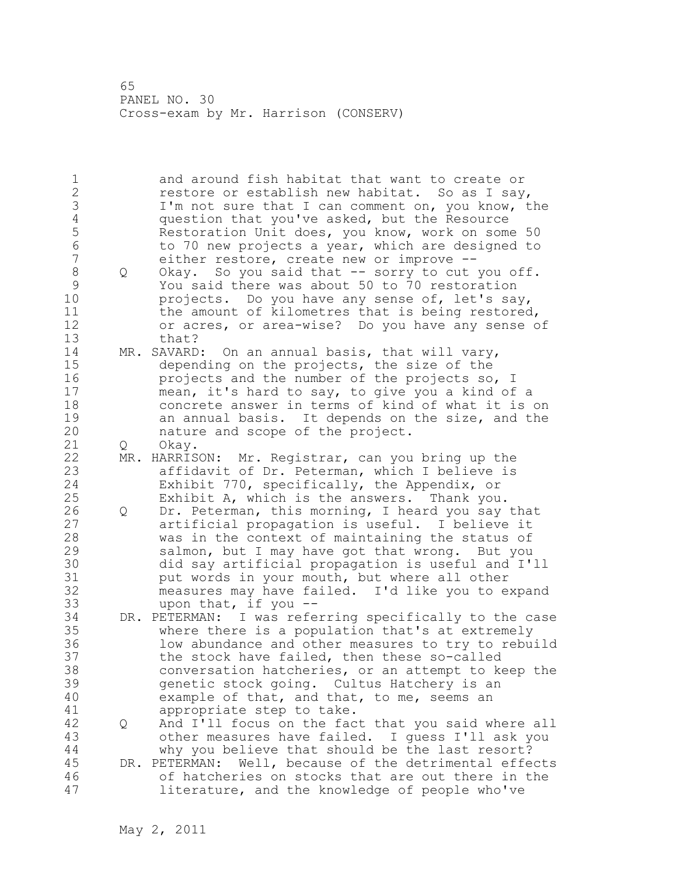65 PANEL NO. 30 Cross-exam by Mr. Harrison (CONSERV)

1 and around fish habitat that want to create or 2 restore or establish new habitat. So as I say, 3 I'm not sure that I can comment on, you know, the<br>4 question that you've asked, but the Resource 4 question that you've asked, but the Resource<br>5 Restoration Unit does, you know, work on some 5 Restoration Unit does, you know, work on some 50<br>6 6 The to 20 new projects a year, which are designed to 6 to 70 new projects a year, which are designed to<br>7 either restore, create new or improve -either restore, create new or improve --8 Q Okay. So you said that -- sorry to cut you off. 9 You said there was about 50 to 70 restoration<br>10 **projects.** Do you have any sense of, let's say projects. Do you have any sense of, let's say, 11 the amount of kilometres that is being restored, 12 or acres, or area-wise? Do you have any sense of 13 that? 14 MR. SAVARD: On an annual basis, that will vary, 15 depending on the projects, the size of the 16 projects and the number of the projects so, I 17 mean, it's hard to say, to give you a kind of a 18 concrete answer in terms of kind of what it is on 19 an annual basis. It depends on the size, and the 20 and the size and the size and the 100 and the 20 and the project. nature and scope of the project. 21 Q Okay. 22 MR. HARRISON: Mr. Registrar, can you bring up the 23 affidavit of Dr. Peterman, which I believe is 24 Exhibit 770, specifically, the Appendix, or 25 Exhibit A, which is the answers. Thank you. 26 Q Dr. Peterman, this morning, I heard you say that<br>27 artificial propagation is useful. I believe it artificial propagation is useful. I believe it 28 was in the context of maintaining the status of 29 salmon, but I may have got that wrong. But you 30 did say artificial propagation is useful and I'll put words in your mouth, but where all other 32 measures may have failed. I'd like you to expand 33 upon that, if you -- 34 DR. PETERMAN: I was referring specifically to the case 35 where there is a population that's at extremely 36 low abundance and other measures to try to rebuild 37 the stock have failed, then these so-called 38 conversation hatcheries, or an attempt to keep the 39 genetic stock going. Cultus Hatchery is an 40 example of that, and that, to me, seems an 41 appropriate step to take.<br>42 0 And I'll focus on the fac 42 Q And I'll focus on the fact that you said where all 43 other measures have failed. I guess I'll ask you 44 why you believe that should be the last resort? 45 DR. PETERMAN: Well, because of the detrimental effects 46 of hatcheries on stocks that are out there in the 47 literature, and the knowledge of people who've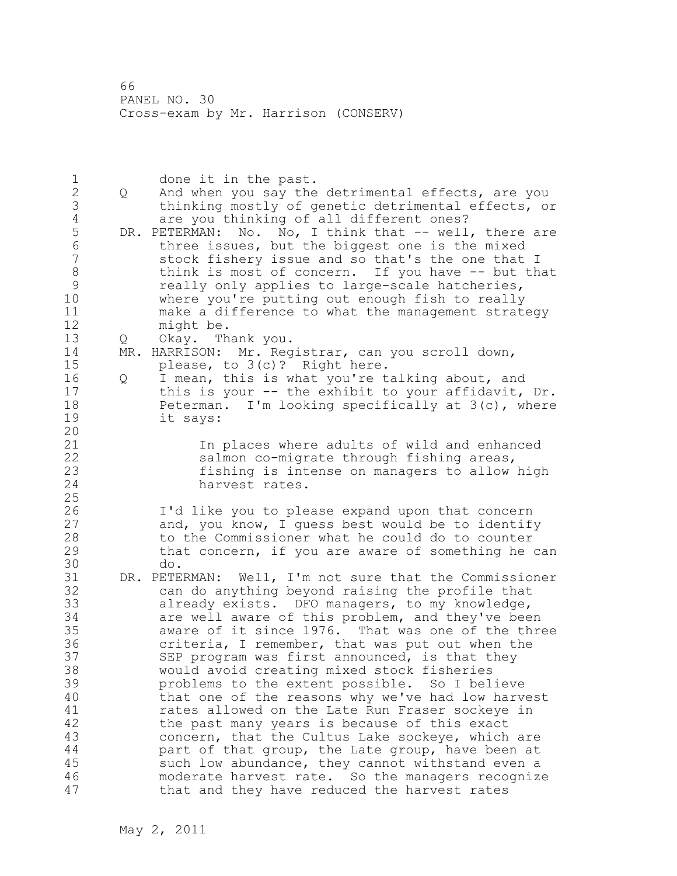66 PANEL NO. 30 Cross-exam by Mr. Harrison (CONSERV)

1 done it in the past.<br>2 0 And when you say the 2 Q And when you say the detrimental effects, are you 3 thinking mostly of genetic detrimental effects, or<br>4 are you thinking of all different ones? 4 are you thinking of all different ones?<br>5 DR. PETERMAN: No. No, I think that -- well 5 DR. PETERMAN: No. No, I think that -- well, there are<br>6 three issues, but the biggest one is the mixed 6 three issues, but the biggest one is the mixed stock fishery issue and so that's the one that I 8 think is most of concern. If you have -- but that 9 really only applies to large-scale hatcheries,<br>10 where you're putting out enough fish to really where you're putting out enough fish to really 11 make a difference to what the management strategy 12 might be. 13 Q Okay. Thank you. 14 MR. HARRISON: Mr. Registrar, can you scroll down, 15 please, to 3(c)? Right here. 16 Q I mean, this is what you're talking about, and 17 this is your -- the exhibit to your affidavit, Dr. 18 Peterman. I'm looking specifically at 3(c), where 19 it says: 20 21 In places where adults of wild and enhanced 22 salmon co-migrate through fishing areas, 23 fishing is intense on managers to allow high 24 harvest rates. 25 26 I'd like you to please expand upon that concern<br>27 and, you know, I quess best would be to identify and, you know, I quess best would be to identify 28 to the Commissioner what he could do to counter 29 that concern, if you are aware of something he can 30 do.<br>31 DR. PETE DR. PETERMAN: Well, I'm not sure that the Commissioner 32 can do anything beyond raising the profile that 33 already exists. DFO managers, to my knowledge, 34 are well aware of this problem, and they've been 35 aware of it since 1976. That was one of the three 36 criteria, I remember, that was put out when the 37 SEP program was first announced, is that they 38 would avoid creating mixed stock fisheries 39 problems to the extent possible. So I believe 40 that one of the reasons why we've had low harvest 41 rates allowed on the Late Run Fraser sockeye in<br>42 the past many years is because of this exact the past many years is because of this exact 43 concern, that the Cultus Lake sockeye, which are 44 part of that group, the Late group, have been at 45 such low abundance, they cannot withstand even a 46 moderate harvest rate. So the managers recognize 47 that and they have reduced the harvest rates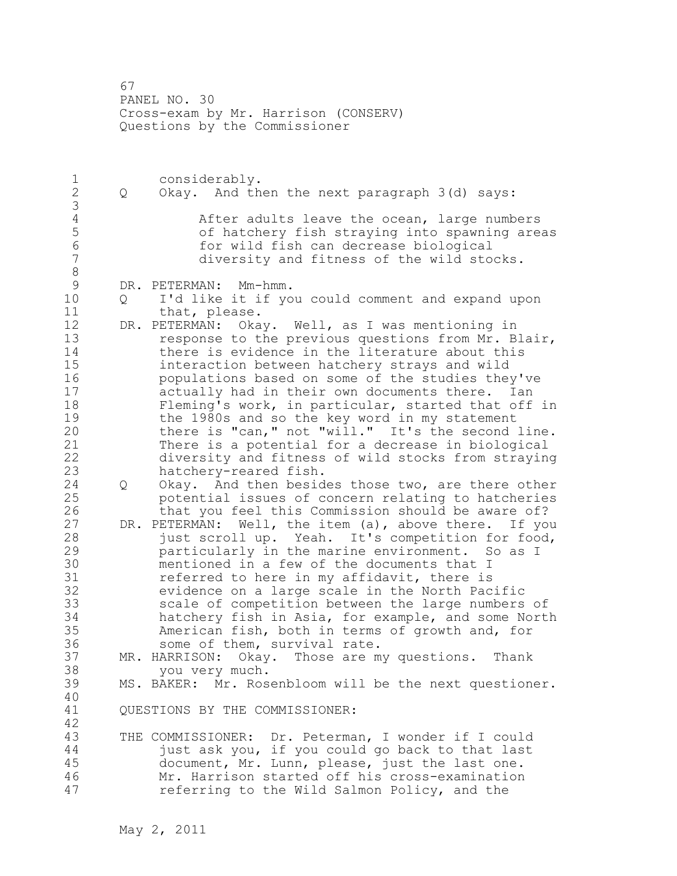67 PANEL NO. 30 Cross-exam by Mr. Harrison (CONSERV) Questions by the Commissioner

1 considerably.<br>2 0 Okav. And th 2 Q Okay. And then the next paragraph 3(d) says: 3 4 After adults leave the ocean, large numbers 5 of hatchery fish straying into spawning areas 6 for wild fish can decrease biological diversity and fitness of the wild stocks. 8<br>9 9 DR. PETERMAN: Mm-hmm.<br>10 0 I'd like it if vo 10 Q I'd like it if you could comment and expand upon 11 that, please. 12 DR. PETERMAN: Okay. Well, as I was mentioning in 13 response to the previous questions from Mr. Blair, 14 there is evidence in the literature about this 15 interaction between hatchery strays and wild 16 populations based on some of the studies they've 17 actually had in their own documents there. Ian 18 Fleming's work, in particular, started that off in 19 the 1980s and so the key word in my statement<br>20 there is "can," not "will." It's the second there is "can," not "will." It's the second line. 21 There is a potential for a decrease in biological 22 diversity and fitness of wild stocks from straying 23 hatchery-reared fish. 24 Q Okay. And then besides those two, are there other 25 potential issues of concern relating to hatcheries 26 that you feel this Commission should be aware of?<br>27 DR. PETERMAN: Well, the item (a), above there. If you DR. PETERMAN: Well, the item (a), above there. If you 28 just scroll up. Yeah. It's competition for food, 29 particularly in the marine environment. So as I 30 mentioned in a few of the documents that I<br>31 eferred to here in my affidavit, there is 31 referred to here in my affidavit, there is<br>32 evidence on a large scale in the North Pac. evidence on a large scale in the North Pacific 33 scale of competition between the large numbers of 34 hatchery fish in Asia, for example, and some North 35 American fish, both in terms of growth and, for 36 some of them, survival rate. 37 MR. HARRISON: Okay. Those are my questions. Thank 38 you very much. 39 MS. BAKER: Mr. Rosenbloom will be the next questioner. 40 41 QUESTIONS BY THE COMMISSIONER: 42 43 THE COMMISSIONER: Dr. Peterman, I wonder if I could 44 just ask you, if you could go back to that last 45 document, Mr. Lunn, please, just the last one. 46 Mr. Harrison started off his cross-examination 47 referring to the Wild Salmon Policy, and the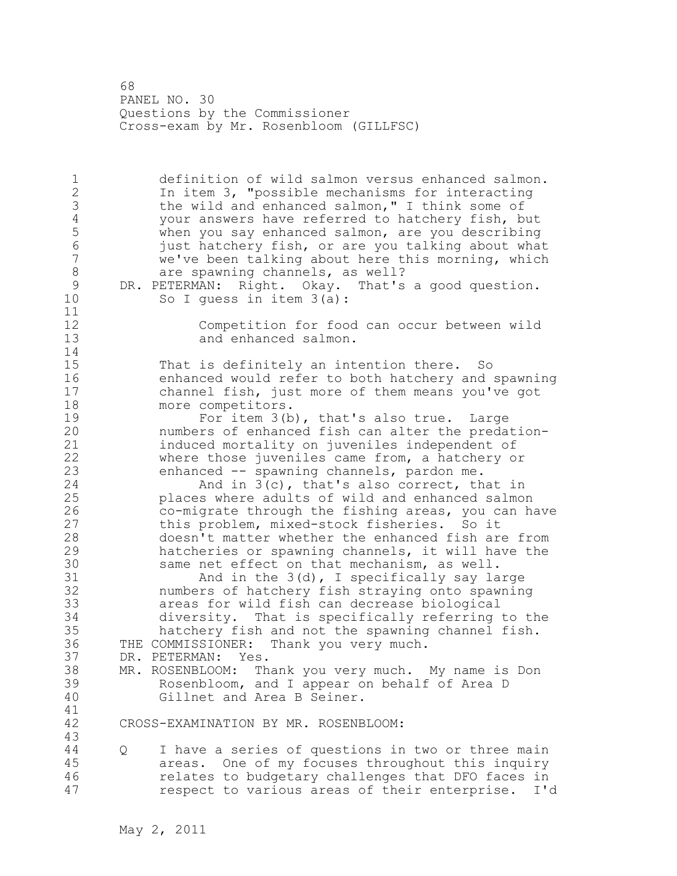68 PANEL NO. 30 Questions by the Commissioner Cross-exam by Mr. Rosenbloom (GILLFSC)

1 definition of wild salmon versus enhanced salmon. 2 In item 3, "possible mechanisms for interacting 3 the wild and enhanced salmon," I think some of<br>4 your answers have referred to hatchery fish, b 4 your answers have referred to hatchery fish, but<br>5 when you say enhanced salmon, are you describing 5 when you say enhanced salmon, are you describing<br>6 iust hatcherv fish, or are you talking about what 6 just hatchery fish, or are you talking about what we've been talking about here this morning, which 8 are spawning channels, as well?<br>9 DR. PETERMAN: Right. Okay. That's 9 DR. PETERMAN: Right. Okay. That's a good question.<br>10 So I quess in item 3(a): So I guess in item  $3(a)$ : 11 12 Competition for food can occur between wild<br>13 and enhanced salmon. and enhanced salmon.  $\frac{14}{15}$ That is definitely an intention there. So 16 enhanced would refer to both hatchery and spawning<br>17 channel fish, just more of them means you've got channel fish, just more of them means you've got 18 more competitors. 19 For item 3(b), that's also true. Large<br>20 mumbers of enhanced fish can alter the preda numbers of enhanced fish can alter the predation-21 induced mortality on juveniles independent of 22 where those juveniles came from, a hatchery or 23 enhanced -- spawning channels, pardon me. 24 And in 3(c), that's also correct, that in 25 places where adults of wild and enhanced salmon 26 co-migrate through the fishing areas, you can have<br>27 this problem, mixed-stock fisheries. So it 27 this problem, mixed-stock fisheries. So it<br>28 doesn't matter whether the enhanced fish ar doesn't matter whether the enhanced fish are from 29 hatcheries or spawning channels, it will have the 30 same net effect on that mechanism, as well.<br>31 had in the 3(d), I specifically say la 31 And in the 3(d), I specifically say large<br>32 mumbers of hatchery fish straving onto spawning numbers of hatchery fish straying onto spawning 33 areas for wild fish can decrease biological 34 diversity. That is specifically referring to the 35 hatchery fish and not the spawning channel fish. 36 THE COMMISSIONER: Thank you very much. 37 DR. PETERMAN: Yes. 38 MR. ROSENBLOOM: Thank you very much. My name is Don 39 Rosenbloom, and I appear on behalf of Area D 40 Gillnet and Area B Seiner. 41<br>42 CROSS-EXAMINATION BY MR. ROSENBLOOM: 43 44 Q I have a series of questions in two or three main 45 areas. One of my focuses throughout this inquiry 46 relates to budgetary challenges that DFO faces in 47 respect to various areas of their enterprise. I'd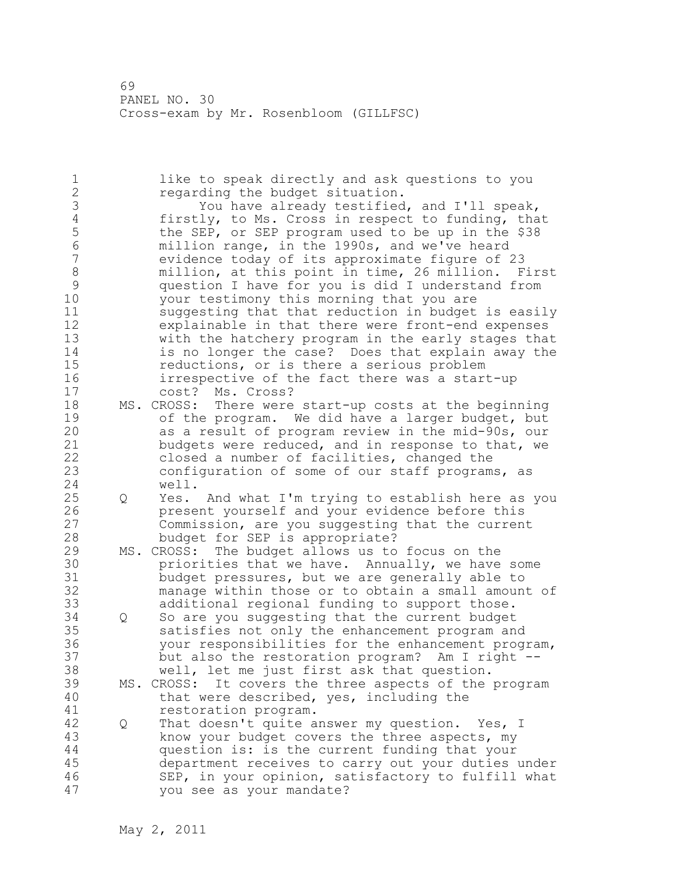1 like to speak directly and ask questions to you 2 regarding the budget situation. 3 You have already testified, and I'll speak,<br>4 firstly, to Ms. Cross in respect to funding, tha 4 firstly, to Ms. Cross in respect to funding, that<br>5 the SEP, or SEP program used to be up in the \$38 5 the SEP, or SEP program used to be up in the \$38<br>6 million range, in the 1990s, and we've heard 6 million range, in the 1990s, and we've heard evidence today of its approximate figure of 23 8 million, at this point in time, 26 million. First<br>9 question I have for you is did I understand from 9 question I have for you is did I understand from your testimony this morning that you are 11 suggesting that that reduction in budget is easily 12 explainable in that there were front-end expenses 13 with the hatchery program in the early stages that<br>14 is no longer the case? Does that explain away the is no longer the case? Does that explain away the 15 reductions, or is there a serious problem 16 irrespective of the fact there was a start-up 17 cost? Ms. Cross? 18 MS. CROSS: There were start-up costs at the beginning 19 of the program. We did have a larger budget, but<br>20 as a result of program review in the mid-90s, our as a result of program review in the mid-90s, our 21 budgets were reduced, and in response to that, we 22 closed a number of facilities, changed the 23 configuration of some of our staff programs, as 24 well. 25 Q Yes. And what I'm trying to establish here as you 26 present yourself and your evidence before this<br>27 Commission, are you suggesting that the current Commission, are you suggesting that the current 28 budget for SEP is appropriate? 29 MS. CROSS: The budget allows us to focus on the 30 **priorities that we have.** Annually, we have some 31 budget pressures, but we are generally able to budget pressures, but we are generally able to 32 manage within those or to obtain a small amount of 33 additional regional funding to support those. 34 Q So are you suggesting that the current budget 35 satisfies not only the enhancement program and 36 your responsibilities for the enhancement program, 37 but also the restoration program? Am I right -- 38 well, let me just first ask that question. 39 MS. CROSS: It covers the three aspects of the program 40 that were described, yes, including the 41 restoration program.<br>42 Q That doesn't quite a 42 Q That doesn't quite answer my question. Yes, I 43 know your budget covers the three aspects, my 44 question is: is the current funding that your 45 department receives to carry out your duties under 46 SEP, in your opinion, satisfactory to fulfill what 47 you see as your mandate?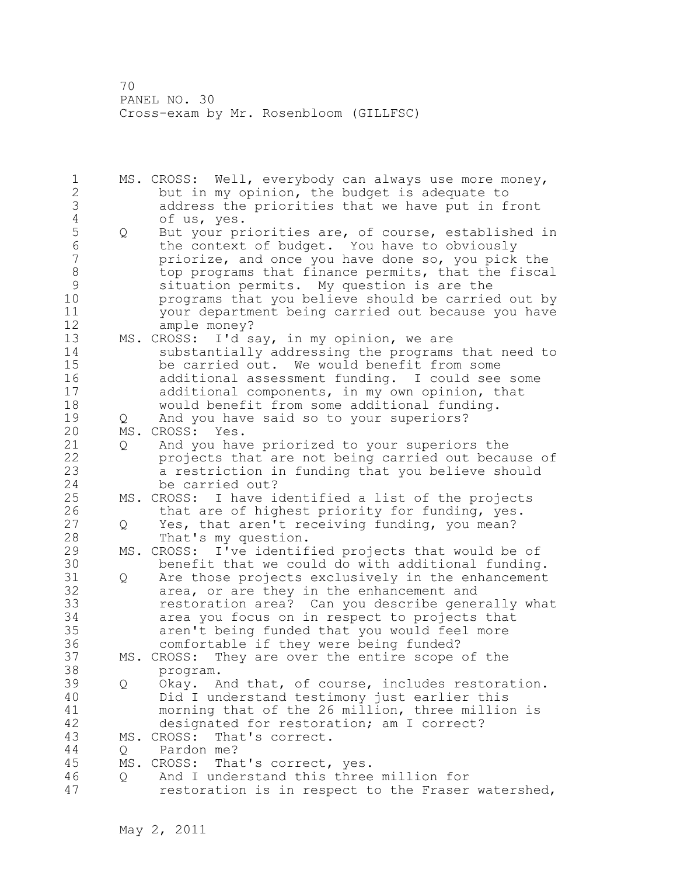1 MS. CROSS: Well, everybody can always use more money, 2 but in my opinion, the budget is adequate to 3 address the priorities that we have put in front 4 of us, yes.<br>5 0 But your pr 5 Q But your priorities are, of course, established in<br>6 the context of budget. You have to obviously 6 the context of budget. You have to obviously<br>7 http://www.priorize.and.once.vou.have.done.so.vou.pick priorize, and once you have done so, you pick the 8 bop programs that finance permits, that the fiscal 9 situation permits. My question is are the programs that you believe should be carried out by 11 your department being carried out because you have 12 ample money? 13 MS. CROSS: I'd say, in my opinion, we are 14 substantially addressing the programs that need to 15 be carried out. We would benefit from some 16 additional assessment funding. I could see some 17 additional components, in my own opinion, that 18 would benefit from some additional funding. 19 Q And you have said so to your superiors?<br>20 MS. CROSS: Yes. MS. CROSS: Yes. 21 Q And you have priorized to your superiors the 22 projects that are not being carried out because of 23 a restriction in funding that you believe should 24 be carried out? 25 MS. CROSS: I have identified a list of the projects 26 that are of highest priority for funding, yes.<br>27 0 Yes, that aren't receiving funding, you mean? 0 Yes, that aren't receiving funding, you mean? 28 That's my question. 29 MS. CROSS: I've identified projects that would be of 30 benefit that we could do with additional funding. Q Are those projects exclusively in the enhancement 32 area, or are they in the enhancement and 33 restoration area? Can you describe generally what 34 area you focus on in respect to projects that 35 aren't being funded that you would feel more 36 comfortable if they were being funded? 37 MS. CROSS: They are over the entire scope of the 38 program. 39 Q Okay. And that, of course, includes restoration. 40 Did I understand testimony just earlier this 41 morning that of the 26 million, three million is<br>42 designated for restoration: am I correct? designated for restoration; am I correct? 43 MS. CROSS: That's correct. 44 Q Pardon me? 45 MS. CROSS: That's correct, yes. 46 Q And I understand this three million for 47 restoration is in respect to the Fraser watershed,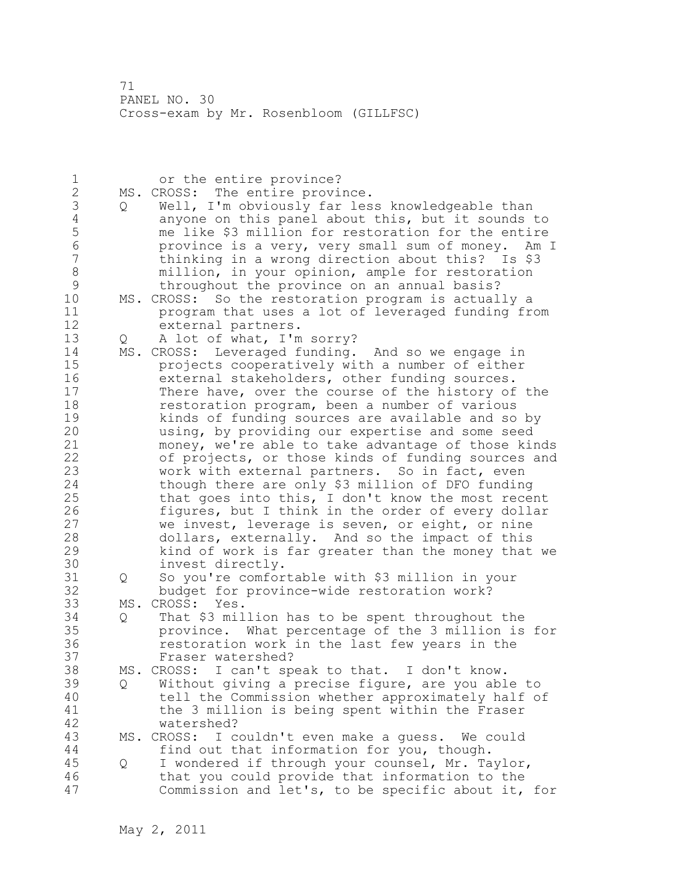| 1              |    | or the entire province?                              |
|----------------|----|------------------------------------------------------|
| $\overline{c}$ |    | MS. CROSS: The entire province.                      |
| 3              | Q  | Well, I'm obviously far less knowledgeable than      |
| $\sqrt{4}$     |    | anyone on this panel about this, but it sounds to    |
| 5              |    |                                                      |
|                |    | me like \$3 million for restoration for the entire   |
| 6              |    | province is a very, very small sum of money. Am I    |
| $\overline{7}$ |    | thinking in a wrong direction about this? Is \$3     |
| $\,8\,$        |    | million, in your opinion, ample for restoration      |
| $\mathcal{G}$  |    | throughout the province on an annual basis?          |
| 10             |    | MS. CROSS: So the restoration program is actually a  |
| 11             |    | program that uses a lot of leveraged funding from    |
| 12             |    | external partners.                                   |
| 13             |    | A lot of what, I'm sorry?                            |
|                | Q  |                                                      |
| 14             |    | MS. CROSS: Leveraged funding. And so we engage in    |
| 15             |    | projects cooperatively with a number of either       |
| 16             |    | external stakeholders, other funding sources.        |
| 17             |    | There have, over the course of the history of the    |
| 18             |    | restoration program, been a number of various        |
| 19             |    | kinds of funding sources are available and so by     |
| 20             |    | using, by providing our expertise and some seed      |
| 21             |    | money, we're able to take advantage of those kinds   |
| 22             |    | of projects, or those kinds of funding sources and   |
| 23             |    | work with external partners. So in fact, even        |
|                |    |                                                      |
| 24             |    | though there are only \$3 million of DFO funding     |
| 25             |    | that goes into this, I don't know the most recent    |
| 26             |    | figures, but I think in the order of every dollar    |
| 27             |    | we invest, leverage is seven, or eight, or nine      |
| 28             |    | dollars, externally. And so the impact of this       |
| 29             |    | kind of work is far greater than the money that we   |
| 30             |    | invest directly.                                     |
| 31             | Q  | So you're comfortable with \$3 million in your       |
| 32             |    | budget for province-wide restoration work?           |
| 33             |    | MS. CROSS: Yes.                                      |
| 34             |    | That \$3 million has to be spent throughout the      |
|                | Q  |                                                      |
| 35             |    | province. What percentage of the 3 million is for    |
| 36             |    | restoration work in the last few years in the        |
| 37             |    | Fraser watershed?                                    |
| 38             |    | MS. CROSS: I can't speak to that. I don't know.      |
| 39             | Q. | Without giving a precise figure, are you able to     |
| 40             |    | tell the Commission whether approximately half of    |
| 41             |    | the 3 million is being spent within the Fraser       |
| 42             |    | watershed?                                           |
| 43             |    | MS. CROSS:<br>I couldn't even make a quess. We could |
| 44             |    |                                                      |
|                |    | find out that information for you, though.           |
| 45             | Q  | I wondered if through your counsel, Mr. Taylor,      |
| 46             |    | that you could provide that information to the       |
| 47             |    | Commission and let's, to be specific about it, for   |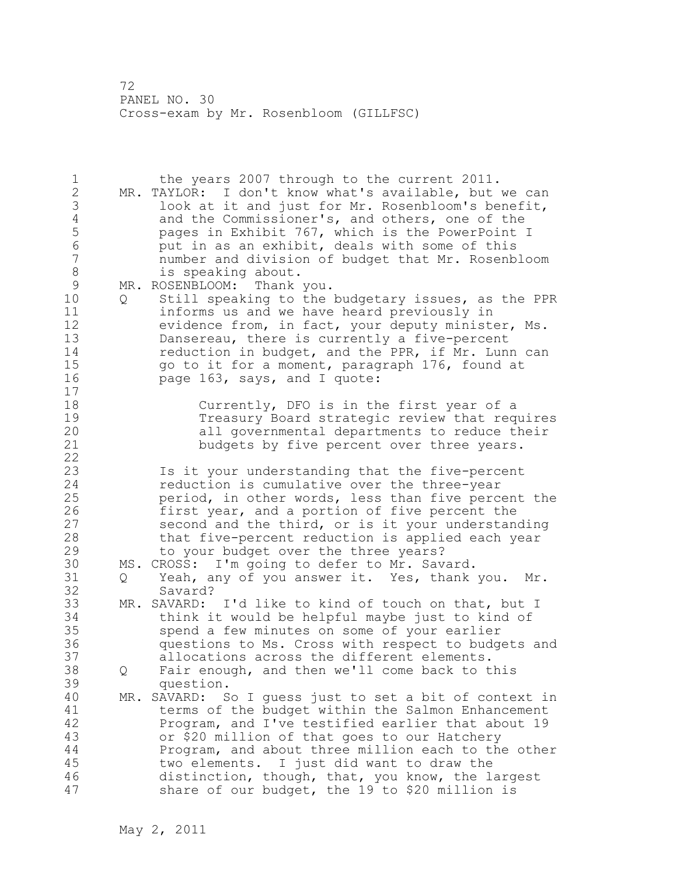1 the years 2007 through to the current 2011. 2 MR. TAYLOR: I don't know what's available, but we can 3 look at it and just for Mr. Rosenbloom's benefit,<br>4 and the Commissioner's, and others, one of the 4 and the Commissioner's, and others, one of the<br>5 pages in Exhibit 767, which is the PowerPoint 5 pages in Exhibit 767, which is the PowerPoint I<br>6 but in as an exhibit, deals with some of this 6 put in as an exhibit, deals with some of this number and division of budget that Mr. Rosenbloom 8 is speaking about. 9 MR. ROSENBLOOM: Thank you.<br>10 0 Still speaking to the 10 Q Still speaking to the budgetary issues, as the PPR 11 informs us and we have heard previously in 12 evidence from, in fact, your deputy minister, Ms. 13 Dansereau, there is currently a five-percent 14 reduction in budget, and the PPR, if Mr. Lunn can 15 go to it for a moment, paragraph 176, found at 16 page 163, says, and I quote: 17 18 Currently, DFO is in the first year of a 19 Treasury Board strategic review that requires<br>20 all governmental departments to reduce their all governmental departments to reduce their 21 budgets by five percent over three years. 22 23 Is it your understanding that the five-percent 24 reduction is cumulative over the three-year 25 period, in other words, less than five percent the 26 first year, and a portion of five percent the<br>27 second and the third, or is it your understan second and the third, or is it your understanding 28 that five-percent reduction is applied each year 29 to your budget over the three years? 30 MS. CROSS: I'm going to defer to Mr. Savard. 31 Q Yeah, any of you answer it. Yes, thank you. Mr. Savard? 33 MR. SAVARD: I'd like to kind of touch on that, but I 34 think it would be helpful maybe just to kind of 35 spend a few minutes on some of your earlier 36 questions to Ms. Cross with respect to budgets and 37 allocations across the different elements. 38 Q Fair enough, and then we'll come back to this 39 question. 40 MR. SAVARD: So I guess just to set a bit of context in 41 terms of the budget within the Salmon Enhancement<br>42 Program, and I've testified earlier that about 19 Program, and I've testified earlier that about 19 43 or \$20 million of that goes to our Hatchery 44 Program, and about three million each to the other 45 two elements. I just did want to draw the 46 distinction, though, that, you know, the largest 47 share of our budget, the 19 to \$20 million is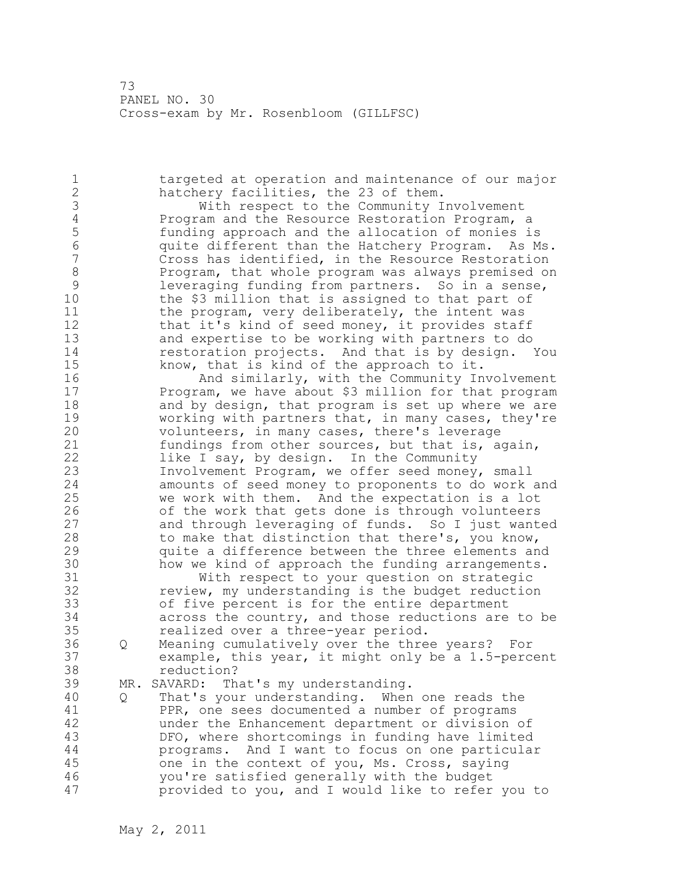1 targeted at operation and maintenance of our major 2 hatchery facilities, the 23 of them. 3 With respect to the Community Involvement<br>4 Program and the Resource Restoration Program, 4 Program and the Resource Restoration Program, a<br>5 funding approach and the allocation of monies is 5 funding approach and the allocation of monies is 6 quite different than the Hatchery Program. As Ms. Cross has identified, in the Resource Restoration 8 Program, that whole program was always premised on<br>9 1everaging funding from partners. So in a sense, 9 leveraging funding from partners. So in a sense,<br>10 the \$3 million that is assigned to that part of the \$3 million that is assigned to that part of 11 the program, very deliberately, the intent was 12 that it's kind of seed money, it provides staff 13 and expertise to be working with partners to do 14 restoration projects. And that is by design. You 15 know, that is kind of the approach to it. 16 And similarly, with the Community Involvement 17 Program, we have about \$3 million for that program 18 and by design, that program is set up where we are 19 working with partners that, in many cases, they're<br>20 volunteers, in many cases, there's leverage volunteers, in many cases, there's leverage 21 fundings from other sources, but that is, again, 22 like I say, by design. In the Community 23 Involvement Program, we offer seed money, small 24 amounts of seed money to proponents to do work and 25 we work with them. And the expectation is a lot 26 of the work that gets done is through volunteers<br>27 and through leveraging of funds. So I just want and through leveraging of funds. So I just wanted 28 to make that distinction that there's, you know, 29 quite a difference between the three elements and 30 how we kind of approach the funding arrangements.<br>31 With respect to your question on strategic With respect to your question on strategic 32 review, my understanding is the budget reduction 33 of five percent is for the entire department 34 across the country, and those reductions are to be 35 realized over a three-year period. 36 Q Meaning cumulatively over the three years? For 37 example, this year, it might only be a 1.5-percent 38 reduction? 39 MR. SAVARD: That's my understanding. 40 Q That's your understanding. When one reads the 41 PPR, one sees documented a number of programs<br>42 ander the Enhancement department or division under the Enhancement department or division of 43 DFO, where shortcomings in funding have limited 44 programs. And I want to focus on one particular 45 one in the context of you, Ms. Cross, saying 46 you're satisfied generally with the budget 47 provided to you, and I would like to refer you to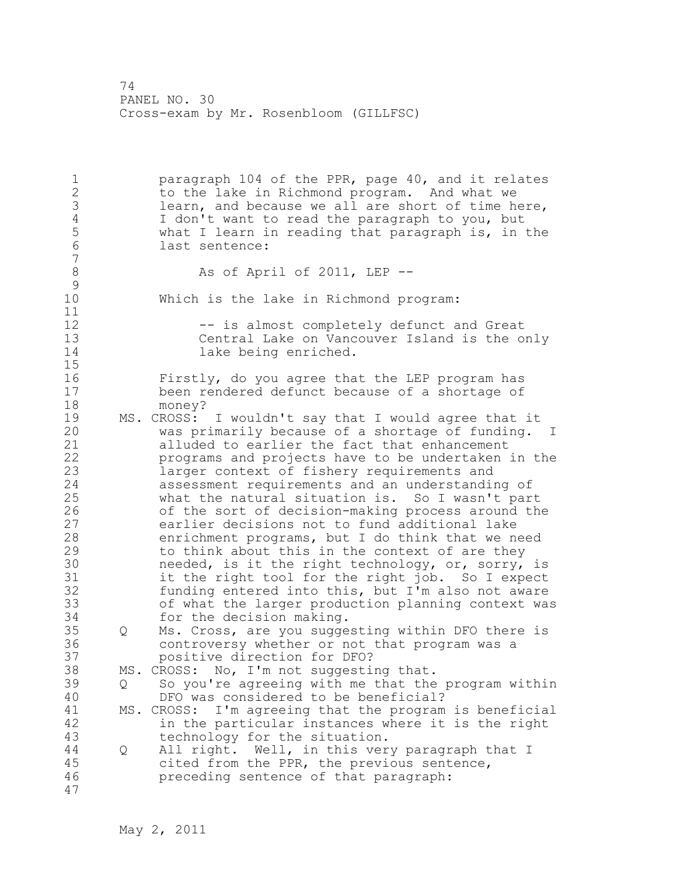1 paragraph 104 of the PPR, page 40, and it relates 2 to the lake in Richmond program. And what we 3 learn, and because we all are short of time here,<br>4 I don't want to read the paragraph to you, but 4 I don't want to read the paragraph to you, but<br>5 What I learn in reading that paragraph is, in 5 what I learn in reading that paragraph is, in the last sentence: 7 8 As of April of 2011, LEP --  $\begin{array}{c} 9 \\ 10 \end{array}$ Which is the lake in Richmond program: 11 12 -- is almost completely defunct and Great 13 Central Lake on Vancouver Island is the only 14 lake being enriched. 15 16 Firstly, do you agree that the LEP program has 17 been rendered defunct because of a shortage of 18 money? 19 MS. CROSS: I wouldn't say that I would agree that it<br>20 was primarily because of a shortage of funding. was primarily because of a shortage of funding. I 21 alluded to earlier the fact that enhancement 22 programs and projects have to be undertaken in the 23 larger context of fishery requirements and 24 assessment requirements and an understanding of 25 what the natural situation is. So I wasn't part 26 of the sort of decision-making process around the<br>27 earlier decisions not to fund additional lake earlier decisions not to fund additional lake 28 enrichment programs, but I do think that we need 29 to think about this in the context of are they 30 needed, is it the right technology, or, sorry, is<br>31 it the right tool for the right job. So I expect it the right tool for the right job. So I expect 32 funding entered into this, but I'm also not aware 33 of what the larger production planning context was 34 for the decision making. 35 Q Ms. Cross, are you suggesting within DFO there is 36 controversy whether or not that program was a 37 positive direction for DFO? 38 MS. CROSS: No, I'm not suggesting that. 39 Q So you're agreeing with me that the program within 40 DFO was considered to be beneficial? 41 MS. CROSS: I'm agreeing that the program is beneficial<br>42 in the particular instances where it is the right in the particular instances where it is the right 43 technology for the situation. 44 Q All right. Well, in this very paragraph that I 45 cited from the PPR, the previous sentence, 46 preceding sentence of that paragraph: 47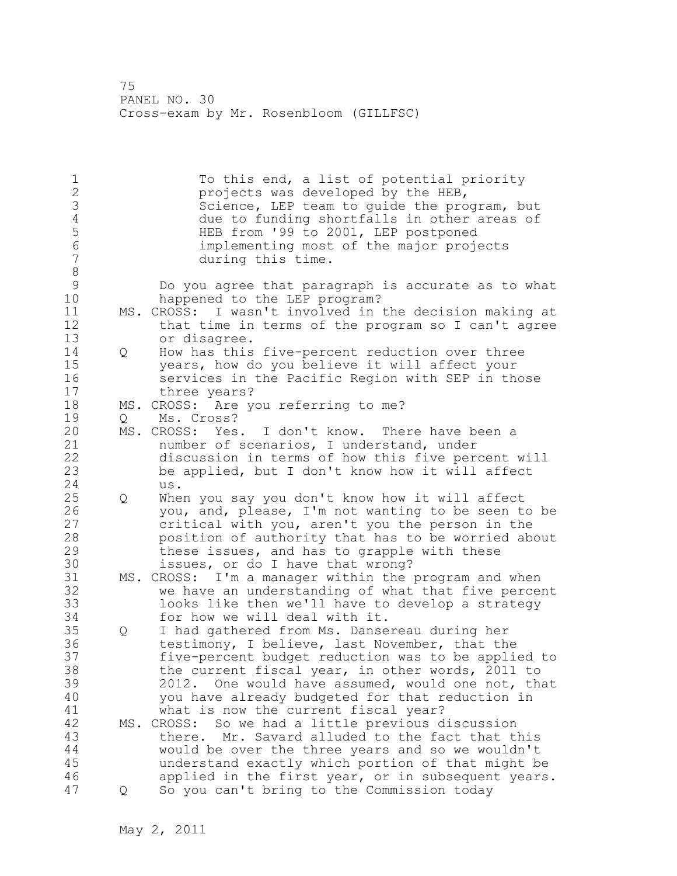1 To this end, a list of potential priority<br>2 To this end, a list of potential priority projects was developed by the HEB, 3 Science, LEP team to guide the program, but<br>4 due to funding shortfalls in other areas of 4 due to funding shortfalls in other areas of<br>5 HEB from '99 to 2001, LEP postponed 5 HEB from '99 to 2001, LEP postponed 6 implementing most of the major projects during this time. 8<br>9 9 Do you agree that paragraph is accurate as to what happened to the LEP program? 11 MS. CROSS: I wasn't involved in the decision making at 12 that time in terms of the program so I can't agree 13 or disagree. 14 Q How has this five-percent reduction over three 15 years, how do you believe it will affect your 16 services in the Pacific Region with SEP in those 17 three years? 18 MS. CROSS: Are you referring to me? 19 Q Ms. Cross?<br>20 MS. CROSS: Yes MS. CROSS: Yes. I don't know. There have been a 21 number of scenarios, I understand, under 22 discussion in terms of how this five percent will 23 be applied, but I don't know how it will affect 24 us. 25 Q When you say you don't know how it will affect 26 you, and, please, I'm not wanting to be seen to be<br>27 critical with you, aren't you the person in the critical with you, aren't you the person in the 28 position of authority that has to be worried about 29 these issues, and has to grapple with these 30 issues, or do I have that wrong?<br>31 MS. CROSS: I'm a manager within the MS. CROSS: I'm a manager within the program and when 32 we have an understanding of what that five percent 33 looks like then we'll have to develop a strategy 34 for how we will deal with it. 35 Q I had gathered from Ms. Dansereau during her 36 testimony, I believe, last November, that the 37 five-percent budget reduction was to be applied to 38 the current fiscal year, in other words, 2011 to 39 2012. One would have assumed, would one not, that 40 you have already budgeted for that reduction in 41 what is now the current fiscal year?<br>42 MS. CROSS: So we had a little previous d MS. CROSS: So we had a little previous discussion 43 there. Mr. Savard alluded to the fact that this 44 would be over the three years and so we wouldn't 45 understand exactly which portion of that might be 46 applied in the first year, or in subsequent years. 47 Q So you can't bring to the Commission today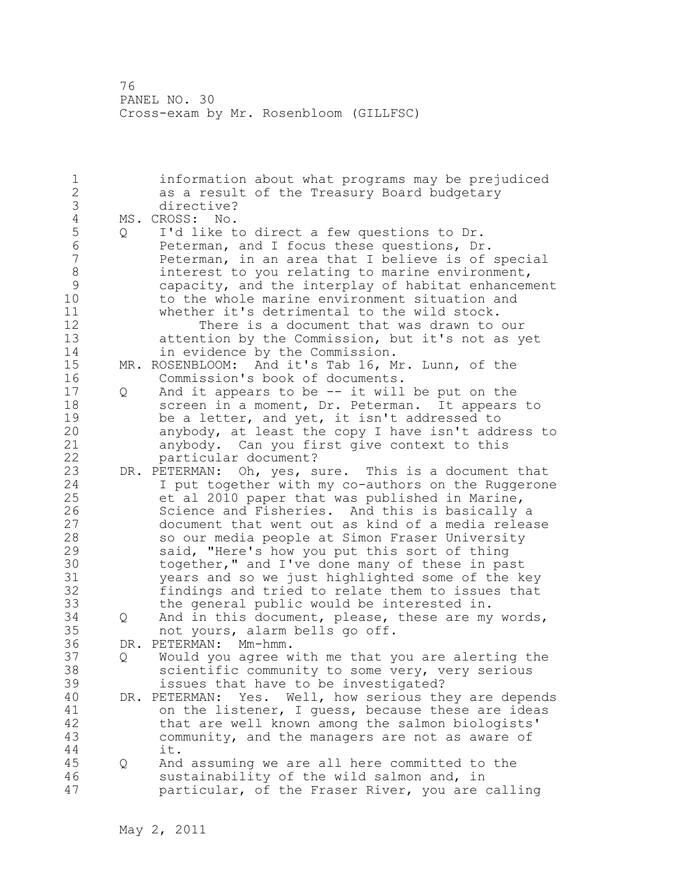1 information about what programs may be prejudiced 2 as a result of the Treasury Board budgetary 3 directive?<br>4 MS. CROSS: No. 4 MS. CROSS: No.<br>5 0 I'd like t 5 Q I'd like to direct a few questions to Dr.<br>6 Beterman, and I focus these questions, Dr 6 Peterman, and I focus these questions, Dr. Peterman, in an area that I believe is of special 8 interest to you relating to marine environment, 9 capacity, and the interplay of habitat enhancement<br>10 to the whole marine environment situation and to the whole marine environment situation and 11 whether it's detrimental to the wild stock. 12 There is a document that was drawn to our 13 attention by the Commission, but it's not as yet 14 in evidence by the Commission. 15 MR. ROSENBLOOM: And it's Tab 16, Mr. Lunn, of the 16 Commission's book of documents. 17 Q And it appears to be -- it will be put on the 18 screen in a moment, Dr. Peterman. It appears to 19 be a letter, and yet, it isn't addressed to<br>20 anybody, at least the copy I have isn't add anybody, at least the copy I have isn't address to 21 anybody. Can you first give context to this 22 particular document? 23 DR. PETERMAN: Oh, yes, sure. This is a document that 24 I put together with my co-authors on the Ruggerone 25 et al 2010 paper that was published in Marine, 26 Science and Fisheries. And this is basically a<br>27 document that went out as kind of a media relea document that went out as kind of a media release 28 so our media people at Simon Fraser University 29 said, "Here's how you put this sort of thing 30 together," and I've done many of these in past<br>31 vears and so we just highlighted some of the k 31 years and so we just highlighted some of the key findings and tried to relate them to issues that 33 the general public would be interested in. 34 Q And in this document, please, these are my words, 35 not yours, alarm bells go off. 36 DR. PETERMAN: Mm-hmm. 37 Q Would you agree with me that you are alerting the 38 scientific community to some very, very serious 39 issues that have to be investigated? 40 DR. PETERMAN: Yes. Well, how serious they are depends 41 on the listener, I guess, because these are ideas<br>42 that are well known among the salmon biologists' that are well known among the salmon biologists' 43 community, and the managers are not as aware of 44 it. 45 Q And assuming we are all here committed to the 46 sustainability of the wild salmon and, in 47 particular, of the Fraser River, you are calling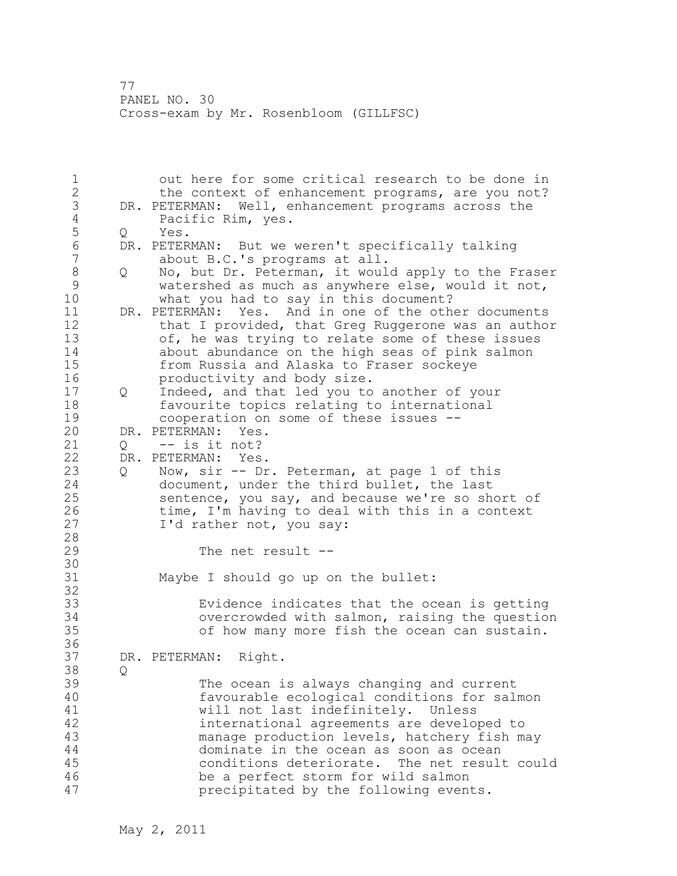1 out here for some critical research to be done in 2 the context of enhancement programs, are you not? 3 DR. PETERMAN: Well, enhancement programs across the<br>4 Pacific Rim, yes. 4 Pacific Rim, yes.<br>5 Q Yes. 5 Q Yes.<br>6 DR.PETER 6 DR. PETERMAN: But we weren't specifically talking<br>7 about B.C.'s programs at all. about B.C.'s programs at all. 8 Q No, but Dr. Peterman, it would apply to the Fraser<br>9 watershed as much as anywhere else, would it not, 9 watershed as much as anywhere else, would it not,<br>10 what you had to say in this document? what you had to say in this document? 11 DR. PETERMAN: Yes. And in one of the other documents 12 that I provided, that Greg Ruggerone was an author 13 of, he was trying to relate some of these issues 14 about abundance on the high seas of pink salmon 15 from Russia and Alaska to Fraser sockeye 16 productivity and body size. 17 Q Indeed, and that led you to another of your 18 favourite topics relating to international 19 cooperation on some of these issues --<br>20 DR. PETERMAN: Yes. DR. PETERMAN: Yes. 21 Q -- is it not? 22 DR. PETERMAN: Yes. 23 Q Now, sir -- Dr. Peterman, at page 1 of this 24 document, under the third bullet, the last 25 sentence, you say, and because we're so short of 26 time, I'm having to deal with this in a context<br>27 I'd rather not, you say: I'd rather not, you say: 28 29 The net result -- 30<br>31 Maybe I should go up on the bullet: 32 33 Evidence indicates that the ocean is getting 34 overcrowded with salmon, raising the question 35 of how many more fish the ocean can sustain. 36 37 DR. PETERMAN: Right. 38 Q 39 The ocean is always changing and current 40 favourable ecological conditions for salmon 41 will not last indefinitely. Unless<br>42 international agreements are develo international agreements are developed to 43 manage production levels, hatchery fish may 44 dominate in the ocean as soon as ocean 45 conditions deteriorate. The net result could 46 be a perfect storm for wild salmon 47 precipitated by the following events.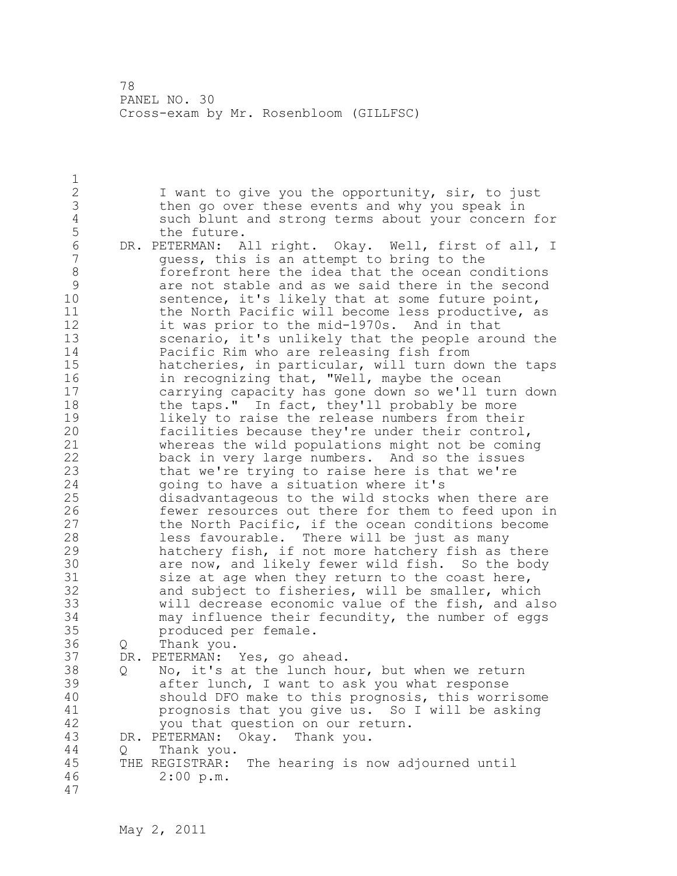1 2 I want to give you the opportunity, sir, to just 3 then go over these events and why you speak in 4 such blunt and strong terms about your concern for 5 the future.<br>6 DR. PETERMAN: A 6 DR. PETERMAN: All right. Okay. Well, first of all, I quess, this is an attempt to bring to the 8 forefront here the idea that the ocean conditions<br>9 are not stable and as we said there in the second 9 are not stable and as we said there in the second<br>10 sentence, it's likely that at some future point, sentence, it's likely that at some future point, 11 the North Pacific will become less productive, as 12 it was prior to the mid-1970s. And in that 13 scenario, it's unlikely that the people around the 14 Pacific Rim who are releasing fish from 15 hatcheries, in particular, will turn down the taps 16 in recognizing that, "Well, maybe the ocean 17 carrying capacity has gone down so we'll turn down 18 the taps." In fact, they'll probably be more 19 11kely to raise the release numbers from their<br>20 11 11 11 120 facilities because they're under their control, 21 whereas the wild populations might not be coming 22 back in very large numbers. And so the issues 23 that we're trying to raise here is that we're 24 going to have a situation where it's 25 disadvantageous to the wild stocks when there are 26 fewer resources out there for them to feed upon in<br>27 the North Pacific, if the ocean conditions become the North Pacific, if the ocean conditions become 28 less favourable. There will be just as many 29 hatchery fish, if not more hatchery fish as there 30 are now, and likely fewer wild fish. So the body<br>31 size at age when they return to the coast here, size at age when they return to the coast here, 32 and subject to fisheries, will be smaller, which 33 will decrease economic value of the fish, and also 34 may influence their fecundity, the number of eggs 35 produced per female. 36 Q Thank you. 37 DR. PETERMAN: Yes, go ahead. 38 Q No, it's at the lunch hour, but when we return 39 after lunch, I want to ask you what response 40 should DFO make to this prognosis, this worrisome 41 prognosis that you give us. So I will be asking<br>42 vou that question on our return. you that question on our return. 43 DR. PETERMAN: Okay. Thank you. 44 Q Thank you. 45 THE REGISTRAR: The hearing is now adjourned until 46 2:00 p.m. 47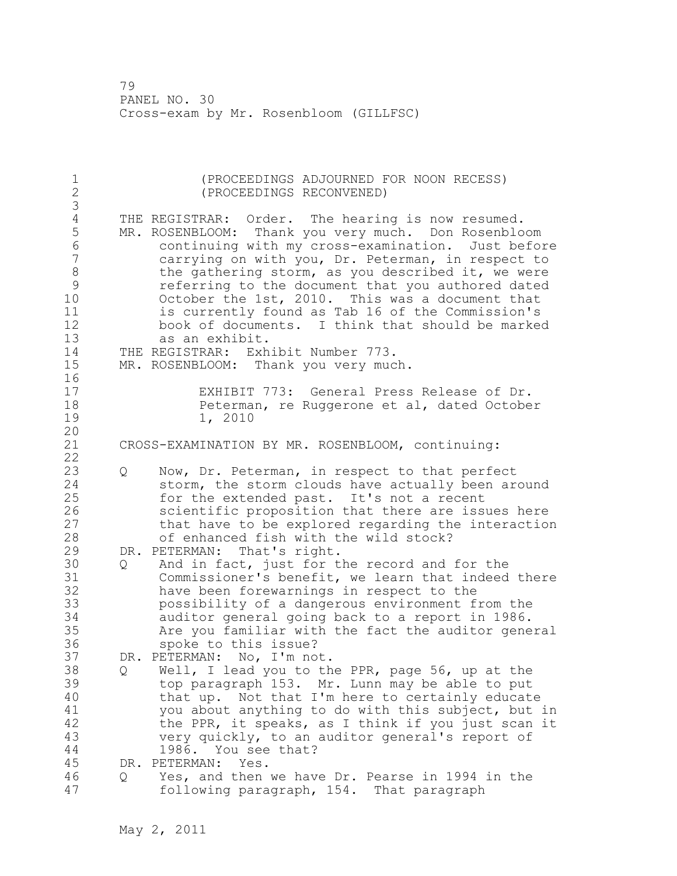| $\mathbf 1$<br>$\overline{2}$<br>3                                  |                   | (PROCEEDINGS ADJOURNED FOR NOON RECESS)<br>(PROCEEDINGS RECONVENED)                                                                                                                                                                                                                                                                                                                                                                                                                                       |
|---------------------------------------------------------------------|-------------------|-----------------------------------------------------------------------------------------------------------------------------------------------------------------------------------------------------------------------------------------------------------------------------------------------------------------------------------------------------------------------------------------------------------------------------------------------------------------------------------------------------------|
| $\overline{4}$<br>5<br>$6\,$<br>7<br>8<br>9<br>10<br>11<br>12<br>13 |                   | THE REGISTRAR: Order. The hearing is now resumed.<br>MR. ROSENBLOOM: Thank you very much. Don Rosenbloom<br>continuing with my cross-examination. Just before<br>carrying on with you, Dr. Peterman, in respect to<br>the gathering storm, as you described it, we were<br>referring to the document that you authored dated<br>October the 1st, 2010. This was a document that<br>is currently found as Tab 16 of the Commission's<br>book of documents. I think that should be marked<br>as an exhibit. |
| 14<br>15<br>16                                                      |                   | THE REGISTRAR: Exhibit Number 773.<br>MR. ROSENBLOOM: Thank you very much.                                                                                                                                                                                                                                                                                                                                                                                                                                |
| 17<br>18<br>19<br>20                                                |                   | EXHIBIT 773: General Press Release of Dr.<br>Peterman, re Ruggerone et al, dated October<br>1, 2010                                                                                                                                                                                                                                                                                                                                                                                                       |
| 21<br>22                                                            |                   | CROSS-EXAMINATION BY MR. ROSENBLOOM, continuing:                                                                                                                                                                                                                                                                                                                                                                                                                                                          |
| 23<br>24<br>25<br>26<br>27<br>28                                    | $\mathsf{Q}$      | Now, Dr. Peterman, in respect to that perfect<br>storm, the storm clouds have actually been around<br>for the extended past. It's not a recent<br>scientific proposition that there are issues here<br>that have to be explored regarding the interaction<br>of enhanced fish with the wild stock?                                                                                                                                                                                                        |
| 29<br>30<br>31<br>32<br>33<br>34<br>35<br>36                        | $Q \qquad \qquad$ | DR. PETERMAN: That's right.<br>And in fact, just for the record and for the<br>Commissioner's benefit, we learn that indeed there<br>have been forewarnings in respect to the<br>possibility of a dangerous environment from the<br>auditor general going back to a report in 1986.<br>Are you familiar with the fact the auditor general<br>spoke to this issue?                                                                                                                                         |
| 37<br>38<br>39<br>40<br>41<br>42<br>43<br>44<br>45                  | Q                 | DR. PETERMAN: No, I'm not.<br>Well, I lead you to the PPR, page 56, up at the<br>top paragraph 153. Mr. Lunn may be able to put<br>that up. Not that I'm here to certainly educate<br>you about anything to do with this subject, but in<br>the PPR, it speaks, as I think if you just scan it<br>very quickly, to an auditor general's report of<br>1986. You see that?<br>DR. PETERMAN:<br>Yes.                                                                                                         |
| 46<br>47                                                            | Q                 | Yes, and then we have Dr. Pearse in 1994 in the<br>following paragraph, 154. That paragraph                                                                                                                                                                                                                                                                                                                                                                                                               |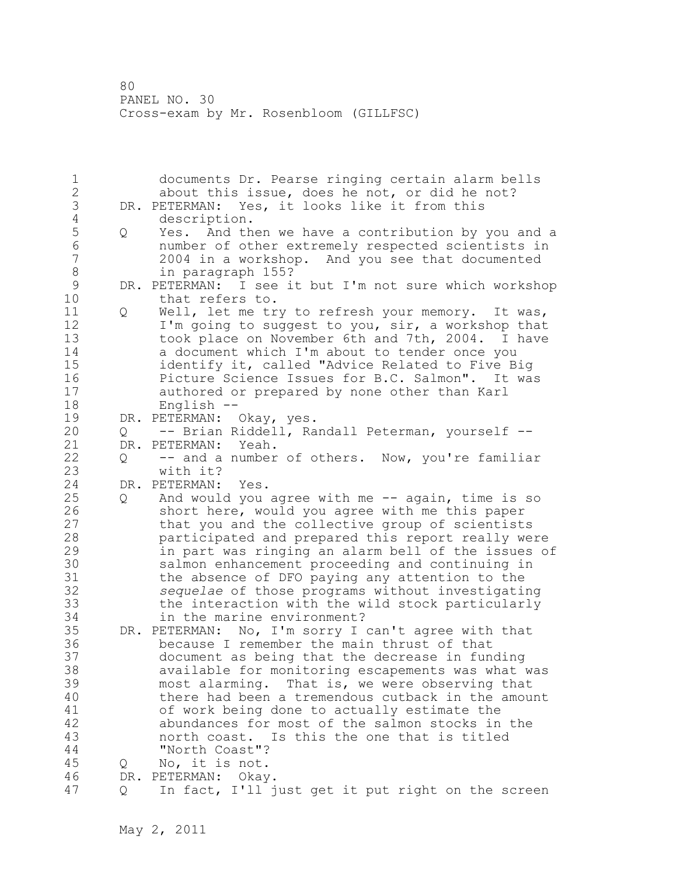1 documents Dr. Pearse ringing certain alarm bells 2 about this issue, does he not, or did he not? 3 DR. PETERMAN: Yes, it looks like it from this<br>4 description. 4 description.<br>5 Q Yes. And th 5 Q Yes. And then we have a contribution by you and a 6 number of other extremely respected scientists in 2004 in a workshop. And you see that documented 8 in paragraph 155?<br>9 DR. PETERMAN: I see i 9 DR. PETERMAN: I see it but I'm not sure which workshop<br>10 that refers to. that refers to. 11 Q Well, let me try to refresh your memory. It was, 12 I'm going to suggest to you, sir, a workshop that 13 took place on November 6th and 7th, 2004. I have 14 a document which I'm about to tender once you 15 identify it, called "Advice Related to Five Big 16 Picture Science Issues for B.C. Salmon". It was 17 authored or prepared by none other than Karl 18 English -- 19 DR. PETERMAN: Okay, yes.<br>20 0 -- Brian Riddell, Ra 20 Q -- Brian Riddell, Randall Peterman, yourself -- 21 DR. PETERMAN: Yeah. 22 Q -- and a number of others. Now, you're familiar 23 with it? 24 DR. PETERMAN: Yes. 25 Q And would you agree with me -- again, time is so 26 short here, would you agree with me this paper<br>27 that you and the collective group of scientist. that you and the collective group of scientists 28 participated and prepared this report really were 29 in part was ringing an alarm bell of the issues of 30 salmon enhancement proceeding and continuing in<br>31 the absence of DFO paying any attention to the the absence of DFO paying any attention to the 32 *sequelae* of those programs without investigating 33 the interaction with the wild stock particularly 34 in the marine environment? 35 DR. PETERMAN: No, I'm sorry I can't agree with that 36 because I remember the main thrust of that 37 document as being that the decrease in funding 38 available for monitoring escapements was what was 39 most alarming. That is, we were observing that 40 there had been a tremendous cutback in the amount 41 of work being done to actually estimate the<br>42 abundances for most of the salmon stocks in abundances for most of the salmon stocks in the 43 north coast. Is this the one that is titled 44 "North Coast"? 45 Q No, it is not. 46 DR. PETERMAN: Okay. 47 Q In fact, I'll just get it put right on the screen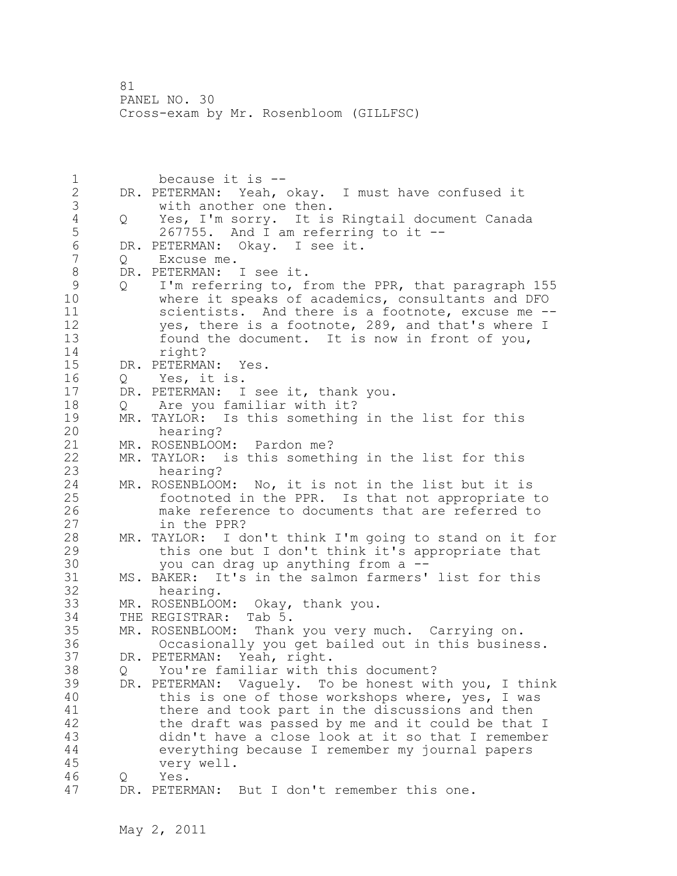1 because it is -- 2 DR. PETERMAN: Yeah, okay. I must have confused it 3 with another one then.<br>4 Q Yes, I'm sorry. It is 4 Q Yes, I'm sorry. It is Ringtail document Canada<br>5 267755. And I am referring to it -- $267755$ . And I am referring to it  $-$ 6 DR. PETERMAN: Okay. I see it. Q Excuse me. 8 DR. PETERMAN: I see it.<br>9 0 I'm referring to, f 9 Q I'm referring to, from the PPR, that paragraph 155<br>10 where it speaks of academics, consultants and DFO where it speaks of academics, consultants and DFO 11 scientists. And there is a footnote, excuse me -- 12 yes, there is a footnote, 289, and that's where I 13 found the document. It is now in front of you, 14 right? 15 DR. PETERMAN: Yes. 16 Q Yes, it is. 17 DR. PETERMAN: I see it, thank you. 18 Q Are you familiar with it? 19 MR. TAYLOR: Is this something in the list for this<br>20 hearing? hearing? 21 MR. ROSENBLOOM: Pardon me? 22 MR. TAYLOR: is this something in the list for this 23 hearing? 24 MR. ROSENBLOOM: No, it is not in the list but it is 25 footnoted in the PPR. Is that not appropriate to 26 make reference to documents that are referred to<br>27 in the PPR? in the PPR? 28 MR. TAYLOR: I don't think I'm going to stand on it for 29 this one but I don't think it's appropriate that 30 you can drag up anything from a --<br>31 MS. BAKER: It's in the salmon farmers' 31 MS. BAKER: It's in the salmon farmers' list for this hearing. 33 MR. ROSENBLOOM: Okay, thank you. 34 THE REGISTRAR: Tab 5. 35 MR. ROSENBLOOM: Thank you very much. Carrying on. 36 Occasionally you get bailed out in this business. 37 DR. PETERMAN: Yeah, right. 38 Q You're familiar with this document? 39 DR. PETERMAN: Vaguely. To be honest with you, I think 40 this is one of those workshops where, yes, I was 41 there and took part in the discussions and then<br>42 the draft was passed by me and it could be that the draft was passed by me and it could be that I 43 didn't have a close look at it so that I remember 44 everything because I remember my journal papers 45 very well. 46 Q Yes. 47 DR. PETERMAN: But I don't remember this one.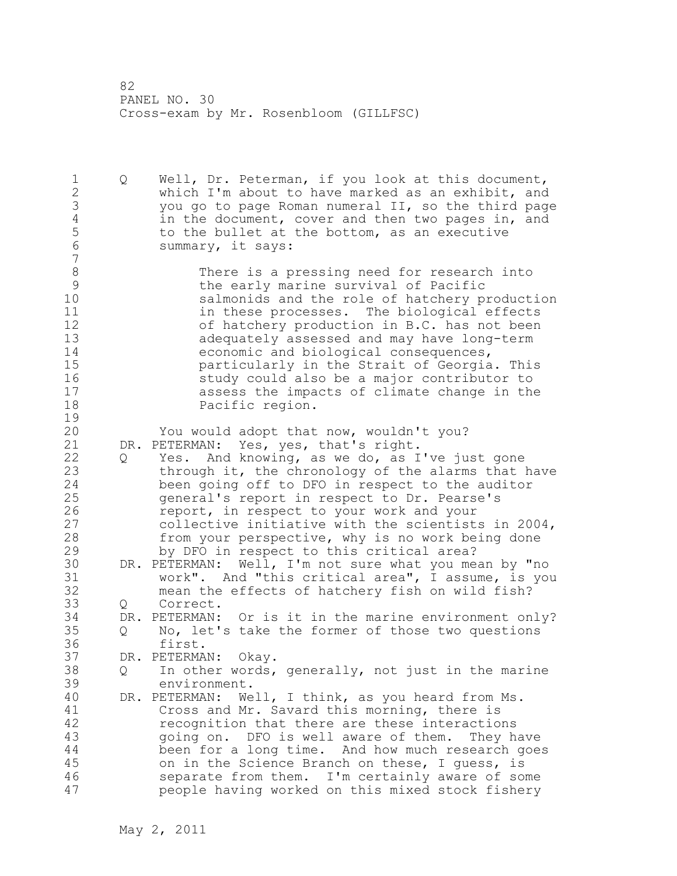1 Q Well, Dr. Peterman, if you look at this document, 2 which I'm about to have marked as an exhibit, and 3 you go to page Roman numeral II, so the third page 4 in the document, cover and then two pages in, and<br>5 to the bullet at the bottom, as an executive 5 to the bullet at the bottom, as an executive<br>6 summarv, it savs: summary, it says: 7 8 There is a pressing need for research into<br>9 the early marine survival of Pacific 9 the early marine survival of Pacific<br>10 salmonids and the role of hatcherv p salmonids and the role of hatchery production 11 in these processes. The biological effects 12 of hatchery production in B.C. has not been<br>13 adequately assessed and may have long-term adequately assessed and may have long-term 14 economic and biological consequences, 15 particularly in the Strait of Georgia. This 16 study could also be a major contributor to 17 assess the impacts of climate change in the 18 Pacific region.  $\begin{array}{c} 19 \\ 20 \end{array}$ You would adopt that now, wouldn't you? 21 DR. PETERMAN: Yes, yes, that's right. 22 Q Yes. And knowing, as we do, as I've just gone 23 through it, the chronology of the alarms that have 24 been going off to DFO in respect to the auditor 25 general's report in respect to Dr. Pearse's 26 report, in respect to your work and your<br>27 collective initiative with the scientist. collective initiative with the scientists in 2004, 28 from your perspective, why is no work being done 29 by DFO in respect to this critical area? 30 DR. PETERMAN: Well, I'm not sure what you mean by "no<br>31 work". And "this critical area", I assume, is you 31 work". And "this critical area", I assume, is you<br>32 mean the effects of hatchery fish on wild fish? mean the effects of hatchery fish on wild fish? 33 Q Correct. 34 DR. PETERMAN: Or is it in the marine environment only? 35 Q No, let's take the former of those two questions 36 first. 37 DR. PETERMAN: Okay. 38 Q In other words, generally, not just in the marine 39 environment. 40 DR. PETERMAN: Well, I think, as you heard from Ms. 41 Cross and Mr. Savard this morning, there is<br>42 Tecognition that there are these interaction recognition that there are these interactions 43 going on. DFO is well aware of them. They have 44 been for a long time. And how much research goes 45 on in the Science Branch on these, I guess, is 46 separate from them. I'm certainly aware of some 47 people having worked on this mixed stock fishery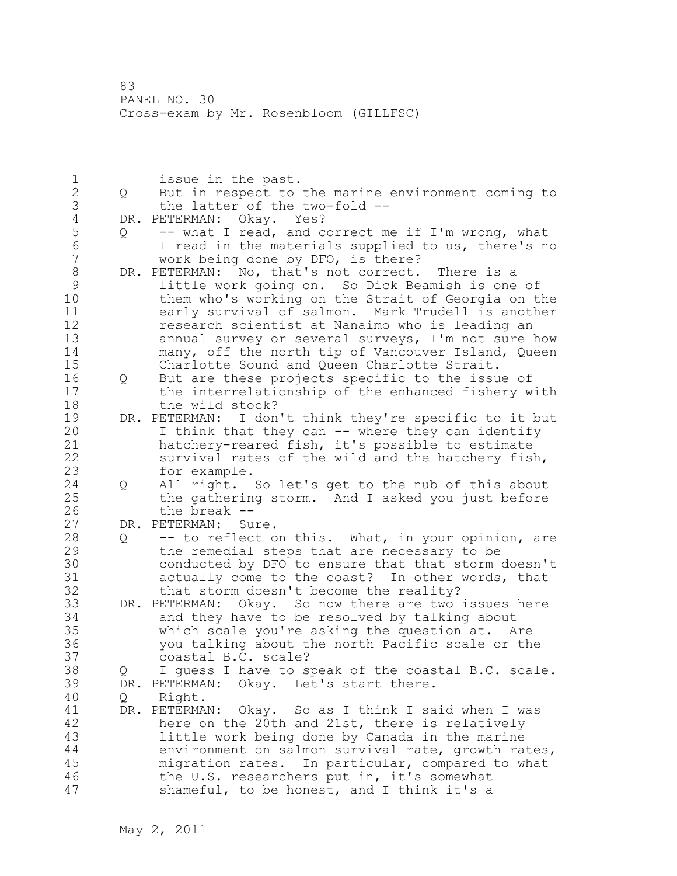1 issue in the past.<br>2 0 But in respect to 2 Q But in respect to the marine environment coming to 3 the latter of the two-fold --<br>4 DR. PETERMAN: Okay. Yes? 4 DR. PETERMAN: Okay. Yes?<br>5 Q -- what I read, and c 5 Q -- what I read, and correct me if I'm wrong, what<br>6 I read in the materials supplied to us, there's no 6 I read in the materials supplied to us, there's no work being done by DFO, is there? 8 DR. PETERMAN: No, that's not correct. There is a<br>9 1ittle work going on. So Dick Beamish is one 9 little work going on. So Dick Beamish is one of them who's working on the Strait of Georgia on the 11 early survival of salmon. Mark Trudell is another 12 research scientist at Nanaimo who is leading an 13 annual survey or several surveys, I'm not sure how 14 many, off the north tip of Vancouver Island, Queen 15 Charlotte Sound and Queen Charlotte Strait. 16 Q But are these projects specific to the issue of 17 the interrelationship of the enhanced fishery with 18 the wild stock? 19 DR. PETERMAN: I don't think they're specific to it but<br>20 1 think that they can -- where they can identify I think that they can  $--$  where they can identify 21 hatchery-reared fish, it's possible to estimate 22 survival rates of the wild and the hatchery fish, 23 for example. 24 Q All right. So let's get to the nub of this about 25 the gathering storm. And I asked you just before 26 the break --<br>27 DR. PETERMAN: Su DR. PETERMAN: Sure. 28 Q -- to reflect on this. What, in your opinion, are 29 the remedial steps that are necessary to be 30 conducted by DFO to ensure that that storm doesn't 31 actually come to the coast? In other words, that<br>32 that storm doesn't become the reality? that storm doesn't become the reality? 33 DR. PETERMAN: Okay. So now there are two issues here 34 and they have to be resolved by talking about 35 which scale you're asking the question at. Are 36 you talking about the north Pacific scale or the 37 coastal B.C. scale? 38 Q I guess I have to speak of the coastal B.C. scale. 39 DR. PETERMAN: Okay. Let's start there. 40 Q Right. 41 DR. PETERMAN: Okay. So as I think I said when I was<br>42 here on the 20th and 21st, there is relatively here on the 20th and 21st, there is relatively 43 little work being done by Canada in the marine 44 environment on salmon survival rate, growth rates, 45 migration rates. In particular, compared to what 46 the U.S. researchers put in, it's somewhat 47 shameful, to be honest, and I think it's a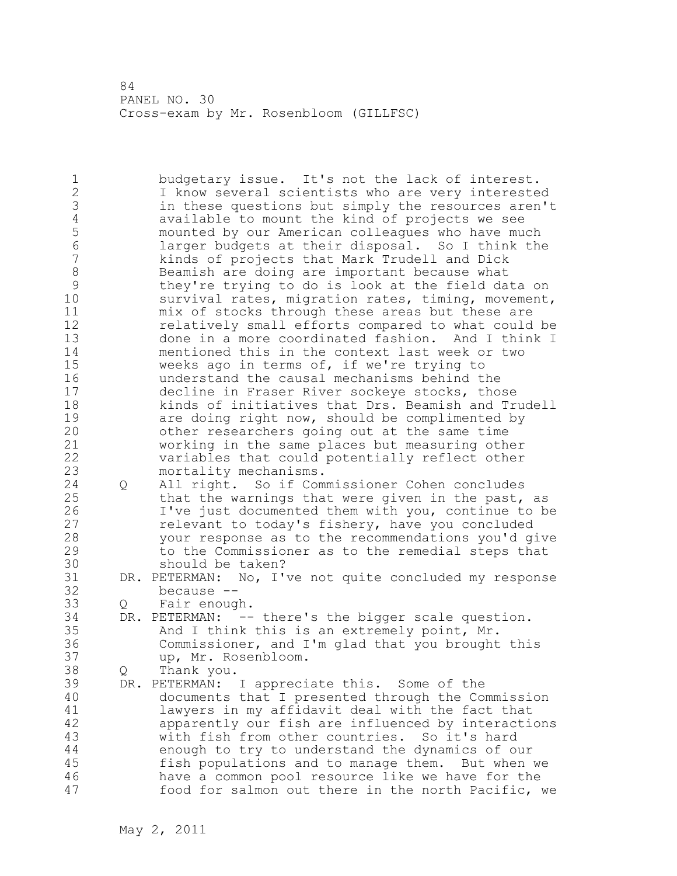1 budgetary issue. It's not the lack of interest. 2 I know several scientists who are very interested 3 in these questions but simply the resources aren't<br>4 available to mount the kind of projects we see 4 available to mount the kind of projects we see 5 mounted by our American colleagues who have much 6 larger budgets at their disposal. So I think the kinds of projects that Mark Trudell and Dick 8 Beamish are doing are important because what 9 they're trying to do is look at the field data on<br>10 survival rates, migration rates, timing, movement survival rates, migration rates, timing, movement, 11 mix of stocks through these areas but these are 12 relatively small efforts compared to what could be 13 done in a more coordinated fashion. And I think I 14 mentioned this in the context last week or two 15 weeks ago in terms of, if we're trying to 16 understand the causal mechanisms behind the 17 decline in Fraser River sockeye stocks, those 18 kinds of initiatives that Drs. Beamish and Trudell 19 are doing right now, should be complimented by<br>20 bther researchers going out at the same time other researchers going out at the same time 21 working in the same places but measuring other 22 variables that could potentially reflect other 23 mortality mechanisms. 24 Q All right. So if Commissioner Cohen concludes 25 that the warnings that were given in the past, as 26 I've just documented them with you, continue to be<br>27 elevant to today's fishery, have you concluded relevant to today's fishery, have you concluded 28 your response as to the recommendations you'd give 29 to the Commissioner as to the remedial steps that 30 should be taken?<br>31 DR. PETERMAN: No. I' DR. PETERMAN: No, I've not quite concluded my response 32 because -- 33 Q Fair enough. 34 DR. PETERMAN: -- there's the bigger scale question. 35 And I think this is an extremely point, Mr. 36 Commissioner, and I'm glad that you brought this 37 up, Mr. Rosenbloom. 38 Q Thank you. 39 DR. PETERMAN: I appreciate this. Some of the 40 documents that I presented through the Commission 41 lawyers in my affidavit deal with the fact that<br>42 apparently our fish are influenced by interactional apparently our fish are influenced by interactions 43 with fish from other countries. So it's hard 44 enough to try to understand the dynamics of our 45 fish populations and to manage them. But when we 46 have a common pool resource like we have for the 47 food for salmon out there in the north Pacific, we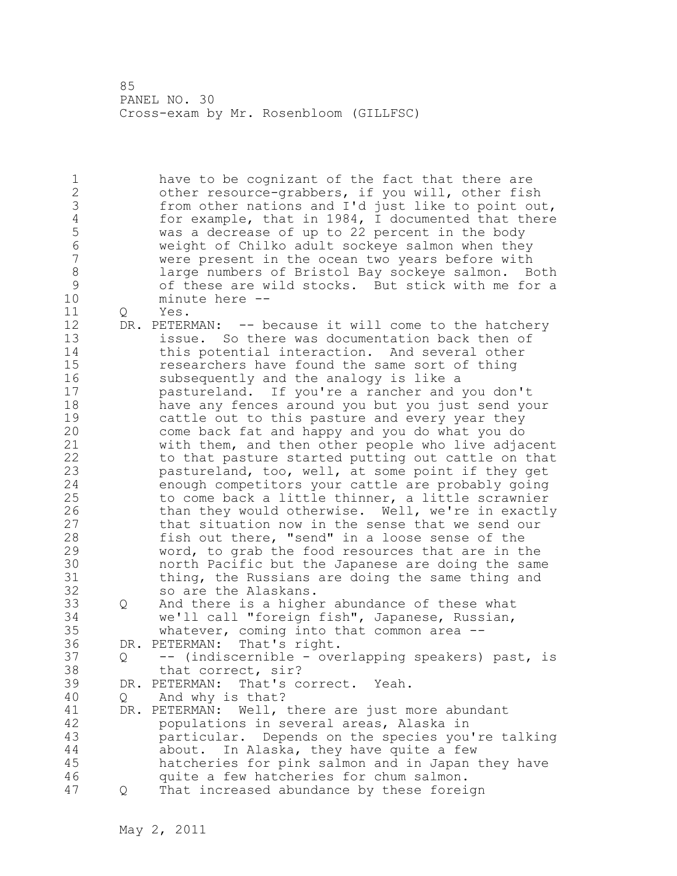1 have to be cognizant of the fact that there are 2 other resource-grabbers, if you will, other fish 3 from other nations and I'd just like to point out,<br>4 for example, that in 1984, I documented that there 4 for example, that in 1984, I documented that there<br>5 was a decrease of up to 22 percent in the body 5 was a decrease of up to 22 percent in the body<br>6 weight of Chilko adult sockeve salmon when the 6 weight of Chilko adult sockeye salmon when they were present in the ocean two years before with 8 large numbers of Bristol Bay sockeye salmon. Both<br>9 of these are wild stocks. But stick with me for a 9 of these are wild stocks. But stick with me for a<br>10 minute here -minute here --

- 11 Q Yes.
- 12 DR. PETERMAN: -- because it will come to the hatchery 13 issue. So there was documentation back then of 14 this potential interaction. And several other 15 researchers have found the same sort of thing 16 subsequently and the analogy is like a 17 pastureland. If you're a rancher and you don't 18 have any fences around you but you just send your 19 cattle out to this pasture and every year they<br>20 come back fat and happy and you do what you do come back fat and happy and you do what you do 21 with them, and then other people who live adjacent 22 to that pasture started putting out cattle on that 23 pastureland, too, well, at some point if they get 24 enough competitors your cattle are probably going 25 to come back a little thinner, a little scrawnier 26 than they would otherwise. Well, we're in exactly<br>27 that situation now in the sense that we send our that situation now in the sense that we send our 28 fish out there, "send" in a loose sense of the 29 word, to grab the food resources that are in the 30 north Pacific but the Japanese are doing the same<br>31 thing, the Russians are doing the same thing and thing, the Russians are doing the same thing and 32 so are the Alaskans.
- 33 Q And there is a higher abundance of these what 34 we'll call "foreign fish", Japanese, Russian, 35 whatever, coming into that common area -- 36 DR. PETERMAN: That's right.

37 Q -- (indiscernible - overlapping speakers) past, is 38 that correct, sir?<br>39 DR. PETERMAN: That's c

- 39 DR. PETERMAN: That's correct. Yeah.
- 40 Q And why is that?
- 41 DR. PETERMAN: Well, there are just more abundant populations in several areas, Alaska in 43 particular. Depends on the species you're talking 44 about. In Alaska, they have quite a few 45 hatcheries for pink salmon and in Japan they have 46 quite a few hatcheries for chum salmon. 47 Q That increased abundance by these foreign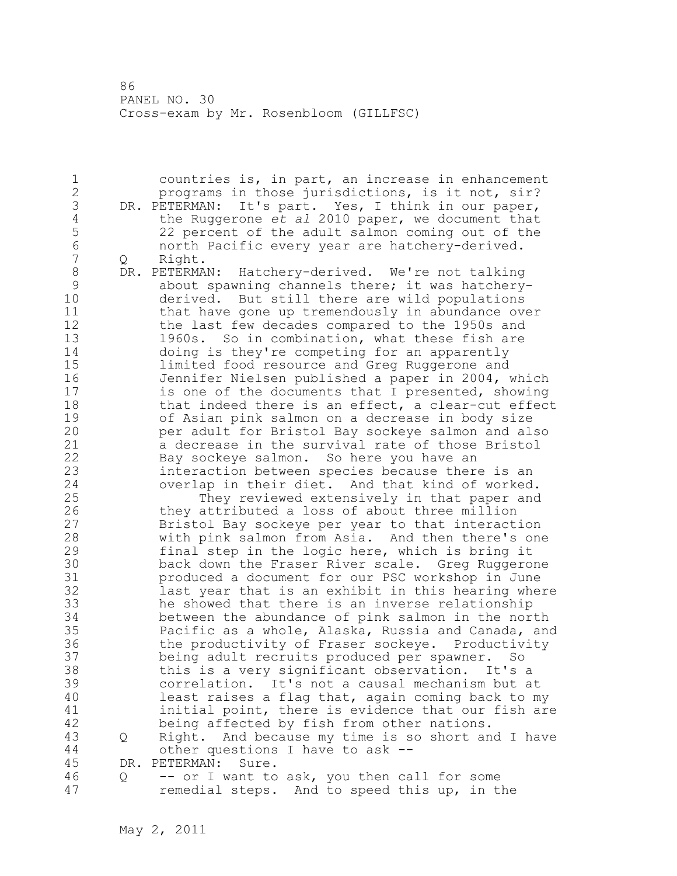1 countries is, in part, an increase in enhancement 2 programs in those jurisdictions, is it not, sir? 3 DR. PETERMAN: It's part. Yes, I think in our paper,<br>4 the Ruggerone *et al* 2010 paper, we document that 4 the Ruggerone *et al* 2010 paper, we document that 5 22 percent of the adult salmon coming out of the<br>6 morth Pacific every year are hatchery-derived. 6 north Pacific every year are hatchery-derived. Q Right.

8 DR. PETERMAN: Hatchery-derived. We're not talking<br>9 about spawning channels there; it was hatchery 9 about spawning channels there; it was hatchery-<br>10 derived. But still there are wild populations derived. But still there are wild populations 11 that have gone up tremendously in abundance over 12 the last few decades compared to the 1950s and 13 1960s. So in combination, what these fish are 14 doing is they're competing for an apparently 15 limited food resource and Greg Ruggerone and 16 Jennifer Nielsen published a paper in 2004, which 17 is one of the documents that I presented, showing 18 that indeed there is an effect, a clear-cut effect 19 of Asian pink salmon on a decrease in body size<br>20 **beer adult for Bristol Bay sockeye salmon and al** per adult for Bristol Bay sockeye salmon and also 21 a decrease in the survival rate of those Bristol 22 Bay sockeye salmon. So here you have an 23 interaction between species because there is an 24 overlap in their diet. And that kind of worked.

25 They reviewed extensively in that paper and 26 they attributed a loss of about three million<br>27 Bristol Bay sockeye per year to that interact. Bristol Bay sockeye per year to that interaction 28 with pink salmon from Asia. And then there's one 29 final step in the logic here, which is bring it 30 back down the Fraser River scale. Greg Ruggerone produced a document for our PSC workshop in June 32 last year that is an exhibit in this hearing where 33 he showed that there is an inverse relationship 34 between the abundance of pink salmon in the north 35 Pacific as a whole, Alaska, Russia and Canada, and 36 the productivity of Fraser sockeye. Productivity 37 being adult recruits produced per spawner. So 38 this is a very significant observation. It's a 39 correlation. It's not a causal mechanism but at 40 least raises a flag that, again coming back to my 41 initial point, there is evidence that our fish are<br>42 being affected by fish from other nations. being affected by fish from other nations. 43 Q Right. And because my time is so short and I have 44 other questions I have to ask --

- 45 DR. PETERMAN: Sure.
- 46 Q -- or I want to ask, you then call for some 47 remedial steps. And to speed this up, in the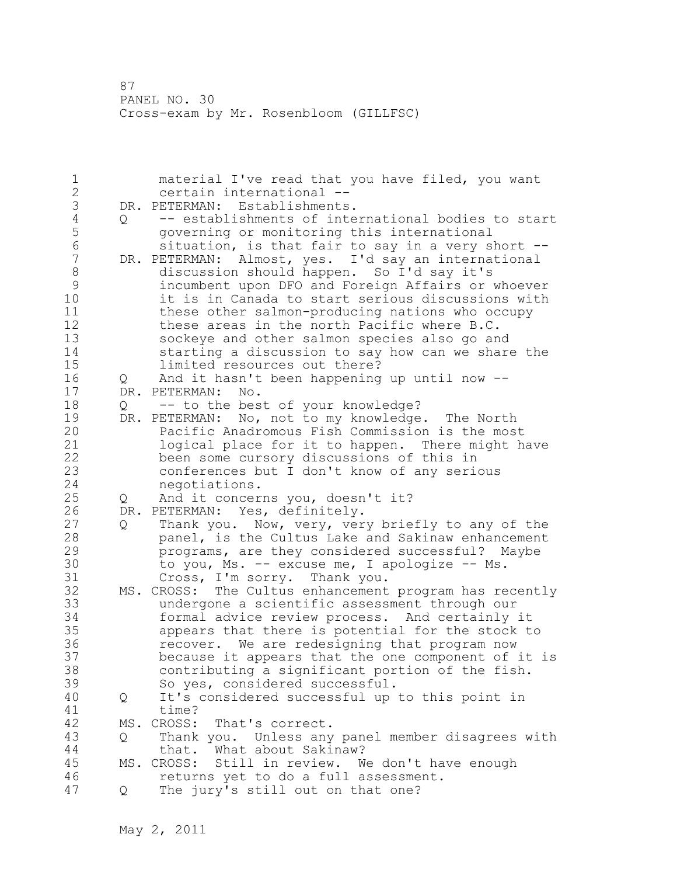1 material I've read that you have filed, you want 2 certain international -- 3 DR. PETERMAN: Establishments.<br>4 0 -- establishments of inte 4 Q -- establishments of international bodies to start 5 governing or monitoring this international<br>6 situation, is that fair to sav in a verv si 6 situation, is that fair to say in a very short --<br>7 DR. PETERMAN: Almost, ves. I'd sav an international DR. PETERMAN: Almost, yes. I'd say an international 8 discussion should happen. So I'd say it's 9 incumbent upon DFO and Foreign Affairs or whoever it is in Canada to start serious discussions with 11 these other salmon-producing nations who occupy 12 these areas in the north Pacific where B.C. 13 sockeye and other salmon species also go and 14 starting a discussion to say how can we share the 15 limited resources out there? 16 Q And it hasn't been happening up until now -- 17 DR. PETERMAN: No. 18 Q -- to the best of your knowledge? 19 DR. PETERMAN: No, not to my knowledge. The North<br>20 Pacific Anadromous Fish Commission is the mos Pacific Anadromous Fish Commission is the most 21 logical place for it to happen. There might have 22 been some cursory discussions of this in 23 conferences but I don't know of any serious 24 negotiations. 25 Q And it concerns you, doesn't it? 26 DR. PETERMAN: Yes, definitely.<br>27 0 Thank you. Now, very, ver 27 Q Thank you. Now, very, very briefly to any of the<br>28 panel, is the Cultus Lake and Sakinaw enhancement panel, is the Cultus Lake and Sakinaw enhancement 29 programs, are they considered successful? Maybe 30 to you, Ms. -- excuse me, I apologize -- Ms.<br>31 Cross, I'm sorry. Thank you. 31 Cross, I'm sorry. Thank you.<br>32 MS. CROSS: The Cultus enhancement MS. CROSS: The Cultus enhancement program has recently 33 undergone a scientific assessment through our 34 formal advice review process. And certainly it 35 appears that there is potential for the stock to 36 recover. We are redesigning that program now 37 because it appears that the one component of it is 38 contributing a significant portion of the fish. 39 So yes, considered successful. 40 Q It's considered successful up to this point in 41 time?<br>42 MS. CROSS: MS. CROSS: That's correct. 43 Q Thank you. Unless any panel member disagrees with 44 that. What about Sakinaw? 45 MS. CROSS: Still in review. We don't have enough 46 returns yet to do a full assessment. 47 Q The jury's still out on that one?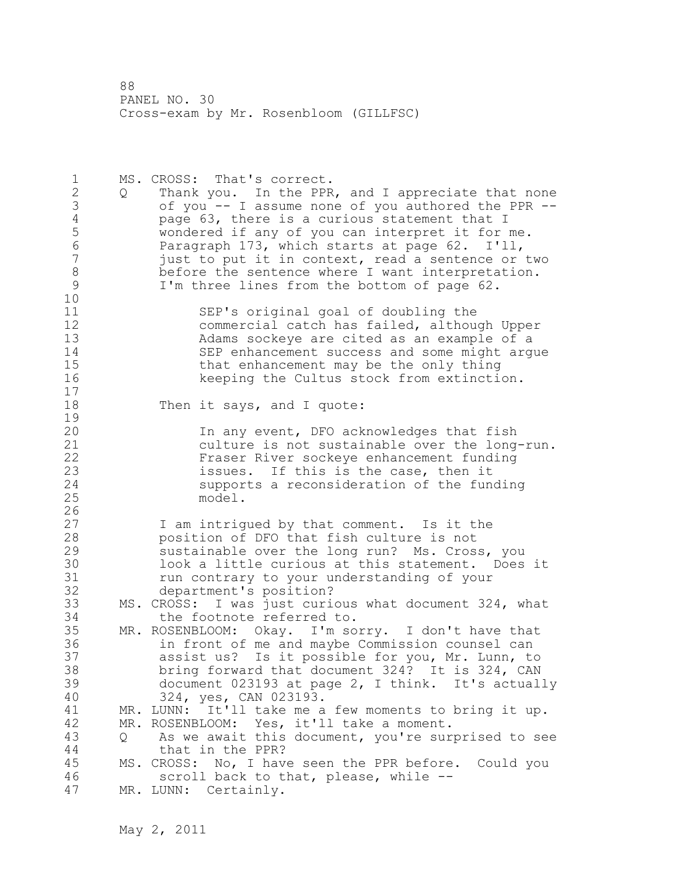1 MS. CROSS: That's correct. 2 Q Thank you. In the PPR, and I appreciate that none 3 of you -- I assume none of you authored the PPR --<br>4 page 63, there is a curious statement that I 4 page 63, there is a curious statement that I<br>5 wondered if any of you can interpret it for i 5 wondered if any of you can interpret it for me.<br>6 Baragraph 173, which starts at page 62. I'll, 6 Paragraph 173, which starts at page 62. I'll, just to put it in context, read a sentence or two 8 before the sentence where I want interpretation.<br>9 I'm three lines from the bottom of page 62. I'm three lines from the bottom of page 62. 10 11 SEP's original goal of doubling the 12 commercial catch has failed, although Upper<br>13 adams sockeve are cited as an example of a Adams sockeye are cited as an example of a 14 SEP enhancement success and some might argue 15 that enhancement may be the only thing 16 keeping the Cultus stock from extinction. 17 18 Then it says, and I quote:  $\frac{19}{20}$ In any event, DFO acknowledges that fish 21 culture is not sustainable over the long-run. 22 Fraser River sockeye enhancement funding 23 issues. If this is the case, then it 24 supports a reconsideration of the funding 25 model.  $\frac{26}{27}$ I am intrigued by that comment. Is it the 28 position of DFO that fish culture is not 29 sustainable over the long run? Ms. Cross, you 30 look a little curious at this statement. Does it<br>31 mun contrary to your understanding of your run contrary to your understanding of your 32 department's position? 33 MS. CROSS: I was just curious what document 324, what 34 the footnote referred to. 35 MR. ROSENBLOOM: Okay. I'm sorry. I don't have that 36 in front of me and maybe Commission counsel can 37 assist us? Is it possible for you, Mr. Lunn, to 38 bring forward that document 324? It is 324, CAN 39 document 023193 at page 2, I think. It's actually 40 324, yes, CAN 023193. 41 MR. LUNN: It'll take me a few moments to bring it up.<br>42 MR. ROSENBLOOM: Yes, it'll take a moment. MR. ROSENBLOOM: Yes, it'll take a moment. 43 Q As we await this document, you're surprised to see 44 that in the PPR? 45 MS. CROSS: No, I have seen the PPR before. Could you 46 scroll back to that, please, while -- 47 MR. LUNN: Certainly.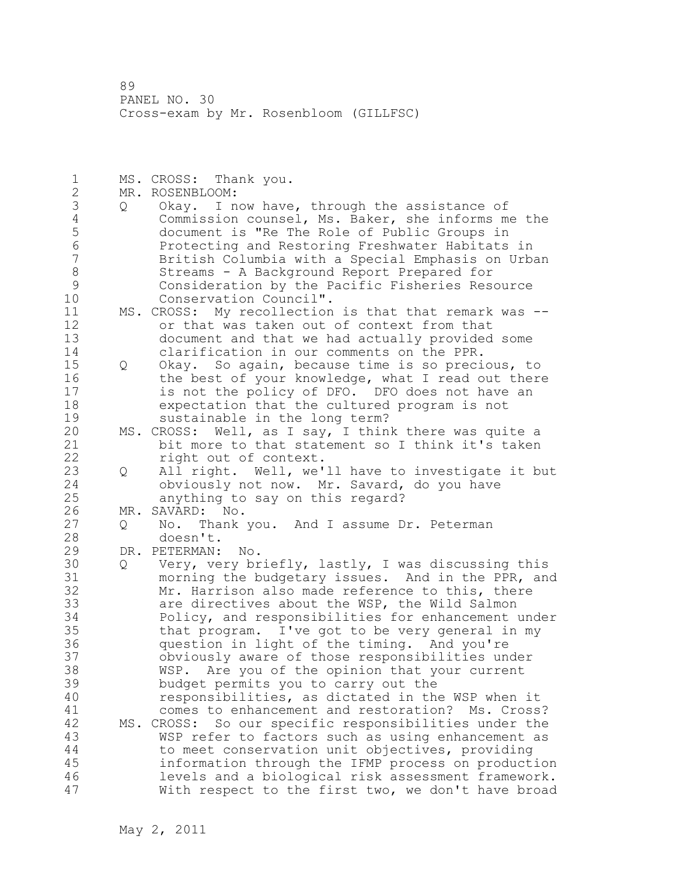1 MS. CROSS: Thank you. 2 MR. ROSENBLOOM: 3 Q Okay. I now have, through the assistance of<br>4 Commission counsel, Ms. Baker, she informs me 4 Commission counsel, Ms. Baker, she informs me the<br>5 document is "Re The Role of Public Groups in 5 document is "Re The Role of Public Groups in 6 Protecting and Restoring Freshwater Habitats in 7 British Columbia with a Special Emphasis on Urban 8 Streams - A Background Report Prepared for 9 Consideration by the Pacific Fisheries Resource Conservation Council". 11 MS. CROSS: My recollection is that that remark was -- 12 or that was taken out of context from that 13 document and that we had actually provided some 14 clarification in our comments on the PPR. 15 Q Okay. So again, because time is so precious, to 16 the best of your knowledge, what I read out there 17 is not the policy of DFO. DFO does not have an 18 expectation that the cultured program is not 19 sustainable in the long term?<br>20 MS. CROSS: Well, as I say, I thin MS. CROSS: Well, as I say, I think there was quite a 21 bit more to that statement so I think it's taken 22 right out of context. 23 Q All right. Well, we'll have to investigate it but 24 obviously not now. Mr. Savard, do you have 25 anything to say on this regard? 26 MR. SAVARD: No.<br>27 0 No. Thank Q No. Thank you. And I assume Dr. Peterman 28 doesn't. 29 DR. PETERMAN: No. 30 Q Very, very briefly, lastly, I was discussing this<br>31 morning the budgetary issues. And in the PPR, and 31 morning the budgetary issues. And in the PPR, and Mr. Harrison also made reference to this, there 33 are directives about the WSP, the Wild Salmon 34 Policy, and responsibilities for enhancement under 35 that program. I've got to be very general in my 36 question in light of the timing. And you're 37 obviously aware of those responsibilities under 38 WSP. Are you of the opinion that your current 39 budget permits you to carry out the 40 responsibilities, as dictated in the WSP when it 41 comes to enhancement and restoration? Ms. Cross?<br>42 MS. CROSS: So our specific responsibilities under the MS. CROSS: So our specific responsibilities under the 43 WSP refer to factors such as using enhancement as 44 to meet conservation unit objectives, providing 45 information through the IFMP process on production 46 levels and a biological risk assessment framework. 47 With respect to the first two, we don't have broad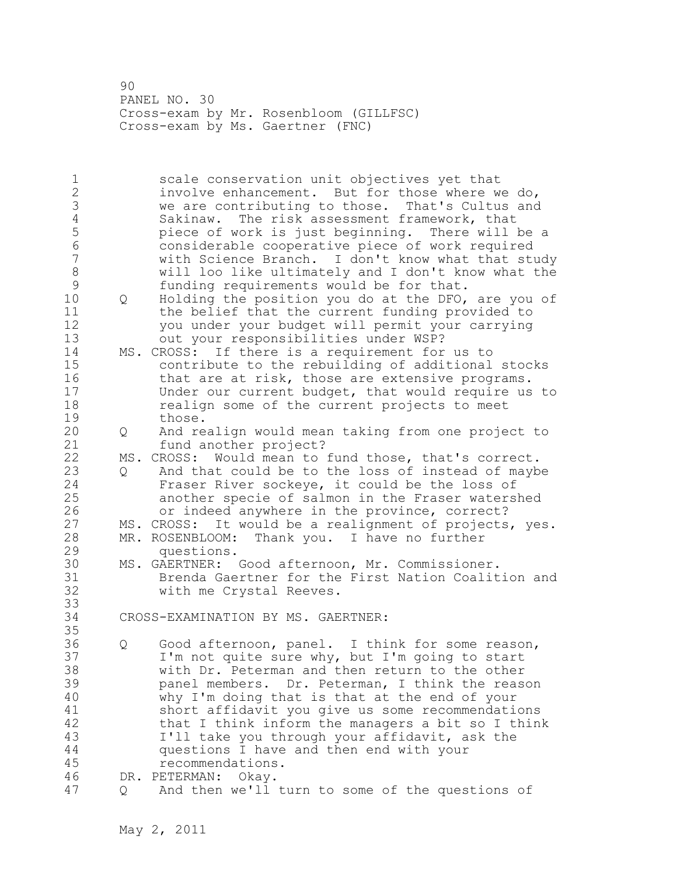90 PANEL NO. 30 Cross-exam by Mr. Rosenbloom (GILLFSC) Cross-exam by Ms. Gaertner (FNC)

1 scale conservation unit objectives yet that 2 involve enhancement. But for those where we do, 3 we are contributing to those. That's Cultus and<br>4 Sakinaw. The risk assessment framework, that 4 Sakinaw. The risk assessment framework, that<br>5 biece of work is just beginning. There will 5 piece of work is just beginning. There will be a 6 considerable cooperative piece of work required with Science Branch. I don't know what that study 8 will loo like ultimately and I don't know what the 9 funding requirements would be for that.<br>10 0 Holding the position you do at the DFO, 10 Q Holding the position you do at the DFO, are you of 11 the belief that the current funding provided to 12 you under your budget will permit your carrying 13 out your responsibilities under WSP? 14 MS. CROSS: If there is a requirement for us to 15 contribute to the rebuilding of additional stocks 16 that are at risk, those are extensive programs. 17 Under our current budget, that would require us to 18 realign some of the current projects to meet 19 those.<br>20 0 And re 20 Q And realign would mean taking from one project to 21 fund another project? 22 MS. CROSS: Would mean to fund those, that's correct. 23 Q And that could be to the loss of instead of maybe 24 Fraser River sockeye, it could be the loss of 25 another specie of salmon in the Fraser watershed 26 or indeed anywhere in the province, correct?<br>27 MS. CROSS: It would be a realignment of projects MS. CROSS: It would be a realignment of projects, yes. 28 MR. ROSENBLOOM: Thank you. I have no further 29 questions. 30 MS. GAERTNER: Good afternoon, Mr. Commissioner. 31 Brenda Gaertner for the First Nation Coalition and with me Crystal Reeves. 33 34 CROSS-EXAMINATION BY MS. GAERTNER: 35 36 Q Good afternoon, panel. I think for some reason, 37 I'm not quite sure why, but I'm going to start 38 with Dr. Peterman and then return to the other 39 panel members. Dr. Peterman, I think the reason 40 why I'm doing that is that at the end of your 41 short affidavit you give us some recommendations<br>42 that I think inform the managers a bit so I thin that I think inform the managers a bit so I think 43 I'll take you through your affidavit, ask the 44 questions I have and then end with your 45 recommendations. 46 DR. PETERMAN: Okay. 47 Q And then we'll turn to some of the questions of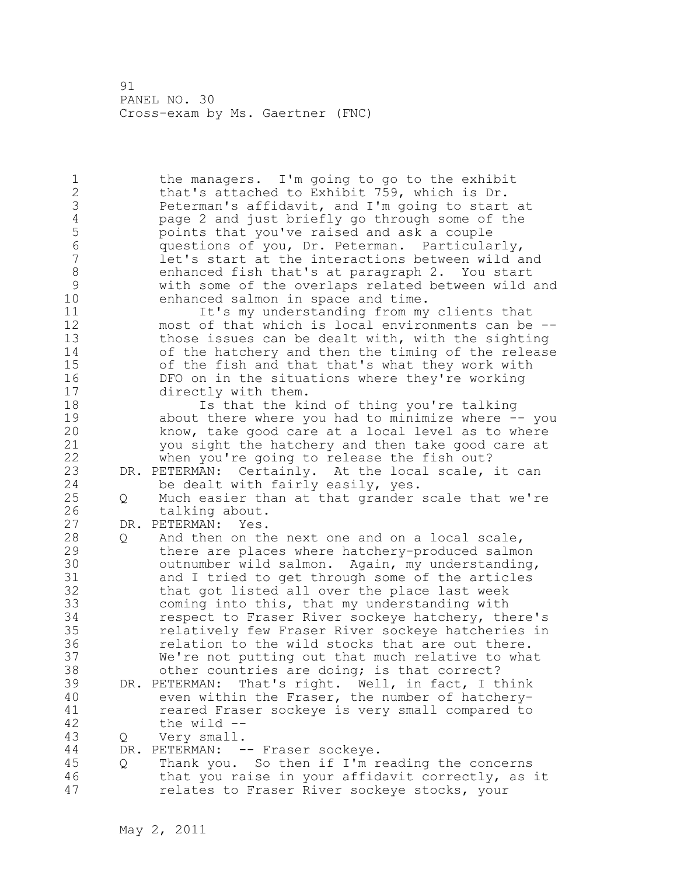1 the managers. I'm going to go to the exhibit 2 that's attached to Exhibit 759, which is Dr. 3 Peterman's affidavit, and I'm going to start at<br>4 page 2 and just briefly go through some of the 4 page 2 and just briefly go through some of the<br>5 points that you've raised and ask a couple 5 points that you've raised and ask a couple 6 questions of you, Dr. Peterman. Particularly, 7 let's start at the interactions between wild and 8 enhanced fish that's at paragraph 2. You start 9 with some of the overlaps related between wild and enhanced salmon in space and time. 11 It's my understanding from my clients that 12 most of that which is local environments can be -- 13 those issues can be dealt with, with the sighting 14 of the hatchery and then the timing of the release 15 of the fish and that that's what they work with 16 DFO on in the situations where they're working 17 directly with them. 18 Is that the kind of thing you're talking 19 about there where you had to minimize where -- you<br>20 how, take good care at a local level as to where know, take good care at a local level as to where 21 you sight the hatchery and then take good care at 22 when you're going to release the fish out? 23 DR. PETERMAN: Certainly. At the local scale, it can 24 be dealt with fairly easily, yes. 25 Q Much easier than at that grander scale that we're 26 talking about.<br>27 DR. PETERMAN: Yes. DR. PETERMAN: Yes. 28 Q And then on the next one and on a local scale, 29 there are places where hatchery-produced salmon 30 outnumber wild salmon. Again, my understanding,<br>31 and I tried to get through some of the articles and I tried to get through some of the articles 32 that got listed all over the place last week 33 coming into this, that my understanding with 34 respect to Fraser River sockeye hatchery, there's 35 relatively few Fraser River sockeye hatcheries in 36 relation to the wild stocks that are out there. 37 We're not putting out that much relative to what 38 other countries are doing; is that correct? 39 DR. PETERMAN: That's right. Well, in fact, I think 40 even within the Fraser, the number of hatchery-41 reared Fraser sockeye is very small compared to<br>42 the wild -the wild  $-$ 43 Q Very small. 44 DR. PETERMAN: -- Fraser sockeye. 45 Q Thank you. So then if I'm reading the concerns 46 that you raise in your affidavit correctly, as it 47 relates to Fraser River sockeye stocks, your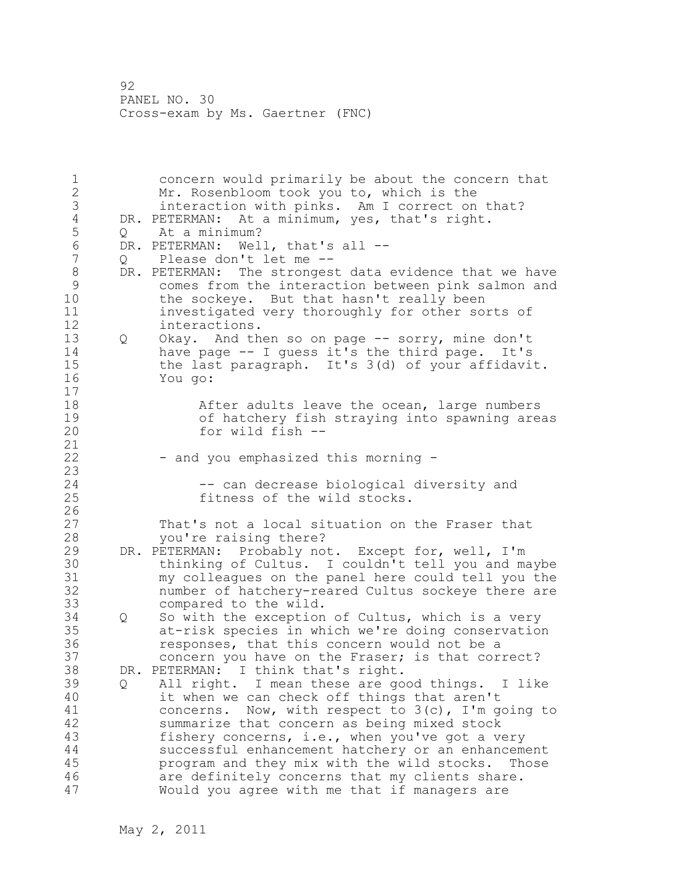1 concern would primarily be about the concern that 2 Mr. Rosenbloom took you to, which is the 3 interaction with pinks. Am I correct on that?<br>4 DR. PETERMAN: At a minimum, yes, that's right. 4 DR. PETERMAN: At a minimum, yes, that's right.<br>5 Q At a minimum? 5 Q At a minimum?<br>6 DR. PETERMAN: Wel 6 DR. PETERMAN: Well, that's all --<br>7 0 Please don't let me --Q Please don't let me --8 DR. PETERMAN: The strongest data evidence that we have<br>9 comes from the interaction between pink salmon and 9 comes from the interaction between pink salmon and the sockeye. But that hasn't really been 11 investigated very thoroughly for other sorts of 12 interactions. 13 Q Okay. And then so on page -- sorry, mine don't 14 have page -- I guess it's the third page. It's 15 the last paragraph. It's 3(d) of your affidavit. 16 You go: 17 18 After adults leave the ocean, large numbers 19 of hatchery fish straying into spawning areas<br>20 for wild fish -for wild fish --21 22 - and you emphasized this morning -23 24 -- can decrease biological diversity and 25 fitness of the wild stocks.  $\frac{26}{27}$ That's not a local situation on the Fraser that 28 you're raising there? 29 DR. PETERMAN: Probably not. Except for, well, I'm 30 thinking of Cultus. I couldn't tell you and maybe<br>31 my colleagues on the panel here could tell you the 31 my colleagues on the panel here could tell you the number of hatchery-reared Cultus sockeye there are 33 compared to the wild. 34 Q So with the exception of Cultus, which is a very 35 at-risk species in which we're doing conservation 36 responses, that this concern would not be a 37 concern you have on the Fraser; is that correct? 38 DR. PETERMAN: I think that's right. 39 Q All right. I mean these are good things. I like 40 it when we can check off things that aren't 41 concerns. Now, with respect to 3(c), I'm going to<br>42 summarize that concern as being mixed stock summarize that concern as being mixed stock 43 fishery concerns, i.e., when you've got a very 44 successful enhancement hatchery or an enhancement 45 program and they mix with the wild stocks. Those 46 are definitely concerns that my clients share. 47 Would you agree with me that if managers are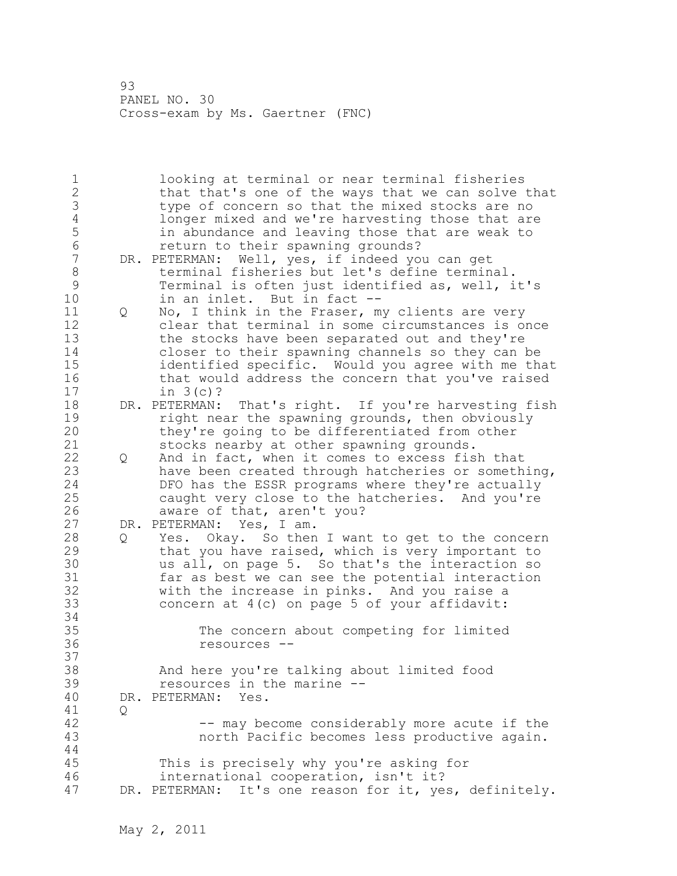1 looking at terminal or near terminal fisheries 2 that that's one of the ways that we can solve that 3 type of concern so that the mixed stocks are no<br>4 longer mixed and we're harvesting those that are 4 10 longer mixed and we're harvesting those that are<br>5 11 in abundance and leaving those that are weak to 5 in abundance and leaving those that are weak to<br>6 return to their spawning grounds? 6 return to their spawning grounds?<br>7 DR. PETERMAN: Well, ves, if indeed vo DR. PETERMAN: Well, yes, if indeed you can get 8 terminal fisheries but let's define terminal. 9 Terminal is often just identified as, well, it's<br>10 in an inlet. But in fact -in an inlet. But in fact --11 Q No, I think in the Fraser, my clients are very 12 clear that terminal in some circumstances is once 13 the stocks have been separated out and they're 14 closer to their spawning channels so they can be 15 identified specific. Would you agree with me that 16 that would address the concern that you've raised 17 in 3(c)? 18 DR. PETERMAN: That's right. If you're harvesting fish 19 right near the spawning grounds, then obviously<br>20 they're going to be differentiated from other they're going to be differentiated from other 21 stocks nearby at other spawning grounds. 22 Q And in fact, when it comes to excess fish that 23 have been created through hatcheries or something, 24 DFO has the ESSR programs where they're actually 25 caught very close to the hatcheries. And you're 26 aware of that, aren't you?<br>27 DR. PETERMAN: Yes, I am. DR. PETERMAN: Yes, I am. 28 Q Yes. Okay. So then I want to get to the concern 29 that you have raised, which is very important to 30 us all, on page 5. So that's the interaction so<br>31 far as best we can see the potential interaction far as best we can see the potential interaction 32 with the increase in pinks. And you raise a 33 concern at 4(c) on page 5 of your affidavit: 34 35 The concern about competing for limited 36 resources -- 37 38 And here you're talking about limited food 39 resources in the marine -- 40 DR. PETERMAN: Yes.  $41$  Q<br> $42$ -- may become considerably more acute if the 43 north Pacific becomes less productive again. 44 45 This is precisely why you're asking for 46 international cooperation, isn't it? 47 DR. PETERMAN: It's one reason for it, yes, definitely.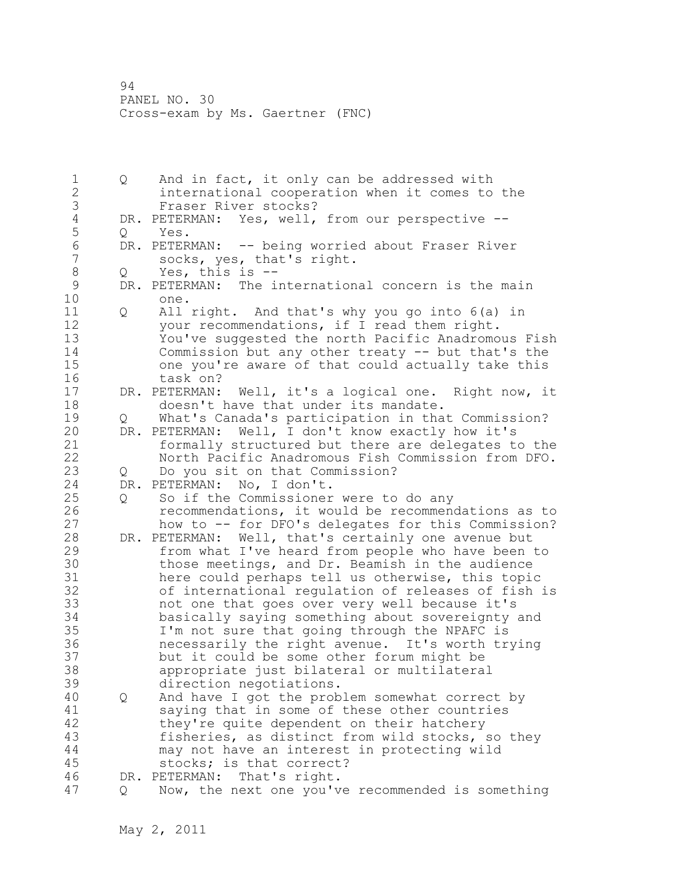1 Q And in fact, it only can be addressed with 2 international cooperation when it comes to the 3 Fraser River stocks?<br>4 DR. PETERMAN: Yes, well, 4 DR. PETERMAN: Yes, well, from our perspective --<br>5 Q Yes. 5 Q Yes.<br>6 DR.PETER 6 DR. PETERMAN: -- being worried about Fraser River<br>7 socks, ves, that's right. socks, yes, that's right. 8 Q Yes, this is --<br>9 DR. PETERMAN: The i 9 DR. PETERMAN: The international concern is the main<br>10 one. one. 11 Q All right. And that's why you go into 6(a) in 12 your recommendations, if I read them right. 13 You've suggested the north Pacific Anadromous Fish 14 Commission but any other treaty -- but that's the 15 one you're aware of that could actually take this 16 task on? 17 DR. PETERMAN: Well, it's a logical one. Right now, it 18 doesn't have that under its mandate. 19 Q What's Canada's participation in that Commission?<br>20 DR. PETERMAN: Well, I don't know exactly how it's DR. PETERMAN: Well, I don't know exactly how it's 21 formally structured but there are delegates to the 22 North Pacific Anadromous Fish Commission from DFO. 23 Q Do you sit on that Commission? 24 DR. PETERMAN: No, I don't. 25 Q So if the Commissioner were to do any 26 recommendations, it would be recommendations as to<br>27 how to -- for DFO's delegates for this Commission? how to -- for DFO's delegates for this Commission? 28 DR. PETERMAN: Well, that's certainly one avenue but 29 from what I've heard from people who have been to 30 those meetings, and Dr. Beamish in the audience<br>31 here could perhaps tell us otherwise, this topi here could perhaps tell us otherwise, this topic 32 of international regulation of releases of fish is 33 not one that goes over very well because it's 34 basically saying something about sovereignty and 35 I'm not sure that going through the NPAFC is 36 necessarily the right avenue. It's worth trying 37 but it could be some other forum might be 38 appropriate just bilateral or multilateral 39 direction negotiations. 40 Q And have I got the problem somewhat correct by 41 saying that in some of these other countries<br>42 they're quite dependent on their hatchery they're quite dependent on their hatchery 43 fisheries, as distinct from wild stocks, so they 44 may not have an interest in protecting wild 45 stocks; is that correct? 46 DR. PETERMAN: That's right. 47 Q Now, the next one you've recommended is something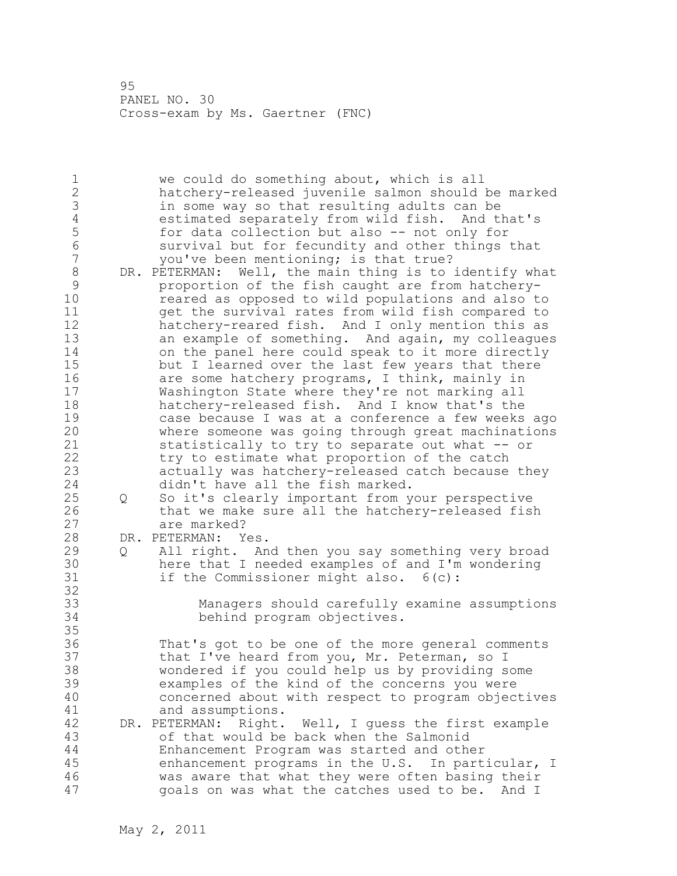1 we could do something about, which is all 2 hatchery-released juvenile salmon should be marked 3 in some way so that resulting adults can be<br>4 estimated separately from wild fish. And the 4 estimated separately from wild fish. And that's<br>5 for data collection but also -- not only for 5 for data collection but also -- not only for<br>6 survival but for fecundity and other things 6 survival but for fecundity and other things that<br>7 vou've been mentioning: is that true? you've been mentioning; is that true? 8 DR. PETERMAN: Well, the main thing is to identify what<br>9 oroportion of the fish caught are from hatchery-9 proportion of the fish caught are from hatchery-<br>10 meared as opposed to wild populations and also t reared as opposed to wild populations and also to 11 get the survival rates from wild fish compared to 12 hatchery-reared fish. And I only mention this as 13 an example of something. And again, my colleagues 14 on the panel here could speak to it more directly 15 but I learned over the last few years that there 16 are some hatchery programs, I think, mainly in 17 Washington State where they're not marking all 18 hatchery-released fish. And I know that's the 19 case because I was at a conference a few weeks ago<br>20 where someone was going through great machinations where someone was going through great machinations 21 statistically to try to separate out what -- or 22 try to estimate what proportion of the catch 23 actually was hatchery-released catch because they 24 didn't have all the fish marked. 25 Q So it's clearly important from your perspective 26 that we make sure all the hatchery-released fish<br>27 are marked? are marked? 28 DR. PETERMAN: Yes. 29 Q All right. And then you say something very broad 30 here that I needed examples of and I'm wondering<br>31 if the Commissioner might also. 6(c): if the Commissioner might also.  $6(c)$ : 32 33 Managers should carefully examine assumptions 34 behind program objectives. 35 36 That's got to be one of the more general comments 37 that I've heard from you, Mr. Peterman, so I 38 wondered if you could help us by providing some 39 examples of the kind of the concerns you were 40 concerned about with respect to program objectives 41 and assumptions.<br>42 DR. PETERMAN: Right. DR. PETERMAN: Right. Well, I guess the first example 43 of that would be back when the Salmonid 44 Enhancement Program was started and other 45 enhancement programs in the U.S. In particular, I 46 was aware that what they were often basing their 47 goals on was what the catches used to be. And I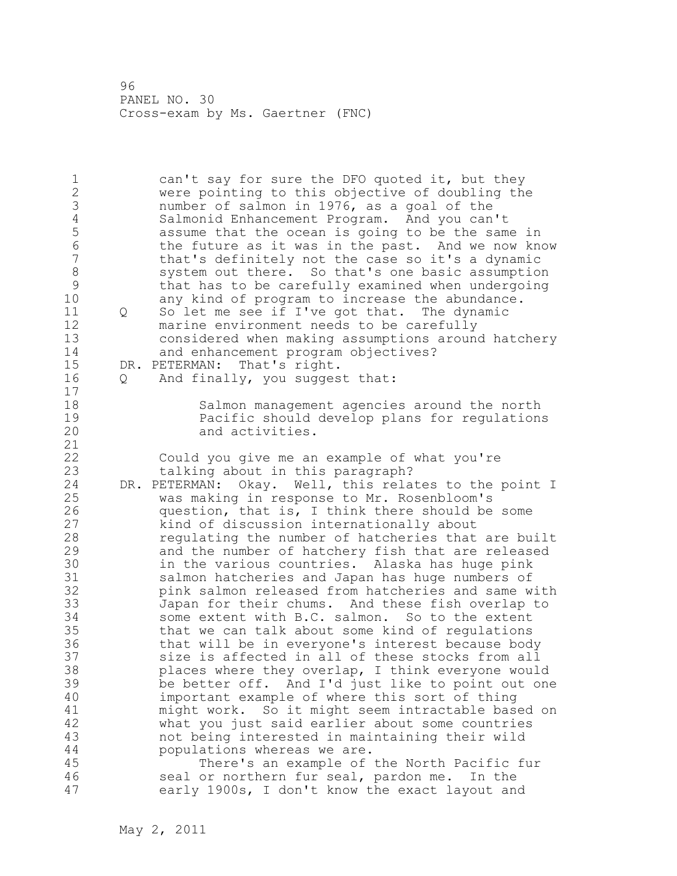1 can't say for sure the DFO quoted it, but they 2 were pointing to this objective of doubling the 3 number of salmon in 1976, as a goal of the 4 Salmonid Enhancement Program. And you can't 5 5 assume that the ocean is going to be the same in<br>6 5 the future as it was in the past. And we now know 6 the future as it was in the past. And we now know<br>7 that's definitely not the case so it's a dynamic that's definitely not the case so it's a dynamic 8 system out there. So that's one basic assumption<br>9 bthat has to be carefully examined when undergoing 9 that has to be carefully examined when undergoing<br>10 any kind of program to increase the abundance. any kind of program to increase the abundance. 11 Q So let me see if I've got that. The dynamic 12 marine environment needs to be carefully 13 considered when making assumptions around hatchery 14 and enhancement program objectives? 15 DR. PETERMAN: That's right. 16 Q And finally, you suggest that: 17 18 Salmon management agencies around the north 19 **Pacific should develop plans for regulations**<br>20 **Pacific should develop plans for regulations** and activities. 21 22 Could you give me an example of what you're 23 talking about in this paragraph? 24 DR. PETERMAN: Okay. Well, this relates to the point I 25 was making in response to Mr. Rosenbloom's 26 question, that is, I think there should be some<br>27 htind of discussion internationally about kind of discussion internationally about 28 regulating the number of hatcheries that are built 29 and the number of hatchery fish that are released 30 in the various countries. Alaska has huge pink 31 salmon hatcheries and Japan has huge numbers of<br>32 bink salmon released from hatcheries and same w pink salmon released from hatcheries and same with 33 Japan for their chums. And these fish overlap to 34 some extent with B.C. salmon. So to the extent 35 that we can talk about some kind of regulations 36 that will be in everyone's interest because body 37 size is affected in all of these stocks from all 38 places where they overlap, I think everyone would 39 be better off. And I'd just like to point out one 40 important example of where this sort of thing 41 might work. So it might seem intractable based on<br>42 what you just said earlier about some countries what you just said earlier about some countries 43 not being interested in maintaining their wild 44 populations whereas we are. 45 There's an example of the North Pacific fur 46 seal or northern fur seal, pardon me. In the 47 early 1900s, I don't know the exact layout and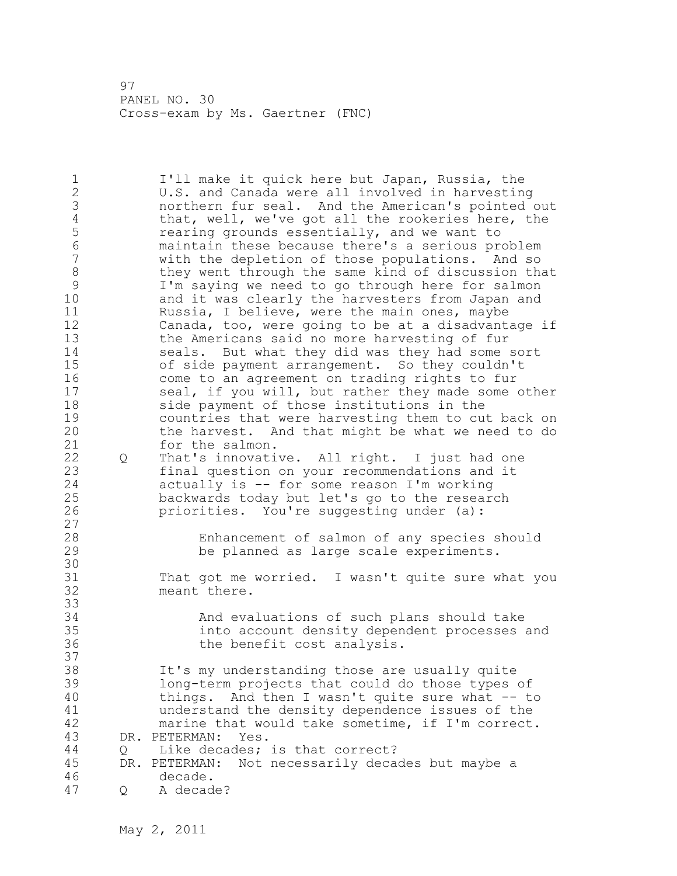1 I'll make it quick here but Japan, Russia, the 2 U.S. and Canada were all involved in harvesting 3 northern fur seal. And the American's pointed out 4 that, well, we've got all the rookeries here, the<br>5 rearing grounds essentially, and we want to 5 5 rearing grounds essentially, and we want to<br>6 maintain these because there's a serious pr 6 maintain these because there's a serious problem with the depletion of those populations. And so 8 they went through the same kind of discussion that<br>9 I'm saying we need to go through here for salmon 9 I'm saying we need to go through here for salmon and it was clearly the harvesters from Japan and 11 Russia, I believe, were the main ones, maybe 12 Canada, too, were going to be at a disadvantage if 13 the Americans said no more harvesting of fur 14 seals. But what they did was they had some sort 15 of side payment arrangement. So they couldn't 16 come to an agreement on trading rights to fur 17 seal, if you will, but rather they made some other 18 side payment of those institutions in the 19 countries that were harvesting them to cut back on<br>20 the harvest. And that might be what we need to do the harvest. And that might be what we need to do 21 for the salmon. 22 Q That's innovative. All right. I just had one 23 final question on your recommendations and it 24 actually is -- for some reason I'm working 25 backwards today but let's go to the research 26 priorities. You're suggesting under (a):  $\begin{array}{c} 27 \\ 28 \end{array}$ Enhancement of salmon of any species should 29 be planned as large scale experiments. 30<br>31 31 That got me worried. I wasn't quite sure what you meant there. 33 34 And evaluations of such plans should take 35 into account density dependent processes and 36 the benefit cost analysis. 37 38 It's my understanding those are usually quite 39 long-term projects that could do those types of 40 things. And then I wasn't quite sure what -- to 41 understand the density dependence issues of the<br>42 marine that would take sometime, if I'm correct marine that would take sometime, if I'm correct. 43 DR. PETERMAN: Yes. 44 Q Like decades; is that correct? 45 DR. PETERMAN: Not necessarily decades but maybe a 46 decade. 47 Q A decade?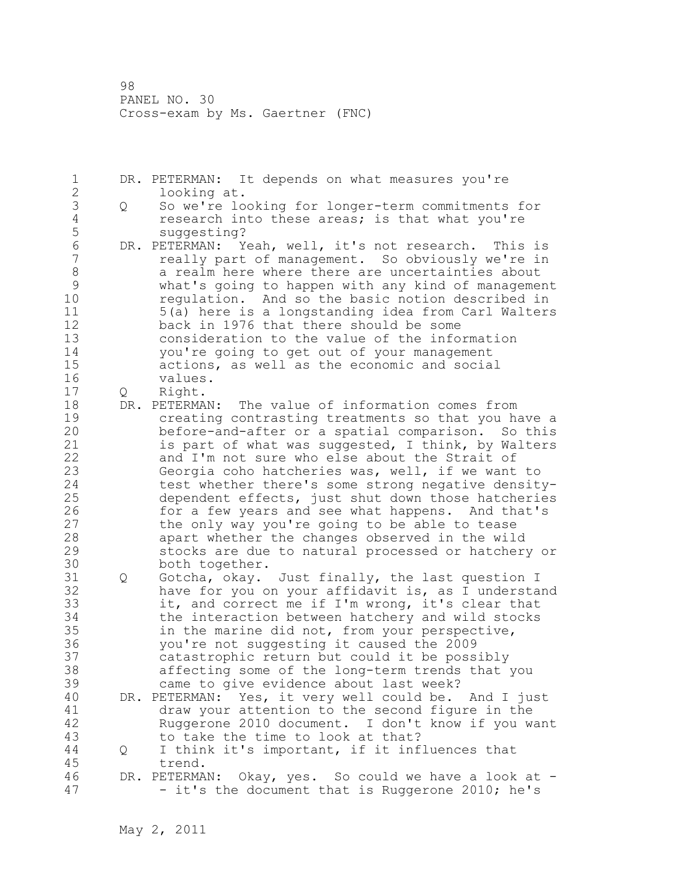1 DR. PETERMAN: It depends on what measures you're 2 looking at. 3 Q So we're looking for longer-term commitments for<br>4 cesearch into these areas: is that what you're 4 research into these areas; is that what you're<br>5 suggesting? 5 suggesting?<br>6 DR. PETERMAN: Y 6 DR. PETERMAN: Yeah, well, it's not research. This is<br>7 The ally part of management. So obviously we're in really part of management. So obviously we're in 8 a realm here where there are uncertainties about 9 what's going to happen with any kind of management regulation. And so the basic notion described in 11 5(a) here is a longstanding idea from Carl Walters 12 back in 1976 that there should be some 13 consideration to the value of the information 14 you're going to get out of your management 15 actions, as well as the economic and social 16 values. 17 Q Right. 18 DR. PETERMAN: The value of information comes from 19 creating contrasting treatments so that you have a<br>20 before-and-after or a spatial comparison. So this before-and-after or a spatial comparison. So this 21 is part of what was suggested, I think, by Walters 22 and I'm not sure who else about the Strait of 23 Georgia coho hatcheries was, well, if we want to 24 test whether there's some strong negative density-25 dependent effects, just shut down those hatcheries 26 for a few years and see what happens. And that's<br>27 the only way you're going to be able to tease the only way you're going to be able to tease 28 apart whether the changes observed in the wild 29 stocks are due to natural processed or hatchery or 30 both together. 31 Q Gotcha, okay. Just finally, the last question I 32 have for you on your affidavit is, as I understand 33 it, and correct me if I'm wrong, it's clear that 34 the interaction between hatchery and wild stocks 35 in the marine did not, from your perspective, 36 you're not suggesting it caused the 2009 37 catastrophic return but could it be possibly 38 affecting some of the long-term trends that you 39 came to give evidence about last week? 40 DR. PETERMAN: Yes, it very well could be. And I just 41 draw your attention to the second figure in the Ruggerone 2010 document. I don't know if you want 43 to take the time to look at that? 44 Q I think it's important, if it influences that 45 trend. 46 DR. PETERMAN: Okay, yes. So could we have a look at -47 - it's the document that is Ruggerone 2010; he's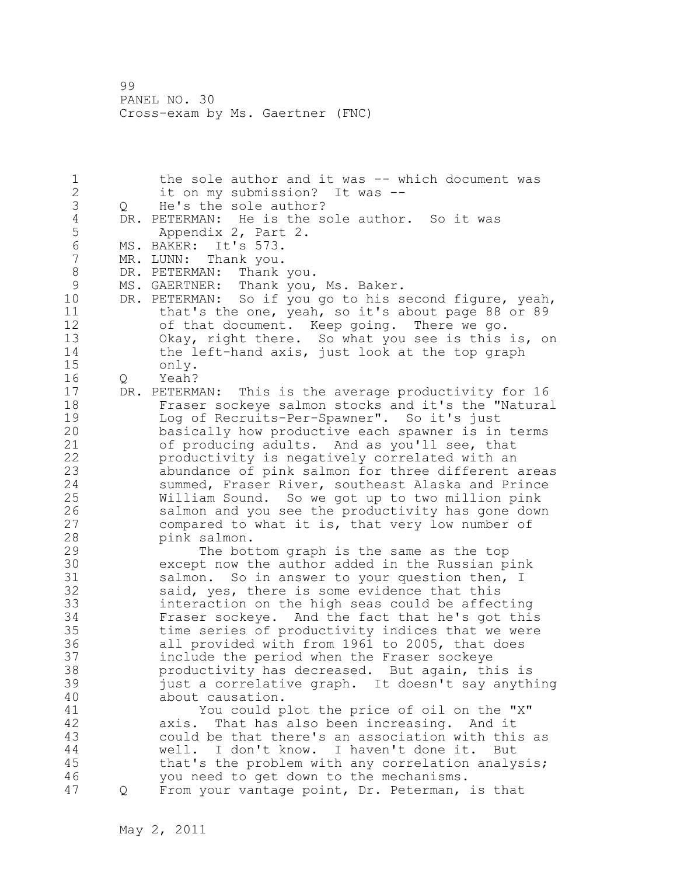1 the sole author and it was -- which document was 2 it on my submission? It was -- 3 Q He's the sole author?<br>4 DR. PETERMAN: He is the s 4 DR. PETERMAN: He is the sole author. So it was<br>5 Appendix 2, Part 2. 5 Appendix 2, Part 2.<br>6 MS. BAKER: It's 573. 6 MS. BAKER: It's 573.<br>7 MR. LUNN: Thank vou. MR. LUNN: Thank you. 8 DR. PETERMAN: Thank you. 9 MS. GAERTNER: Thank you, Ms. Baker.<br>10 DR. PETERMAN: So if you go to his s DR. PETERMAN: So if you go to his second figure, yeah, 11 that's the one, yeah, so it's about page 88 or 89 12 of that document. Keep going. There we go. 13 Okay, right there. So what you see is this is, on 14 the left-hand axis, just look at the top graph 15 only. 16 Q Yeah? 17 DR. PETERMAN: This is the average productivity for 16 18 Fraser sockeye salmon stocks and it's the "Natural 19 Log of Recruits-Per-Spawner". So it's just<br>20 basically how productive each spawner is in basically how productive each spawner is in terms 21 of producing adults. And as you'll see, that 22 productivity is negatively correlated with an 23 abundance of pink salmon for three different areas 24 summed, Fraser River, southeast Alaska and Prince 25 William Sound. So we got up to two million pink 26 salmon and you see the productivity has gone down<br>27 compared to what it is, that very low number of compared to what it is, that very low number of 28 pink salmon. 29 The bottom graph is the same as the top 30 except now the author added in the Russian pink<br>31 salmon. So in answer to your question then, I salmon. So in answer to your question then, I 32 said, yes, there is some evidence that this 33 interaction on the high seas could be affecting 34 Fraser sockeye. And the fact that he's got this 35 time series of productivity indices that we were 36 all provided with from 1961 to 2005, that does 37 include the period when the Fraser sockeye 38 productivity has decreased. But again, this is 39 just a correlative graph. It doesn't say anything 40 about causation. 41 You could plot the price of oil on the "X"<br>42 axis. That has also been increasing. And it axis. That has also been increasing. And it 43 could be that there's an association with this as 44 well. I don't know. I haven't done it. But 45 that's the problem with any correlation analysis; 46 you need to get down to the mechanisms. 47 Q From your vantage point, Dr. Peterman, is that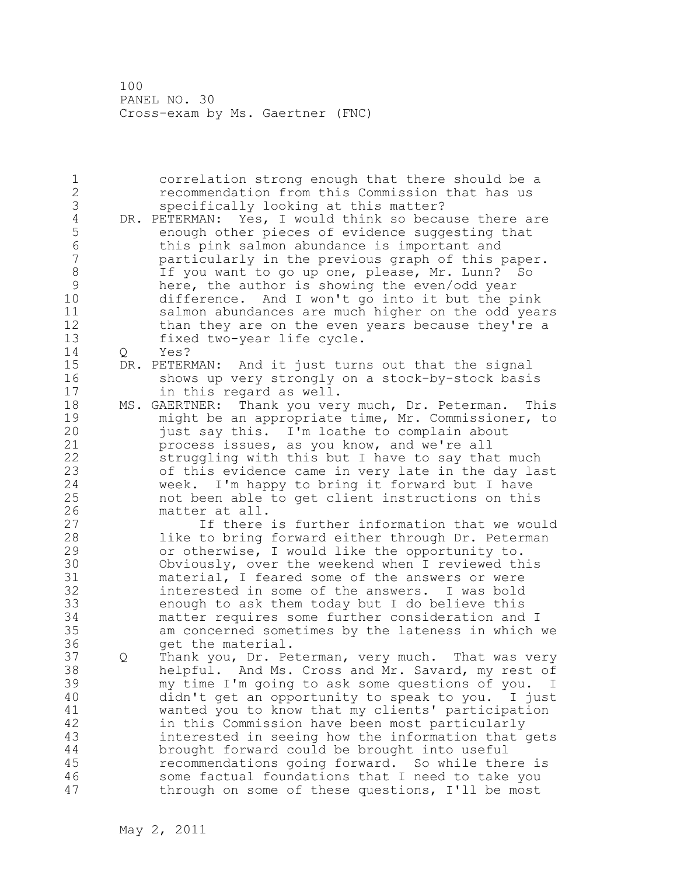1 correlation strong enough that there should be a 2 recommendation from this Commission that has us 3 specifically looking at this matter?<br>4 DR. PETERMAN: Yes, I would think so becar 4 DR. PETERMAN: Yes, I would think so because there are<br>5 enough other pieces of evidence suggesting that 5 enough other pieces of evidence suggesting that<br>6 this pink salmon abundance is important and 6 this pink salmon abundance is important and particularly in the previous graph of this paper. 8 If you want to go up one, please, Mr. Lunn? So 9 here, the author is showing the even/odd year<br>10 difference. And I won't go into it but the p difference. And I won't go into it but the pink 11 salmon abundances are much higher on the odd years 12 than they are on the even years because they're a 13 fixed two-year life cycle. 14 Q Yes? 15 DR. PETERMAN: And it just turns out that the signal 16 shows up very strongly on a stock-by-stock basis 17 in this regard as well. 18 MS. GAERTNER: Thank you very much, Dr. Peterman. This 19 might be an appropriate time, Mr. Commissioner, to<br>20 iust say this. I'm loathe to complain about just say this. I'm loathe to complain about 21 process issues, as you know, and we're all 22 struggling with this but I have to say that much 23 of this evidence came in very late in the day last 24 week. I'm happy to bring it forward but I have 25 not been able to get client instructions on this 26 matter at all.<br>27 If there If there is further information that we would 28 like to bring forward either through Dr. Peterman 29 or otherwise, I would like the opportunity to. 30 Obviously, over the weekend when I reviewed this<br>31 material, I feared some of the answers or were material, I feared some of the answers or were 32 interested in some of the answers. I was bold 33 enough to ask them today but I do believe this 34 matter requires some further consideration and I 35 am concerned sometimes by the lateness in which we 36 get the material. 37 Q Thank you, Dr. Peterman, very much. That was very 38 helpful. And Ms. Cross and Mr. Savard, my rest of 39 my time I'm going to ask some questions of you. I 40 didn't get an opportunity to speak to you. I just 41 wanted you to know that my clients' participation<br>42 in this Commission have been most particularly in this Commission have been most particularly 43 interested in seeing how the information that gets 44 brought forward could be brought into useful 45 recommendations going forward. So while there is 46 some factual foundations that I need to take you 47 through on some of these questions, I'll be most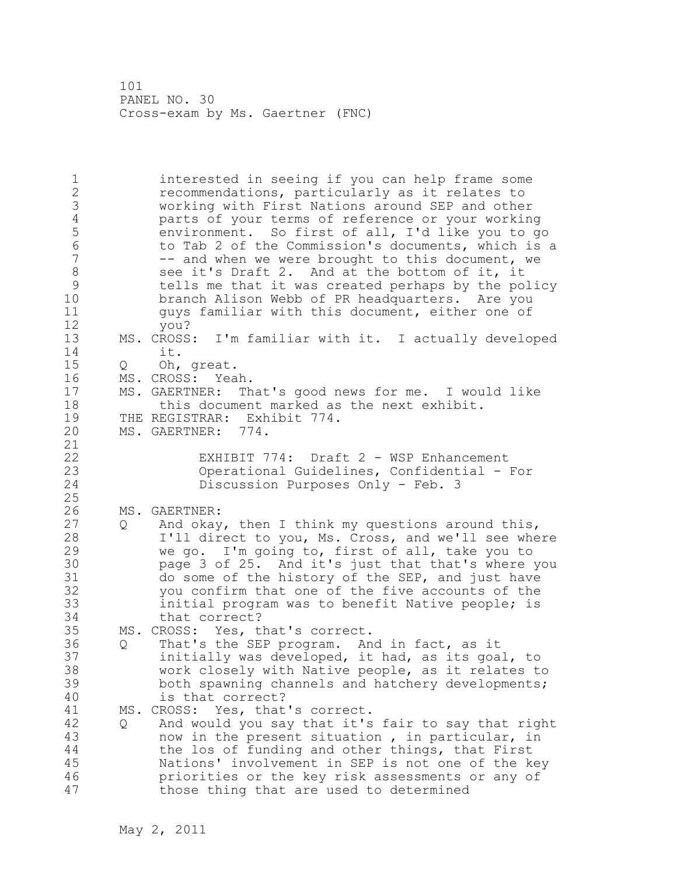1 interested in seeing if you can help frame some 2 recommendations, particularly as it relates to 3 working with First Nations around SEP and other 4 parts of your terms of reference or your working<br>5 environment. So first of all, I'd like you to qu 5 environment. So first of all, I'd like you to go<br>6 to Tab 2 of the Commission's documents, which is a 6 to Tab 2 of the Commission's documents, which is a -- and when we were brought to this document, we 8 see it's Draft 2. And at the bottom of it, it 9 tells me that it was created perhaps by the policy branch Alison Webb of PR headquarters. Are you 11 guys familiar with this document, either one of 12 you? 13 MS. CROSS: I'm familiar with it. I actually developed 14 it. 15 Q Oh, great. 16 MS. CROSS: Yeah. 17 MS. GAERTNER: That's good news for me. I would like 18 this document marked as the next exhibit. 19 THE REGISTRAR: Exhibit 774.<br>20 MS. GAERTNER: 774. MS. GAERTNER: 774. 21 22 EXHIBIT 774: Draft 2 - WSP Enhancement 23 Operational Guidelines, Confidential - For 24 Discussion Purposes Only - Feb. 3 25 26 MS. GAERTNER:<br>27 0 And okay Q And okay, then I think my questions around this, 28 I'll direct to you, Ms. Cross, and we'll see where 29 we go. I'm going to, first of all, take you to 30 page 3 of 25. And it's just that that's where you<br>31 do some of the history of the SEP, and just have do some of the history of the SEP, and just have 32 you confirm that one of the five accounts of the 33 initial program was to benefit Native people; is 34 that correct? 35 MS. CROSS: Yes, that's correct. 36 Q That's the SEP program. And in fact, as it 37 initially was developed, it had, as its goal, to 38 work closely with Native people, as it relates to 39 both spawning channels and hatchery developments; 40 is that correct? 41 MS. CROSS: Yes, that's correct. 42 Q And would you say that it's fair to say that right 43 now in the present situation , in particular, in 44 the los of funding and other things, that First 45 Nations' involvement in SEP is not one of the key 46 priorities or the key risk assessments or any of 47 those thing that are used to determined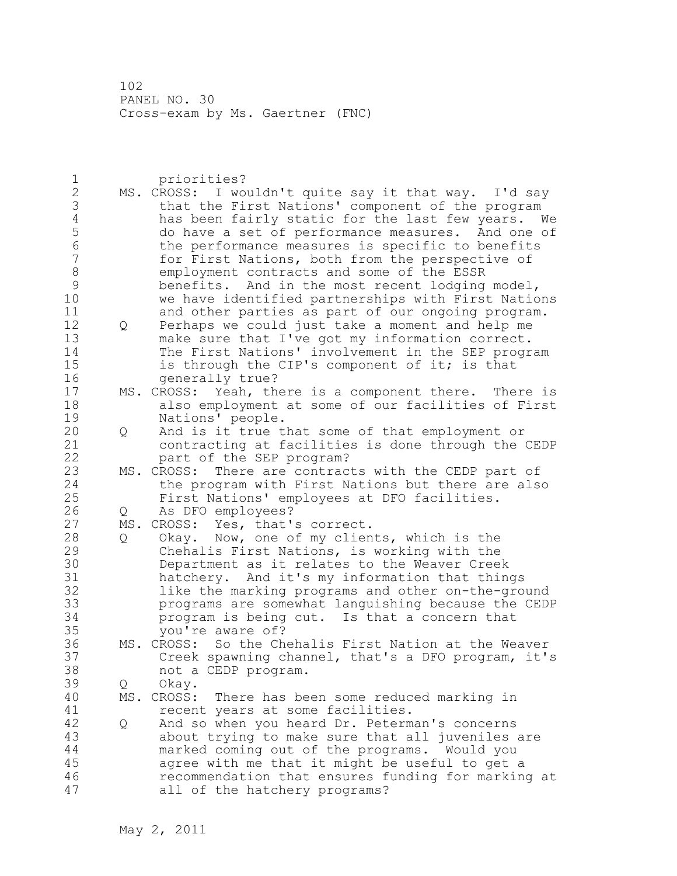1 priorities? 2 MS. CROSS: I wouldn't quite say it that way. I'd say 3 that the First Nations' component of the program<br>4 has been fairly static for the last few years. 4 has been fairly static for the last few years. We<br>5 do have a set of performance measures. And one of 5 do have a set of performance measures. And one of 6 the performance measures is specific to benefits<br>7 for First Nations, both from the perspective of for First Nations, both from the perspective of 8 employment contracts and some of the ESSR 9 benefits. And in the most recent lodging model,<br>10 we have identified partnerships with First Natio we have identified partnerships with First Nations 11 and other parties as part of our ongoing program. 12 Q Perhaps we could just take a moment and help me 13 make sure that I've got my information correct. 14 The First Nations' involvement in the SEP program 15 is through the CIP's component of it; is that 16 generally true? 17 MS. CROSS: Yeah, there is a component there. There is 18 also employment at some of our facilities of First 19 **Nations' people.**<br>20 0 And is it true t 20 Q And is it true that some of that employment or 21 contracting at facilities is done through the CEDP 22 part of the SEP program? 23 MS. CROSS: There are contracts with the CEDP part of 24 the program with First Nations but there are also 25 First Nations' employees at DFO facilities. 26 Q As DFO employees?<br>27 MS. CROSS: Yes, that' MS. CROSS: Yes, that's correct.<br>O Okay. Now, one of my clien 28 Q Okay. Now, one of my clients, which is the 29 Chehalis First Nations, is working with the 30 Department as it relates to the Weaver Creek<br>31 hatchery. And it's my information that thin hatchery. And it's my information that things 32 like the marking programs and other on-the-ground 33 programs are somewhat languishing because the CEDP 34 program is being cut. Is that a concern that 35 you're aware of? 36 MS. CROSS: So the Chehalis First Nation at the Weaver 37 Creek spawning channel, that's a DFO program, it's 38 not a CEDP program. 39 Q Okay. 40 MS. CROSS: There has been some reduced marking in 41 **recent years at some facilities.**<br>42 0 And so when you heard Dr. Peterm 42 Q And so when you heard Dr. Peterman's concerns 43 about trying to make sure that all juveniles are 44 marked coming out of the programs. Would you 45 agree with me that it might be useful to get a 46 recommendation that ensures funding for marking at 47 all of the hatchery programs?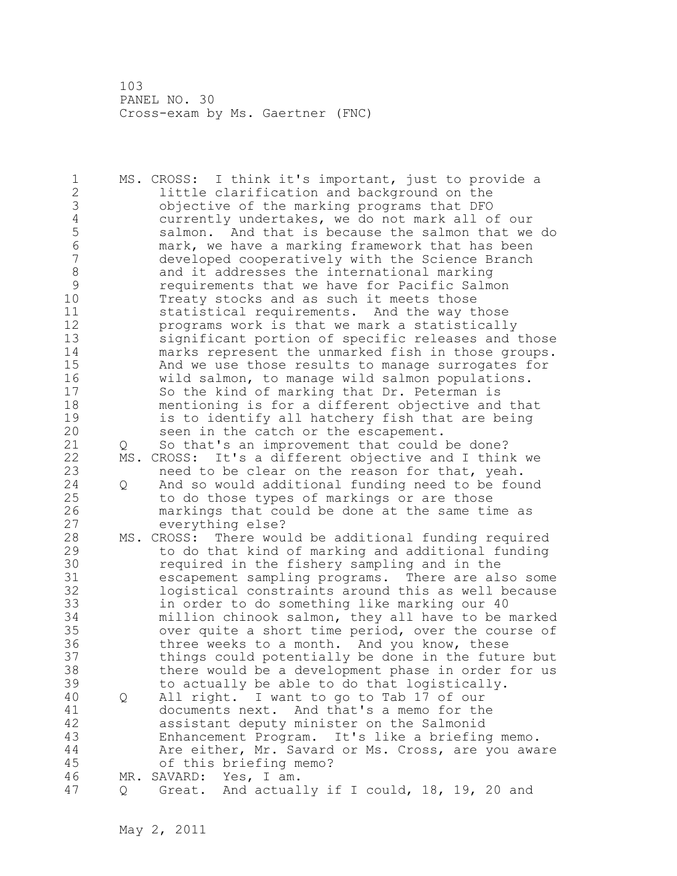1 MS. CROSS: I think it's important, just to provide a 2 little clarification and background on the 3 objective of the marking programs that DFO<br>4 currently undertakes, we do not mark all o 4 currently undertakes, we do not mark all of our 5 5 salmon. And that is because the salmon that we do<br>6 6 mark, we have a marking framework that has been 6 mark, we have a marking framework that has been developed cooperatively with the Science Branch 8 and it addresses the international marking<br>9 compresents that we have for Pacific Salm 9 9 requirements that we have for Pacific Salmon<br>10 Treaty stocks and as such it meets those Treaty stocks and as such it meets those 11 statistical requirements. And the way those 12 programs work is that we mark a statistically 13 significant portion of specific releases and those 14 marks represent the unmarked fish in those groups. 15 And we use those results to manage surrogates for 16 wild salmon, to manage wild salmon populations. 17 So the kind of marking that Dr. Peterman is 18 mentioning is for a different objective and that 19 is to identify all hatchery fish that are being<br>20 seen in the catch or the escapement. seen in the catch or the escapement. 21 Q So that's an improvement that could be done? 22 MS. CROSS: It's a different objective and I think we 23 need to be clear on the reason for that, yeah. 24 Q And so would additional funding need to be found 25 to do those types of markings or are those 26 markings that could be done at the same time as<br>27 everything else? everything else? 28 MS. CROSS: There would be additional funding required 29 to do that kind of marking and additional funding 30 **19 required in the fishery sampling and in the**<br>31 **19 reseapement sampling programs.** There are al escapement sampling programs. There are also some 32 logistical constraints around this as well because 33 in order to do something like marking our 40 34 million chinook salmon, they all have to be marked 35 over quite a short time period, over the course of 36 three weeks to a month. And you know, these 37 things could potentially be done in the future but 38 there would be a development phase in order for us 39 to actually be able to do that logistically. 40 Q All right. I want to go to Tab 17 of our 41 documents next. And that's a memo for the<br>42 assistant deputy minister on the Salmonid assistant deputy minister on the Salmonid 43 Enhancement Program. It's like a briefing memo. 44 Are either, Mr. Savard or Ms. Cross, are you aware 45 of this briefing memo? 46 MR. SAVARD: Yes, I am. 47 Q Great. And actually if I could, 18, 19, 20 and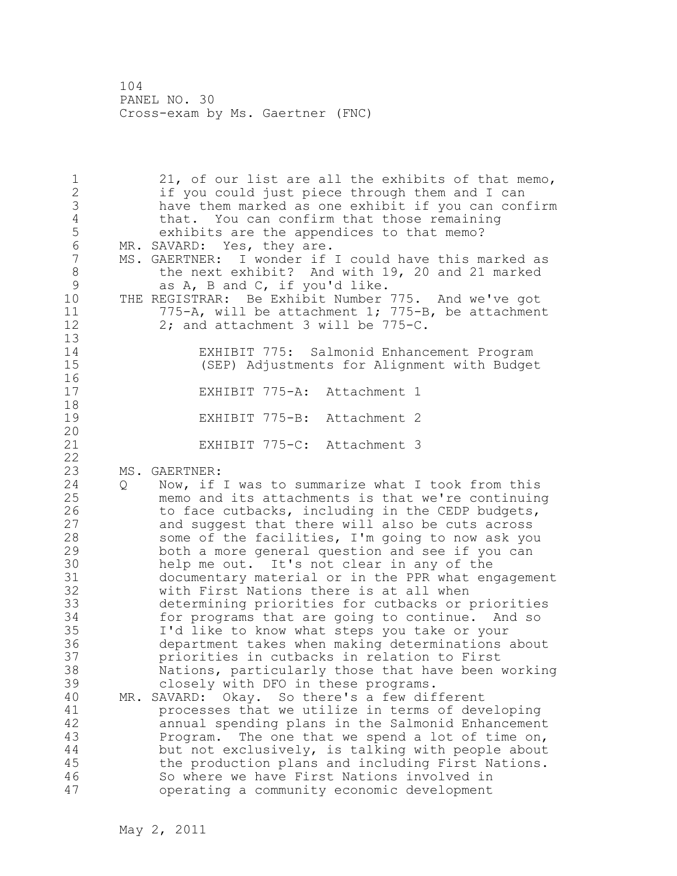1 21, of our list are all the exhibits of that memo, 2 if you could just piece through them and I can 3 have them marked as one exhibit if you can confirm 4 that. You can confirm that those remaining<br>5 exhibits are the appendices to that memo? 5 exhibits are the appendices to that memo?<br>6 MR. SAVARD: Yes, they are. 6 MR. SAVARD: Yes, they are.<br>7 MS. GAERTNER: I wonder if MS. GAERTNER: I wonder if I could have this marked as 8 the next exhibit? And with 19, 20 and 21 marked<br>9 as A, B and C, if you'd like. 9 as A, B and C, if you'd like.<br>10 THE REGISTRAR: Be Exhibit Number THE REGISTRAR: Be Exhibit Number 775. And we've got 11 775-A, will be attachment 1; 775-B, be attachment 12 2; and attachment 3 will be 775-C. 13 14 EXHIBIT 775: Salmonid Enhancement Program (SEP) Adjustments for Alignment with Budget  $\begin{array}{c} 16 \\ 17 \end{array}$ EXHIBIT 775-A: Attachment 1 18 19 EXHIBIT 775-B: Attachment 2 20 21 EXHIBIT 775-C: Attachment 3 22 23 MS. GAERTNER: 24 Q Now, if I was to summarize what I took from this 25 memo and its attachments is that we're continuing 26 to face cutbacks, including in the CEDP budgets,<br>27 and suggest that there will also be cuts across and suggest that there will also be cuts across 28 some of the facilities, I'm going to now ask you 29 both a more general question and see if you can 30 help me out. It's not clear in any of the<br>31 documentary material or in the PPR what ene 31 documentary material or in the PPR what engagement with First Nations there is at all when 33 determining priorities for cutbacks or priorities 34 for programs that are going to continue. And so 35 I'd like to know what steps you take or your 36 department takes when making determinations about 37 priorities in cutbacks in relation to First 38 Nations, particularly those that have been working 39 closely with DFO in these programs. 40 MR. SAVARD: Okay. So there's a few different 41 processes that we utilize in terms of developing annual spending plans in the Salmonid Enhancement 43 Program. The one that we spend a lot of time on, 44 but not exclusively, is talking with people about 45 the production plans and including First Nations. 46 So where we have First Nations involved in 47 operating a community economic development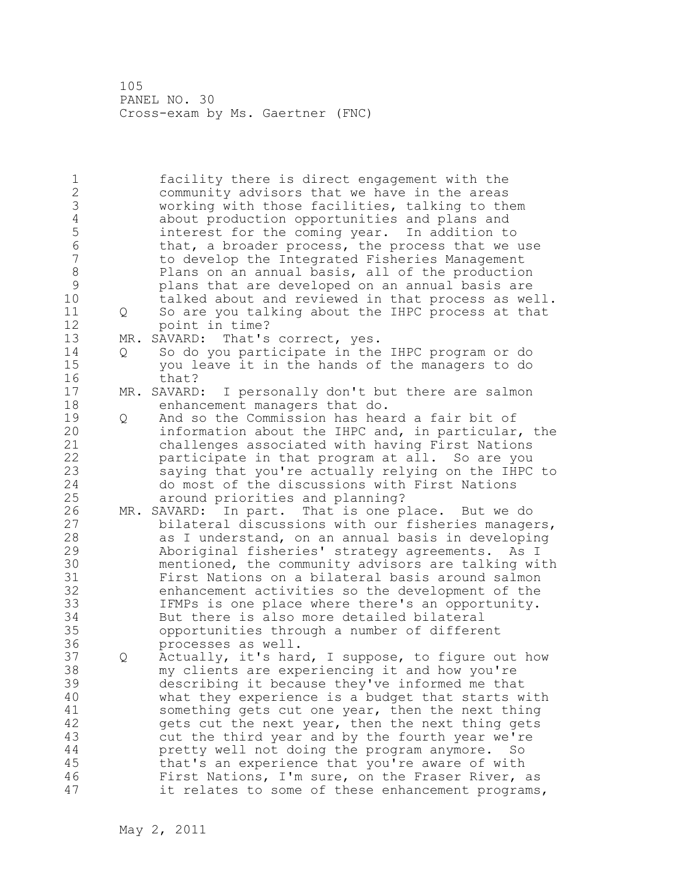1 facility there is direct engagement with the 2 community advisors that we have in the areas 3 working with those facilities, talking to them<br>4 about production opportunities and plans and 4 about production opportunities and plans and<br>5 interest for the coming year. In addition to 5 interest for the coming year. In addition to<br>6 that, a broader process, the process that we 6 that, a broader process, the process that we use<br>7 to develop the Integrated Fisheries Management to develop the Integrated Fisheries Management 8 Plans on an annual basis, all of the production<br>9 blans that are developed on an annual basis are 9 plans that are developed on an annual basis are talked about and reviewed in that process as well. 11 Q So are you talking about the IHPC process at that 12 point in time? 13 MR. SAVARD: That's correct, yes. 14 Q So do you participate in the IHPC program or do 15 you leave it in the hands of the managers to do 16 that? 17 MR. SAVARD: I personally don't but there are salmon 18 enhancement managers that do. 19 Q And so the Commission has heard a fair bit of<br>20 information about the IHPC and, in particular information about the IHPC and, in particular, the 21 challenges associated with having First Nations 22 participate in that program at all. So are you 23 saying that you're actually relying on the IHPC to 24 do most of the discussions with First Nations 25 around priorities and planning? 26 MR. SAVARD: In part. That is one place. But we do<br>27 bilateral discussions with our fisheries manage bilateral discussions with our fisheries managers, 28 as I understand, on an annual basis in developing 29 Aboriginal fisheries' strategy agreements. As I 30 mentioned, the community advisors are talking with First Nations on a bilateral basis around salmon 32 enhancement activities so the development of the 33 IFMPs is one place where there's an opportunity. 34 But there is also more detailed bilateral 35 opportunities through a number of different 36 processes as well. 37 Q Actually, it's hard, I suppose, to figure out how 38 my clients are experiencing it and how you're 39 describing it because they've informed me that 40 what they experience is a budget that starts with 41 something gets cut one year, then the next thing 42 gets cut the next year, then the next thing gets 43 cut the third year and by the fourth year we're 44 pretty well not doing the program anymore. So 45 that's an experience that you're aware of with 46 First Nations, I'm sure, on the Fraser River, as 47 it relates to some of these enhancement programs,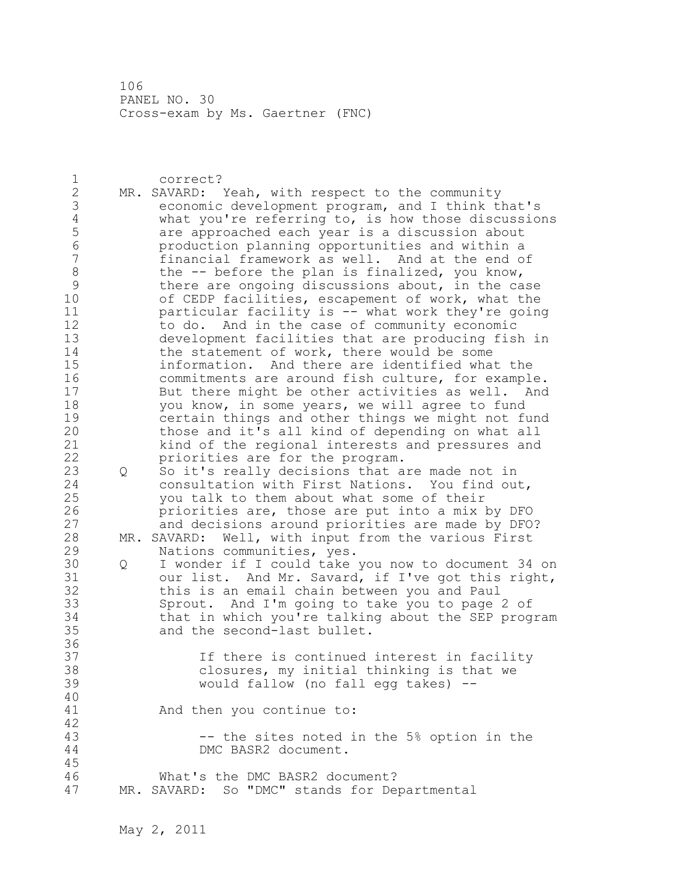1 correct? 2 MR. SAVARD: Yeah, with respect to the community 3 economic development program, and I think that's<br>4 what you're referring to, is how those discussio 4 what you're referring to, is how those discussions<br>5 are approached each year is a discussion about 5 are approached each year is a discussion about 6 production planning opportunities and within a financial framework as well. And at the end of 8 the -- before the plan is finalized, you know, 9 there are ongoing discussions about, in the case<br>10 of CEDP facilities, escapement of work, what the of CEDP facilities, escapement of work, what the 11 particular facility is -- what work they're going 12 to do. And in the case of community economic 13 development facilities that are producing fish in 14 the statement of work, there would be some 15 information. And there are identified what the 16 commitments are around fish culture, for example. 17 But there might be other activities as well. And 18 you know, in some years, we will agree to fund 19 certain things and other things we might not fund<br>20 those and it's all kind of depending on what all those and it's all kind of depending on what all 21 kind of the regional interests and pressures and 22 priorities are for the program. 23 Q So it's really decisions that are made not in 24 consultation with First Nations. You find out, 25 you talk to them about what some of their 26 priorities are, those are put into a mix by DFO<br>27 and decisions around priorities are made by DFO and decisions around priorities are made by DFO? 28 MR. SAVARD: Well, with input from the various First 29 Nations communities, yes. 30 Q I wonder if I could take you now to document 34 on<br>31 0 our list. And Mr. Savard, if I've got this right,  $\frac{31}{32}$  our list. And Mr. Savard, if I've got this right,<br>32 this is an email chain between you and Paul this is an email chain between you and Paul 33 Sprout. And I'm going to take you to page 2 of 34 that in which you're talking about the SEP program 35 and the second-last bullet. 36 37 If there is continued interest in facility 38 closures, my initial thinking is that we 39 would fallow (no fall egg takes) -- 40 41 And then you continue to: 42 43 -- the sites noted in the 5% option in the 44 DMC BASR2 document. 45 46 What's the DMC BASR2 document? 47 MR. SAVARD: So "DMC" stands for Departmental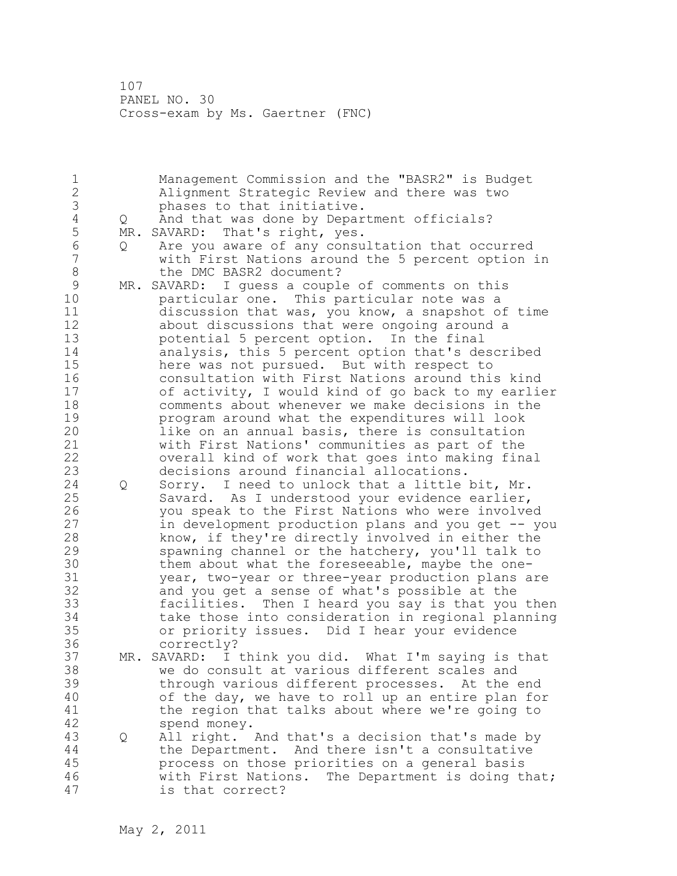1 Management Commission and the "BASR2" is Budget 2 Alignment Strategic Review and there was two 3 phases to that initiative.<br>4 Q And that was done by Depar 4 Q And that was done by Department officials?<br>5 MR. SAVARD: That's right, yes. 5 MR. SAVARD: That's right, yes.<br>6 0 Are you aware of any consu 6 Q Are you aware of any consultation that occurred with First Nations around the 5 percent option in 8 the DMC BASR2 document? 9 MR. SAVARD: I guess a couple of comments on this<br>10 **particular one.** This particular note was a particular one. This particular note was a 11 discussion that was, you know, a snapshot of time 12 about discussions that were ongoing around a 13 potential 5 percent option. In the final 14 analysis, this 5 percent option that's described 15 here was not pursued. But with respect to 16 consultation with First Nations around this kind 17 of activity, I would kind of go back to my earlier 18 comments about whenever we make decisions in the 19 **program around what the expenditures will look**<br>20 **hotal like on an annual basis, there is consultation** like on an annual basis, there is consultation 21 with First Nations' communities as part of the 22 overall kind of work that goes into making final 23 decisions around financial allocations. 24 Q Sorry. I need to unlock that a little bit, Mr. 25 Savard. As I understood your evidence earlier, 26 you speak to the First Nations who were involved<br>27 in development production plans and you get -- you in development production plans and you get -- you 28 know, if they're directly involved in either the 29 spawning channel or the hatchery, you'll talk to 30 them about what the foreseeable, maybe the one-<br>31 vear, two-vear or three-vear production plans a 31 year, two-year or three-year production plans are<br>32 and you get a sense of what's possible at the and you get a sense of what's possible at the 33 facilities. Then I heard you say is that you then 34 take those into consideration in regional planning 35 or priority issues. Did I hear your evidence 36 correctly? 37 MR. SAVARD: I think you did. What I'm saying is that 38 we do consult at various different scales and 39 through various different processes. At the end 40 of the day, we have to roll up an entire plan for 41 the region that talks about where we're going to<br>42 spend monev. spend money. 43 Q All right. And that's a decision that's made by 44 the Department. And there isn't a consultative 45 process on those priorities on a general basis 46 with First Nations. The Department is doing that; 47 is that correct?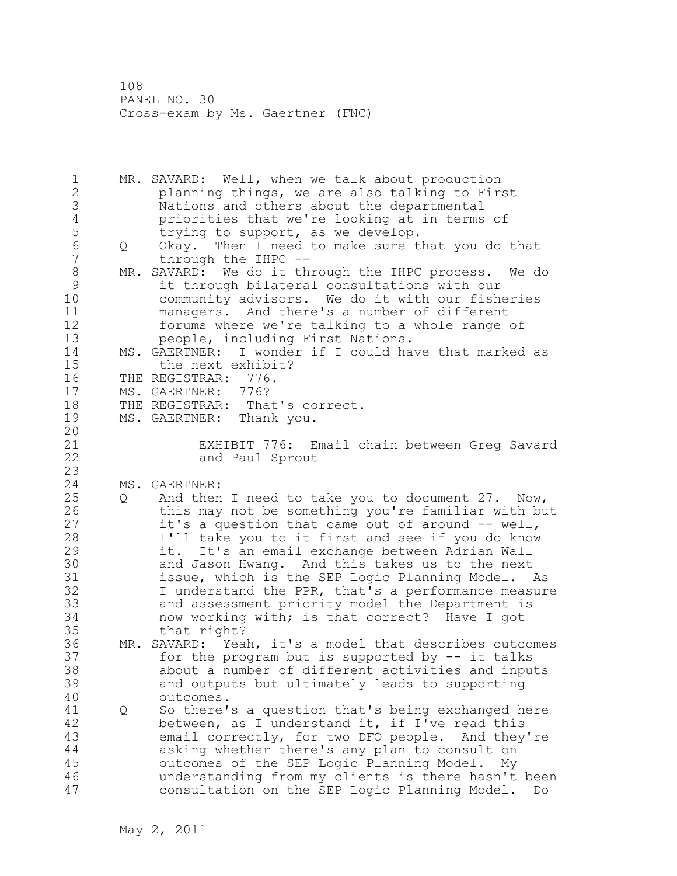1 MR. SAVARD: Well, when we talk about production 2 planning things, we are also talking to First 3 Nations and others about the departmental<br>4 priorities that we're looking at in terms 4 priorities that we're looking at in terms of<br>5 trying to support, as we develop. 5 trying to support, as we develop.<br>6 0 Okav. Then I need to make sure t 6 Q Okay. Then I need to make sure that you do that through the IHPC  $-$ -8 MR. SAVARD: We do it through the IHPC process. We do<br>9 it through bilateral consultations with our 9 it through bilateral consultations with our community advisors. We do it with our fisheries 11 managers. And there's a number of different 12 forums where we're talking to a whole range of 13 people, including First Nations. 14 MS. GAERTNER: I wonder if I could have that marked as 15 the next exhibit? 16 THE REGISTRAR: 776.<br>17 MS. GAERTNER: 776? 17 MS. GAERTNER: 18 THE REGISTRAR: That's correct. 19 MS. GAERTNER: Thank you. 20 21 EXHIBIT 776: Email chain between Greg Savard 22 and Paul Sprout 23 24 MS. GAERTNER: 25 Q And then I need to take you to document 27. Now, 26 this may not be something you're familiar with but<br>27 it's a question that came out of around -- well, it's a question that came out of around -- well, 28 I'll take you to it first and see if you do know 29 it. It's an email exchange between Adrian Wall 30 and Jason Hwang. And this takes us to the next<br>31 issue, which is the SEP Logic Planning Model. issue, which is the SEP Logic Planning Model. As 32 I understand the PPR, that's a performance measure 33 and assessment priority model the Department is 34 now working with; is that correct? Have I got 35 that right? 36 MR. SAVARD: Yeah, it's a model that describes outcomes 37 for the program but is supported by -- it talks 38 about a number of different activities and inputs 39 and outputs but ultimately leads to supporting 40 outcomes. 41 Q So there's a question that's being exchanged here<br>42 between, as I understand it, if I've read this between, as I understand it, if I've read this 43 email correctly, for two DFO people. And they're 44 asking whether there's any plan to consult on 45 outcomes of the SEP Logic Planning Model. My 46 understanding from my clients is there hasn't been 47 consultation on the SEP Logic Planning Model. Do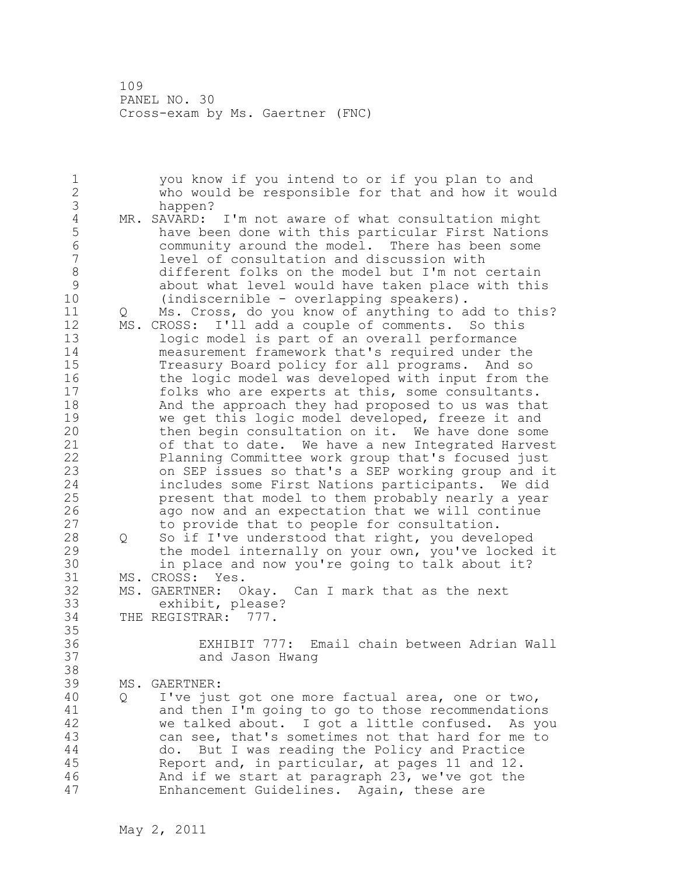1 you know if you intend to or if you plan to and 2 who would be responsible for that and how it would 3 happen?<br>4 MR. SAVARD: 4 MR. SAVARD: I'm not aware of what consultation might<br>5 have been done with this particular First Nation 5 have been done with this particular First Nations 6 community around the model. There has been some level of consultation and discussion with 8 different folks on the model but I'm not certain<br>9 about what level would have taken place with this 9 about what level would have taken place with this<br>10 (indiscernible - overlapping speakers).  $(indiscernible - overlapping speakers)$ . 11 Q Ms. Cross, do you know of anything to add to this? 12 MS. CROSS: I'll add a couple of comments. So this 13 logic model is part of an overall performance 14 measurement framework that's required under the 15 Treasury Board policy for all programs. And so 16 the logic model was developed with input from the 17 folks who are experts at this, some consultants. 18 And the approach they had proposed to us was that 19 we get this logic model developed, freeze it and<br>20 then begin consultation on it. We have done some then begin consultation on it. We have done some 21 of that to date. We have a new Integrated Harvest 22 Planning Committee work group that's focused just 23 on SEP issues so that's a SEP working group and it 24 includes some First Nations participants. We did 25 present that model to them probably nearly a year 26 ago now and an expectation that we will continue<br>27 to provide that to people for consultation. to provide that to people for consultation. 28 Q So if I've understood that right, you developed 29 the model internally on your own, you've locked it 30 in place and now you're going to talk about it? MS. CROSS: Yes. 32 MS. GAERTNER: Okay. Can I mark that as the next 33 exhibit, please? 34 THE REGISTRAR: 777. 35 36 EXHIBIT 777: Email chain between Adrian Wall 37 and Jason Hwang 38 39 MS. GAERTNER: 40 Q I've just got one more factual area, one or two, 41 and then I'm going to go to those recommendations<br>42 we talked about. I got a little confused. As vor we talked about. I got a little confused. As you 43 can see, that's sometimes not that hard for me to 44 do. But I was reading the Policy and Practice 45 Report and, in particular, at pages 11 and 12. 46 And if we start at paragraph 23, we've got the 47 Enhancement Guidelines. Again, these are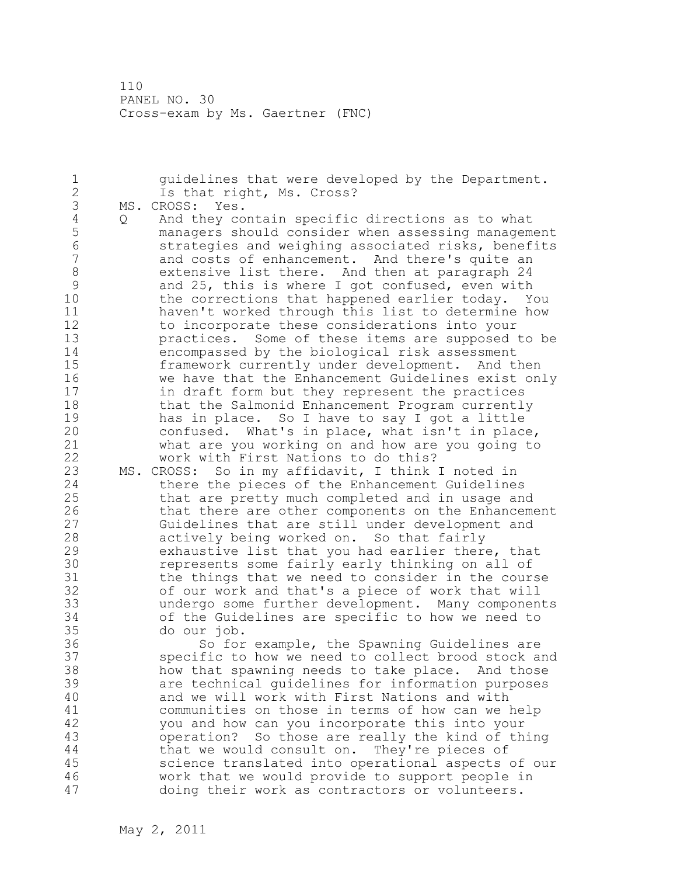1 guidelines that were developed by the Department. 2 Is that right, Ms. Cross? 3 MS. CROSS: Yes.<br>4 0 And they co 4 Q And they contain specific directions as to what 5 managers should consider when assessing management 6 strategies and weighing associated risks, benefits and costs of enhancement. And there's quite an 8 extensive list there. And then at paragraph 24 9 and 25, this is where I got confused, even with<br>10 the corrections that happened earlier todav. Y the corrections that happened earlier today. You 11 haven't worked through this list to determine how 12 to incorporate these considerations into your 13 practices. Some of these items are supposed to be 14 encompassed by the biological risk assessment 15 framework currently under development. And then 16 we have that the Enhancement Guidelines exist only 17 in draft form but they represent the practices 18 that the Salmonid Enhancement Program currently 19 has in place. So I have to say I got a little<br>20 confused. What's in place, what isn't in place confused. What's in place, what isn't in place, 21 what are you working on and how are you going to 22 work with First Nations to do this? 23 MS. CROSS: So in my affidavit, I think I noted in 24 there the pieces of the Enhancement Guidelines 25 that are pretty much completed and in usage and 26 that there are other components on the Enhancement<br>27 Guidelines that are still under development and Guidelines that are still under development and 28 actively being worked on. So that fairly 29 exhaustive list that you had earlier there, that 30 **19 represents some fairly early thinking on all of** 31 the things that we need to consider in the cour the things that we need to consider in the course 32 of our work and that's a piece of work that will 33 undergo some further development. Many components 34 of the Guidelines are specific to how we need to 35 do our job. 36 So for example, the Spawning Guidelines are 37 specific to how we need to collect brood stock and 38 how that spawning needs to take place. And those 39 are technical guidelines for information purposes 40 and we will work with First Nations and with 41 communities on those in terms of how can we help<br>42 vou and how can you incorporate this into your you and how can you incorporate this into your 43 operation? So those are really the kind of thing 44 that we would consult on. They're pieces of 45 science translated into operational aspects of our 46 work that we would provide to support people in 47 doing their work as contractors or volunteers.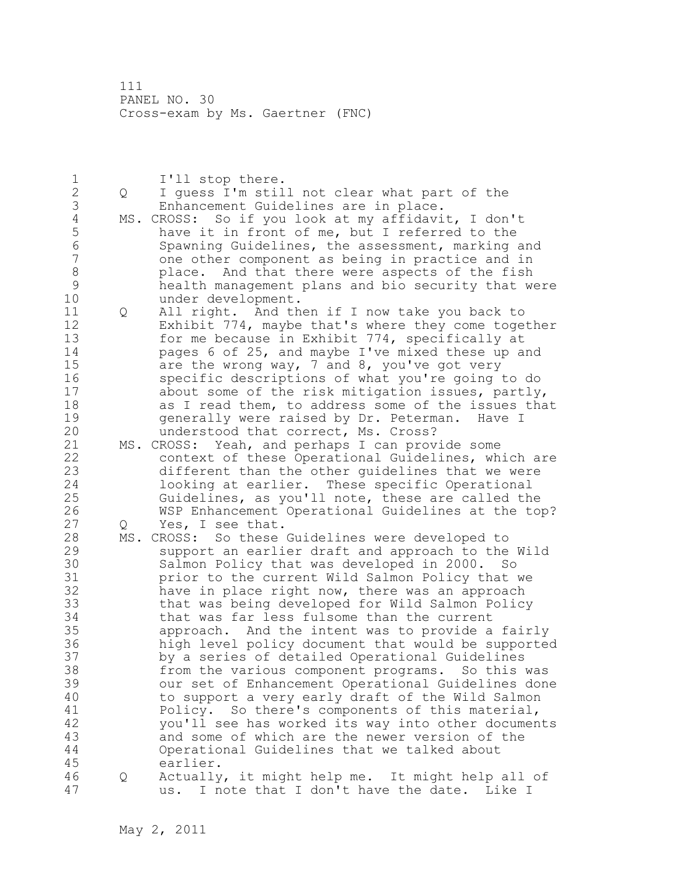1 I'll stop there.<br>2 0 I quess I'm stil 2 Q I guess I'm still not clear what part of the 3 Enhancement Guidelines are in place.<br>4 MS. CROSS: So if you look at my affidavi 4 MS. CROSS: So if you look at my affidavit, I don't 5 have it in front of me, but I referred to the<br>6 Spawning Guidelines, the assessment, marking 6 Spawning Guidelines, the assessment, marking and one other component as being in practice and in 8 **blace.** And that there were aspects of the fish 9 health management plans and bio security that were under development. 11 Q All right. And then if I now take you back to 12 Exhibit 774, maybe that's where they come together 13 for me because in Exhibit 774, specifically at<br>14 pages 6 of 25, and maybe I've mixed these up a pages 6 of 25, and maybe I've mixed these up and 15 are the wrong way, 7 and 8, you've got very 16 specific descriptions of what you're going to do 17 about some of the risk mitigation issues, partly, 18 as I read them, to address some of the issues that 19 generally were raised by Dr. Peterman. Have I<br>20 mderstood that correct, Ms. Cross? understood that correct, Ms. Cross? 21 MS. CROSS: Yeah, and perhaps I can provide some 22 context of these Operational Guidelines, which are 23 different than the other guidelines that we were 24 looking at earlier. These specific Operational 25 Guidelines, as you'll note, these are called the 26 WSP Enhancement Operational Guidelines at the top?<br>27 0 Yes, I see that. Q Yes, I see that. 28 MS. CROSS: So these Guidelines were developed to 29 support an earlier draft and approach to the Wild 30 Salmon Policy that was developed in 2000. So<br>31 orior to the current Wild Salmon Policy that prior to the current Wild Salmon Policy that we 32 have in place right now, there was an approach 33 that was being developed for Wild Salmon Policy 34 that was far less fulsome than the current 35 approach. And the intent was to provide a fairly 36 high level policy document that would be supported 37 by a series of detailed Operational Guidelines 38 from the various component programs. So this was 39 our set of Enhancement Operational Guidelines done 40 to support a very early draft of the Wild Salmon 41 Policy. So there's components of this material,<br>42 vou'll see has worked its way into other documen you'll see has worked its way into other documents 43 and some of which are the newer version of the 44 Operational Guidelines that we talked about 45 earlier. 46 Q Actually, it might help me. It might help all of 47 us. I note that I don't have the date. Like I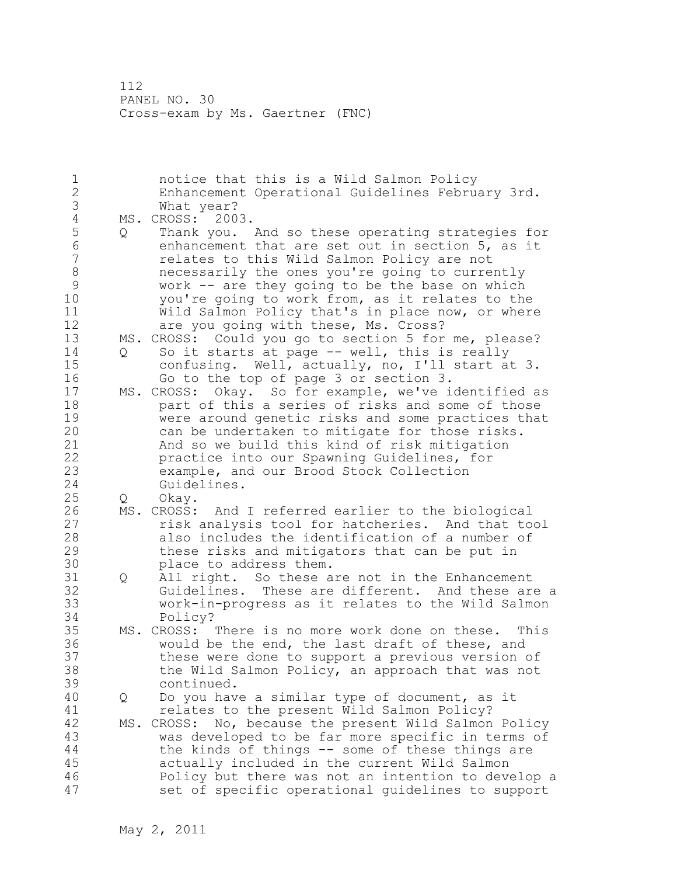1 notice that this is a Wild Salmon Policy 2 Enhancement Operational Guidelines February 3rd. 3 What year?<br>4 MS. CROSS: 200 4 MS. CROSS: 2003.<br>5 0 Thank you. 5 Q Thank you. And so these operating strategies for 6 enhancement that are set out in section 5, as it 7 relates to this Wild Salmon Policy are not 8 necessarily the ones you're going to currently 9 work -- are they going to be the base on which<br>10 vou're going to work from, as it relates to the you're going to work from, as it relates to the 11 Wild Salmon Policy that's in place now, or where 12 are you going with these, Ms. Cross? 13 MS. CROSS: Could you go to section 5 for me, please? 14 Q So it starts at page -- well, this is really 15 confusing. Well, actually, no, I'll start at 3. 16 Go to the top of page 3 or section 3. 17 MS. CROSS: Okay. So for example, we've identified as 18 part of this a series of risks and some of those 19 were around genetic risks and some practices that<br>20 can be undertaken to mitigate for those risks. can be undertaken to mitigate for those risks. 21 And so we build this kind of risk mitigation 22 practice into our Spawning Guidelines, for 23 example, and our Brood Stock Collection 24 Guidelines. 25 Q Okay. 26 MS. CROSS: And I referred earlier to the biological<br>27 fisk analysis tool for hatcheries. And that to risk analysis tool for hatcheries. And that tool 28 also includes the identification of a number of 29 these risks and mitigators that can be put in 30 place to address them.<br>31 0 All right. So these a 0 All right. So these are not in the Enhancement 32 Guidelines. These are different. And these are a 33 work-in-progress as it relates to the Wild Salmon 34 Policy? 35 MS. CROSS: There is no more work done on these. This 36 would be the end, the last draft of these, and 37 these were done to support a previous version of 38 the Wild Salmon Policy, an approach that was not 39 continued. 40 Q Do you have a similar type of document, as it 41 relates to the present Wild Salmon Policy?<br>42 MS. CROSS: No, because the present Wild Salmon MS. CROSS: No, because the present Wild Salmon Policy 43 was developed to be far more specific in terms of 44 the kinds of things -- some of these things are 45 actually included in the current Wild Salmon 46 Policy but there was not an intention to develop a 47 set of specific operational guidelines to support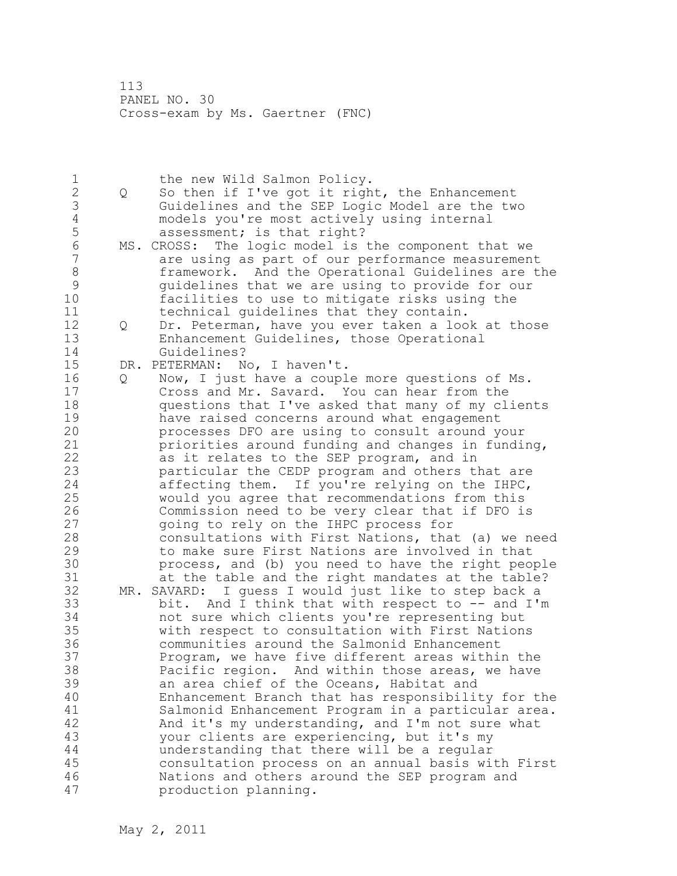1 the new Wild Salmon Policy.<br>2 0 So then if I've got it righ 2 Q So then if I've got it right, the Enhancement 3 Guidelines and the SEP Logic Model are the two 4 models you're most actively using internal<br>5 assessment; is that right? 5 assessment; is that right?<br>6 MS. CROSS: The logic model is 6 MS. CROSS: The logic model is the component that we are using as part of our performance measurement 8 framework. And the Operational Guidelines are the 9 guidelines that we are using to provide for our facilities to use to mitigate risks using the 11 technical guidelines that they contain. 12 Q Dr. Peterman, have you ever taken a look at those 13 Enhancement Guidelines, those Operational 14 Guidelines? 15 DR. PETERMAN: No, I haven't. 16 Q Now, I just have a couple more questions of Ms. 17 Cross and Mr. Savard. You can hear from the 18 questions that I've asked that many of my clients 19 have raised concerns around what engagement<br>20 processes DFO are using to consult around y processes DFO are using to consult around your 21 priorities around funding and changes in funding, 22 as it relates to the SEP program, and in 23 particular the CEDP program and others that are 24 affecting them. If you're relying on the IHPC, 25 would you agree that recommendations from this 26 Commission need to be very clear that if DFO is<br>27 oping to rely on the IHPC process for going to rely on the IHPC process for 28 consultations with First Nations, that (a) we need 29 to make sure First Nations are involved in that 30 process, and (b) you need to have the right people at the table and the right mandates at the table? 32 MR. SAVARD: I guess I would just like to step back a 33 bit. And I think that with respect to -- and I'm 34 not sure which clients you're representing but 35 with respect to consultation with First Nations 36 communities around the Salmonid Enhancement 37 Program, we have five different areas within the 38 Pacific region. And within those areas, we have 39 an area chief of the Oceans, Habitat and 40 Enhancement Branch that has responsibility for the 41 Salmonid Enhancement Program in a particular area.<br>42 And it's my understanding, and I'm not sure what And it's my understanding, and I'm not sure what 43 your clients are experiencing, but it's my 44 understanding that there will be a regular 45 consultation process on an annual basis with First 46 Nations and others around the SEP program and 47 production planning.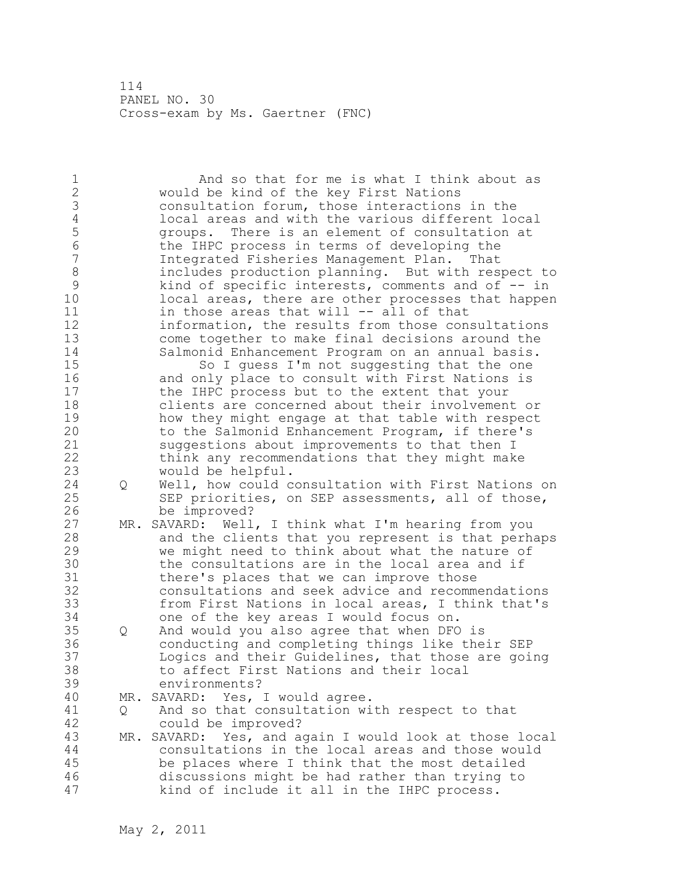1 And so that for me is what I think about as 2 would be kind of the key First Nations 3 consultation forum, those interactions in the 4 local areas and with the various different local<br>5 (aroups. There is an element of consultation at 5 5 groups. There is an element of consultation at<br>6 the IHPC process in terms of developing the 6 the IHPC process in terms of developing the Integrated Fisheries Management Plan. That 8 includes production planning. But with respect to<br>9 kind of specific interests, comments and of -- in 9 kind of specific interests, comments and of -- in<br>10 10 cal areas, there are other processes that happer local areas, there are other processes that happen 11 in those areas that will -- all of that 12 information, the results from those consultations 13 come together to make final decisions around the 14 Salmonid Enhancement Program on an annual basis. 15 So I guess I'm not suggesting that the one 16 and only place to consult with First Nations is 17 the IHPC process but to the extent that your 18 clients are concerned about their involvement or 19 how they might engage at that table with respect<br>20 to the Salmonid Enhancement Program, if there's to the Salmonid Enhancement Program, if there's 21 suggestions about improvements to that then I 22 think any recommendations that they might make 23 would be helpful. 24 Q Well, how could consultation with First Nations on 25 SEP priorities, on SEP assessments, all of those, 26 be improved?<br>27 MR. SAVARD: Well MR. SAVARD: Well, I think what I'm hearing from you 28 and the clients that you represent is that perhaps 29 we might need to think about what the nature of 30 the consultations are in the local area and if<br>31 there's places that we can improve those there's places that we can improve those 32 consultations and seek advice and recommendations 33 from First Nations in local areas, I think that's 34 one of the key areas I would focus on. 35 Q And would you also agree that when DFO is 36 conducting and completing things like their SEP 37 Logics and their Guidelines, that those are going 38 to affect First Nations and their local 39 environments? 40 MR. SAVARD: Yes, I would agree. 41 Q And so that consultation with respect to that<br>42 could be improved? could be improved? 43 MR. SAVARD: Yes, and again I would look at those local 44 consultations in the local areas and those would 45 be places where I think that the most detailed 46 discussions might be had rather than trying to 47 kind of include it all in the IHPC process.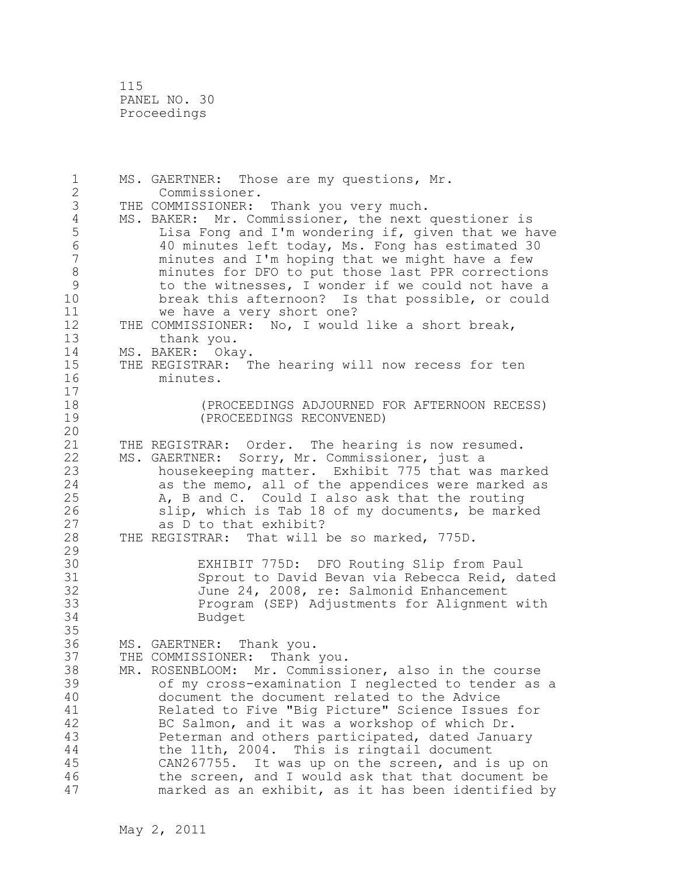115 PANEL NO. 30 Proceedings

1 MS. GAERTNER: Those are my questions, Mr. 2 Commissioner. 3 THE COMMISSIONER: Thank you very much.<br>4 MS. BAKER: Mr. Commissioner, the next 4 MS. BAKER: Mr. Commissioner, the next questioner is<br>5 Lisa Fong and I'm wondering if, given that we ha 5 Lisa Fong and I'm wondering if, given that we have<br>6 40 minutes left todav, Ms. Fong has estimated 30 6 40 minutes left today, Ms. Fong has estimated 30 minutes and I'm hoping that we might have a few 8 minutes for DFO to put those last PPR corrections 9 to the witnesses, I wonder if we could not have a<br>10 break this afternoon? Is that possible, or could break this afternoon? Is that possible, or could 11 we have a very short one? 12 THE COMMISSIONER: No, I would like a short break, 13 thank you. 14 MS. BAKER: Okay. 15 THE REGISTRAR: The hearing will now recess for ten 16 minutes. 17 18 (PROCEEDINGS ADJOURNED FOR AFTERNOON RECESS) 19 (PROCEEDINGS RECONVENED) 20 21 THE REGISTRAR: Order. The hearing is now resumed. 22 MS. GAERTNER: Sorry, Mr. Commissioner, just a 23 housekeeping matter. Exhibit 775 that was marked 24 as the memo, all of the appendices were marked as 25 A, B and C. Could I also ask that the routing 26 slip, which is Tab 18 of my documents, be marked<br>27 as D to that exhibit? as D to that exhibit? 28 THE REGISTRAR: That will be so marked, 775D. 29 30 EXHIBIT 775D: DFO Routing Slip from Paul Sprout to David Bevan via Rebecca Reid, dated 32 June 24, 2008, re: Salmonid Enhancement 33 Program (SEP) Adjustments for Alignment with 34 Budget 35 36 MS. GAERTNER: Thank you. 37 THE COMMISSIONER: Thank you. 38 MR. ROSENBLOOM: Mr. Commissioner, also in the course 39 of my cross-examination I neglected to tender as a 40 document the document related to the Advice 41 Related to Five "Big Picture" Science Issues for<br>42 BC Salmon, and it was a workshop of which Dr. BC Salmon, and it was a workshop of which Dr. 43 Peterman and others participated, dated January 44 the 11th, 2004. This is ringtail document 45 CAN267755. It was up on the screen, and is up on 46 the screen, and I would ask that that document be 47 marked as an exhibit, as it has been identified by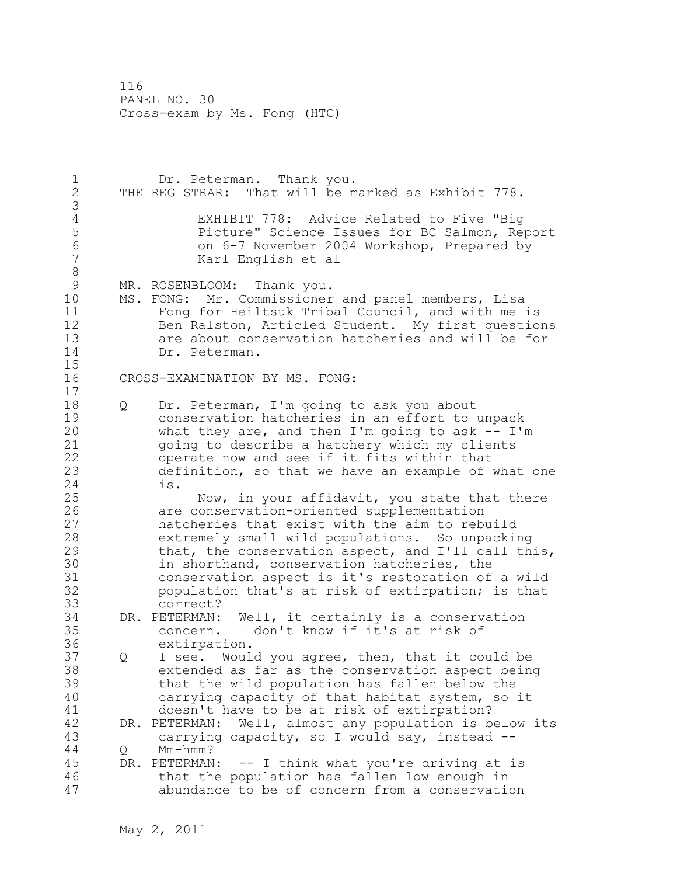1 Dr. Peterman. Thank you. 2 THE REGISTRAR: That will be marked as Exhibit 778. 3 4 EXHIBIT 778: Advice Related to Five "Big<br>5 Ficture" Science Issues for BC Salmon, Rep 5 Picture" Science Issues for BC Salmon, Report<br>6 6 6 6-7 November 2004 Workshop, Prepared by 6 on 6-7 November 2004 Workshop, Prepared by Karl English et al 8<br>9 9 MR. ROSENBLOOM: Thank you.<br>10 MS. FONG: Mr. Commissioner MS. FONG: Mr. Commissioner and panel members, Lisa 11 Fong for Heiltsuk Tribal Council, and with me is 12 Ben Ralston, Articled Student. My first questions 13 are about conservation hatcheries and will be for 14 Dr. Peterman.  $\frac{15}{16}$ CROSS-EXAMINATION BY MS. FONG: 17 18 Q Dr. Peterman, I'm going to ask you about 19 conservation hatcheries in an effort to unpack<br>20 what they are, and then I'm going to ask -- I'm what they are, and then  $I'm$  going to ask  $-- I'm$ 21 going to describe a hatchery which my clients 22 operate now and see if it fits within that 23 definition, so that we have an example of what one 24 is. 25 Now, in your affidavit, you state that there 26 are conservation-oriented supplementation<br>27 hatcheries that exist with the aim to reb hatcheries that exist with the aim to rebuild 28 extremely small wild populations. So unpacking 29 that, the conservation aspect, and I'll call this, 30 in shorthand, conservation hatcheries, the<br>31 conservation aspect is it's restoration of 31 conservation aspect is it's restoration of a wild<br>32 bopulation that's at risk of extirpation; is that population that's at risk of extirpation; is that 33 correct? 34 DR. PETERMAN: Well, it certainly is a conservation 35 concern. I don't know if it's at risk of 36 extirpation. 37 Q I see. Would you agree, then, that it could be 38 extended as far as the conservation aspect being 39 that the wild population has fallen below the 40 carrying capacity of that habitat system, so it 41 doesn't have to be at risk of extirpation?<br>42 DR. PETERMAN: Well, almost any population is b DR. PETERMAN: Well, almost any population is below its 43 carrying capacity, so I would say, instead -- 44 Q Mm-hmm? 45 DR. PETERMAN: -- I think what you're driving at is 46 that the population has fallen low enough in 47 abundance to be of concern from a conservation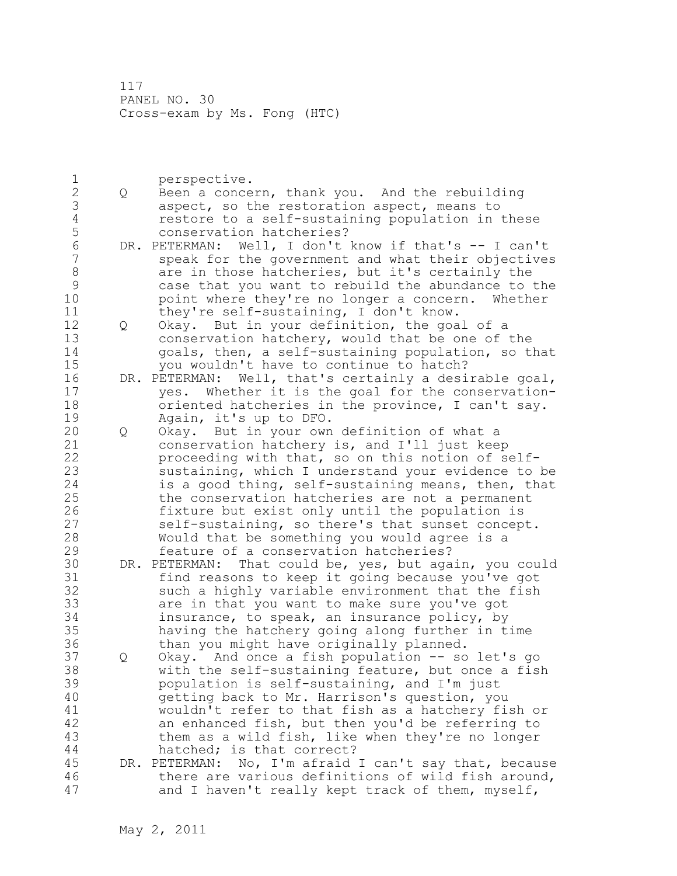1 perspective.<br>2 Q Been a conce 2 Q Been a concern, thank you. And the rebuilding 3 aspect, so the restoration aspect, means to<br>4 cestore to a self-sustaining population in 4 restore to a self-sustaining population in these 5 conservation hatcheries?<br>6 DR. PETERMAN: Well, I don't 6 DR. PETERMAN: Well, I don't know if that's -- I can't speak for the government and what their objectives 8 are in those hatcheries, but it's certainly the<br>9 case that you want to rebuild the abundance to 9 case that you want to rebuild the abundance to the<br>10 opint where they're no longer a concern. Whether point where they're no longer a concern. Whether 11 they're self-sustaining, I don't know. 12 Q Okay. But in your definition, the goal of a 13 conservation hatchery, would that be one of the 14 goals, then, a self-sustaining population, so that 15 you wouldn't have to continue to hatch? 16 DR. PETERMAN: Well, that's certainly a desirable goal, 17 yes. Whether it is the goal for the conservation-18 oriented hatcheries in the province, I can't say. 19 Magain, it's up to DFO.<br>20 0 Okay. But in your own 20 Q Okay. But in your own definition of what a 21 conservation hatchery is, and I'll just keep 22 proceeding with that, so on this notion of self-23 sustaining, which I understand your evidence to be 24 is a good thing, self-sustaining means, then, that 25 the conservation hatcheries are not a permanent 26 fixture but exist only until the population is<br>27 self-sustaining, so there's that sunset concep self-sustaining, so there's that sunset concept. 28 Would that be something you would agree is a 29 feature of a conservation hatcheries? 30 DR. PETERMAN: That could be, yes, but again, you could<br>31 find reasons to keep it going because you've got find reasons to keep it going because you've got 32 such a highly variable environment that the fish 33 are in that you want to make sure you've got 34 insurance, to speak, an insurance policy, by 35 having the hatchery going along further in time 36 than you might have originally planned. 37 Q Okay. And once a fish population -- so let's go 38 with the self-sustaining feature, but once a fish 39 population is self-sustaining, and I'm just 40 getting back to Mr. Harrison's question, you 41 wouldn't refer to that fish as a hatchery fish or<br>42 an enhanced fish, but then you'd be referring to an enhanced fish, but then you'd be referring to 43 them as a wild fish, like when they're no longer 44 hatched; is that correct? 45 DR. PETERMAN: No, I'm afraid I can't say that, because 46 there are various definitions of wild fish around, 47 and I haven't really kept track of them, myself,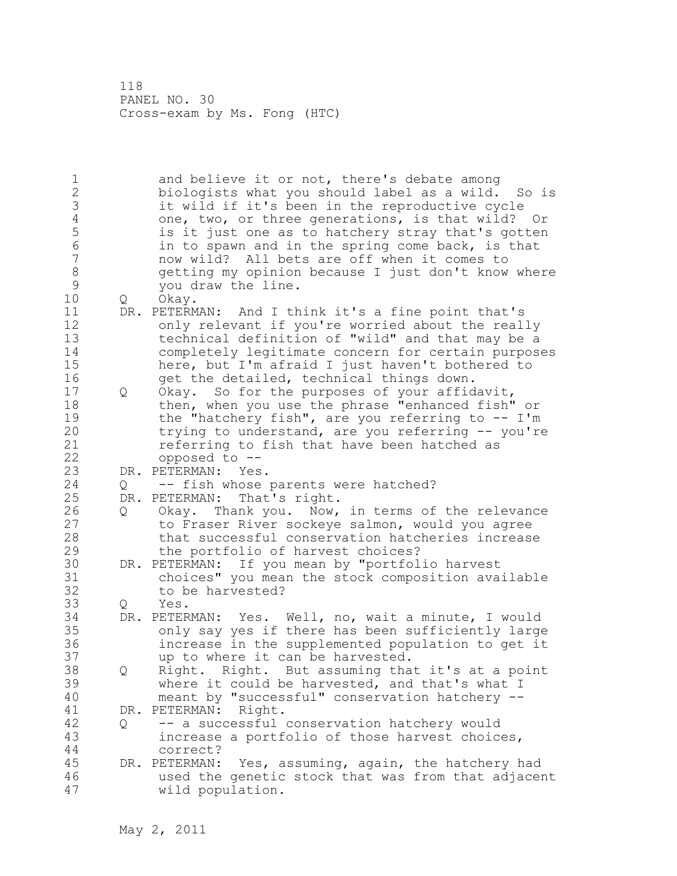1 and believe it or not, there's debate among 2 biologists what you should label as a wild. So is 3 it wild if it's been in the reproductive cycle<br>4 one, two, or three generations, is that wild? 4 one, two, or three generations, is that wild? Or<br>5 is it just one as to hatchery stray that's gotten 5 is it just one as to hatchery stray that's gotten<br>6 in to spawn and in the spring come back, is that 6 in to spawn and in the spring come back, is that<br>7 and the same off when it comes to now wild? All bets are off when it comes to 8 getting my opinion because I just don't know where 9 you draw the line.<br>10 0 Okav. 0 Okay. 11 DR. PETERMAN: And I think it's a fine point that's 12 only relevant if you're worried about the really 13 technical definition of "wild" and that may be a 14 completely legitimate concern for certain purposes 15 here, but I'm afraid I just haven't bothered to 16 **get the detailed, technical things down.** 17 Q Okay. So for the purposes of your affidavit, 18 then, when you use the phrase "enhanced fish" or 19 the "hatchery fish", are you referring to -- I'm<br>20 trying to understand, are you referring -- you're trying to understand, are you referring -- you're 21 referring to fish that have been hatched as 22 opposed to -- 23 DR. PETERMAN: Yes. 24 Q -- fish whose parents were hatched? 25 DR. PETERMAN: That's right. 26 Q Okay. Thank you. Now, in terms of the relevance<br>27 to Fraser River sockeye salmon, would you agree to Fraser River sockeye salmon, would you agree 28 that successful conservation hatcheries increase 29 the portfolio of harvest choices? 30 DR. PETERMAN: If you mean by "portfolio harvest 31 choices" you mean the stock composition available to be harvested? 33 Q Yes. 34 DR. PETERMAN: Yes. Well, no, wait a minute, I would 35 only say yes if there has been sufficiently large 36 increase in the supplemented population to get it 37 up to where it can be harvested. 38 Q Right. Right. But assuming that it's at a point 39 where it could be harvested, and that's what I 40 meant by "successful" conservation hatchery -- 41 DR. PETERMAN: Right.<br>42 0 -- a successful 42 Q -- a successful conservation hatchery would 43 increase a portfolio of those harvest choices, 44 correct? 45 DR. PETERMAN: Yes, assuming, again, the hatchery had 46 used the genetic stock that was from that adjacent 47 wild population.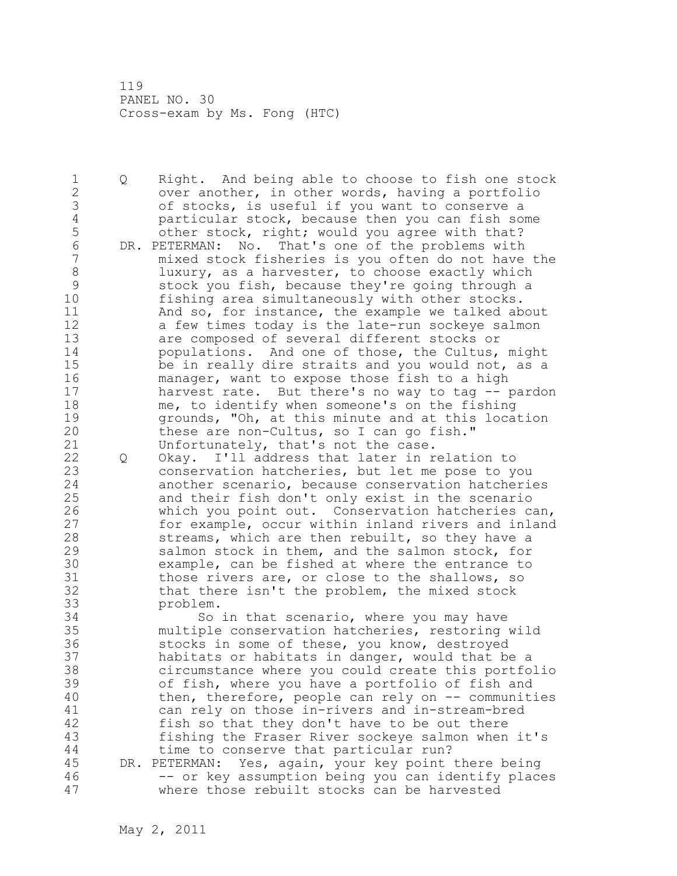1 Q Right. And being able to choose to fish one stock 2 over another, in other words, having a portfolio 3 of stocks, is useful if you want to conserve a 4 particular stock, because then you can fish some<br>5 other stock, right; would you agree with that? 5 other stock, right; would you agree with that?<br>6 DR. PETERMAN: No. That's one of the problems with 6 DR. PETERMAN: No. That's one of the problems with<br>7 mixed stock fisheries is you often do not have mixed stock fisheries is you often do not have the 8 luxury, as a harvester, to choose exactly which 9 stock you fish, because they're going through a<br>10 fishing area simultaneously with other stocks. fishing area simultaneously with other stocks. 11 And so, for instance, the example we talked about 12 a few times today is the late-run sockeye salmon 13 are composed of several different stocks or 14 populations. And one of those, the Cultus, might 15 be in really dire straits and you would not, as a 16 manager, want to expose those fish to a high 17 harvest rate. But there's no way to tag -- pardon 18 me, to identify when someone's on the fishing 19 grounds, "Oh, at this minute and at this location<br>20 these are non-Cultus, so I can go fish." these are non-Cultus, so I can go fish." 21 Unfortunately, that's not the case. 22 Q Okay. I'll address that later in relation to 23 conservation hatcheries, but let me pose to you 24 another scenario, because conservation hatcheries 25 and their fish don't only exist in the scenario 26 which you point out. Conservation hatcheries can,<br>27 for example, occur within inland rivers and inland for example, occur within inland rivers and inland 28 streams, which are then rebuilt, so they have a 29 salmon stock in them, and the salmon stock, for 30 example, can be fished at where the entrance to<br>31 those rivers are, or close to the shallows, so 31 those rivers are, or close to the shallows, so<br>32 that there isn't the problem, the mixed stock that there isn't the problem, the mixed stock 33 problem. 34 So in that scenario, where you may have 35 multiple conservation hatcheries, restoring wild 36 stocks in some of these, you know, destroyed 37 habitats or habitats in danger, would that be a 38 circumstance where you could create this portfolio 39 of fish, where you have a portfolio of fish and 40 then, therefore, people can rely on -- communities 41 can rely on those in-rivers and in-stream-bred<br>42 fish so that they don't have to be out there fish so that they don't have to be out there 43 fishing the Fraser River sockeye salmon when it's 44 time to conserve that particular run? 45 DR. PETERMAN: Yes, again, your key point there being 46 -- or key assumption being you can identify places 47 where those rebuilt stocks can be harvested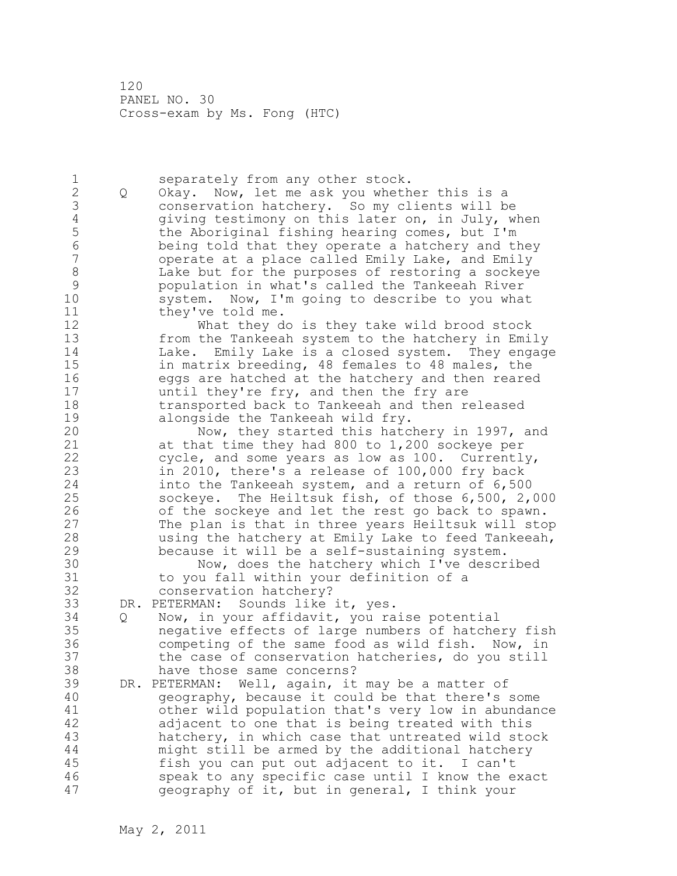1 separately from any other stock.<br>2 0 Okay. Now, let me ask you wheth 2 Q Okay. Now, let me ask you whether this is a 3 conservation hatchery. So my clients will be<br>4 qiving testimony on this later on, in July, w 4 giving testimony on this later on, in July, when<br>5 the Aboriginal fishing hearing comes, but I'm 5 the Aboriginal fishing hearing comes, but I'm<br>6 being told that they operate a hatchery and the 6 being told that they operate a hatchery and they operate at a place called Emily Lake, and Emily 8 Lake but for the purposes of restoring a sockeye<br>9 population in what's called the Tankeeah River 9 population in what's called the Tankeeah River system. Now, I'm going to describe to you what 11 they've told me. 12 What they do is they take wild brood stock 13 from the Tankeeah system to the hatchery in Emily 14 Lake. Emily Lake is a closed system. They engage 15 in matrix breeding, 48 females to 48 males, the 16 eggs are hatched at the hatchery and then reared 17 **until they're fry, and then the fry are** 18 transported back to Tankeeah and then released 19 alongside the Tankeeah wild fry.<br>20 Now, they started this hatc Now, they started this hatchery in 1997, and 21 at that time they had 800 to 1,200 sockeye per 22 cycle, and some years as low as 100. Currently, 23 in 2010, there's a release of 100,000 fry back 24 into the Tankeeah system, and a return of 6,500 25 sockeye. The Heiltsuk fish, of those 6,500, 2,000 26 of the sockeye and let the rest go back to spawn.<br>27 The plan is that in three years Heiltsuk will sto The plan is that in three years Heiltsuk will stop 28 using the hatchery at Emily Lake to feed Tankeeah, 29 because it will be a self-sustaining system. 30 Now, does the hatchery which I've described<br>31 to you fall within your definition of a to you fall within your definition of a 32 conservation hatchery? 33 DR. PETERMAN: Sounds like it, yes. 34 Q Now, in your affidavit, you raise potential 35 negative effects of large numbers of hatchery fish 36 competing of the same food as wild fish. Now, in 37 the case of conservation hatcheries, do you still 38 have those same concerns? 39 DR. PETERMAN: Well, again, it may be a matter of 40 geography, because it could be that there's some 41 other wild population that's very low in abundance<br>42 adjacent to one that is being treated with this adjacent to one that is being treated with this 43 hatchery, in which case that untreated wild stock 44 might still be armed by the additional hatchery 45 fish you can put out adjacent to it. I can't 46 speak to any specific case until I know the exact 47 geography of it, but in general, I think your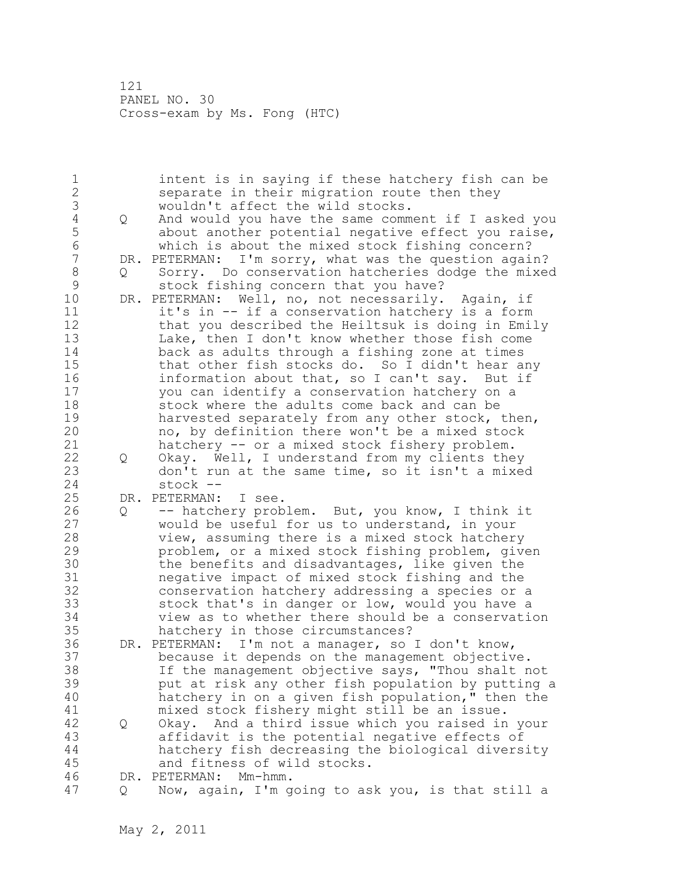1 intent is in saying if these hatchery fish can be 2 separate in their migration route then they 3 wouldn't affect the wild stocks.<br>4 0 And would you have the same comm 4 Q And would you have the same comment if I asked you<br>5 about another potential negative effect you raise, 5 about another potential negative effect you raise,<br>6 which is about the mixed stock fishing concern? 6 which is about the mixed stock fishing concern?<br>7 DR. PETERMAN: I'm sorry, what was the question agai DR. PETERMAN: I'm sorry, what was the question again? 8 Q Sorry. Do conservation hatcheries dodge the mixed 9 stock fishing concern that you have?<br>10 DR. PETERMAN: Well, no, not necessarily. DR. PETERMAN: Well, no, not necessarily. Again, if 11 it's in -- if a conservation hatchery is a form 12 that you described the Heiltsuk is doing in Emily 13 Lake, then I don't know whether those fish come<br>14 back as adults through a fishing zone at times back as adults through a fishing zone at times 15 that other fish stocks do. So I didn't hear any 16 information about that, so I can't say. But if 17 you can identify a conservation hatchery on a 18 stock where the adults come back and can be 19 harvested separately from any other stock, then,<br>20 ho, by definition there won't be a mixed stock no, by definition there won't be a mixed stock 21 hatchery -- or a mixed stock fishery problem. 22 Q Okay. Well, I understand from my clients they 23 don't run at the same time, so it isn't a mixed 24 stock -- 25 DR. PETERMAN: I see. 26 Q -- hatchery problem. But, you know, I think it<br>27 would be useful for us to understand, in your would be useful for us to understand, in your 28 view, assuming there is a mixed stock hatchery 29 problem, or a mixed stock fishing problem, given 30 the benefits and disadvantages, like given the<br>31 megative impact of mixed stock fishing and the negative impact of mixed stock fishing and the 32 conservation hatchery addressing a species or a 33 stock that's in danger or low, would you have a 34 view as to whether there should be a conservation 35 hatchery in those circumstances? 36 DR. PETERMAN: I'm not a manager, so I don't know, 37 because it depends on the management objective. 38 If the management objective says, "Thou shalt not 39 put at risk any other fish population by putting a 40 hatchery in on a given fish population," then the 41 mixed stock fishery might still be an issue.<br>42 0 Okay. And a third issue which you raised in 42 Q Okay. And a third issue which you raised in your 43 affidavit is the potential negative effects of 44 hatchery fish decreasing the biological diversity 45 and fitness of wild stocks. 46 DR. PETERMAN: Mm-hmm. 47 Q Now, again, I'm going to ask you, is that still a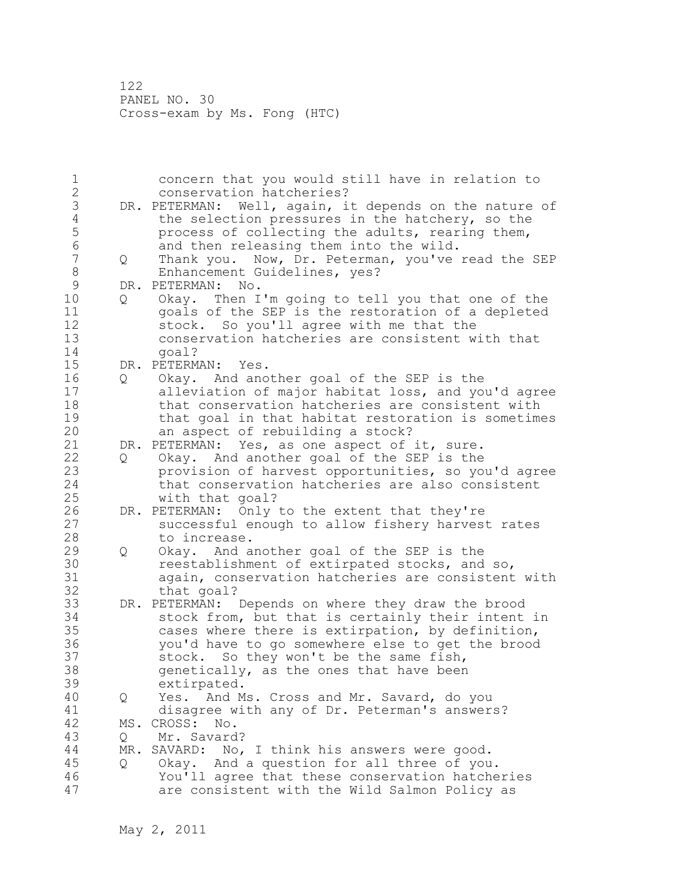1 concern that you would still have in relation to 2 conservation hatcheries? 3 DR. PETERMAN: Well, again, it depends on the nature of<br>4 the selection pressures in the hatchery, so the 4 the selection pressures in the hatchery, so the<br>5 process of collecting the adults, rearing them, 5 process of collecting the adults, rearing them,<br>6 and then releasing them into the wild. 6 and then releasing them into the wild.<br>7 0 Thank you. Now, Dr. Peterman, you've Q Thank you. Now, Dr. Peterman, you've read the SEP 8 Enhancement Guidelines, yes?<br>9 DR. PETERMAN: No. 9 DR. PETERMAN: No.<br>10 0 Okav. Then I 0 Okay. Then I'm going to tell you that one of the 11 goals of the SEP is the restoration of a depleted 12 stock. So you'll agree with me that the 13 conservation hatcheries are consistent with that 14 goal? 15 DR. PETERMAN: Yes. 16 Q Okay. And another goal of the SEP is the 17 alleviation of major habitat loss, and you'd agree 18 that conservation hatcheries are consistent with 19 that goal in that habitat restoration is sometimes<br>20 an aspect of rebuilding a stock? an aspect of rebuilding a stock? 21 DR. PETERMAN: Yes, as one aspect of it, sure. 22 Q Okay. And another goal of the SEP is the 23 provision of harvest opportunities, so you'd agree 24 that conservation hatcheries are also consistent 25 with that goal? 26 DR. PETERMAN: Only to the extent that they're<br>27 successful enough to allow fishery harves successful enough to allow fishery harvest rates 28 to increase. 29 Q Okay. And another goal of the SEP is the 30 **reestablishment of extirpated stocks, and so,**<br>31 again, conservation hatcheries are consistent again, conservation hatcheries are consistent with 32 that goal? 33 DR. PETERMAN: Depends on where they draw the brood 34 stock from, but that is certainly their intent in 35 cases where there is extirpation, by definition, 36 you'd have to go somewhere else to get the brood 37 stock. So they won't be the same fish, 38 genetically, as the ones that have been 39 extirpated. 40 Q Yes. And Ms. Cross and Mr. Savard, do you 41 disagree with any of Dr. Peterman's answers?<br>42 MS. CROSS: No. MS. CROSS: No. 43 Q Mr. Savard? 44 MR. SAVARD: No, I think his answers were good. 45 Q Okay. And a question for all three of you. 46 You'll agree that these conservation hatcheries 47 are consistent with the Wild Salmon Policy as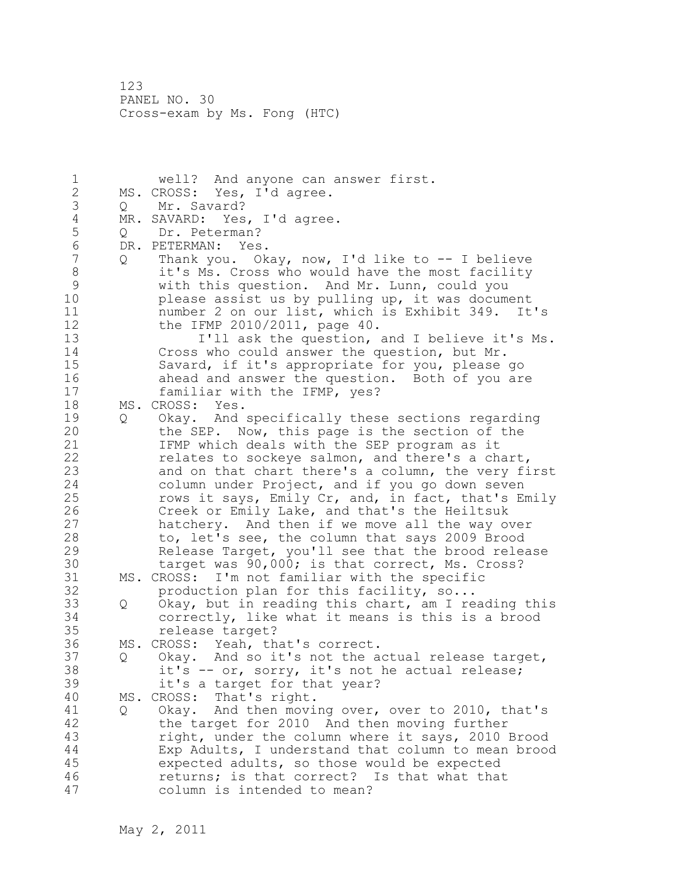1 well? And anyone can answer first. 2 MS. CROSS: Yes, I'd agree. 3 Q Mr. Savard?<br>4 MR. SAVARD: Yes 4 MR. SAVARD: Yes, I'd agree.<br>5 0 Dr. Peterman? 5 Q Dr. Peterman?<br>6 DR. PETERMAN: Yes 6 DR. PETERMAN: Yes.<br>7 0 Thank vou. Ok 7 Q Thank you. Okay, now, I'd like to -- I believe 8 it's Ms. Cross who would have the most facility<br>9 with this question. And Mr. Lunn, could you 9 with this question. And Mr. Lunn, could you<br>10 blease assist us by pulling up, it was docume please assist us by pulling up, it was document 11 number 2 on our list, which is Exhibit 349. It's 12 the IFMP 2010/2011, page 40. 13 I'll ask the question, and I believe it's Ms. 14 Cross who could answer the question, but Mr. 15 Savard, if it's appropriate for you, please go 16 ahead and answer the question. Both of you are 17 familiar with the IFMP, yes? 18 MS. CROSS: Yes. 19 Q Okay. And specifically these sections regarding<br>20 the SEP. Now, this page is the section of the the SEP. Now, this page is the section of the 21 IFMP which deals with the SEP program as it 22 relates to sockeye salmon, and there's a chart, 23 and on that chart there's a column, the very first 24 column under Project, and if you go down seven 25 rows it says, Emily Cr, and, in fact, that's Emily 26 Creek or Emily Lake, and that's the Heiltsuk<br>27 hatchery. And then if we move all the way o 27 hatchery. And then if we move all the way over<br>28 to, let's see, the column that savs 2009 Brood to, let's see, the column that says 2009 Brood 29 Release Target, you'll see that the brood release 30 target was 90,000; is that correct, Ms. Cross?<br>31 MS. CROSS: I'm not familiar with the specific 31 MS. CROSS: I'm not familiar with the specific production plan for this facility,  $so...$ 33 Q Okay, but in reading this chart, am I reading this 34 correctly, like what it means is this is a brood 35 release target? 36 MS. CROSS: Yeah, that's correct. 37 Q Okay. And so it's not the actual release target, 38 it's -- or, sorry, it's not he actual release; 39 it's a target for that year? 40 MS. CROSS: That's right. 41 Q Okay. And then moving over, over to 2010, that's<br>42 the target for 2010 And then moving further the target for 2010 And then moving further 43 right, under the column where it says, 2010 Brood 44 Exp Adults, I understand that column to mean brood 45 expected adults, so those would be expected 46 returns; is that correct? Is that what that 47 column is intended to mean?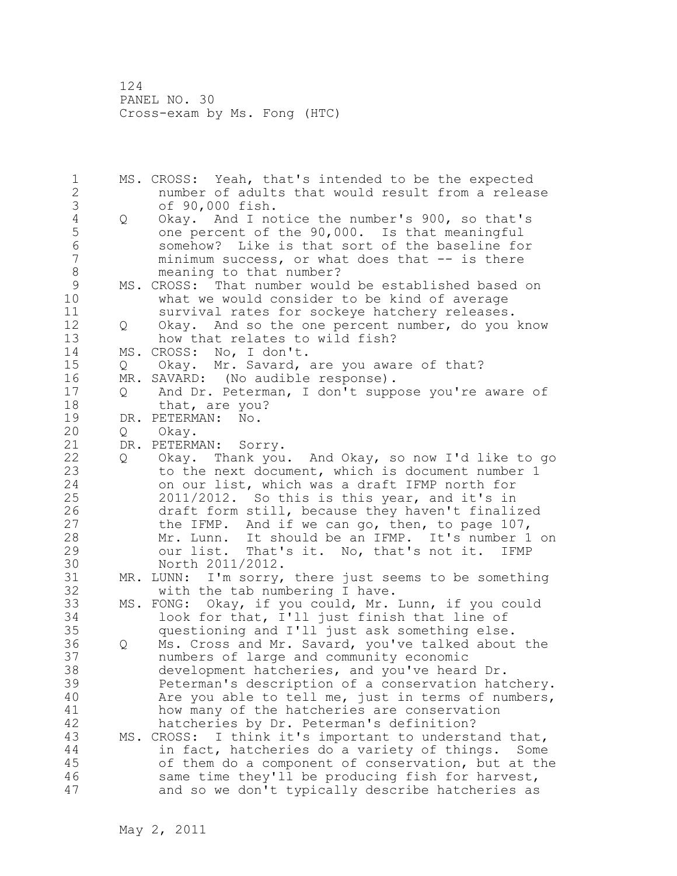1 MS. CROSS: Yeah, that's intended to be the expected 2 number of adults that would result from a release 3 of 90,000 fish.<br>4 Q Okay. And I no 4 Q Okay. And I notice the number's 900, so that's 5 one percent of the 90,000. Is that meaningful 6 somehow? Like is that sort of the baseline for  $minimum$  success, or what does that  $--$  is there 8 meaning to that number? 9 MS. CROSS: That number would be established based on<br>10 what we would consider to be kind of average what we would consider to be kind of average 11 survival rates for sockeye hatchery releases. 12 Q Okay. And so the one percent number, do you know 13 how that relates to wild fish? 14 MS. CROSS: No, I don't. 15 Q Okay. Mr. Savard, are you aware of that? 16 MR. SAVARD: (No audible response). 17 Q And Dr. Peterman, I don't suppose you're aware of 18 that, are you? 19 DR. PETERMAN: No.<br>20 0 Okay. 20 Q Okay. 21 DR. PETERMAN: Sorry. 22 Q Okay. Thank you. And Okay, so now I'd like to go 23 to the next document, which is document number 1 24 on our list, which was a draft IFMP north for 25 2011/2012. So this is this year, and it's in 26 draft form still, because they haven't finalized<br>27 the IFMP. And if we can go, then, to page 107, the IFMP. And if we can go, then, to page  $107$ , 28 Mr. Lunn. It should be an IFMP. It's number 1 on 29 our list. That's it. No, that's not it. IFMP 30 North 2011/2012.<br>31 MR. LUNN: I'm sorry, MR. LUNN: I'm sorry, there just seems to be something 32 with the tab numbering I have. 33 MS. FONG: Okay, if you could, Mr. Lunn, if you could 34 look for that, I'll just finish that line of 35 questioning and I'll just ask something else. 36 Q Ms. Cross and Mr. Savard, you've talked about the 37 numbers of large and community economic 38 development hatcheries, and you've heard Dr. 39 Peterman's description of a conservation hatchery. 40 Are you able to tell me, just in terms of numbers, 41 how many of the hatcheries are conservation<br>42 hatcheries by Dr. Peterman's definition? hatcheries by Dr. Peterman's definition? 43 MS. CROSS: I think it's important to understand that, 44 in fact, hatcheries do a variety of things. Some 45 of them do a component of conservation, but at the 46 same time they'll be producing fish for harvest, 47 and so we don't typically describe hatcheries as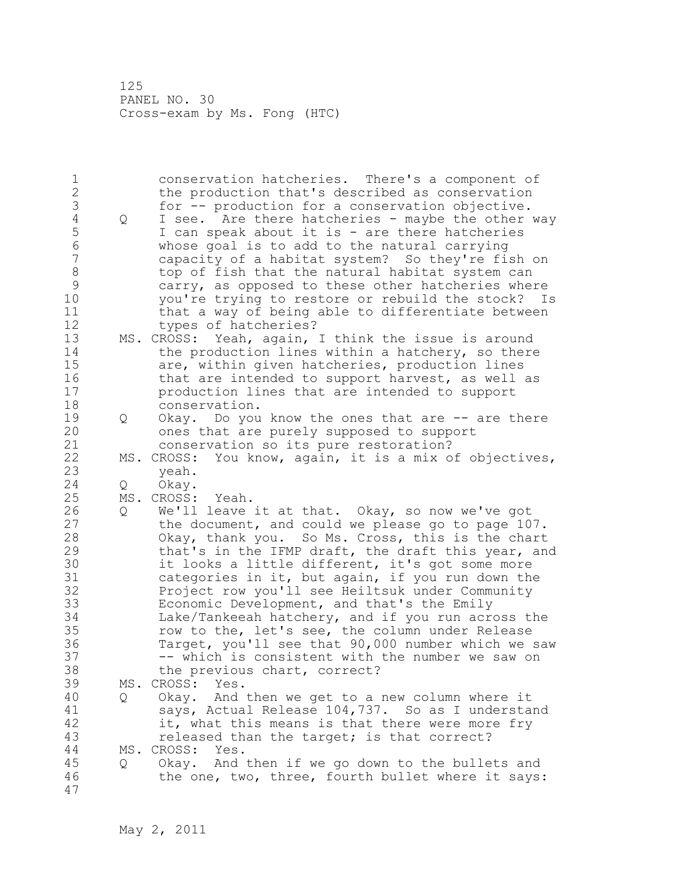| $\mathbf 1$<br>$\overline{c}$<br>3<br>$\overline{4}$<br>5<br>$\sqrt{6}$<br>$\overline{7}$<br>$\,8\,$<br>9<br>10 | Q             | conservation hatcheries. There's a component of<br>the production that's described as conservation<br>for -- production for a conservation objective.<br>I see. Are there hatcheries - maybe the other way<br>I can speak about it is - are there hatcheries<br>whose goal is to add to the natural carrying<br>capacity of a habitat system? So they're fish on<br>top of fish that the natural habitat system can<br>carry, as opposed to these other hatcheries where<br>you're trying to restore or rebuild the stock? Is                                                                                                                                                                    |
|-----------------------------------------------------------------------------------------------------------------|---------------|--------------------------------------------------------------------------------------------------------------------------------------------------------------------------------------------------------------------------------------------------------------------------------------------------------------------------------------------------------------------------------------------------------------------------------------------------------------------------------------------------------------------------------------------------------------------------------------------------------------------------------------------------------------------------------------------------|
| 11<br>12<br>13<br>14<br>15<br>16<br>17<br>18                                                                    |               | that a way of being able to differentiate between<br>types of hatcheries?<br>MS. CROSS: Yeah, again, I think the issue is around<br>the production lines within a hatchery, so there<br>are, within given hatcheries, production lines<br>that are intended to support harvest, as well as<br>production lines that are intended to support<br>conservation.                                                                                                                                                                                                                                                                                                                                     |
| 19<br>20                                                                                                        | Q             | Okay. Do you know the ones that are -- are there<br>ones that are purely supposed to support                                                                                                                                                                                                                                                                                                                                                                                                                                                                                                                                                                                                     |
| 21<br>22<br>23                                                                                                  | MS.           | conservation so its pure restoration?<br>CROSS: You know, again, it is a mix of objectives,<br>yeah.                                                                                                                                                                                                                                                                                                                                                                                                                                                                                                                                                                                             |
| 24<br>25<br>26<br>27<br>28<br>29<br>30<br>31<br>32<br>33<br>34<br>35<br>36<br>37<br>38                          | Q<br>MS.<br>Q | Okay.<br>CROSS: Yeah.<br>We'll leave it at that. Okay, so now we've got<br>the document, and could we please go to page 107.<br>Okay, thank you. So Ms. Cross, this is the chart<br>that's in the IFMP draft, the draft this year, and<br>it looks a little different, it's got some more<br>categories in it, but again, if you run down the<br>Project row you'll see Heiltsuk under Community<br>Economic Development, and that's the Emily<br>Lake/Tankeeah hatchery, and if you run across the<br>row to the, let's see, the column under Release<br>Target, you'll see that 90,000 number which we saw<br>-- which is consistent with the number we saw on<br>the previous chart, correct? |
| 39<br>40<br>41<br>42<br>43                                                                                      | Q             | MS. CROSS:<br>Yes.<br>Okay. And then we get to a new column where it<br>says, Actual Release 104,737. So as I understand<br>it, what this means is that there were more fry<br>released than the target; is that correct?                                                                                                                                                                                                                                                                                                                                                                                                                                                                        |
| 44<br>45<br>46<br>47                                                                                            | Q             | MS. CROSS:<br>Yes.<br>Okay. And then if we go down to the bullets and<br>the one, two, three, fourth bullet where it says:                                                                                                                                                                                                                                                                                                                                                                                                                                                                                                                                                                       |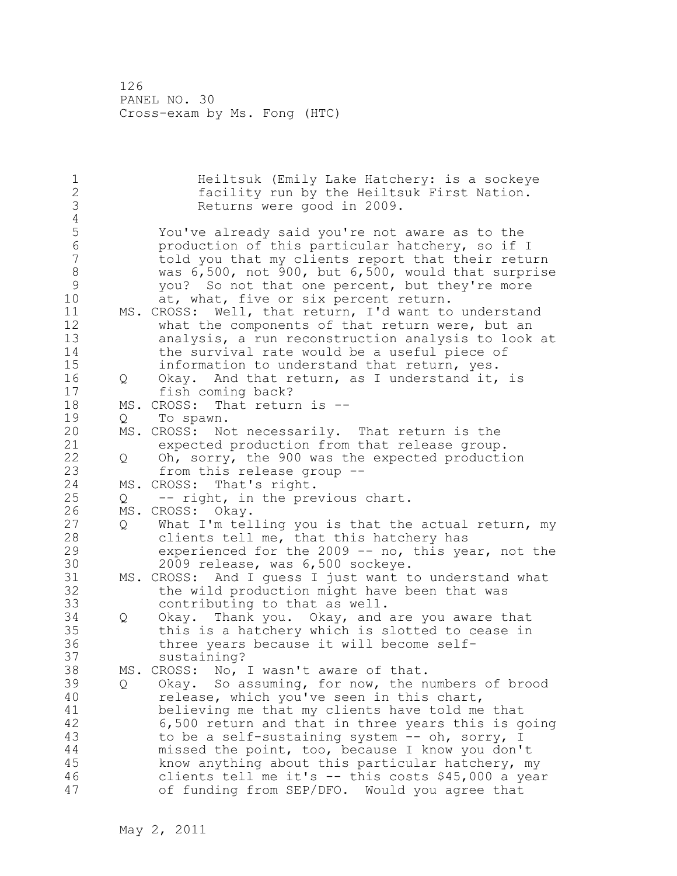| 1<br>$\overline{c}$<br>3<br>$\overline{4}$                            |                   | Heiltsuk (Emily Lake Hatchery: is a sockeye<br>facility run by the Heiltsuk First Nation.<br>Returns were good in 2009.                                                                                                                                                                                 |
|-----------------------------------------------------------------------|-------------------|---------------------------------------------------------------------------------------------------------------------------------------------------------------------------------------------------------------------------------------------------------------------------------------------------------|
| 5<br>$6\phantom{a}$<br>$\overline{7}$<br>$\,8\,$<br>$\mathsf 9$<br>10 |                   | You've already said you're not aware as to the<br>production of this particular hatchery, so if I<br>told you that my clients report that their return<br>was 6,500, not 900, but 6,500, would that surprise<br>you? So not that one percent, but they're more<br>at, what, five or six percent return. |
| 11<br>12<br>13<br>14<br>15                                            |                   | MS. CROSS: Well, that return, I'd want to understand<br>what the components of that return were, but an<br>analysis, a run reconstruction analysis to look at<br>the survival rate would be a useful piece of<br>information to understand that return, yes.                                            |
| 16                                                                    | Q                 | Okay. And that return, as I understand it, is                                                                                                                                                                                                                                                           |
| 17                                                                    |                   | fish coming back?                                                                                                                                                                                                                                                                                       |
| 18                                                                    |                   | MS. CROSS: That return is --                                                                                                                                                                                                                                                                            |
| 19                                                                    | Q                 | To spawn.                                                                                                                                                                                                                                                                                               |
| 20                                                                    |                   | MS. CROSS: Not necessarily. That return is the                                                                                                                                                                                                                                                          |
| 21                                                                    |                   | expected production from that release group.                                                                                                                                                                                                                                                            |
| 22                                                                    | Q                 | Oh, sorry, the 900 was the expected production                                                                                                                                                                                                                                                          |
| 23                                                                    |                   | from this release group --                                                                                                                                                                                                                                                                              |
| 24                                                                    |                   | MS. CROSS: That's right.                                                                                                                                                                                                                                                                                |
| 25                                                                    | Q                 | -- right, in the previous chart.                                                                                                                                                                                                                                                                        |
| 26                                                                    |                   | MS. CROSS: Okay.                                                                                                                                                                                                                                                                                        |
| 27                                                                    | $Q \qquad \qquad$ | What I'm telling you is that the actual return, my                                                                                                                                                                                                                                                      |
| 28                                                                    |                   | clients tell me, that this hatchery has                                                                                                                                                                                                                                                                 |
| 29                                                                    |                   | experienced for the 2009 -- no, this year, not the                                                                                                                                                                                                                                                      |
| 30                                                                    |                   | 2009 release, was 6,500 sockeye.                                                                                                                                                                                                                                                                        |
| 31                                                                    |                   | MS. CROSS: And I guess I just want to understand what                                                                                                                                                                                                                                                   |
| 32                                                                    |                   | the wild production might have been that was                                                                                                                                                                                                                                                            |
| 33                                                                    |                   | contributing to that as well.                                                                                                                                                                                                                                                                           |
| 34                                                                    | Q                 | Okay. Thank you. Okay, and are you aware that                                                                                                                                                                                                                                                           |
| 35                                                                    |                   | this is a hatchery which is slotted to cease in                                                                                                                                                                                                                                                         |
| 36                                                                    |                   | three years because it will become self-                                                                                                                                                                                                                                                                |
| 37                                                                    |                   | sustaining?                                                                                                                                                                                                                                                                                             |
| 38                                                                    |                   | MS. CROSS: No, I wasn't aware of that.                                                                                                                                                                                                                                                                  |
| 39                                                                    | Q                 | Okay. So assuming, for now, the numbers of brood                                                                                                                                                                                                                                                        |
| 40                                                                    |                   | release, which you've seen in this chart,                                                                                                                                                                                                                                                               |
| 41                                                                    |                   | believing me that my clients have told me that                                                                                                                                                                                                                                                          |
| 42                                                                    |                   | 6,500 return and that in three years this is going                                                                                                                                                                                                                                                      |
| 43                                                                    |                   | to be a self-sustaining system -- oh, sorry, I                                                                                                                                                                                                                                                          |
| 44                                                                    |                   | missed the point, too, because I know you don't                                                                                                                                                                                                                                                         |
| 45                                                                    |                   | know anything about this particular hatchery, my                                                                                                                                                                                                                                                        |
| 46                                                                    |                   | clients tell me it's -- this costs \$45,000 a year                                                                                                                                                                                                                                                      |
| 47                                                                    |                   | of funding from SEP/DFO. Would you agree that                                                                                                                                                                                                                                                           |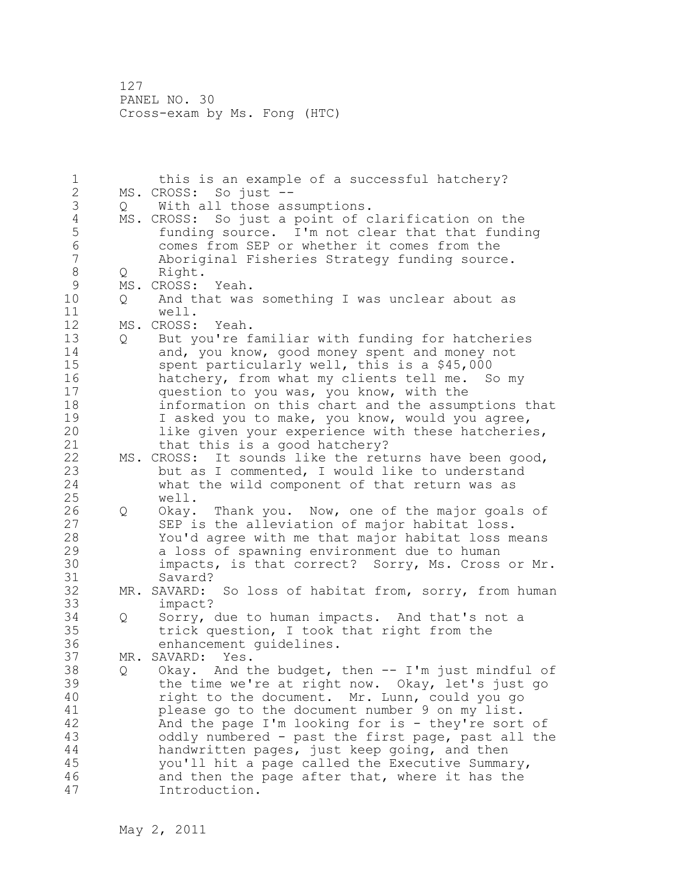1 this is an example of a successful hatchery? 2 MS. CROSS: So just -- 3 Q With all those assumptions.<br>4 MS. CROSS: So just a point of c 4 MS. CROSS: So just a point of clarification on the<br>5 funding source. I'm not clear that that funding 5 funding source. I'm not clear that that funding<br>6 comes from SEP or whether it comes from the 6 comes from SEP or whether it comes from the Aboriginal Fisheries Strategy funding source. 8 Q Right.<br>9 MS. CROSS: 9 MS. CROSS: Yeah.<br>10 0 And that was 10 Q And that was something I was unclear about as 11 well. 12 MS. CROSS: Yeah. 13 Q But you're familiar with funding for hatcheries 14 and, you know, good money spent and money not 15 spent particularly well, this is a \$45,000 16 hatchery, from what my clients tell me. So my 17 question to you was, you know, with the 18 information on this chart and the assumptions that 19 I asked you to make, you know, would you agree,<br>20 1ike given your experience with these hatcherie like given your experience with these hatcheries, 21 that this is a good hatchery? 22 MS. CROSS: It sounds like the returns have been good, 23 but as I commented, I would like to understand 24 what the wild component of that return was as 25 well. 26 Q Okay. Thank you. Now, one of the major goals of<br>27 SEP is the alleviation of major habitat loss. SEP is the alleviation of major habitat loss. 28 You'd agree with me that major habitat loss means 29 a loss of spawning environment due to human 30 impacts, is that correct? Sorry, Ms. Cross or Mr. Savard? 32 MR. SAVARD: So loss of habitat from, sorry, from human 33 impact? 34 Q Sorry, due to human impacts. And that's not a 35 trick question, I took that right from the 36 enhancement guidelines. 37 MR. SAVARD: Yes. 38 Q Okay. And the budget, then -- I'm just mindful of 39 the time we're at right now. Okay, let's just go 40 right to the document. Mr. Lunn, could you go 41 please go to the document number 9 on my list.<br>42 And the page I'm looking for is - they're sort And the page I'm looking for is - they're sort of 43 oddly numbered - past the first page, past all the 44 handwritten pages, just keep going, and then 45 you'll hit a page called the Executive Summary, 46 and then the page after that, where it has the 47 Introduction.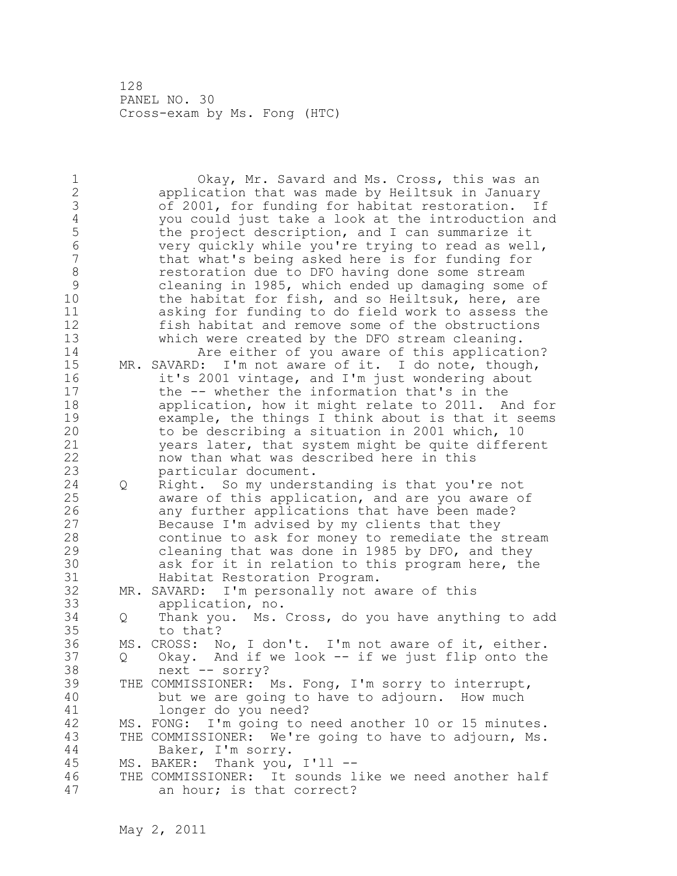1 Okay, Mr. Savard and Ms. Cross, this was an 2 application that was made by Heiltsuk in January 3 of 2001, for funding for habitat restoration. If<br>4 you could just take a look at the introduction and 4 you could just take a look at the introduction and<br>5 the project description, and I can summarize it 5 the project description, and I can summarize it<br>6 verv quickly while you're trying to read as well 6 very quickly while you're trying to read as well, that what's being asked here is for funding for 8 restoration due to DFO having done some stream<br>9 cleaning in 1985, which ended up damaging some 9 cleaning in 1985, which ended up damaging some of the habitat for fish, and so Heiltsuk, here, are 11 asking for funding to do field work to assess the 12 fish habitat and remove some of the obstructions 13 which were created by the DFO stream cleaning. 14 Are either of you aware of this application? 15 MR. SAVARD: I'm not aware of it. I do note, though, 16 it's 2001 vintage, and I'm just wondering about 17 the -- whether the information that's in the 18 application, how it might relate to 2011. And for 19 example, the things I think about is that it seems<br>20 to be describing a situation in 2001 which, 10 to be describing a situation in 2001 which, 10 21 years later, that system might be quite different 22 now than what was described here in this 23 particular document. 24 Q Right. So my understanding is that you're not 25 aware of this application, and are you aware of 26 any further applications that have been made?<br>27 Because I'm advised by my clients that they Because I'm advised by my clients that they 28 continue to ask for money to remediate the stream 29 cleaning that was done in 1985 by DFO, and they 30 ask for it in relation to this program here, the 31 Habitat Restoration Program. 32 MR. SAVARD: I'm personally not aware of this 33 application, no. 34 Q Thank you. Ms. Cross, do you have anything to add 35 to that? 36 MS. CROSS: No, I don't. I'm not aware of it, either. 37 Q Okay. And if we look -- if we just flip onto the 38 next -- sorry? 39 THE COMMISSIONER: Ms. Fong, I'm sorry to interrupt, 40 but we are going to have to adjourn. How much 41 longer do you need?<br>42 MS. FONG: I'm going to MS. FONG: I'm going to need another 10 or 15 minutes. 43 THE COMMISSIONER: We're going to have to adjourn, Ms. 44 Baker, I'm sorry. 45 MS. BAKER: Thank you, I'll -- 46 THE COMMISSIONER: It sounds like we need another half 47 an hour; is that correct?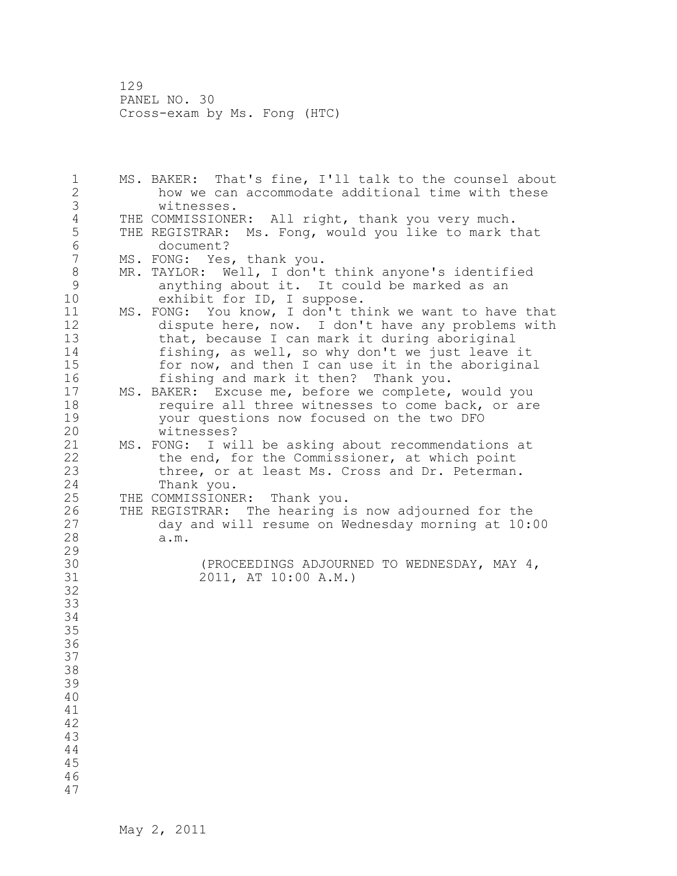1 MS. BAKER: That's fine, I'll talk to the counsel about 2 how we can accommodate additional time with these 3 witnesses. 4 THE COMMISSIONER: All right, thank you very much.<br>5 THE REGISTRAR: Ms. Fong, would you like to mark t 5 THE REGISTRAR: Ms. Fong, would you like to mark that<br>6 document? 6 document?<br>7 MS. FONG: Yes MS. FONG: Yes, thank you. 8 MR. TAYLOR: Well, I don't think anyone's identified<br>9 anything about it. It could be marked as an 9 anything about it. It could be marked as an<br>10 exhibit for ID. I suppose. exhibit for ID, I suppose. 11 MS. FONG: You know, I don't think we want to have that 12 dispute here, now. I don't have any problems with 13 that, because I can mark it during aboriginal 14 fishing, as well, so why don't we just leave it 15 for now, and then I can use it in the aboriginal 16 fishing and mark it then? Thank you. 17 MS. BAKER: Excuse me, before we complete, would you 18 **require all three witnesses to come back, or are** 19 your questions now focused on the two DFO<br>20 witnesses? witnesses? 21 MS. FONG: I will be asking about recommendations at 22 the end, for the Commissioner, at which point 23 three, or at least Ms. Cross and Dr. Peterman. 24 Thank you. 25 THE COMMISSIONER: Thank you. 26 THE REGISTRAR: The hearing is now adjourned for the<br>27 day and will resume on Wednesday morning at 10:0 27 day and will resume on Wednesday morning at 10:00<br>28 a.m. a.m. 29 30 (PROCEEDINGS ADJOURNED TO WEDNESDAY, MAY 4, 31 2011, AT 10:00 A.M.) 32 33 34 35 36 37 38 39 40 41 42 43 44 45 46 47